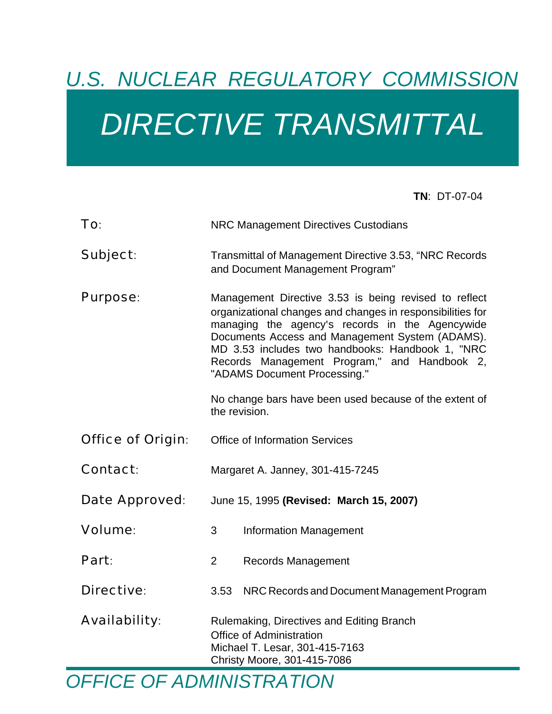# *U.S. NUCLEAR REGULATORY COMMISSION DIRECTIVE TRANSMITTAL*

**TN**: DT-07-04

| To:                      | <b>NRC Management Directives Custodians</b>                                                                                                                                                                                                                                                                                                                                                                                              |
|--------------------------|------------------------------------------------------------------------------------------------------------------------------------------------------------------------------------------------------------------------------------------------------------------------------------------------------------------------------------------------------------------------------------------------------------------------------------------|
| Subject:                 | Transmittal of Management Directive 3.53, "NRC Records<br>and Document Management Program"                                                                                                                                                                                                                                                                                                                                               |
| <b>Purpose:</b>          | Management Directive 3.53 is being revised to reflect<br>organizational changes and changes in responsibilities for<br>managing the agency's records in the Agencywide<br>Documents Access and Management System (ADAMS).<br>MD 3.53 includes two handbooks: Handbook 1, "NRC<br>Records Management Program," and Handbook 2,<br>"ADAMS Document Processing."<br>No change bars have been used because of the extent of<br>the revision. |
| <b>Office of Origin:</b> | <b>Office of Information Services</b>                                                                                                                                                                                                                                                                                                                                                                                                    |
| <b>Contact:</b>          | Margaret A. Janney, 301-415-7245                                                                                                                                                                                                                                                                                                                                                                                                         |
| Date Approved:           | June 15, 1995 (Revised: March 15, 2007)                                                                                                                                                                                                                                                                                                                                                                                                  |
| <b>Volume:</b>           | 3<br><b>Information Management</b>                                                                                                                                                                                                                                                                                                                                                                                                       |
| Part:                    | 2<br><b>Records Management</b>                                                                                                                                                                                                                                                                                                                                                                                                           |
| <b>Directive:</b>        | 3.53<br>NRC Records and Document Management Program                                                                                                                                                                                                                                                                                                                                                                                      |
| <b>Availability:</b>     | Rulemaking, Directives and Editing Branch<br>Office of Administration<br>Michael T. Lesar, 301-415-7163<br>Christy Moore, 301-415-7086                                                                                                                                                                                                                                                                                                   |

*OFFICE OF ADMINISTRATION*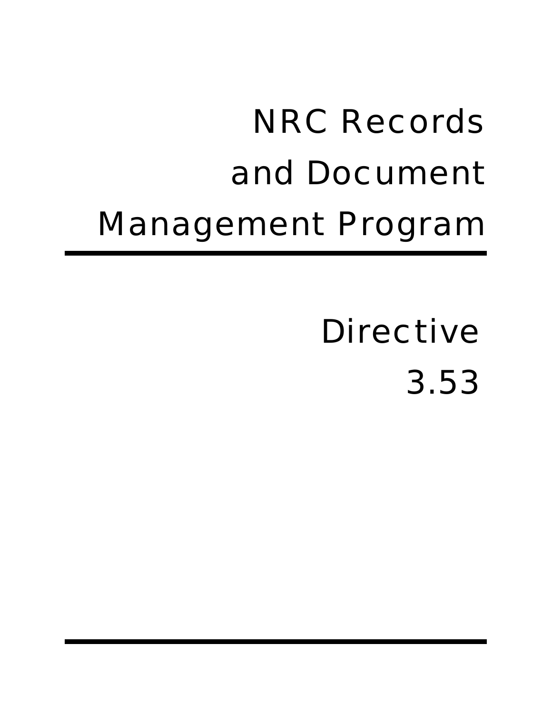# NRC Records and Document Management Program

# **Directive** 3.53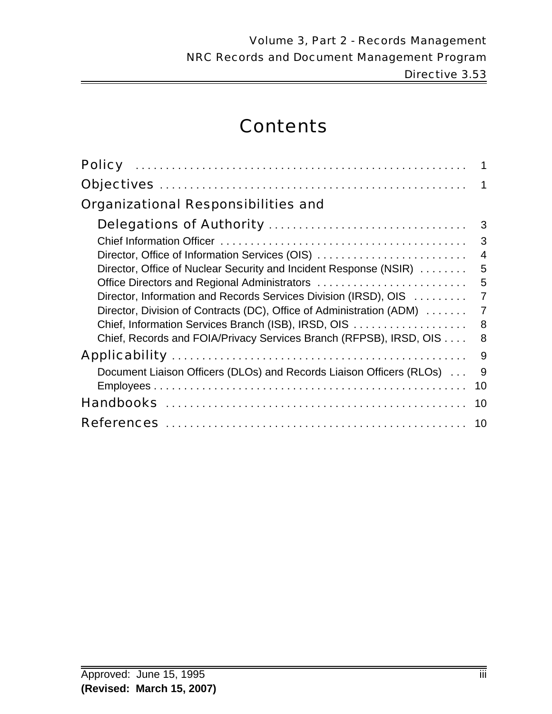# **Contents**

| <b>Organizational Responsibilities and</b>                           |                |
|----------------------------------------------------------------------|----------------|
|                                                                      | 3              |
|                                                                      | 3              |
| Director, Office of Information Services (OIS)                       | $\overline{4}$ |
| Director, Office of Nuclear Security and Incident Response (NSIR)    | 5              |
| Office Directors and Regional Administrators                         | 5              |
| Director, Information and Records Services Division (IRSD), OIS      | $\overline{7}$ |
| Director, Division of Contracts (DC), Office of Administration (ADM) | 7              |
| Chief, Information Services Branch (ISB), IRSD, OIS                  | 8              |
| Chief, Records and FOIA/Privacy Services Branch (RFPSB), IRSD, OIS   | 8              |
|                                                                      | 9              |
| Document Liaison Officers (DLOs) and Records Liaison Officers (RLOs) | 9              |
|                                                                      | 10             |
|                                                                      | 10             |
|                                                                      |                |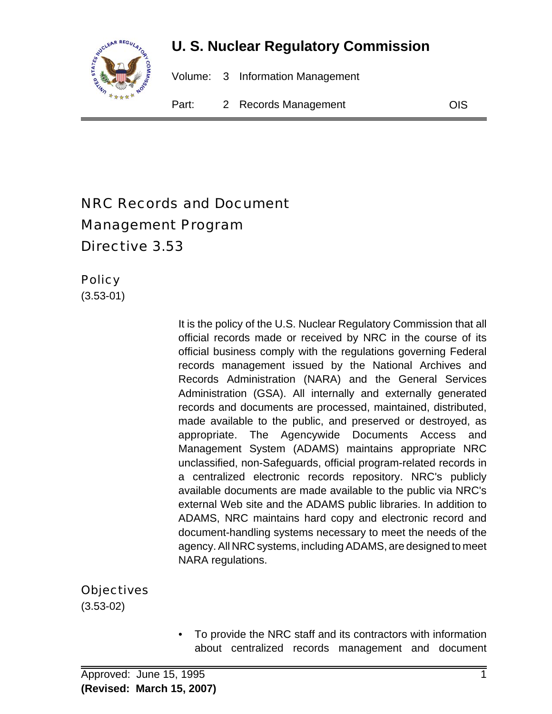

# **U. S. Nuclear Regulatory Commission**

Volume: 3 Information Management

Part: 2 Records Management COIS

# NRC Records and Document Management Program Directive 3.53

**Policy** 

(3.53-01)

It is the policy of the U.S. Nuclear Regulatory Commission that all official records made or received by NRC in the course of its official business comply with the regulations governing Federal records management issued by the National Archives and Records Administration (NARA) and the General Services Administration (GSA). All internally and externally generated records and documents are processed, maintained, distributed, made available to the public, and preserved or destroyed, as appropriate. The Agencywide Documents Access and Management System (ADAMS) maintains appropriate NRC unclassified, non-Safeguards, official program-related records in a centralized electronic records repository. NRC's publicly available documents are made available to the public via NRC's external Web site and the ADAMS public libraries. In addition to ADAMS, NRC maintains hard copy and electronic record and document-handling systems necessary to meet the needs of the agency. All NRC systems, including ADAMS, are designed to meet NARA regulations.

**Objectives** 

(3.53-02)

• To provide the NRC staff and its contractors with information about centralized records management and document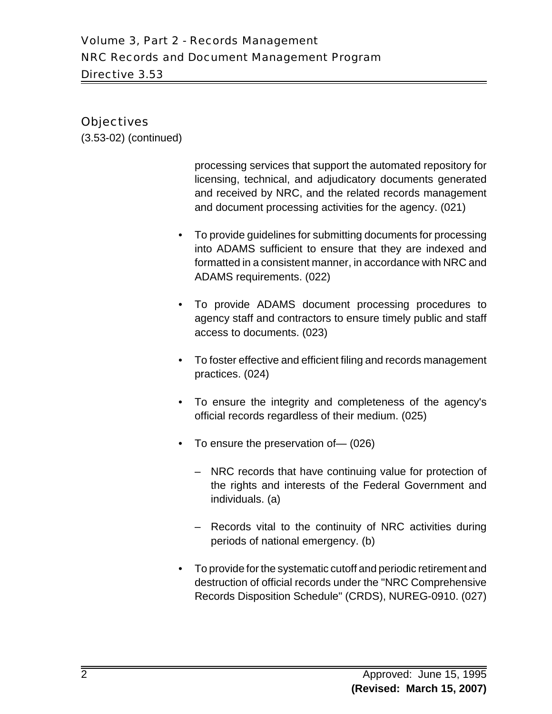# **Objectives**

(3.53-02) (continued)

processing services that support the automated repository for licensing, technical, and adjudicatory documents generated and received by NRC, and the related records management and document processing activities for the agency. (021)

- To provide guidelines for submitting documents for processing into ADAMS sufficient to ensure that they are indexed and formatted in a consistent manner, in accordance with NRC and ADAMS requirements. (022)
- To provide ADAMS document processing procedures to agency staff and contractors to ensure timely public and staff access to documents. (023)
- To foster effective and efficient filing and records management practices. (024)
- To ensure the integrity and completeness of the agency's official records regardless of their medium. (025)
- To ensure the preservation of— (026)
	- NRC records that have continuing value for protection of the rights and interests of the Federal Government and individuals. (a)
	- Records vital to the continuity of NRC activities during periods of national emergency. (b)
- To provide for the systematic cutoff and periodic retirement and destruction of official records under the "NRC Comprehensive Records Disposition Schedule" (CRDS), NUREG-0910. (027)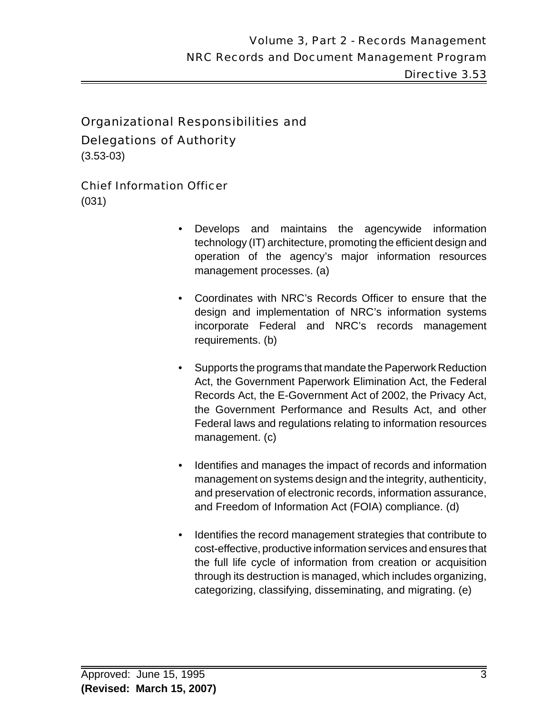Delegations of Authority

(3.53-03)

# Chief Information Officer

(031)

- Develops and maintains the agencywide information technology (IT) architecture, promoting the efficient design and operation of the agency's major information resources management processes. (a)
- Coordinates with NRC's Records Officer to ensure that the design and implementation of NRC's information systems incorporate Federal and NRC's records management requirements. (b)
- Supports the programs that mandate the Paperwork Reduction Act, the Government Paperwork Elimination Act, the Federal Records Act, the E-Government Act of 2002, the Privacy Act, the Government Performance and Results Act, and other Federal laws and regulations relating to information resources management. (c)
- Identifies and manages the impact of records and information management on systems design and the integrity, authenticity, and preservation of electronic records, information assurance, and Freedom of Information Act (FOIA) compliance. (d)
- Identifies the record management strategies that contribute to cost-effective, productive information services and ensures that the full life cycle of information from creation or acquisition through its destruction is managed, which includes organizing, categorizing, classifying, disseminating, and migrating. (e)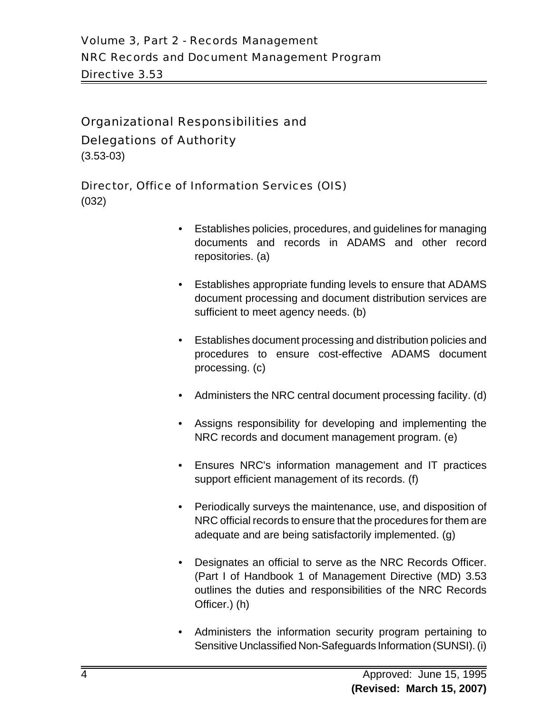## Delegations of Authority

(3.53-03)

#### Director, Office of Information Services (OIS)

(032)

- Establishes policies, procedures, and guidelines for managing documents and records in ADAMS and other record repositories. (a)
- Establishes appropriate funding levels to ensure that ADAMS document processing and document distribution services are sufficient to meet agency needs. (b)
- Establishes document processing and distribution policies and procedures to ensure cost-effective ADAMS document processing. (c)
- Administers the NRC central document processing facility. (d)
- Assigns responsibility for developing and implementing the NRC records and document management program. (e)
- Ensures NRC's information management and IT practices support efficient management of its records. (f)
- Periodically surveys the maintenance, use, and disposition of NRC official records to ensure that the procedures for them are adequate and are being satisfactorily implemented. (g)
- Designates an official to serve as the NRC Records Officer. (Part I of Handbook 1 of Management Directive (MD) 3.53 outlines the duties and responsibilities of the NRC Records Officer.) (h)
- Administers the information security program pertaining to Sensitive Unclassified Non-Safeguards Information (SUNSI). (i)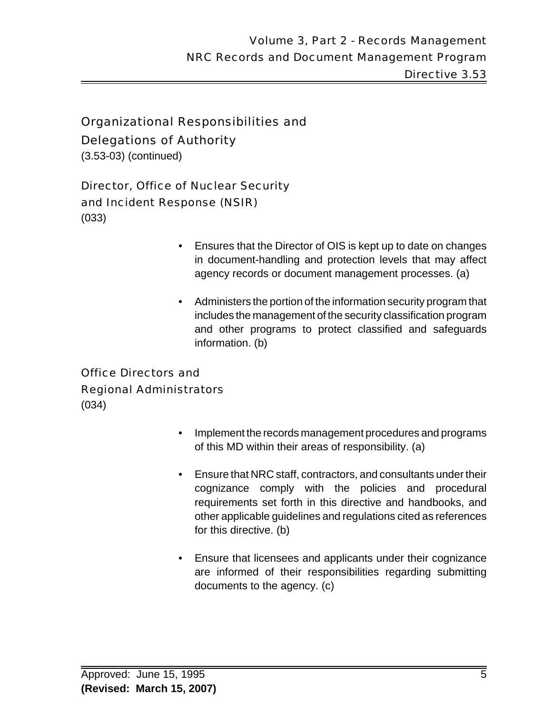Delegations of Authority

(3.53-03) (continued)

# Director, Office of Nuclear Security

# and Incident Response (NSIR)

(033)

- Ensures that the Director of OIS is kept up to date on changes in document-handling and protection levels that may affect agency records or document management processes. (a)
- Administers the portion of the information security program that includes the management of the security classification program and other programs to protect classified and safeguards information. (b)

# Office Directors and Regional Administrators

(034)

- Implement the records management procedures and programs of this MD within their areas of responsibility. (a)
- Ensure that NRC staff, contractors, and consultants under their cognizance comply with the policies and procedural requirements set forth in this directive and handbooks, and other applicable guidelines and regulations cited as references for this directive. (b)
- Ensure that licensees and applicants under their cognizance are informed of their responsibilities regarding submitting documents to the agency. (c)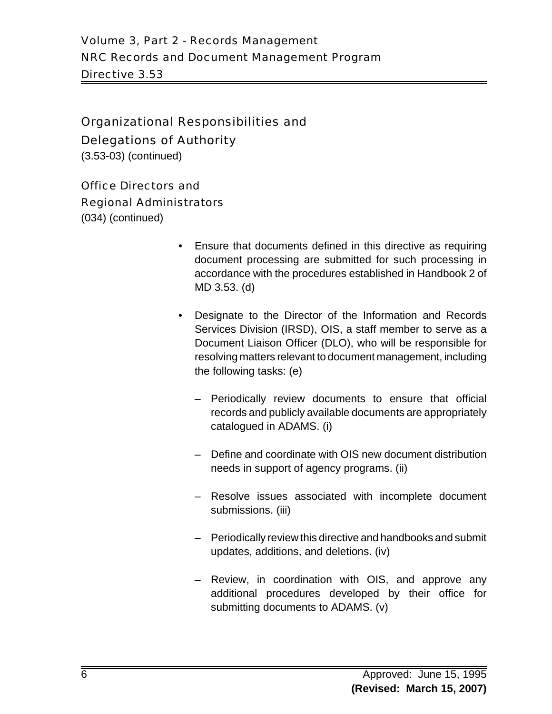# Delegations of Authority

(3.53-03) (continued)

#### Office Directors and

#### Regional Administrators

(034) (continued)

- Ensure that documents defined in this directive as requiring document processing are submitted for such processing in accordance with the procedures established in Handbook 2 of MD 3.53. (d)
- Designate to the Director of the Information and Records Services Division (IRSD), OIS, a staff member to serve as a Document Liaison Officer (DLO), who will be responsible for resolving matters relevant to document management, including the following tasks: (e)
	- Periodically review documents to ensure that official records and publicly available documents are appropriately catalogued in ADAMS. (i)
	- Define and coordinate with OIS new document distribution needs in support of agency programs. (ii)
	- Resolve issues associated with incomplete document submissions. (iii)
	- Periodically review this directive and handbooks and submit updates, additions, and deletions. (iv)
	- Review, in coordination with OIS, and approve any additional procedures developed by their office for submitting documents to ADAMS. (v)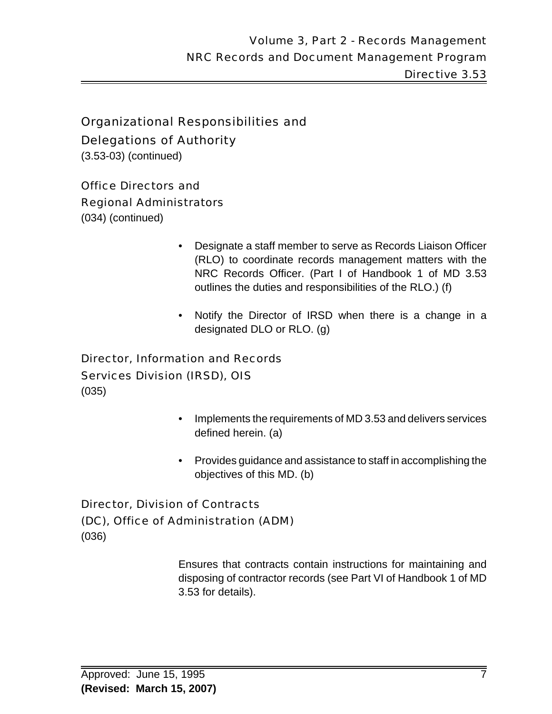# Delegations of Authority

(3.53-03) (continued)

## Office Directors and

# Regional Administrators

(034) (continued)

- Designate a staff member to serve as Records Liaison Officer (RLO) to coordinate records management matters with the NRC Records Officer. (Part I of Handbook 1 of MD 3.53 outlines the duties and responsibilities of the RLO.) (f)
- Notify the Director of IRSD when there is a change in a designated DLO or RLO. (g)

# Director, Information and Records Services Division (IRSD), OIS

(035)

- Implements the requirements of MD 3.53 and delivers services defined herein. (a)
- Provides guidance and assistance to staff in accomplishing the objectives of this MD. (b)

# Director, Division of Contracts (DC), Office of Administration (ADM) (036)

Ensures that contracts contain instructions for maintaining and disposing of contractor records (see Part VI of Handbook 1 of MD 3.53 for details).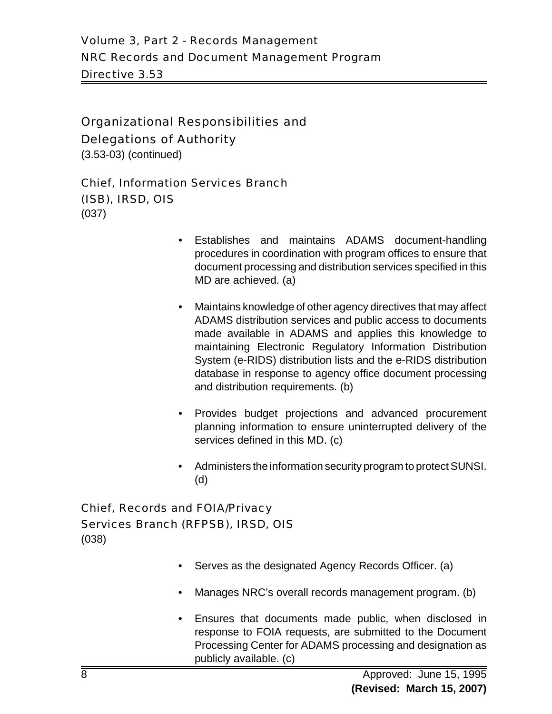Delegations of Authority

(3.53-03) (continued)

Chief, Information Services Branch (ISB), IRSD, OIS (037)

- Establishes and maintains ADAMS document-handling procedures in coordination with program offices to ensure that document processing and distribution services specified in this MD are achieved. (a)
- Maintains knowledge of other agency directives that may affect ADAMS distribution services and public access to documents made available in ADAMS and applies this knowledge to maintaining Electronic Regulatory Information Distribution System (e-RIDS) distribution lists and the e-RIDS distribution database in response to agency office document processing and distribution requirements. (b)
- Provides budget projections and advanced procurement planning information to ensure uninterrupted delivery of the services defined in this MD. (c)
- Administers the information security program to protect SUNSI. (d)

# Chief, Records and FOIA/Privacy Services Branch (RFPSB), IRSD, OIS

(038)

- Serves as the designated Agency Records Officer. (a)
- Manages NRC's overall records management program. (b)
- Ensures that documents made public, when disclosed in response to FOIA requests, are submitted to the Document Processing Center for ADAMS processing and designation as publicly available. (c)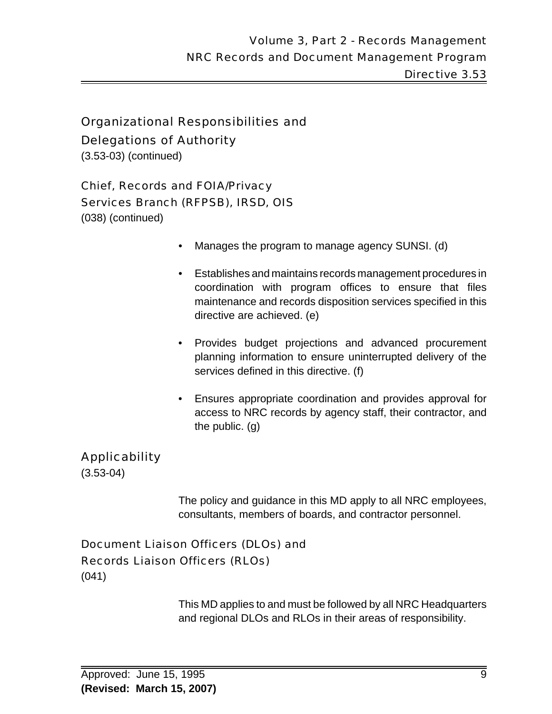# Delegations of Authority

(3.53-03) (continued)

# Chief, Records and FOIA/Privacy

# Services Branch (RFPSB), IRSD, OIS

(038) (continued)

- Manages the program to manage agency SUNSI. (d)
- Establishes and maintains records management procedures in coordination with program offices to ensure that files maintenance and records disposition services specified in this directive are achieved. (e)
- Provides budget projections and advanced procurement planning information to ensure uninterrupted delivery of the services defined in this directive. (f)
- Ensures appropriate coordination and provides approval for access to NRC records by agency staff, their contractor, and the public. (g)

# Applicability

(3.53-04)

The policy and guidance in this MD apply to all NRC employees, consultants, members of boards, and contractor personnel.

# Document Liaison Officers (DLOs) and Records Liaison Officers (RLOs) (041)

This MD applies to and must be followed by all NRC Headquarters and regional DLOs and RLOs in their areas of responsibility.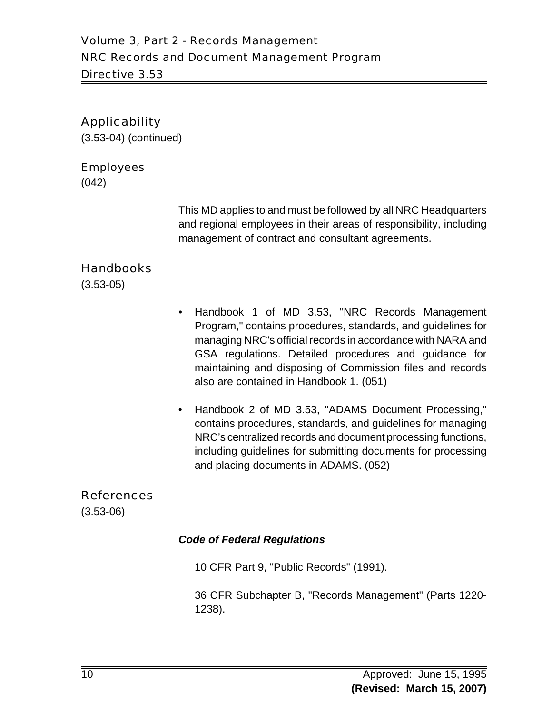# Applicability

(3.53-04) (continued)

#### Employees

(042)

This MD applies to and must be followed by all NRC Headquarters and regional employees in their areas of responsibility, including management of contract and consultant agreements.

# **Handbooks**

(3.53-05)

- Handbook 1 of MD 3.53, "NRC Records Management Program," contains procedures, standards, and guidelines for managing NRC's official records in accordance with NARA and GSA regulations. Detailed procedures and guidance for maintaining and disposing of Commission files and records also are contained in Handbook 1. (051)
- Handbook 2 of MD 3.53, "ADAMS Document Processing," contains procedures, standards, and guidelines for managing NRC's centralized records and document processing functions, including guidelines for submitting documents for processing and placing documents in ADAMS. (052)

## References

(3.53-06)

#### *Code of Federal Regulations*

10 CFR Part 9, "Public Records" (1991).

36 CFR Subchapter B, "Records Management" (Parts 1220- 1238).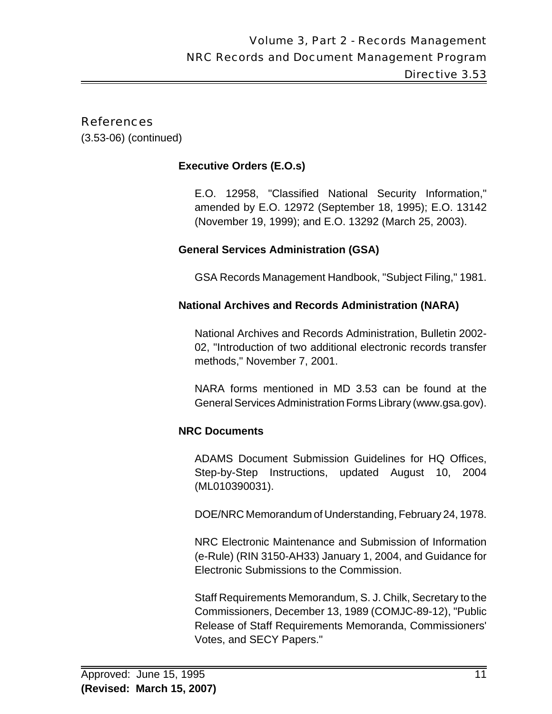# References

(3.53-06) (continued)

# **Executive Orders (E.O.s)**

E.O. 12958, "Classified National Security Information," amended by E.O. 12972 (September 18, 1995); E.O. 13142 (November 19, 1999); and E.O. 13292 (March 25, 2003).

# **General Services Administration (GSA)**

GSA Records Management Handbook, "Subject Filing," 1981.

# **National Archives and Records Administration (NARA)**

National Archives and Records Administration, Bulletin 2002- 02, "Introduction of two additional electronic records transfer methods," November 7, 2001.

NARA forms mentioned in MD 3.53 can be found at the General Services Administration Forms Library (www.gsa.gov).

# **NRC Documents**

ADAMS Document Submission Guidelines for HQ Offices, Step-by-Step Instructions, updated August 10, 2004 (ML010390031).

DOE/NRC Memorandum of Understanding, February 24, 1978.

NRC Electronic Maintenance and Submission of Information (e-Rule) (RIN 3150-AH33) January 1, 2004, and Guidance for Electronic Submissions to the Commission.

Staff Requirements Memorandum, S. J. Chilk, Secretary to the Commissioners, December 13, 1989 (COMJC-89-12), "Public Release of Staff Requirements Memoranda, Commissioners' Votes, and SECY Papers."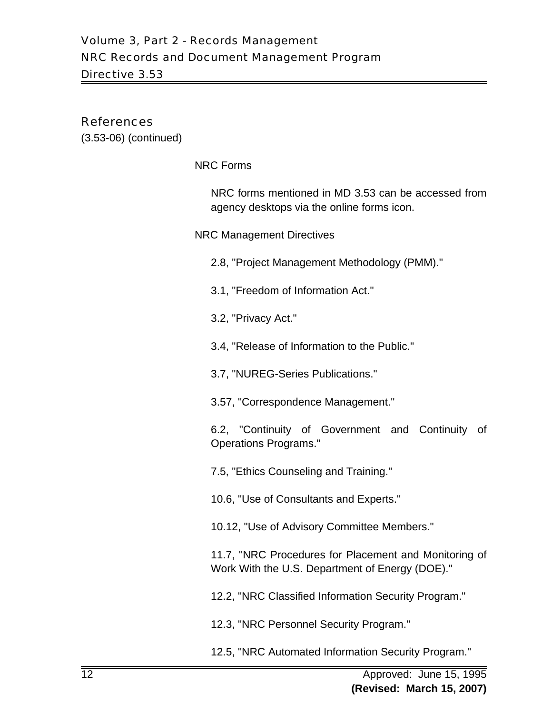#### References

(3.53-06) (continued)

NRC Forms

NRC forms mentioned in MD 3.53 can be accessed from agency desktops via the online forms icon.

NRC Management Directives

- 2.8, "Project Management Methodology (PMM)."
- 3.1, "Freedom of Information Act."
- 3.2, "Privacy Act."
- 3.4, "Release of Information to the Public."
- 3.7, "NUREG-Series Publications."
- 3.57, "Correspondence Management."

6.2, "Continuity of Government and Continuity of Operations Programs."

7.5, "Ethics Counseling and Training."

10.6, "Use of Consultants and Experts."

10.12, "Use of Advisory Committee Members."

11.7, "NRC Procedures for Placement and Monitoring of Work With the U.S. Department of Energy (DOE)."

12.2, "NRC Classified Information Security Program."

12.3, "NRC Personnel Security Program."

12.5, "NRC Automated Information Security Program."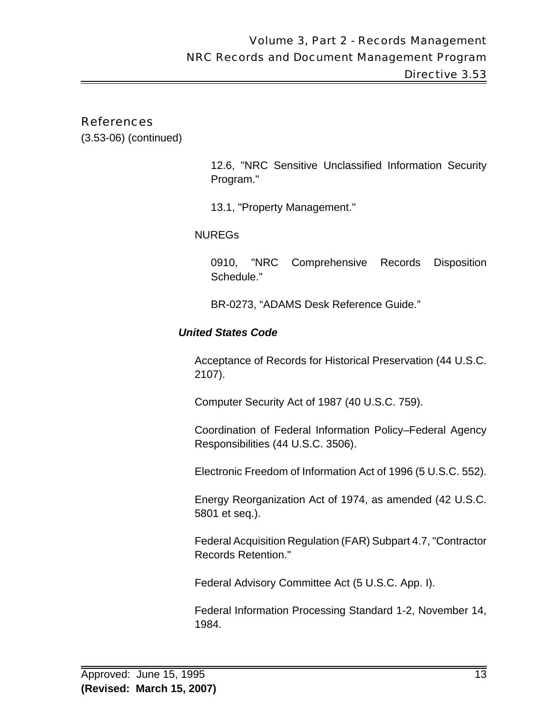#### References

(3.53-06) (continued)

12.6, "NRC Sensitive Unclassified Information Security Program."

13.1, "Property Management."

NUREGs

0910, "NRC Comprehensive Records Disposition Schedule."

BR-0273, "ADAMS Desk Reference Guide."

#### *United States Code*

Acceptance of Records for Historical Preservation (44 U.S.C. 2107).

Computer Security Act of 1987 (40 U.S.C. 759).

Coordination of Federal Information Policy–Federal Agency Responsibilities (44 U.S.C. 3506).

Electronic Freedom of Information Act of 1996 (5 U.S.C. 552).

Energy Reorganization Act of 1974, as amended (42 U.S.C. 5801 et seq.).

Federal Acquisition Regulation (FAR) Subpart 4.7, "Contractor Records Retention."

Federal Advisory Committee Act (5 U.S.C. App. I).

Federal Information Processing Standard 1-2, November 14, 1984.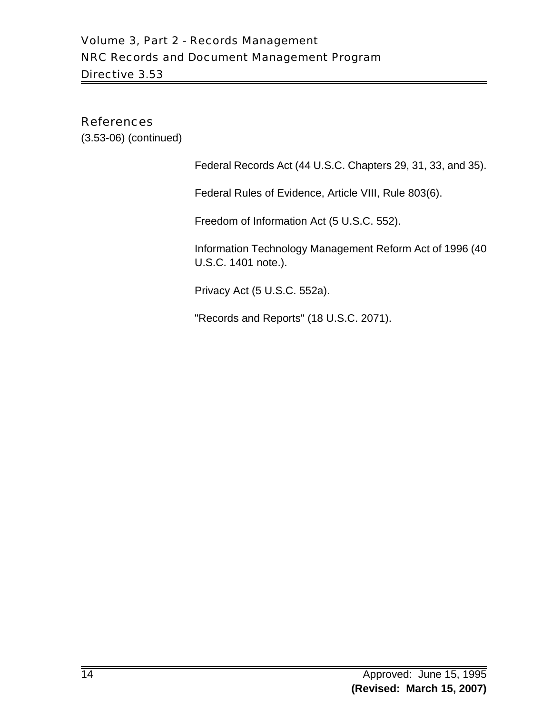# Volume 3, Part 2 - Records Management NRC Records and Document Management Program Directive 3.53

## References

(3.53-06) (continued)

Federal Records Act (44 U.S.C. Chapters 29, 31, 33, and 35).

Federal Rules of Evidence, Article VIII, Rule 803(6).

Freedom of Information Act (5 U.S.C. 552).

Information Technology Management Reform Act of 1996 (40 U.S.C. 1401 note.).

Privacy Act (5 U.S.C. 552a).

"Records and Reports" (18 U.S.C. 2071).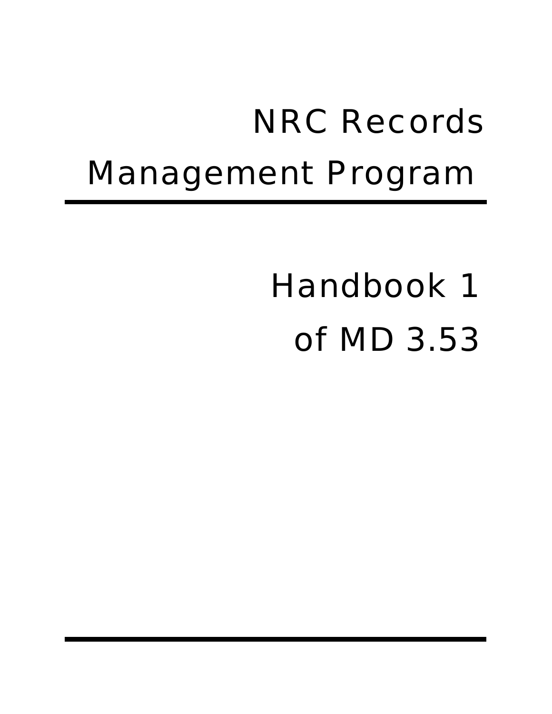# NRC Records Management Program

# Handbook 1 of MD 3.53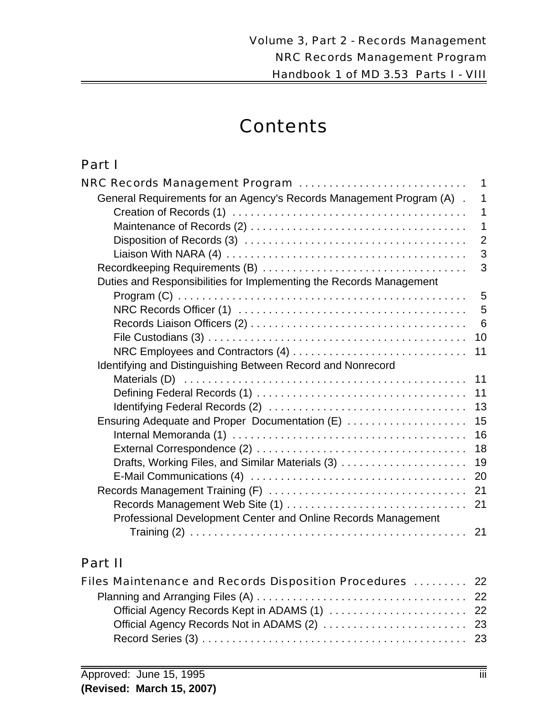# **Contents**

# Part I

| NRC Records Management Program                                        | 1               |
|-----------------------------------------------------------------------|-----------------|
| General Requirements for an Agency's Records Management Program (A) . | 1               |
|                                                                       | $\mathbf 1$     |
|                                                                       | 1               |
|                                                                       | $\overline{2}$  |
|                                                                       | 3               |
|                                                                       | 3               |
| Duties and Responsibilities for Implementing the Records Management   |                 |
|                                                                       | 5               |
|                                                                       | 5               |
|                                                                       | $6\phantom{1}6$ |
|                                                                       | 10              |
| NRC Employees and Contractors (4)                                     | 11              |
| Identifying and Distinguishing Between Record and Nonrecord           |                 |
|                                                                       | 11              |
|                                                                       | 11              |
|                                                                       | 13              |
| Ensuring Adequate and Proper Documentation (E)                        | 15              |
|                                                                       | 16              |
|                                                                       | 18              |
|                                                                       | 19              |
|                                                                       | 20              |
|                                                                       | 21              |
|                                                                       |                 |
| Professional Development Center and Online Records Management         |                 |
|                                                                       |                 |

# Part II

| Files Maintenance and Records Disposition Procedures  22 |  |
|----------------------------------------------------------|--|
|                                                          |  |
|                                                          |  |
|                                                          |  |
|                                                          |  |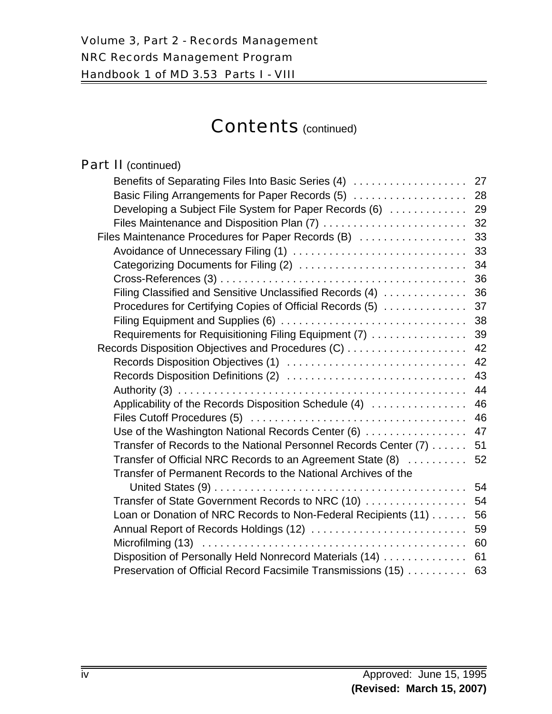| <b>Part II</b> (continued)                                       |    |
|------------------------------------------------------------------|----|
| Benefits of Separating Files Into Basic Series (4)               | 27 |
| Basic Filing Arrangements for Paper Records (5)                  | 28 |
| Developing a Subject File System for Paper Records (6)           | 29 |
| Files Maintenance and Disposition Plan (7)                       | 32 |
| Files Maintenance Procedures for Paper Records (B)               | 33 |
| Avoidance of Unnecessary Filing (1)                              | 33 |
|                                                                  | 34 |
|                                                                  | 36 |
| Filing Classified and Sensitive Unclassified Records (4)         | 36 |
| Procedures for Certifying Copies of Official Records (5)         | 37 |
|                                                                  | 38 |
| Requirements for Requisitioning Filing Equipment (7)             | 39 |
|                                                                  | 42 |
| Records Disposition Objectives (1)                               | 42 |
|                                                                  | 43 |
|                                                                  | 44 |
| Applicability of the Records Disposition Schedule (4)            | 46 |
|                                                                  | 46 |
| Use of the Washington National Records Center (6)                | 47 |
| Transfer of Records to the National Personnel Records Center (7) | 51 |
| Transfer of Official NRC Records to an Agreement State (8)       | 52 |
| Transfer of Permanent Records to the National Archives of the    |    |
|                                                                  | 54 |
| Transfer of State Government Records to NRC (10)                 | 54 |
| Loan or Donation of NRC Records to Non-Federal Recipients (11)   | 56 |
| Annual Report of Records Holdings (12)                           | 59 |
|                                                                  | 60 |
| Disposition of Personally Held Nonrecord Materials (14)          | 61 |
| Preservation of Official Record Facsimile Transmissions (15)     | 63 |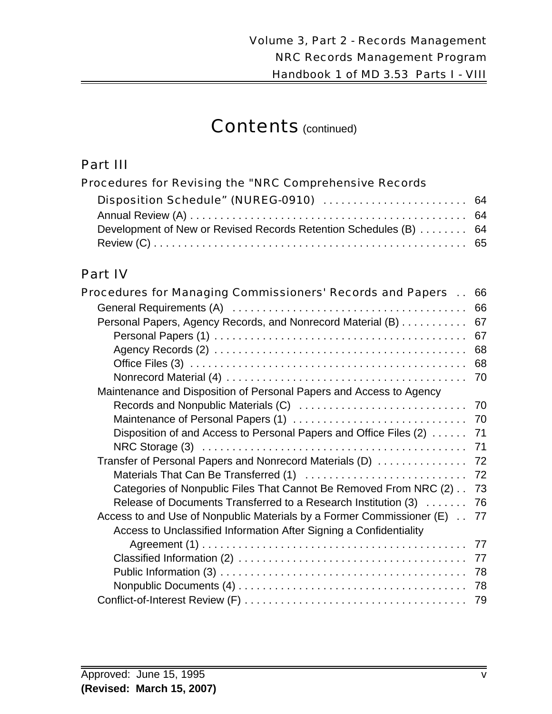# Part III

| Procedures for Revising the "NRC Comprehensive Records            |  |
|-------------------------------------------------------------------|--|
| Disposition Schedule" (NUREG-0910)  64                            |  |
|                                                                   |  |
| Development of New or Revised Records Retention Schedules (B)  64 |  |
|                                                                   |  |

# Part IV

| <b>Procedures for Managing Commissioners' Records and Papers </b>     | 66 |
|-----------------------------------------------------------------------|----|
|                                                                       | 66 |
| Personal Papers, Agency Records, and Nonrecord Material (B)           | 67 |
|                                                                       | 67 |
|                                                                       | 68 |
|                                                                       | 68 |
|                                                                       | 70 |
| Maintenance and Disposition of Personal Papers and Access to Agency   |    |
|                                                                       | 70 |
| Maintenance of Personal Papers (1)                                    | 70 |
| Disposition of and Access to Personal Papers and Office Files (2)     | 71 |
|                                                                       | 71 |
| Transfer of Personal Papers and Nonrecord Materials (D)               | 72 |
| Materials That Can Be Transferred (1)                                 | 72 |
| Categories of Nonpublic Files That Cannot Be Removed From NRC (2)     | 73 |
| Release of Documents Transferred to a Research Institution (3)        | 76 |
| Access to and Use of Nonpublic Materials by a Former Commissioner (E) | 77 |
| Access to Unclassified Information After Signing a Confidentiality    |    |
|                                                                       | 77 |
|                                                                       | 77 |
|                                                                       | 78 |
|                                                                       | 78 |
|                                                                       | 79 |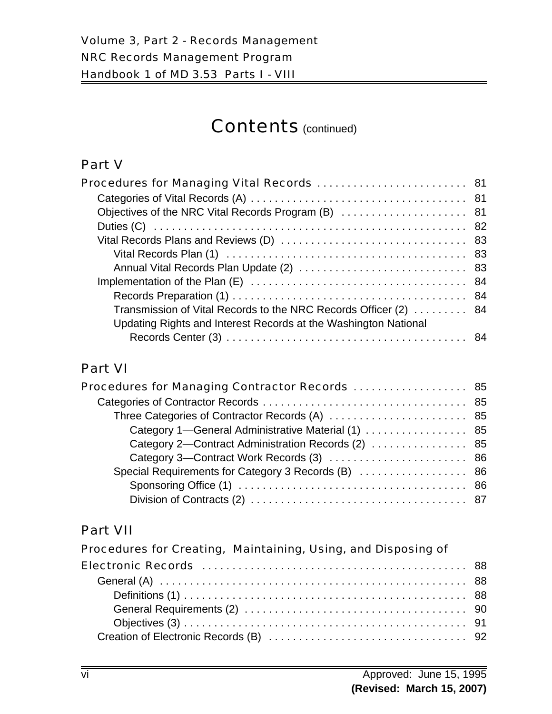# Part V

| Procedures for Managing Vital Records  81                        |  |
|------------------------------------------------------------------|--|
|                                                                  |  |
|                                                                  |  |
|                                                                  |  |
|                                                                  |  |
|                                                                  |  |
|                                                                  |  |
|                                                                  |  |
|                                                                  |  |
| Transmission of Vital Records to the NRC Records Officer (2)  84 |  |
| Updating Rights and Interest Records at the Washington National  |  |
|                                                                  |  |

# Part VI

| <b>Procedures for Managing Contractor Records</b> 85 |  |
|------------------------------------------------------|--|
|                                                      |  |
|                                                      |  |
| Category 1-General Administrative Material (1)  85   |  |
| Category 2-Contract Administration Records (2)  85   |  |
| Category 3—Contract Work Records (3)  86             |  |
| Special Requirements for Category 3 Records (B)  86  |  |
|                                                      |  |
|                                                      |  |

# Part VII

| Procedures for Creating, Maintaining, Using, and Disposing of |  |
|---------------------------------------------------------------|--|
|                                                               |  |
|                                                               |  |
|                                                               |  |
|                                                               |  |
|                                                               |  |
|                                                               |  |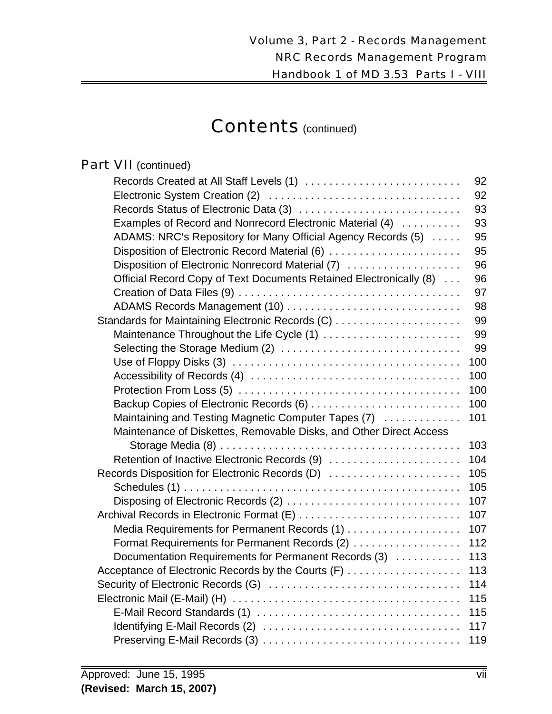# Part VII (continued)

| Records Created at All Staff Levels (1)                            | 92  |
|--------------------------------------------------------------------|-----|
|                                                                    | 92  |
| Records Status of Electronic Data (3)                              | 93  |
| Examples of Record and Nonrecord Electronic Material (4)           | 93  |
| ADAMS: NRC's Repository for Many Official Agency Records (5)       | 95  |
| Disposition of Electronic Record Material (6)                      | 95  |
| Disposition of Electronic Nonrecord Material (7)                   | 96  |
| Official Record Copy of Text Documents Retained Electronically (8) | 96  |
|                                                                    | 97  |
|                                                                    | 98  |
| Standards for Maintaining Electronic Records (C)                   | 99  |
| Maintenance Throughout the Life Cycle (1)                          | 99  |
| Selecting the Storage Medium (2)                                   | 99  |
|                                                                    | 100 |
|                                                                    | 100 |
|                                                                    | 100 |
|                                                                    | 100 |
| Maintaining and Testing Magnetic Computer Tapes (7)                | 101 |
| Maintenance of Diskettes, Removable Disks, and Other Direct Access |     |
|                                                                    | 103 |
| Retention of Inactive Electronic Records (9)                       | 104 |
| Records Disposition for Electronic Records (D)                     | 105 |
|                                                                    | 105 |
| Disposing of Electronic Records (2)                                | 107 |
| Archival Records in Electronic Format (E)                          | 107 |
| Media Requirements for Permanent Records (1)                       | 107 |
| Format Requirements for Permanent Records (2)                      | 112 |
| Documentation Requirements for Permanent Records (3)               | 113 |
| Acceptance of Electronic Records by the Courts (F)                 | 113 |
|                                                                    | 114 |
|                                                                    | 115 |
|                                                                    | 115 |
|                                                                    | 117 |
|                                                                    | 119 |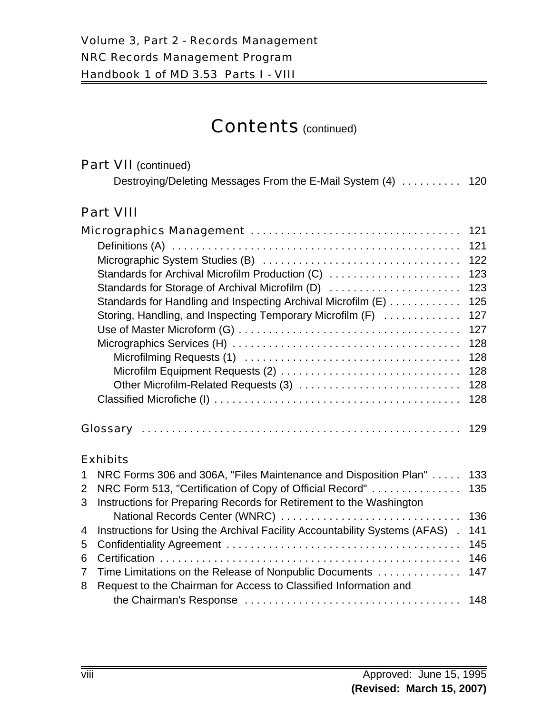|                | <b>Part VII</b> (continued)                                                 |     |
|----------------|-----------------------------------------------------------------------------|-----|
|                | Destroying/Deleting Messages From the E-Mail System (4) 120                 |     |
|                | <b>Part VIII</b>                                                            |     |
|                |                                                                             | 121 |
|                |                                                                             | 121 |
|                |                                                                             | 122 |
|                | Standards for Archival Microfilm Production (C)                             | 123 |
|                | Standards for Storage of Archival Microfilm (D)                             | 123 |
|                | Standards for Handling and Inspecting Archival Microfilm (E)                | 125 |
|                | Storing, Handling, and Inspecting Temporary Microfilm (F)                   | 127 |
|                |                                                                             | 127 |
|                |                                                                             | 128 |
|                |                                                                             | 128 |
|                |                                                                             | 128 |
|                | Other Microfilm-Related Requests (3)                                        | 128 |
|                |                                                                             | 128 |
|                |                                                                             | 129 |
|                | <b>Exhibits</b>                                                             |     |
| 1              | NRC Forms 306 and 306A, "Files Maintenance and Disposition Plan"            | 133 |
| $\overline{2}$ | NRC Form 513, "Certification of Copy of Official Record"                    | 135 |
| 3              | Instructions for Preparing Records for Retirement to the Washington         |     |
|                | National Records Center (WNRC)                                              | 136 |
| 4              | Instructions for Using the Archival Facility Accountability Systems (AFAS). | 141 |

5 Confidentiality Agreement . . . . . . . . . . . . . . . . . . . . . . . . . . . . . . . . . . . . . . . 145 6 Certification . . . . . . . . . . . . . . . . . . . . . . . . . . . . . . . . . . . . . . . . . . . . . . . . . . 146 7 Time Limitations on the Release of Nonpublic Documents . . . . . . . . . . . . . . 147

the Chairman's Response . . . . . . . . . . . . . . . . . . . . . . . . . . . . . . . . . . . . 148

8 Request to the Chairman for Access to Classified Information and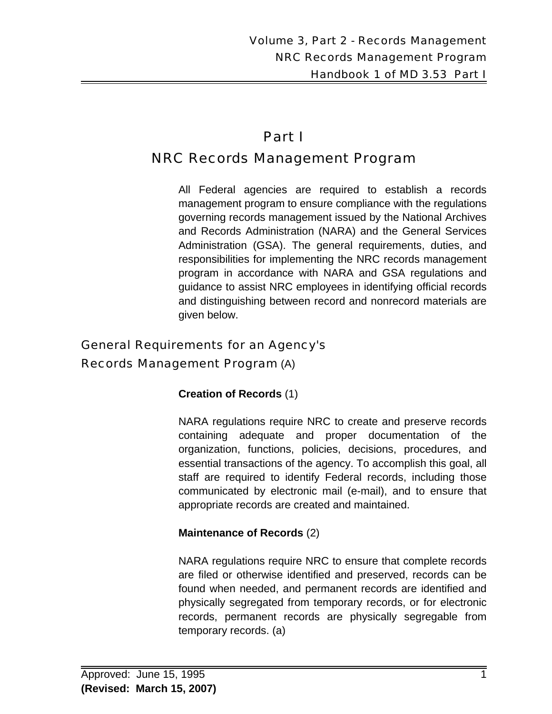# Part I

# NRC Records Management Program

All Federal agencies are required to establish a records management program to ensure compliance with the regulations governing records management issued by the National Archives and Records Administration (NARA) and the General Services Administration (GSA). The general requirements, duties, and responsibilities for implementing the NRC records management program in accordance with NARA and GSA regulations and guidance to assist NRC employees in identifying official records and distinguishing between record and nonrecord materials are given below.

# General Requirements for an Agency's

# Records Management Program (A)

# **Creation of Records** (1)

NARA regulations require NRC to create and preserve records containing adequate and proper documentation of the organization, functions, policies, decisions, procedures, and essential transactions of the agency. To accomplish this goal, all staff are required to identify Federal records, including those communicated by electronic mail (e-mail), and to ensure that appropriate records are created and maintained.

# **Maintenance of Records** (2)

NARA regulations require NRC to ensure that complete records are filed or otherwise identified and preserved, records can be found when needed, and permanent records are identified and physically segregated from temporary records, or for electronic records, permanent records are physically segregable from temporary records. (a)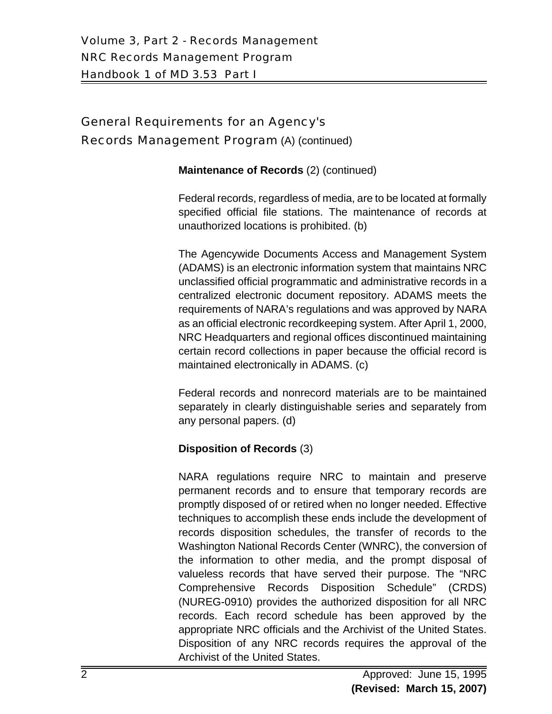# General Requirements for an Agency's

#### Records Management Program (A) (continued)

#### **Maintenance of Records** (2) (continued)

Federal records, regardless of media, are to be located at formally specified official file stations. The maintenance of records at unauthorized locations is prohibited. (b)

The Agencywide Documents Access and Management System (ADAMS) is an electronic information system that maintains NRC unclassified official programmatic and administrative records in a centralized electronic document repository. ADAMS meets the requirements of NARA's regulations and was approved by NARA as an official electronic recordkeeping system. After April 1, 2000, NRC Headquarters and regional offices discontinued maintaining certain record collections in paper because the official record is maintained electronically in ADAMS. (c)

Federal records and nonrecord materials are to be maintained separately in clearly distinguishable series and separately from any personal papers. (d)

## **Disposition of Records** (3)

NARA regulations require NRC to maintain and preserve permanent records and to ensure that temporary records are promptly disposed of or retired when no longer needed. Effective techniques to accomplish these ends include the development of records disposition schedules, the transfer of records to the Washington National Records Center (WNRC), the conversion of the information to other media, and the prompt disposal of valueless records that have served their purpose. The "NRC Comprehensive Records Disposition Schedule" (CRDS) (NUREG-0910) provides the authorized disposition for all NRC records. Each record schedule has been approved by the appropriate NRC officials and the Archivist of the United States. Disposition of any NRC records requires the approval of the Archivist of the United States.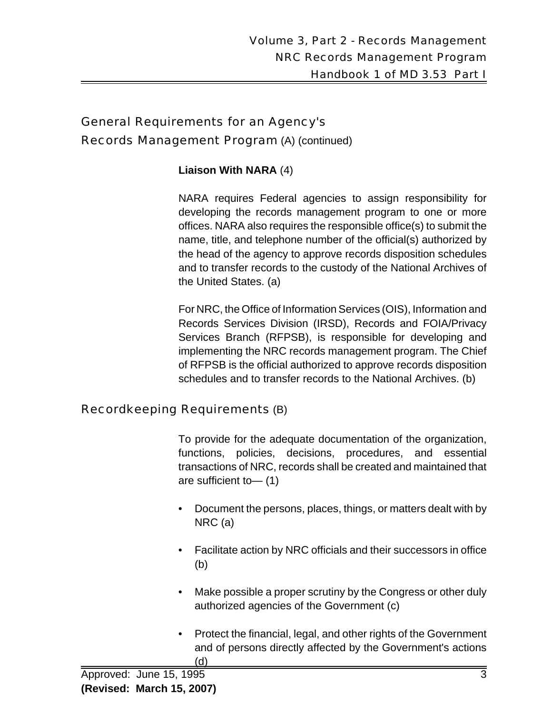# General Requirements for an Agency's Records Management Program (A) (continued)

## **Liaison With NARA** (4)

NARA requires Federal agencies to assign responsibility for developing the records management program to one or more offices. NARA also requires the responsible office(s) to submit the name, title, and telephone number of the official(s) authorized by the head of the agency to approve records disposition schedules and to transfer records to the custody of the National Archives of the United States. (a)

For NRC, the Office of Information Services (OIS), Information and Records Services Division (IRSD), Records and FOIA/Privacy Services Branch (RFPSB), is responsible for developing and implementing the NRC records management program. The Chief of RFPSB is the official authorized to approve records disposition schedules and to transfer records to the National Archives. (b)

## Recordkeeping Requirements (B)

To provide for the adequate documentation of the organization, functions, policies, decisions, procedures, and essential transactions of NRC, records shall be created and maintained that are sufficient to— (1)

- Document the persons, places, things, or matters dealt with by NRC (a)
- Facilitate action by NRC officials and their successors in office (b)
- Make possible a proper scrutiny by the Congress or other duly authorized agencies of the Government (c)
- Protect the financial, legal, and other rights of the Government and of persons directly affected by the Government's actions (d)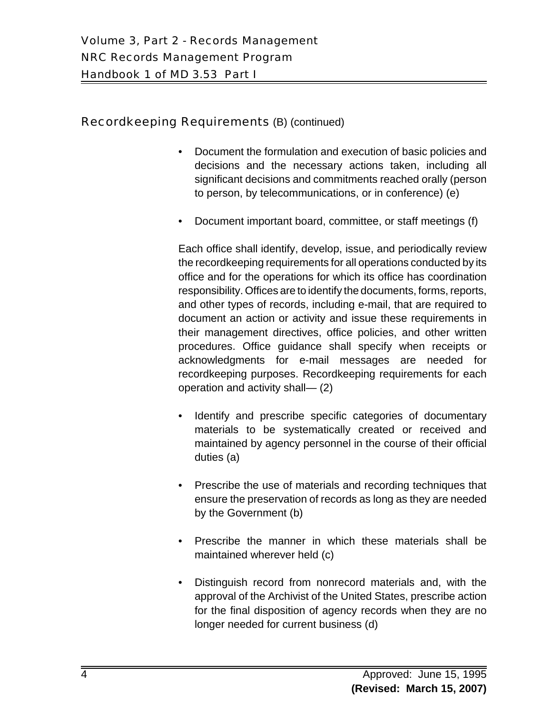## Recordkeeping Requirements (B) (continued)

- Document the formulation and execution of basic policies and decisions and the necessary actions taken, including all significant decisions and commitments reached orally (person to person, by telecommunications, or in conference) (e)
- Document important board, committee, or staff meetings (f)

Each office shall identify, develop, issue, and periodically review the recordkeeping requirements for all operations conducted by its office and for the operations for which its office has coordination responsibility. Offices are to identify the documents, forms, reports, and other types of records, including e-mail, that are required to document an action or activity and issue these requirements in their management directives, office policies, and other written procedures. Office guidance shall specify when receipts or acknowledgments for e-mail messages are needed for recordkeeping purposes. Recordkeeping requirements for each operation and activity shall— (2)

- Identify and prescribe specific categories of documentary materials to be systematically created or received and maintained by agency personnel in the course of their official duties (a)
- Prescribe the use of materials and recording techniques that ensure the preservation of records as long as they are needed by the Government (b)
- Prescribe the manner in which these materials shall be maintained wherever held (c)
- Distinguish record from nonrecord materials and, with the approval of the Archivist of the United States, prescribe action for the final disposition of agency records when they are no longer needed for current business (d)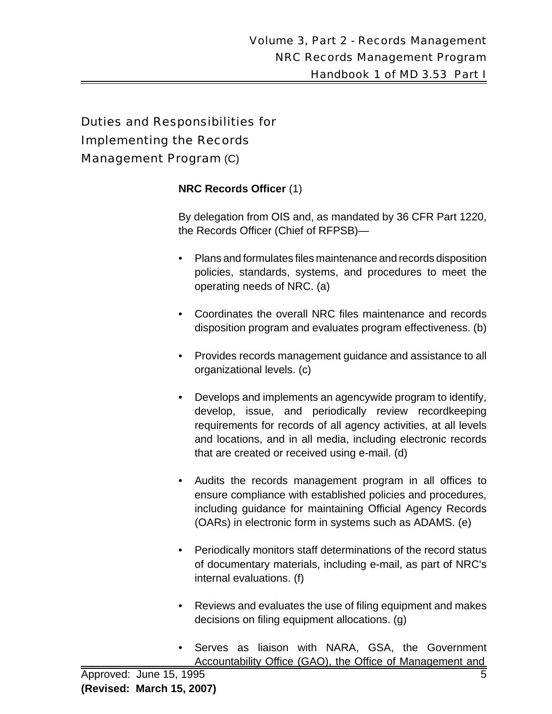## **NRC Records Officer** (1)

By delegation from OIS and, as mandated by 36 CFR Part 1220, the Records Officer (Chief of RFPSB)—

- Plans and formulates files maintenance and records disposition policies, standards, systems, and procedures to meet the operating needs of NRC. (a)
- Coordinates the overall NRC files maintenance and records disposition program and evaluates program effectiveness. (b)
- Provides records management guidance and assistance to all organizational levels. (c)
- Develops and implements an agencywide program to identify, develop, issue, and periodically review recordkeeping requirements for records of all agency activities, at all levels and locations, and in all media, including electronic records that are created or received using e-mail. (d)
- Audits the records management program in all offices to ensure compliance with established policies and procedures, including guidance for maintaining Official Agency Records (OARs) in electronic form in systems such as ADAMS. (e)
- Periodically monitors staff determinations of the record status of documentary materials, including e-mail, as part of NRC's internal evaluations. (f)
- Reviews and evaluates the use of filing equipment and makes decisions on filing equipment allocations. (g)
- Serves as liaison with NARA, GSA, the Government Accountability Office (GAO), the Office of Management and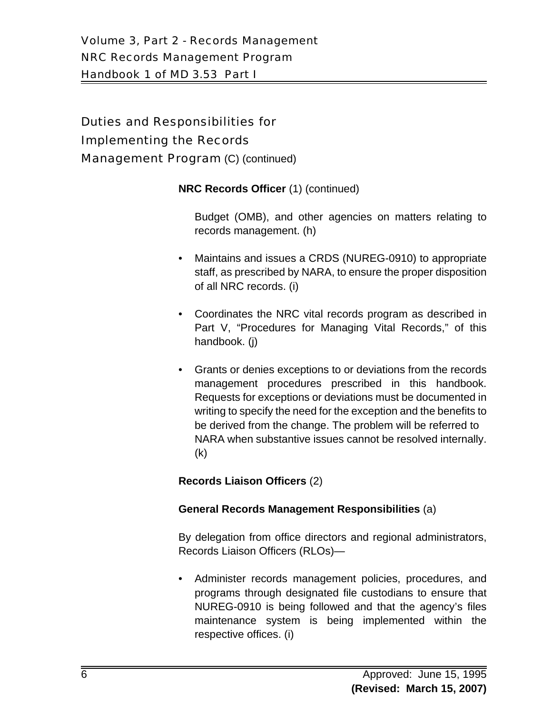**NRC Records Officer** (1) (continued)

Budget (OMB), and other agencies on matters relating to records management. (h)

- Maintains and issues a CRDS (NUREG-0910) to appropriate staff, as prescribed by NARA, to ensure the proper disposition of all NRC records. (i)
- Coordinates the NRC vital records program as described in Part V, "Procedures for Managing Vital Records," of this handbook. (j)
- Grants or denies exceptions to or deviations from the records management procedures prescribed in this handbook. Requests for exceptions or deviations must be documented in writing to specify the need for the exception and the benefits to be derived from the change. The problem will be referred to NARA when substantive issues cannot be resolved internally. (k)

# **Records Liaison Officers** (2)

## **General Records Management Responsibilities** (a)

By delegation from office directors and regional administrators, Records Liaison Officers (RLOs)—

• Administer records management policies, procedures, and programs through designated file custodians to ensure that NUREG-0910 is being followed and that the agency's files maintenance system is being implemented within the respective offices. (i)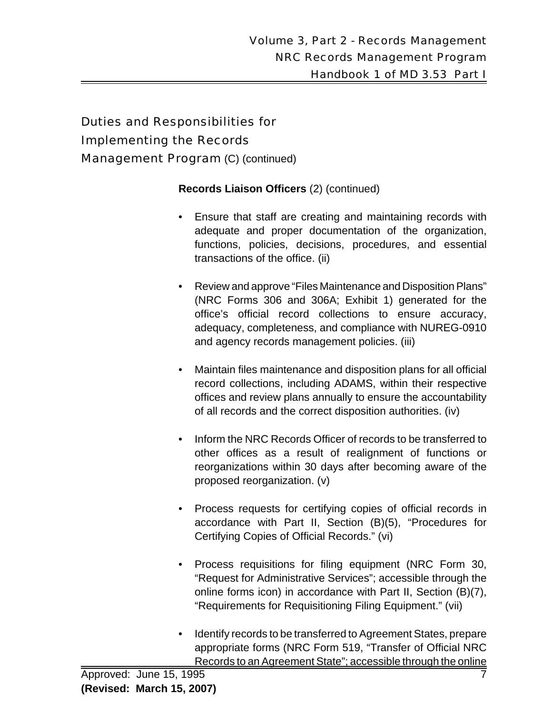## **Records Liaison Officers** (2) (continued)

- Ensure that staff are creating and maintaining records with adequate and proper documentation of the organization, functions, policies, decisions, procedures, and essential transactions of the office. (ii)
- Review and approve "Files Maintenance and Disposition Plans" (NRC Forms 306 and 306A; Exhibit 1) generated for the office's official record collections to ensure accuracy, adequacy, completeness, and compliance with NUREG-0910 and agency records management policies. (iii)
- Maintain files maintenance and disposition plans for all official record collections, including ADAMS, within their respective offices and review plans annually to ensure the accountability of all records and the correct disposition authorities. (iv)
- Inform the NRC Records Officer of records to be transferred to other offices as a result of realignment of functions or reorganizations within 30 days after becoming aware of the proposed reorganization. (v)
- Process requests for certifying copies of official records in accordance with Part II, Section (B)(5), "Procedures for Certifying Copies of Official Records." (vi)
- Process requisitions for filing equipment (NRC Form 30, "Request for Administrative Services"; accessible through the online forms icon) in accordance with Part II, Section (B)(7), "Requirements for Requisitioning Filing Equipment." (vii)
- Identify records to be transferred to Agreement States, prepare appropriate forms (NRC Form 519, "Transfer of Official NRC Records to an Agreement State"; accessible through the online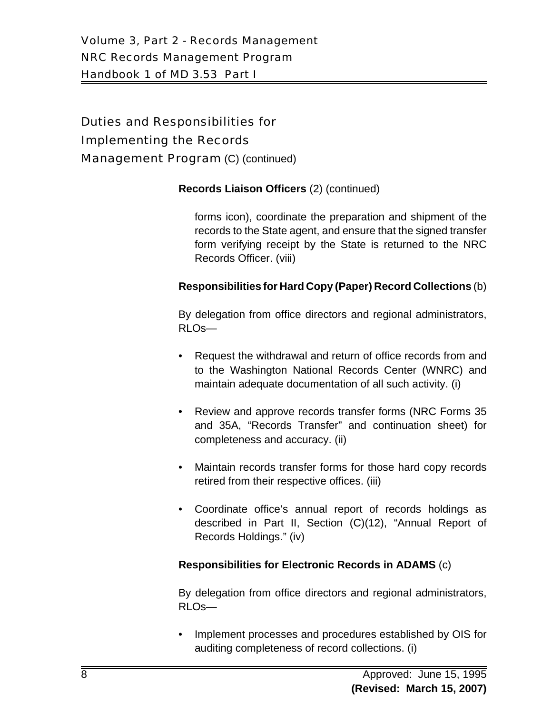#### **Records Liaison Officers** (2) (continued)

forms icon), coordinate the preparation and shipment of the records to the State agent, and ensure that the signed transfer form verifying receipt by the State is returned to the NRC Records Officer. (viii)

#### **Responsibilities for Hard Copy (Paper) Record Collections** (b)

By delegation from office directors and regional administrators, RLOs—

- Request the withdrawal and return of office records from and to the Washington National Records Center (WNRC) and maintain adequate documentation of all such activity. (i)
- Review and approve records transfer forms (NRC Forms 35 and 35A, "Records Transfer" and continuation sheet) for completeness and accuracy. (ii)
- Maintain records transfer forms for those hard copy records retired from their respective offices. (iii)
- Coordinate office's annual report of records holdings as described in Part II, Section (C)(12), "Annual Report of Records Holdings." (iv)

#### **Responsibilities for Electronic Records in ADAMS** (c)

By delegation from office directors and regional administrators, RLOs—

• Implement processes and procedures established by OIS for auditing completeness of record collections. (i)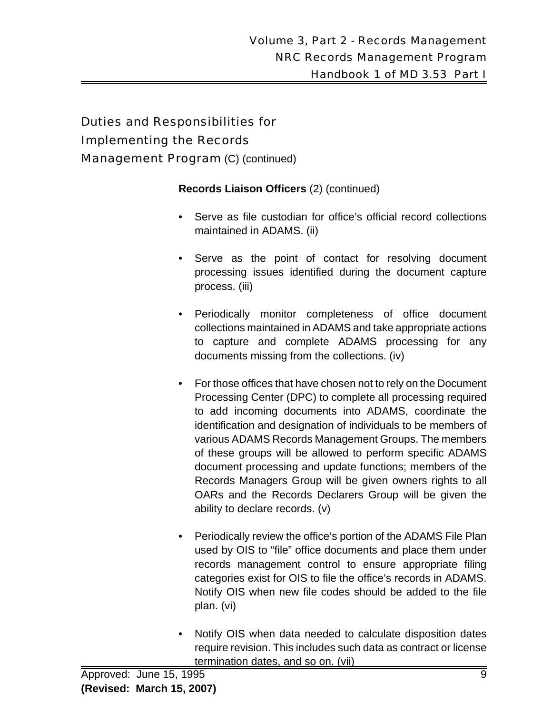**Records Liaison Officers** (2) (continued)

- Serve as file custodian for office's official record collections maintained in ADAMS. (ii)
- Serve as the point of contact for resolving document processing issues identified during the document capture process. (iii)
- Periodically monitor completeness of office document collections maintained in ADAMS and take appropriate actions to capture and complete ADAMS processing for any documents missing from the collections. (iv)
- For those offices that have chosen not to rely on the Document Processing Center (DPC) to complete all processing required to add incoming documents into ADAMS, coordinate the identification and designation of individuals to be members of various ADAMS Records Management Groups. The members of these groups will be allowed to perform specific ADAMS document processing and update functions; members of the Records Managers Group will be given owners rights to all OARs and the Records Declarers Group will be given the ability to declare records. (v)
- Periodically review the office's portion of the ADAMS File Plan used by OIS to "file" office documents and place them under records management control to ensure appropriate filing categories exist for OIS to file the office's records in ADAMS. Notify OIS when new file codes should be added to the file plan. (vi)
- Notify OIS when data needed to calculate disposition dates require revision. This includes such data as contract or license termination dates, and so on. (vii)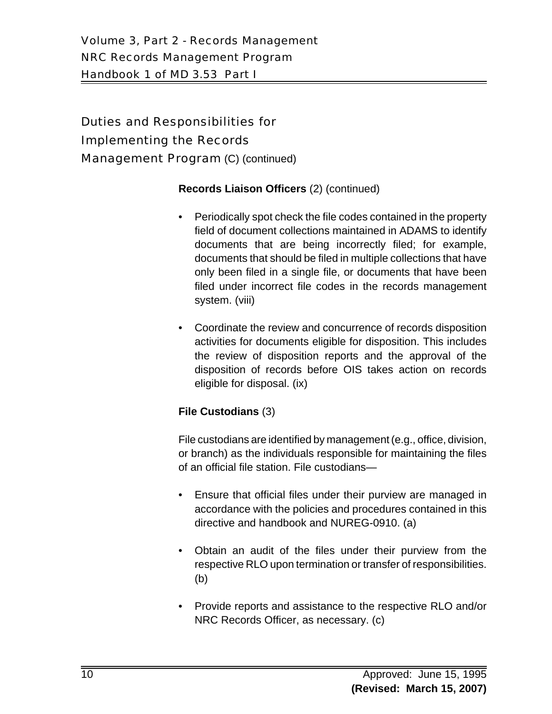# Volume 3, Part 2 - Records Management NRC Records Management Program Handbook 1 of MD 3.53 Part I

# Duties and Responsibilities for Implementing the Records Management Program (C) (continued)

## **Records Liaison Officers** (2) (continued)

- Periodically spot check the file codes contained in the property field of document collections maintained in ADAMS to identify documents that are being incorrectly filed; for example, documents that should be filed in multiple collections that have only been filed in a single file, or documents that have been filed under incorrect file codes in the records management system. (viii)
- Coordinate the review and concurrence of records disposition activities for documents eligible for disposition. This includes the review of disposition reports and the approval of the disposition of records before OIS takes action on records eligible for disposal. (ix)

# **File Custodians** (3)

File custodians are identified by management (e.g., office, division, or branch) as the individuals responsible for maintaining the files of an official file station. File custodians—

- Ensure that official files under their purview are managed in accordance with the policies and procedures contained in this directive and handbook and NUREG-0910. (a)
- Obtain an audit of the files under their purview from the respective RLO upon termination or transfer of responsibilities. (b)
- Provide reports and assistance to the respective RLO and/or NRC Records Officer, as necessary. (c)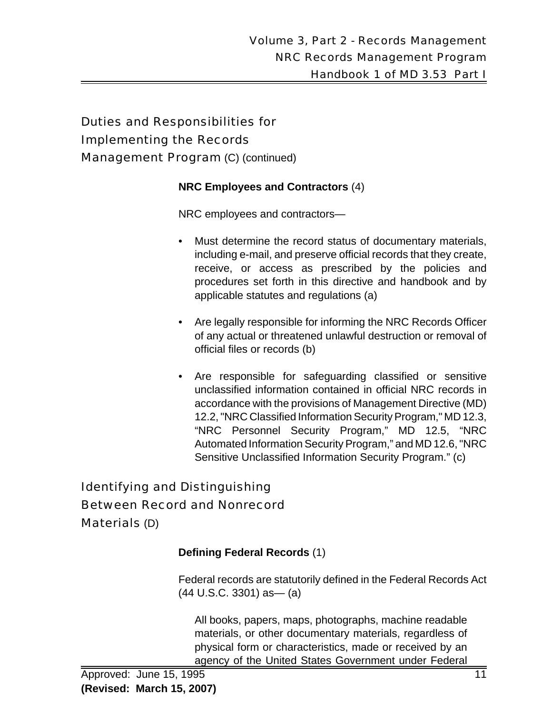#### **NRC Employees and Contractors** (4)

NRC employees and contractors—

- Must determine the record status of documentary materials, including e-mail, and preserve official records that they create, receive, or access as prescribed by the policies and procedures set forth in this directive and handbook and by applicable statutes and regulations (a)
- Are legally responsible for informing the NRC Records Officer of any actual or threatened unlawful destruction or removal of official files or records (b)
- Are responsible for safeguarding classified or sensitive unclassified information contained in official NRC records in accordance with the provisions of Management Directive (MD) 12.2, "NRC Classified Information Security Program," MD 12.3, "NRC Personnel Security Program," MD 12.5, "NRC Automated Information Security Program," and MD 12.6, "NRC Sensitive Unclassified Information Security Program." (c)

# Identifying and Distinguishing Between Record and Nonrecord Materials (D)

#### **Defining Federal Records** (1)

Federal records are statutorily defined in the Federal Records Act  $(44 \text{ U.S.C. } 3301)$  as -  $(a)$ 

All books, papers, maps, photographs, machine readable materials, or other documentary materials, regardless of physical form or characteristics, made or received by an agency of the United States Government under Federal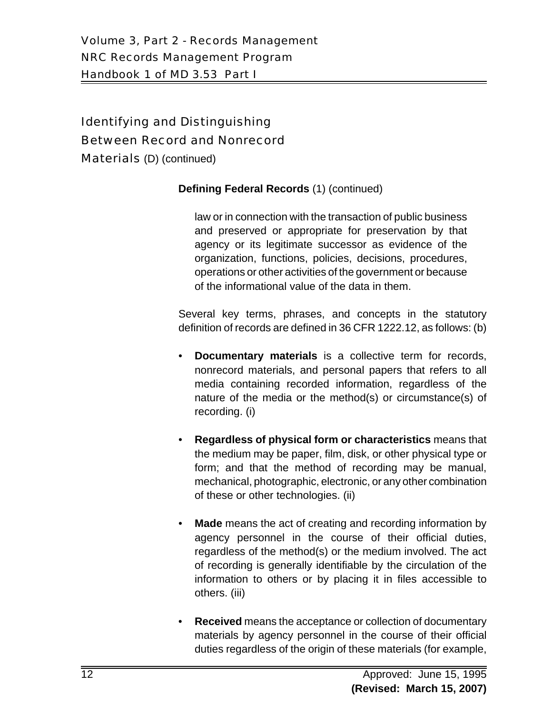# Identifying and Distinguishing Between Record and Nonrecord

Materials (D) (continued)

## **Defining Federal Records** (1) (continued)

law or in connection with the transaction of public business and preserved or appropriate for preservation by that agency or its legitimate successor as evidence of the organization, functions, policies, decisions, procedures, operations or other activities of the government or because of the informational value of the data in them.

Several key terms, phrases, and concepts in the statutory definition of records are defined in 36 CFR 1222.12, as follows: (b)

- **Documentary materials** is a collective term for records, nonrecord materials, and personal papers that refers to all media containing recorded information, regardless of the nature of the media or the method(s) or circumstance(s) of recording. (i)
- **Regardless of physical form or characteristics** means that the medium may be paper, film, disk, or other physical type or form; and that the method of recording may be manual, mechanical, photographic, electronic, or any other combination of these or other technologies. (ii)
- **Made** means the act of creating and recording information by agency personnel in the course of their official duties, regardless of the method(s) or the medium involved. The act of recording is generally identifiable by the circulation of the information to others or by placing it in files accessible to others. (iii)
- **Received** means the acceptance or collection of documentary materials by agency personnel in the course of their official duties regardless of the origin of these materials (for example,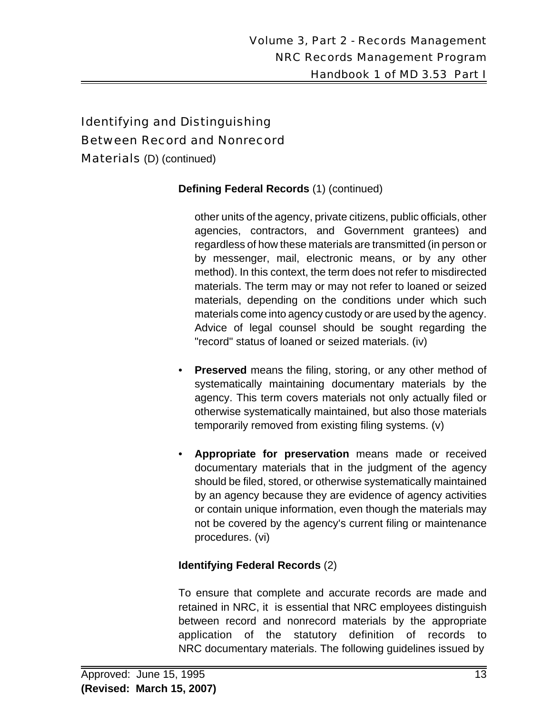# Identifying and Distinguishing Between Record and Nonrecord

Materials (D) (continued)

#### **Defining Federal Records** (1) (continued)

other units of the agency, private citizens, public officials, other agencies, contractors, and Government grantees) and regardless of how these materials are transmitted (in person or by messenger, mail, electronic means, or by any other method). In this context, the term does not refer to misdirected materials. The term may or may not refer to loaned or seized materials, depending on the conditions under which such materials come into agency custody or are used by the agency. Advice of legal counsel should be sought regarding the "record" status of loaned or seized materials. (iv)

- **Preserved** means the filing, storing, or any other method of systematically maintaining documentary materials by the agency. This term covers materials not only actually filed or otherwise systematically maintained, but also those materials temporarily removed from existing filing systems. (v)
- **Appropriate for preservation** means made or received documentary materials that in the judgment of the agency should be filed, stored, or otherwise systematically maintained by an agency because they are evidence of agency activities or contain unique information, even though the materials may not be covered by the agency's current filing or maintenance procedures. (vi)

## **Identifying Federal Records** (2)

To ensure that complete and accurate records are made and retained in NRC, it is essential that NRC employees distinguish between record and nonrecord materials by the appropriate application of the statutory definition of records to NRC documentary materials. The following guidelines issued by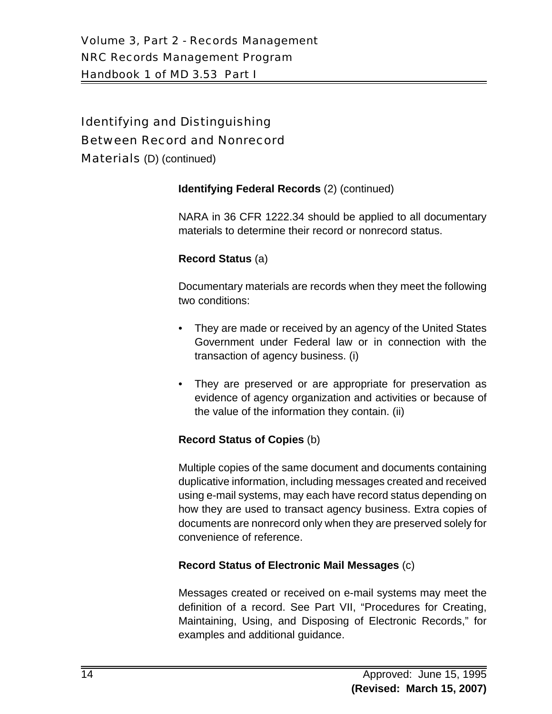# Identifying and Distinguishing Between Record and Nonrecord

Materials (D) (continued)

## **Identifying Federal Records** (2) (continued)

NARA in 36 CFR 1222.34 should be applied to all documentary materials to determine their record or nonrecord status.

## **Record Status** (a)

Documentary materials are records when they meet the following two conditions:

- They are made or received by an agency of the United States Government under Federal law or in connection with the transaction of agency business. (i)
- They are preserved or are appropriate for preservation as evidence of agency organization and activities or because of the value of the information they contain. (ii)

## **Record Status of Copies** (b)

Multiple copies of the same document and documents containing duplicative information, including messages created and received using e-mail systems, may each have record status depending on how they are used to transact agency business. Extra copies of documents are nonrecord only when they are preserved solely for convenience of reference.

## **Record Status of Electronic Mail Messages** (c)

Messages created or received on e-mail systems may meet the definition of a record. See Part VII, "Procedures for Creating, Maintaining, Using, and Disposing of Electronic Records," for examples and additional guidance.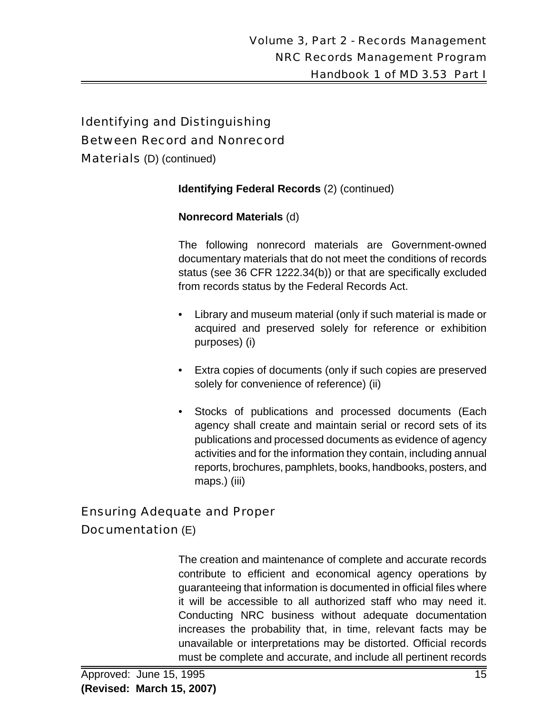# Identifying and Distinguishing Between Record and Nonrecord

Materials (D) (continued)

#### **Identifying Federal Records** (2) (continued)

#### **Nonrecord Materials** (d)

The following nonrecord materials are Government-owned documentary materials that do not meet the conditions of records status (see 36 CFR 1222.34(b)) or that are specifically excluded from records status by the Federal Records Act.

- Library and museum material (only if such material is made or acquired and preserved solely for reference or exhibition purposes) (i)
- Extra copies of documents (only if such copies are preserved solely for convenience of reference) (ii)
- Stocks of publications and processed documents (Each agency shall create and maintain serial or record sets of its publications and processed documents as evidence of agency activities and for the information they contain, including annual reports, brochures, pamphlets, books, handbooks, posters, and maps.) (iii)

## Ensuring Adequate and Proper

## Documentation (E)

The creation and maintenance of complete and accurate records contribute to efficient and economical agency operations by guaranteeing that information is documented in official files where it will be accessible to all authorized staff who may need it. Conducting NRC business without adequate documentation increases the probability that, in time, relevant facts may be unavailable or interpretations may be distorted. Official records must be complete and accurate, and include all pertinent records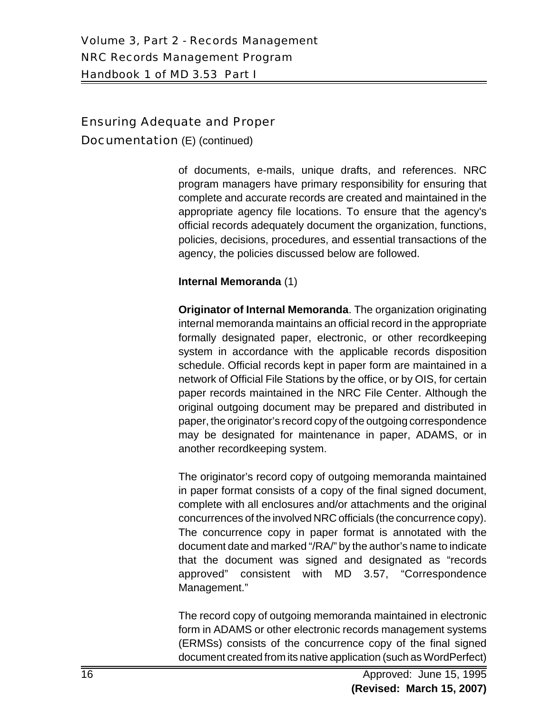Documentation (E) (continued)

of documents, e-mails, unique drafts, and references. NRC program managers have primary responsibility for ensuring that complete and accurate records are created and maintained in the appropriate agency file locations. To ensure that the agency's official records adequately document the organization, functions, policies, decisions, procedures, and essential transactions of the agency, the policies discussed below are followed.

#### **Internal Memoranda** (1)

**Originator of Internal Memoranda**. The organization originating internal memoranda maintains an official record in the appropriate formally designated paper, electronic, or other recordkeeping system in accordance with the applicable records disposition schedule. Official records kept in paper form are maintained in a network of Official File Stations by the office, or by OIS, for certain paper records maintained in the NRC File Center. Although the original outgoing document may be prepared and distributed in paper, the originator's record copy of the outgoing correspondence may be designated for maintenance in paper, ADAMS, or in another recordkeeping system.

The originator's record copy of outgoing memoranda maintained in paper format consists of a copy of the final signed document, complete with all enclosures and/or attachments and the original concurrences of the involved NRC officials (the concurrence copy). The concurrence copy in paper format is annotated with the document date and marked "/RA/" by the author's name to indicate that the document was signed and designated as "records approved" consistent with MD 3.57, "Correspondence Management."

The record copy of outgoing memoranda maintained in electronic form in ADAMS or other electronic records management systems (ERMSs) consists of the concurrence copy of the final signed document created from its native application (such as WordPerfect)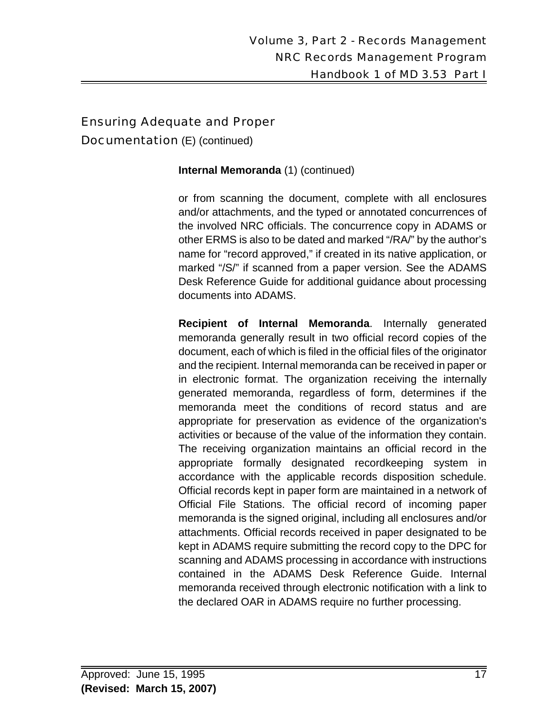Documentation (E) (continued)

#### **Internal Memoranda** (1) (continued)

or from scanning the document, complete with all enclosures and/or attachments, and the typed or annotated concurrences of the involved NRC officials. The concurrence copy in ADAMS or other ERMS is also to be dated and marked "/RA/" by the author's name for "record approved," if created in its native application, or marked "/S/" if scanned from a paper version. See the ADAMS Desk Reference Guide for additional guidance about processing documents into ADAMS.

**Recipient of Internal Memoranda**. Internally generated memoranda generally result in two official record copies of the document, each of which is filed in the official files of the originator and the recipient. Internal memoranda can be received in paper or in electronic format. The organization receiving the internally generated memoranda, regardless of form, determines if the memoranda meet the conditions of record status and are appropriate for preservation as evidence of the organization's activities or because of the value of the information they contain. The receiving organization maintains an official record in the appropriate formally designated recordkeeping system in accordance with the applicable records disposition schedule. Official records kept in paper form are maintained in a network of Official File Stations. The official record of incoming paper memoranda is the signed original, including all enclosures and/or attachments. Official records received in paper designated to be kept in ADAMS require submitting the record copy to the DPC for scanning and ADAMS processing in accordance with instructions contained in the ADAMS Desk Reference Guide. Internal memoranda received through electronic notification with a link to the declared OAR in ADAMS require no further processing.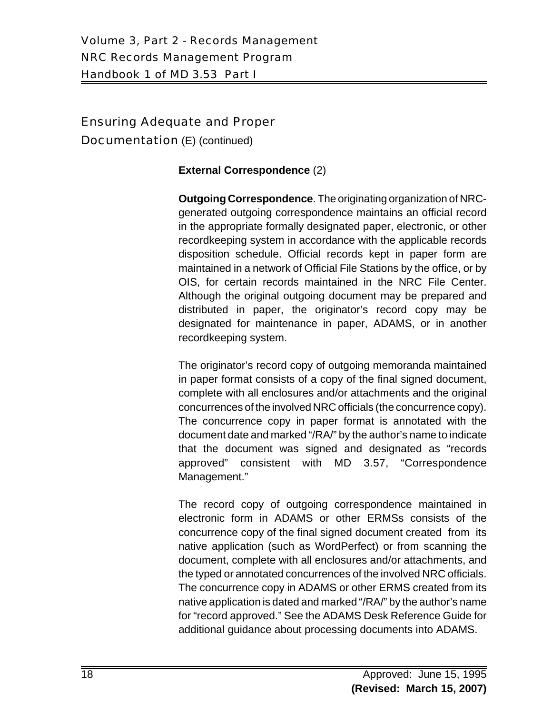Documentation (E) (continued)

#### **External Correspondence** (2)

**Outgoing Correspondence**. The originating organization of NRCgenerated outgoing correspondence maintains an official record in the appropriate formally designated paper, electronic, or other recordkeeping system in accordance with the applicable records disposition schedule. Official records kept in paper form are maintained in a network of Official File Stations by the office, or by OIS, for certain records maintained in the NRC File Center. Although the original outgoing document may be prepared and distributed in paper, the originator's record copy may be designated for maintenance in paper, ADAMS, or in another recordkeeping system.

The originator's record copy of outgoing memoranda maintained in paper format consists of a copy of the final signed document, complete with all enclosures and/or attachments and the original concurrences of the involved NRC officials (the concurrence copy). The concurrence copy in paper format is annotated with the document date and marked "/RA/" by the author's name to indicate that the document was signed and designated as "records approved" consistent with MD 3.57, "Correspondence Management."

The record copy of outgoing correspondence maintained in electronic form in ADAMS or other ERMSs consists of the concurrence copy of the final signed document created from its native application (such as WordPerfect) or from scanning the document, complete with all enclosures and/or attachments, and the typed or annotated concurrences of the involved NRC officials. The concurrence copy in ADAMS or other ERMS created from its native application is dated and marked "/RA/" by the author's name for "record approved." See the ADAMS Desk Reference Guide for additional guidance about processing documents into ADAMS.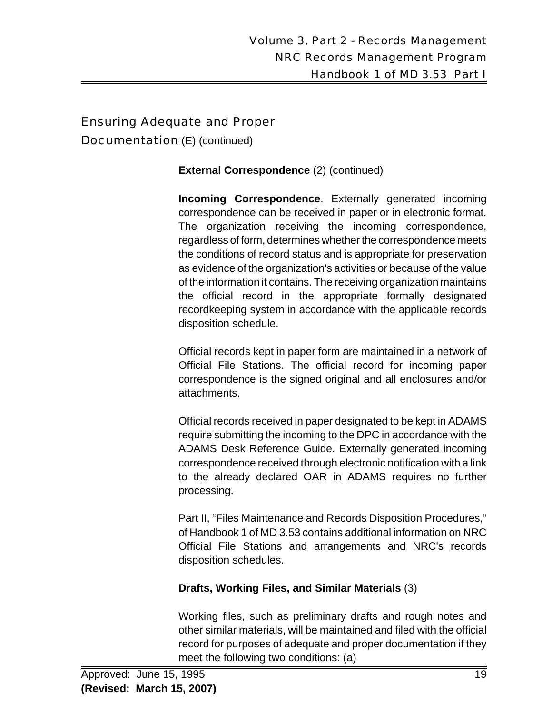Documentation (E) (continued)

#### **External Correspondence** (2) (continued)

**Incoming Correspondence**. Externally generated incoming correspondence can be received in paper or in electronic format. The organization receiving the incoming correspondence, regardless of form, determines whether the correspondence meets the conditions of record status and is appropriate for preservation as evidence of the organization's activities or because of the value of the information it contains. The receiving organization maintains the official record in the appropriate formally designated recordkeeping system in accordance with the applicable records disposition schedule.

Official records kept in paper form are maintained in a network of Official File Stations. The official record for incoming paper correspondence is the signed original and all enclosures and/or attachments.

Official records received in paper designated to be kept in ADAMS require submitting the incoming to the DPC in accordance with the ADAMS Desk Reference Guide. Externally generated incoming correspondence received through electronic notification with a link to the already declared OAR in ADAMS requires no further processing.

Part II, "Files Maintenance and Records Disposition Procedures," of Handbook 1 of MD 3.53 contains additional information on NRC Official File Stations and arrangements and NRC's records disposition schedules.

## **Drafts, Working Files, and Similar Materials** (3)

Working files, such as preliminary drafts and rough notes and other similar materials, will be maintained and filed with the official record for purposes of adequate and proper documentation if they meet the following two conditions: (a)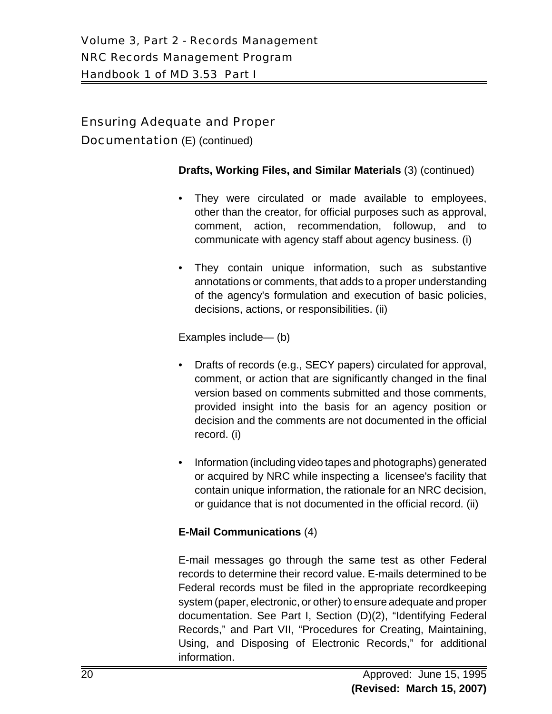Documentation (E) (continued)

#### **Drafts, Working Files, and Similar Materials** (3) (continued)

- They were circulated or made available to employees, other than the creator, for official purposes such as approval, comment, action, recommendation, followup, and to communicate with agency staff about agency business. (i)
- They contain unique information, such as substantive annotations or comments, that adds to a proper understanding of the agency's formulation and execution of basic policies, decisions, actions, or responsibilities. (ii)

Examples include— (b)

- Drafts of records (e.g., SECY papers) circulated for approval, comment, or action that are significantly changed in the final version based on comments submitted and those comments, provided insight into the basis for an agency position or decision and the comments are not documented in the official record. (i)
- Information (including video tapes and photographs) generated or acquired by NRC while inspecting a licensee's facility that contain unique information, the rationale for an NRC decision, or guidance that is not documented in the official record. (ii)

## **E-Mail Communications** (4)

E-mail messages go through the same test as other Federal records to determine their record value. E-mails determined to be Federal records must be filed in the appropriate recordkeeping system (paper, electronic, or other) to ensure adequate and proper documentation. See Part I, Section (D)(2), "Identifying Federal Records," and Part VII, "Procedures for Creating, Maintaining, Using, and Disposing of Electronic Records," for additional information.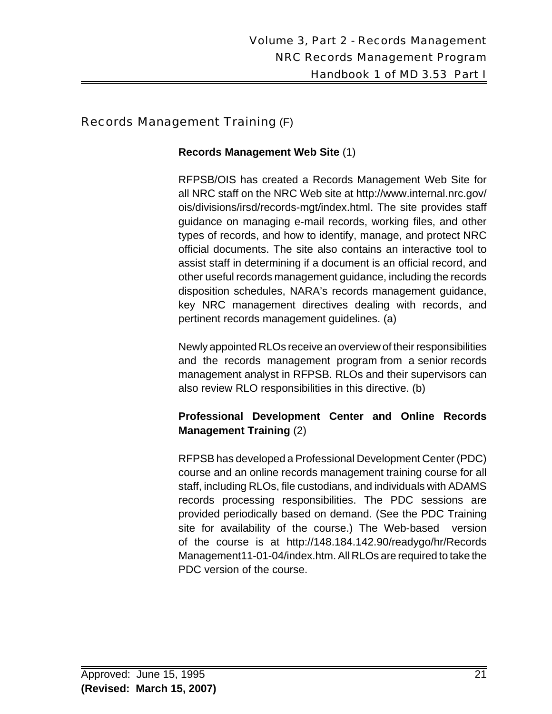## Records Management Training (F)

#### **Records Management Web Site** (1)

RFPSB/OIS has created a Records Management Web Site for all NRC staff on the NRC Web site at http://www.internal.nrc.gov/ ois/divisions/irsd/records-mgt/index.html. The site provides staff guidance on managing e-mail records, working files, and other types of records, and how to identify, manage, and protect NRC official documents. The site also contains an interactive tool to assist staff in determining if a document is an official record, and other useful records management guidance, including the records disposition schedules, NARA's records management guidance, key NRC management directives dealing with records, and pertinent records management guidelines. (a)

Newly appointed RLOs receive an overview of their responsibilities and the records management program from a senior records management analyst in RFPSB. RLOs and their supervisors can also review RLO responsibilities in this directive. (b)

## **Professional Development Center and Online Records Management Training** (2)

RFPSB has developed a Professional Development Center (PDC) course and an online records management training course for all staff, including RLOs, file custodians, and individuals with ADAMS records processing responsibilities. The PDC sessions are provided periodically based on demand. (See the PDC Training site for availability of the course.) The Web-based version of the course is at http://148.184.142.90/readygo/hr/Records Management11-01-04/index.htm. All RLOs are required to take the PDC version of the course.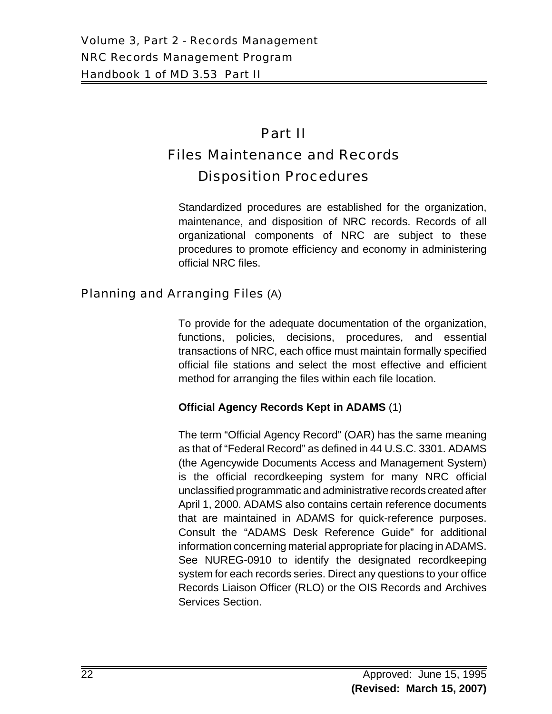# Part II Files Maintenance and Records

# Disposition Procedures

Standardized procedures are established for the organization, maintenance, and disposition of NRC records. Records of all organizational components of NRC are subject to these procedures to promote efficiency and economy in administering official NRC files.

## Planning and Arranging Files (A)

To provide for the adequate documentation of the organization, functions, policies, decisions, procedures, and essential transactions of NRC, each office must maintain formally specified official file stations and select the most effective and efficient method for arranging the files within each file location.

## **Official Agency Records Kept in ADAMS** (1)

The term "Official Agency Record" (OAR) has the same meaning as that of "Federal Record" as defined in 44 U.S.C. 3301. ADAMS (the Agencywide Documents Access and Management System) is the official recordkeeping system for many NRC official unclassified programmatic and administrative records created after April 1, 2000. ADAMS also contains certain reference documents that are maintained in ADAMS for quick-reference purposes. Consult the "ADAMS Desk Reference Guide" for additional information concerning material appropriate for placing in ADAMS. See NUREG-0910 to identify the designated recordkeeping system for each records series. Direct any questions to your office Records Liaison Officer (RLO) or the OIS Records and Archives Services Section.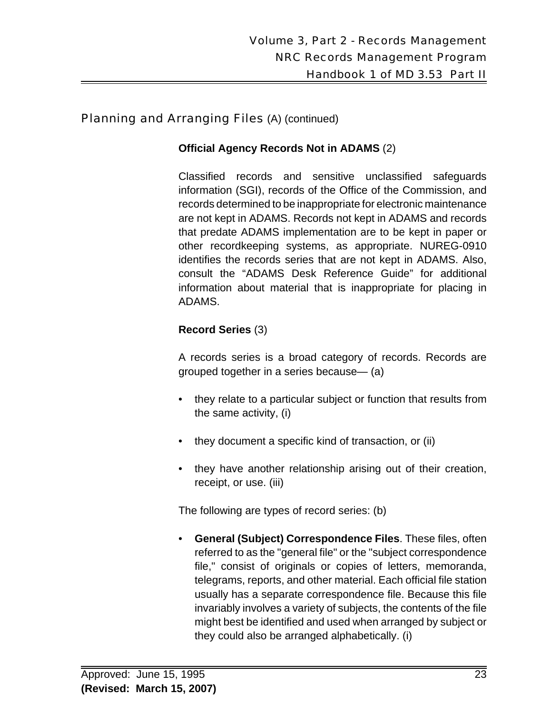#### **Official Agency Records Not in ADAMS** (2)

Classified records and sensitive unclassified safeguards information (SGI), records of the Office of the Commission, and records determined to be inappropriate for electronic maintenance are not kept in ADAMS. Records not kept in ADAMS and records that predate ADAMS implementation are to be kept in paper or other recordkeeping systems, as appropriate. NUREG-0910 identifies the records series that are not kept in ADAMS. Also, consult the "ADAMS Desk Reference Guide" for additional information about material that is inappropriate for placing in ADAMS.

#### **Record Series** (3)

A records series is a broad category of records. Records are grouped together in a series because— (a)

- they relate to a particular subject or function that results from the same activity, (i)
- they document a specific kind of transaction, or (ii)
- they have another relationship arising out of their creation, receipt, or use. (iii)

The following are types of record series: (b)

• **General (Subject) Correspondence Files**. These files, often referred to as the "general file" or the "subject correspondence file," consist of originals or copies of letters, memoranda, telegrams, reports, and other material. Each official file station usually has a separate correspondence file. Because this file invariably involves a variety of subjects, the contents of the file might best be identified and used when arranged by subject or they could also be arranged alphabetically. (i)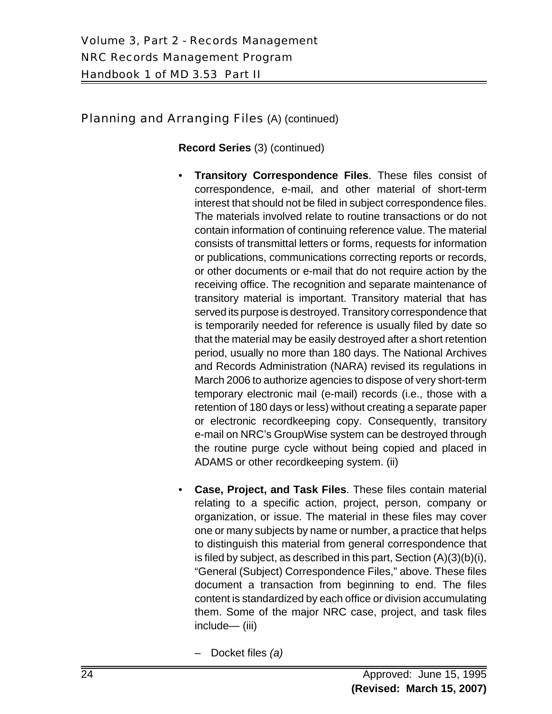**Record Series** (3) (continued)

- **Transitory Correspondence Files**. These files consist of correspondence, e-mail, and other material of short-term interest that should not be filed in subject correspondence files. The materials involved relate to routine transactions or do not contain information of continuing reference value. The material consists of transmittal letters or forms, requests for information or publications, communications correcting reports or records, or other documents or e-mail that do not require action by the receiving office. The recognition and separate maintenance of transitory material is important. Transitory material that has served its purpose is destroyed. Transitory correspondence that is temporarily needed for reference is usually filed by date so that the material may be easily destroyed after a short retention period, usually no more than 180 days. The National Archives and Records Administration (NARA) revised its regulations in March 2006 to authorize agencies to dispose of very short-term temporary electronic mail (e-mail) records (i.e., those with a retention of 180 days or less) without creating a separate paper or electronic recordkeeping copy. Consequently, transitory e-mail on NRC's GroupWise system can be destroyed through the routine purge cycle without being copied and placed in ADAMS or other recordkeeping system. (ii)
- **Case, Project, and Task Files**. These files contain material relating to a specific action, project, person, company or organization, or issue. The material in these files may cover one or many subjects by name or number, a practice that helps to distinguish this material from general correspondence that is filed by subject, as described in this part, Section (A)(3)(b)(i), "General (Subject) Correspondence Files," above. These files document a transaction from beginning to end. The files content is standardized by each office or division accumulating them. Some of the major NRC case, project, and task files include— (iii)
	- Docket files *(a)*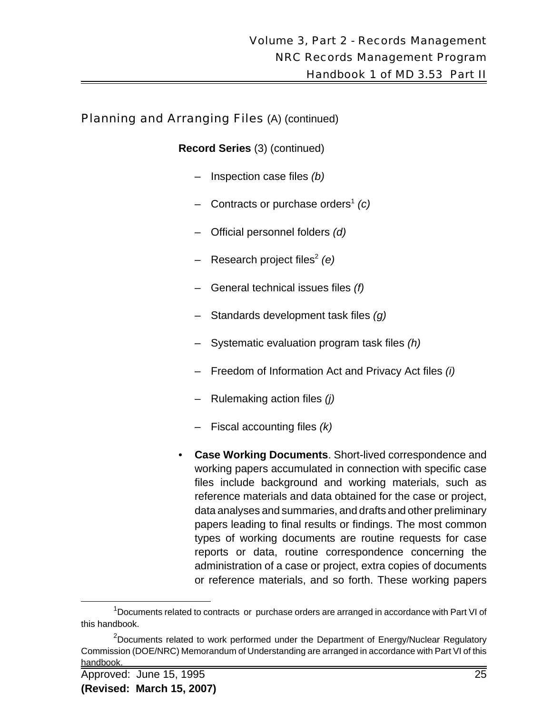**Record Series** (3) (continued)

- Inspection case files *(b)*
- Contracts or purchase orders<sup>1</sup> *(c)*
- Official personnel folders *(d)*
- Research project files<sup>2</sup> (e)
- General technical issues files *(f)*
- Standards development task files *(g)*
- Systematic evaluation program task files *(h)*
- Freedom of Information Act and Privacy Act files *(i)*
- Rulemaking action files *(j)*
- Fiscal accounting files *(k)*
- **Case Working Documents**. Short-lived correspondence and working papers accumulated in connection with specific case files include background and working materials, such as reference materials and data obtained for the case or project, data analyses and summaries, and drafts and other preliminary papers leading to final results or findings. The most common types of working documents are routine requests for case reports or data, routine correspondence concerning the administration of a case or project, extra copies of documents or reference materials, and so forth. These working papers

<sup>&</sup>lt;sup>1</sup>Documents related to contracts or purchase orders are arranged in accordance with Part VI of this handbook.

<sup>&</sup>lt;sup>2</sup>Documents related to work performed under the Department of Energy/Nuclear Regulatory Commission (DOE/NRC) Memorandum of Understanding are arranged in accordance with Part VI of this handbook.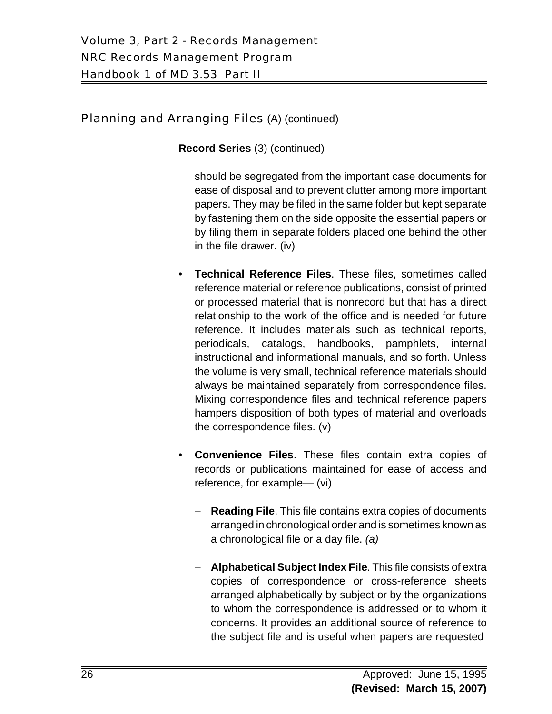**Record Series** (3) (continued)

should be segregated from the important case documents for ease of disposal and to prevent clutter among more important papers. They may be filed in the same folder but kept separate by fastening them on the side opposite the essential papers or by filing them in separate folders placed one behind the other in the file drawer. (iv)

- **Technical Reference Files**. These files, sometimes called reference material or reference publications, consist of printed or processed material that is nonrecord but that has a direct relationship to the work of the office and is needed for future reference. It includes materials such as technical reports, periodicals, catalogs, handbooks, pamphlets, internal instructional and informational manuals, and so forth. Unless the volume is very small, technical reference materials should always be maintained separately from correspondence files. Mixing correspondence files and technical reference papers hampers disposition of both types of material and overloads the correspondence files. (v)
- **Convenience Files**. These files contain extra copies of records or publications maintained for ease of access and reference, for example— (vi)
	- **Reading File**. This file contains extra copies of documents arranged in chronological order and is sometimes known as a chronological file or a day file. *(a)*
	- **Alphabetical Subject Index File**. This file consists of extra copies of correspondence or cross-reference sheets arranged alphabetically by subject or by the organizations to whom the correspondence is addressed or to whom it concerns. It provides an additional source of reference to the subject file and is useful when papers are requested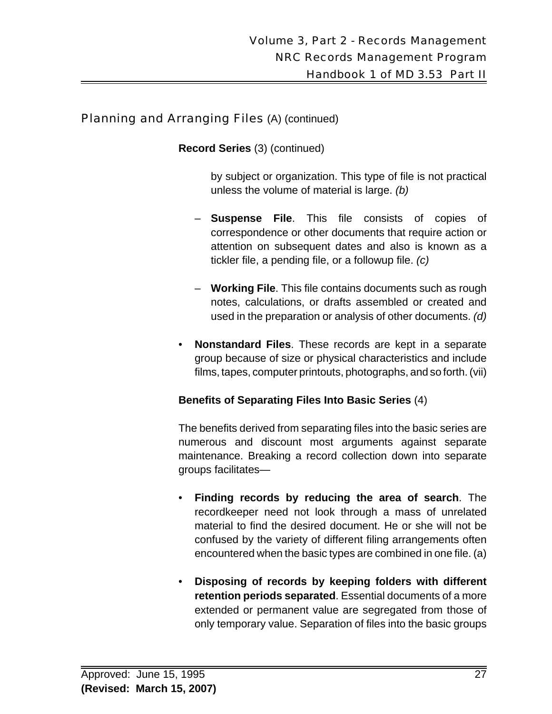**Record Series** (3) (continued)

by subject or organization. This type of file is not practical unless the volume of material is large. *(b)*

- **Suspense File**. This file consists of copies of correspondence or other documents that require action or attention on subsequent dates and also is known as a tickler file, a pending file, or a followup file. *(c)*
- **Working File**. This file contains documents such as rough notes, calculations, or drafts assembled or created and used in the preparation or analysis of other documents. *(d)*
- **Nonstandard Files**. These records are kept in a separate group because of size or physical characteristics and include films, tapes, computer printouts, photographs, and so forth. (vii)

## **Benefits of Separating Files Into Basic Series** (4)

The benefits derived from separating files into the basic series are numerous and discount most arguments against separate maintenance. Breaking a record collection down into separate groups facilitates—

- **Finding records by reducing the area of search**. The recordkeeper need not look through a mass of unrelated material to find the desired document. He or she will not be confused by the variety of different filing arrangements often encountered when the basic types are combined in one file. (a)
- **Disposing of records by keeping folders with different retention periods separated**. Essential documents of a more extended or permanent value are segregated from those of only temporary value. Separation of files into the basic groups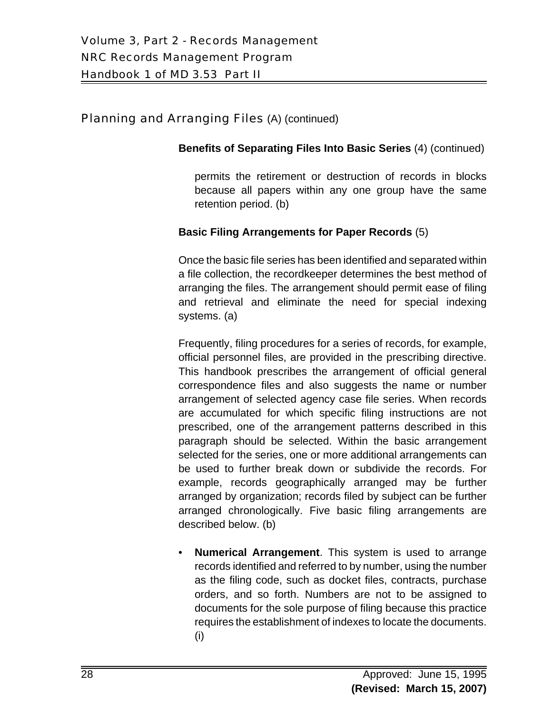#### **Benefits of Separating Files Into Basic Series** (4) (continued)

permits the retirement or destruction of records in blocks because all papers within any one group have the same retention period. (b)

#### **Basic Filing Arrangements for Paper Records** (5)

Once the basic file series has been identified and separated within a file collection, the recordkeeper determines the best method of arranging the files. The arrangement should permit ease of filing and retrieval and eliminate the need for special indexing systems. (a)

Frequently, filing procedures for a series of records, for example, official personnel files, are provided in the prescribing directive. This handbook prescribes the arrangement of official general correspondence files and also suggests the name or number arrangement of selected agency case file series. When records are accumulated for which specific filing instructions are not prescribed, one of the arrangement patterns described in this paragraph should be selected. Within the basic arrangement selected for the series, one or more additional arrangements can be used to further break down or subdivide the records. For example, records geographically arranged may be further arranged by organization; records filed by subject can be further arranged chronologically. Five basic filing arrangements are described below. (b)

• **Numerical Arrangement**. This system is used to arrange records identified and referred to by number, using the number as the filing code, such as docket files, contracts, purchase orders, and so forth. Numbers are not to be assigned to documents for the sole purpose of filing because this practice requires the establishment of indexes to locate the documents. (i)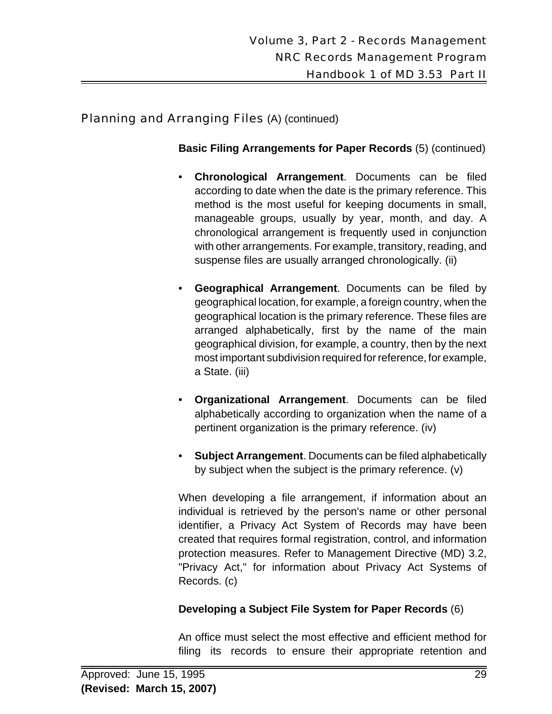#### **Basic Filing Arrangements for Paper Records** (5) (continued)

- **Chronological Arrangement**. Documents can be filed according to date when the date is the primary reference. This method is the most useful for keeping documents in small, manageable groups, usually by year, month, and day. A chronological arrangement is frequently used in conjunction with other arrangements. For example, transitory, reading, and suspense files are usually arranged chronologically. (ii)
- **Geographical Arrangement**. Documents can be filed by geographical location, for example, a foreign country, when the geographical location is the primary reference. These files are arranged alphabetically, first by the name of the main geographical division, for example, a country, then by the next most important subdivision required for reference, for example, a State. (iii)
- **Organizational Arrangement**. Documents can be filed alphabetically according to organization when the name of a pertinent organization is the primary reference. (iv)
- **Subject Arrangement**. Documents can be filed alphabetically by subject when the subject is the primary reference. (v)

When developing a file arrangement, if information about an individual is retrieved by the person's name or other personal identifier, a Privacy Act System of Records may have been created that requires formal registration, control, and information protection measures. Refer to Management Directive (MD) 3.2, "Privacy Act," for information about Privacy Act Systems of Records. (c)

## **Developing a Subject File System for Paper Records** (6)

An office must select the most effective and efficient method for filing its records to ensure their appropriate retention and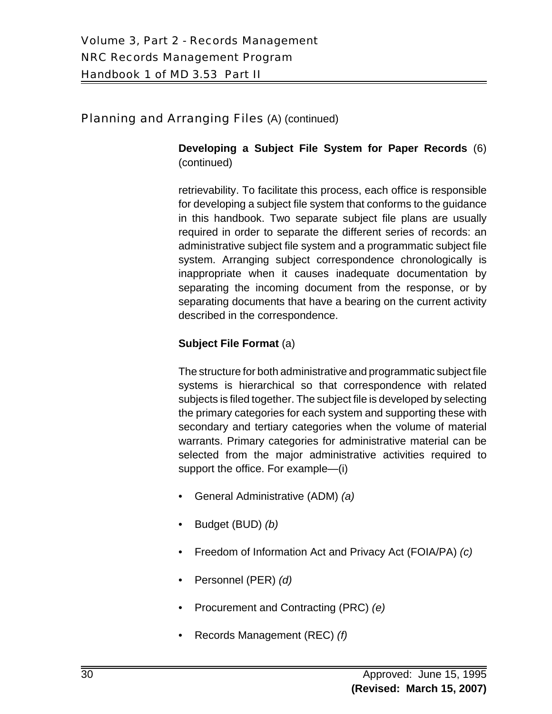**Developing a Subject File System for Paper Records** (6) (continued)

retrievability. To facilitate this process, each office is responsible for developing a subject file system that conforms to the guidance in this handbook. Two separate subject file plans are usually required in order to separate the different series of records: an administrative subject file system and a programmatic subject file system. Arranging subject correspondence chronologically is inappropriate when it causes inadequate documentation by separating the incoming document from the response, or by separating documents that have a bearing on the current activity described in the correspondence.

## **Subject File Format** (a)

The structure for both administrative and programmatic subject file systems is hierarchical so that correspondence with related subjects is filed together. The subject file is developed by selecting the primary categories for each system and supporting these with secondary and tertiary categories when the volume of material warrants. Primary categories for administrative material can be selected from the major administrative activities required to support the office. For example—(i)

- General Administrative (ADM) *(a)*
- Budget (BUD) *(b)*
- Freedom of Information Act and Privacy Act (FOIA/PA) *(c)*
- Personnel (PER) *(d)*
- Procurement and Contracting (PRC) *(e)*
- Records Management (REC) *(f)*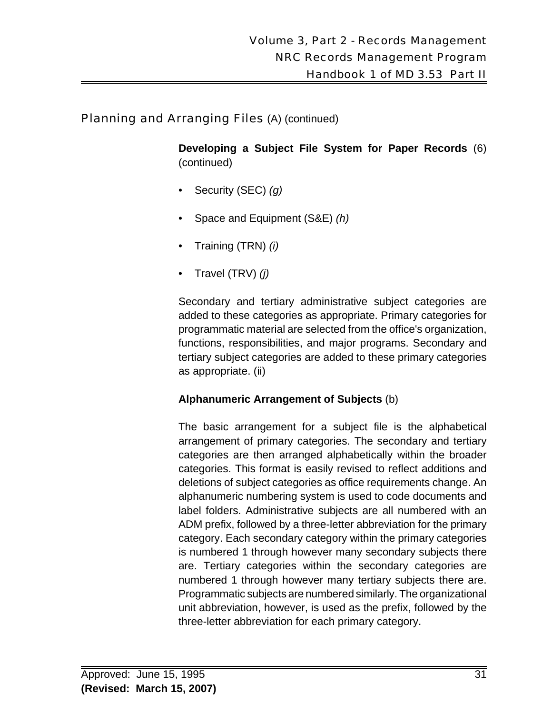**Developing a Subject File System for Paper Records** (6) (continued)

- Security (SEC) *(g)*
- Space and Equipment (S&E) *(h)*
- Training (TRN) *(i)*
- Travel (TRV) *(j)*

Secondary and tertiary administrative subject categories are added to these categories as appropriate. Primary categories for programmatic material are selected from the office's organization, functions, responsibilities, and major programs. Secondary and tertiary subject categories are added to these primary categories as appropriate. (ii)

#### **Alphanumeric Arrangement of Subjects** (b)

The basic arrangement for a subject file is the alphabetical arrangement of primary categories. The secondary and tertiary categories are then arranged alphabetically within the broader categories. This format is easily revised to reflect additions and deletions of subject categories as office requirements change. An alphanumeric numbering system is used to code documents and label folders. Administrative subjects are all numbered with an ADM prefix, followed by a three-letter abbreviation for the primary category. Each secondary category within the primary categories is numbered 1 through however many secondary subjects there are. Tertiary categories within the secondary categories are numbered 1 through however many tertiary subjects there are. Programmatic subjects are numbered similarly. The organizational unit abbreviation, however, is used as the prefix, followed by the three-letter abbreviation for each primary category.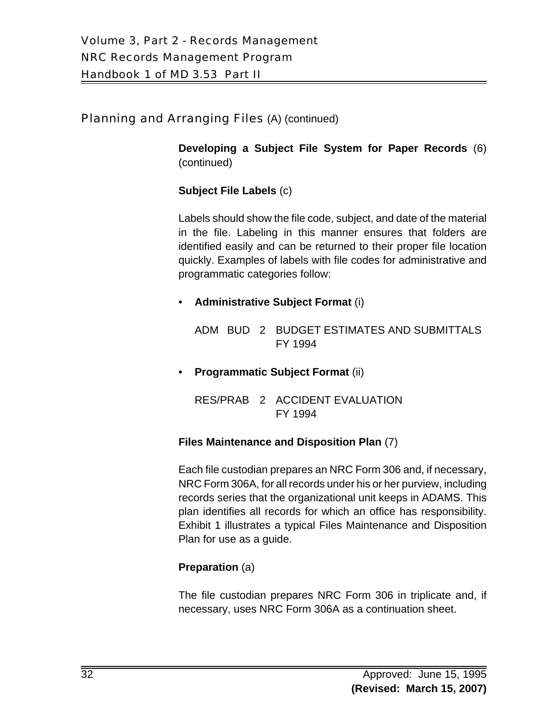**Developing a Subject File System for Paper Records** (6) (continued)

#### **Subject File Labels** (c)

Labels should show the file code, subject, and date of the material in the file. Labeling in this manner ensures that folders are identified easily and can be returned to their proper file location quickly. Examples of labels with file codes for administrative and programmatic categories follow:

#### • **Administrative Subject Format** (i)

ADM BUD 2 BUDGET ESTIMATES AND SUBMITTALS FY 1994

• **Programmatic Subject Format** (ii)

RES/PRAB 2 ACCIDENT EVALUATION FY 1994

#### **Files Maintenance and Disposition Plan** (7)

Each file custodian prepares an NRC Form 306 and, if necessary, NRC Form 306A, for all records under his or her purview, including records series that the organizational unit keeps in ADAMS. This plan identifies all records for which an office has responsibility. Exhibit 1 illustrates a typical Files Maintenance and Disposition Plan for use as a guide.

#### **Preparation** (a)

The file custodian prepares NRC Form 306 in triplicate and, if necessary, uses NRC Form 306A as a continuation sheet.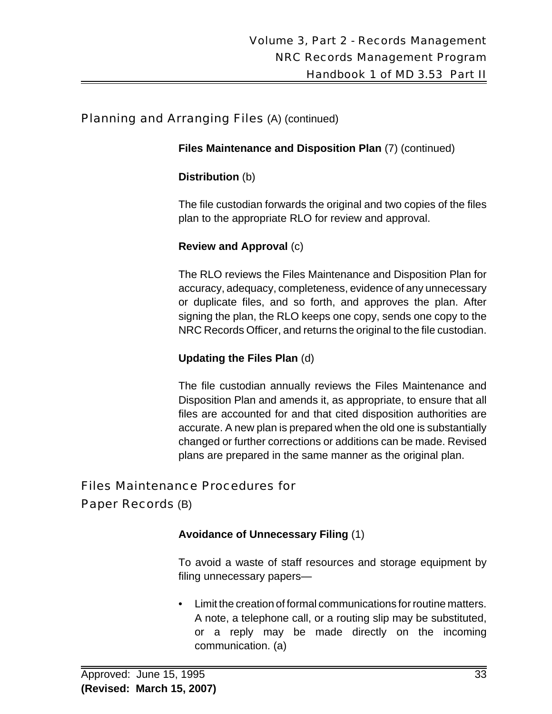**Files Maintenance and Disposition Plan** (7) (continued)

#### **Distribution** (b)

The file custodian forwards the original and two copies of the files plan to the appropriate RLO for review and approval.

#### **Review and Approval** (c)

The RLO reviews the Files Maintenance and Disposition Plan for accuracy, adequacy, completeness, evidence of any unnecessary or duplicate files, and so forth, and approves the plan. After signing the plan, the RLO keeps one copy, sends one copy to the NRC Records Officer, and returns the original to the file custodian.

#### **Updating the Files Plan** (d)

The file custodian annually reviews the Files Maintenance and Disposition Plan and amends it, as appropriate, to ensure that all files are accounted for and that cited disposition authorities are accurate. A new plan is prepared when the old one is substantially changed or further corrections or additions can be made. Revised plans are prepared in the same manner as the original plan.

## Files Maintenance Procedures for

## Paper Records (B)

#### **Avoidance of Unnecessary Filing** (1)

To avoid a waste of staff resources and storage equipment by filing unnecessary papers—

• Limit the creation of formal communications for routine matters. A note, a telephone call, or a routing slip may be substituted, or a reply may be made directly on the incoming communication. (a)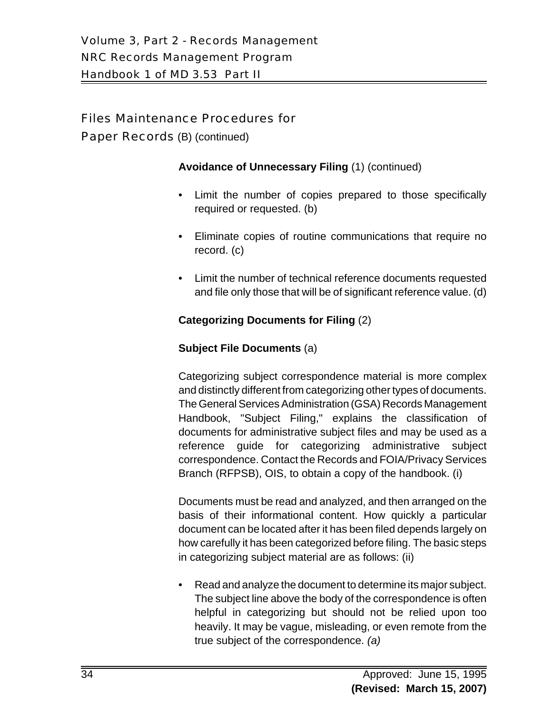Paper Records (B) (continued)

#### **Avoidance of Unnecessary Filing** (1) (continued)

- Limit the number of copies prepared to those specifically required or requested. (b)
- Eliminate copies of routine communications that require no record. (c)
- Limit the number of technical reference documents requested and file only those that will be of significant reference value. (d)

#### **Categorizing Documents for Filing** (2)

#### **Subject File Documents** (a)

Categorizing subject correspondence material is more complex and distinctly different from categorizing other types of documents. The General Services Administration (GSA) Records Management Handbook, "Subject Filing," explains the classification of documents for administrative subject files and may be used as a reference guide for categorizing administrative subject correspondence. Contact the Records and FOIA/Privacy Services Branch (RFPSB), OIS, to obtain a copy of the handbook. (i)

Documents must be read and analyzed, and then arranged on the basis of their informational content. How quickly a particular document can be located after it has been filed depends largely on how carefully it has been categorized before filing. The basic steps in categorizing subject material are as follows: (ii)

• Read and analyze the document to determine its major subject. The subject line above the body of the correspondence is often helpful in categorizing but should not be relied upon too heavily. It may be vague, misleading, or even remote from the true subject of the correspondence. *(a)*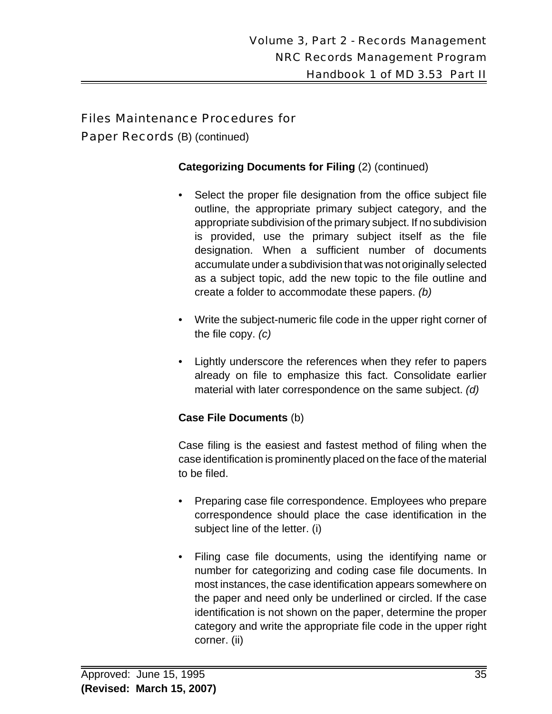Paper Records (B) (continued)

#### **Categorizing Documents for Filing** (2) (continued)

- Select the proper file designation from the office subject file outline, the appropriate primary subject category, and the appropriate subdivision of the primary subject. If no subdivision is provided, use the primary subject itself as the file designation. When a sufficient number of documents accumulate under a subdivision that was not originally selected as a subject topic, add the new topic to the file outline and create a folder to accommodate these papers. *(b)*
- Write the subject-numeric file code in the upper right corner of the file copy. *(c)*
- Lightly underscore the references when they refer to papers already on file to emphasize this fact. Consolidate earlier material with later correspondence on the same subject. *(d)*

#### **Case File Documents** (b)

Case filing is the easiest and fastest method of filing when the case identification is prominently placed on the face of the material to be filed.

- Preparing case file correspondence. Employees who prepare correspondence should place the case identification in the subject line of the letter. (i)
- Filing case file documents, using the identifying name or number for categorizing and coding case file documents. In most instances, the case identification appears somewhere on the paper and need only be underlined or circled. If the case identification is not shown on the paper, determine the proper category and write the appropriate file code in the upper right corner. (ii)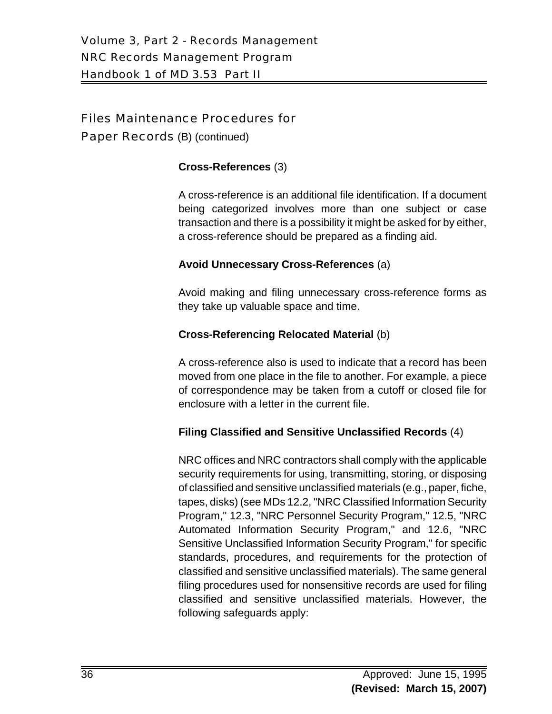Paper Records (B) (continued)

#### **Cross-References** (3)

A cross-reference is an additional file identification. If a document being categorized involves more than one subject or case transaction and there is a possibility it might be asked for by either, a cross-reference should be prepared as a finding aid.

#### **Avoid Unnecessary Cross-References** (a)

Avoid making and filing unnecessary cross-reference forms as they take up valuable space and time.

#### **Cross-Referencing Relocated Material** (b)

A cross-reference also is used to indicate that a record has been moved from one place in the file to another. For example, a piece of correspondence may be taken from a cutoff or closed file for enclosure with a letter in the current file.

## **Filing Classified and Sensitive Unclassified Records** (4)

NRC offices and NRC contractors shall comply with the applicable security requirements for using, transmitting, storing, or disposing of classified and sensitive unclassified materials (e.g., paper, fiche, tapes, disks) (see MDs 12.2, "NRC Classified Information Security Program," 12.3, "NRC Personnel Security Program," 12.5, "NRC Automated Information Security Program," and 12.6, "NRC Sensitive Unclassified Information Security Program," for specific standards, procedures, and requirements for the protection of classified and sensitive unclassified materials). The same general filing procedures used for nonsensitive records are used for filing classified and sensitive unclassified materials. However, the following safeguards apply: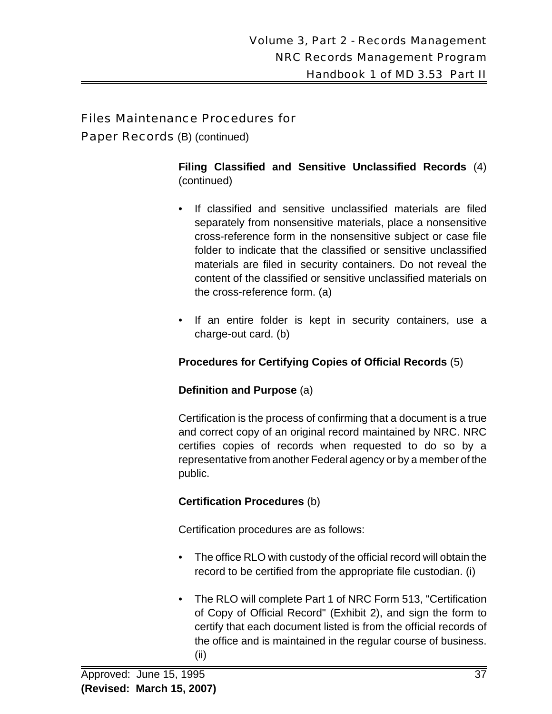Paper Records (B) (continued)

**Filing Classified and Sensitive Unclassified Records** (4) (continued)

- If classified and sensitive unclassified materials are filed separately from nonsensitive materials, place a nonsensitive cross-reference form in the nonsensitive subject or case file folder to indicate that the classified or sensitive unclassified materials are filed in security containers. Do not reveal the content of the classified or sensitive unclassified materials on the cross-reference form. (a)
- If an entire folder is kept in security containers, use a charge-out card. (b)

## **Procedures for Certifying Copies of Official Records** (5)

## **Definition and Purpose** (a)

Certification is the process of confirming that a document is a true and correct copy of an original record maintained by NRC. NRC certifies copies of records when requested to do so by a representative from another Federal agency or by a member of the public.

## **Certification Procedures** (b)

Certification procedures are as follows:

- The office RLO with custody of the official record will obtain the record to be certified from the appropriate file custodian. (i)
- The RLO will complete Part 1 of NRC Form 513, "Certification of Copy of Official Record" (Exhibit 2), and sign the form to certify that each document listed is from the official records of the office and is maintained in the regular course of business. (ii)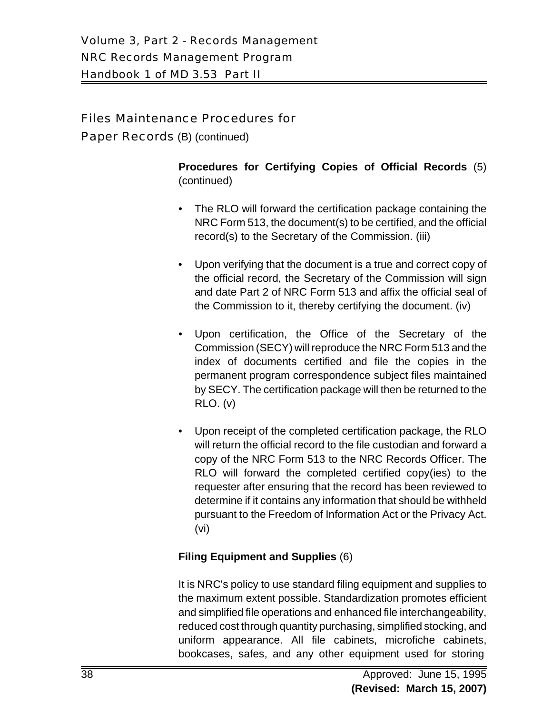Paper Records (B) (continued)

**Procedures for Certifying Copies of Official Records** (5) (continued)

- The RLO will forward the certification package containing the NRC Form 513, the document(s) to be certified, and the official record(s) to the Secretary of the Commission. (iii)
- Upon verifying that the document is a true and correct copy of the official record, the Secretary of the Commission will sign and date Part 2 of NRC Form 513 and affix the official seal of the Commission to it, thereby certifying the document. (iv)
- Upon certification, the Office of the Secretary of the Commission (SECY) will reproduce the NRC Form 513 and the index of documents certified and file the copies in the permanent program correspondence subject files maintained by SECY. The certification package will then be returned to the RLO. (v)
- Upon receipt of the completed certification package, the RLO will return the official record to the file custodian and forward a copy of the NRC Form 513 to the NRC Records Officer. The RLO will forward the completed certified copy(ies) to the requester after ensuring that the record has been reviewed to determine if it contains any information that should be withheld pursuant to the Freedom of Information Act or the Privacy Act. (vi)

## **Filing Equipment and Supplies** (6)

It is NRC's policy to use standard filing equipment and supplies to the maximum extent possible. Standardization promotes efficient and simplified file operations and enhanced file interchangeability, reduced cost through quantity purchasing, simplified stocking, and uniform appearance. All file cabinets, microfiche cabinets, bookcases, safes, and any other equipment used for storing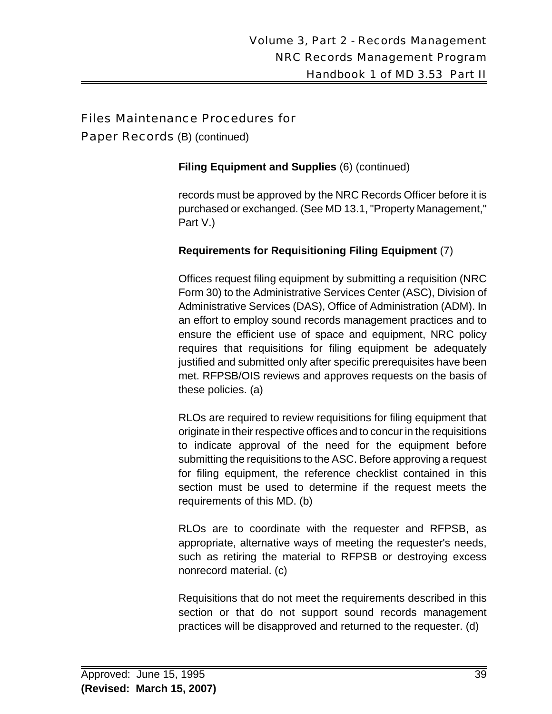Paper Records (B) (continued)

#### **Filing Equipment and Supplies** (6) (continued)

records must be approved by the NRC Records Officer before it is purchased or exchanged. (See MD 13.1, "Property Management," Part V.)

## **Requirements for Requisitioning Filing Equipment** (7)

Offices request filing equipment by submitting a requisition (NRC Form 30) to the Administrative Services Center (ASC), Division of Administrative Services (DAS), Office of Administration (ADM). In an effort to employ sound records management practices and to ensure the efficient use of space and equipment, NRC policy requires that requisitions for filing equipment be adequately justified and submitted only after specific prerequisites have been met. RFPSB/OIS reviews and approves requests on the basis of these policies. (a)

RLOs are required to review requisitions for filing equipment that originate in their respective offices and to concur in the requisitions to indicate approval of the need for the equipment before submitting the requisitions to the ASC. Before approving a request for filing equipment, the reference checklist contained in this section must be used to determine if the request meets the requirements of this MD. (b)

RLOs are to coordinate with the requester and RFPSB, as appropriate, alternative ways of meeting the requester's needs, such as retiring the material to RFPSB or destroying excess nonrecord material. (c)

Requisitions that do not meet the requirements described in this section or that do not support sound records management practices will be disapproved and returned to the requester. (d)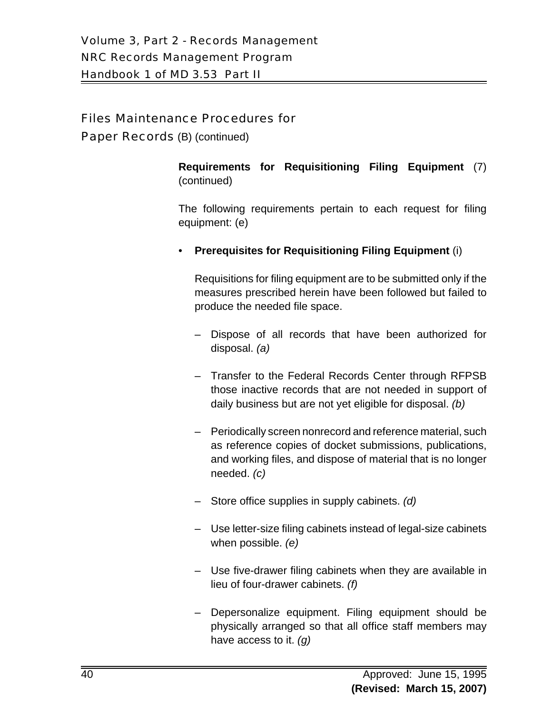Paper Records (B) (continued)

**Requirements for Requisitioning Filing Equipment** (7) (continued)

The following requirements pertain to each request for filing equipment: (e)

• **Prerequisites for Requisitioning Filing Equipment** (i)

Requisitions for filing equipment are to be submitted only if the measures prescribed herein have been followed but failed to produce the needed file space.

- Dispose of all records that have been authorized for disposal. *(a)*
- Transfer to the Federal Records Center through RFPSB those inactive records that are not needed in support of daily business but are not yet eligible for disposal. *(b)*
- Periodically screen nonrecord and reference material, such as reference copies of docket submissions, publications, and working files, and dispose of material that is no longer needed. *(c)*
- Store office supplies in supply cabinets. *(d)*
- Use letter-size filing cabinets instead of legal-size cabinets when possible. *(e)*
- Use five-drawer filing cabinets when they are available in lieu of four-drawer cabinets. *(f)*
- Depersonalize equipment. Filing equipment should be physically arranged so that all office staff members may have access to it. *(g)*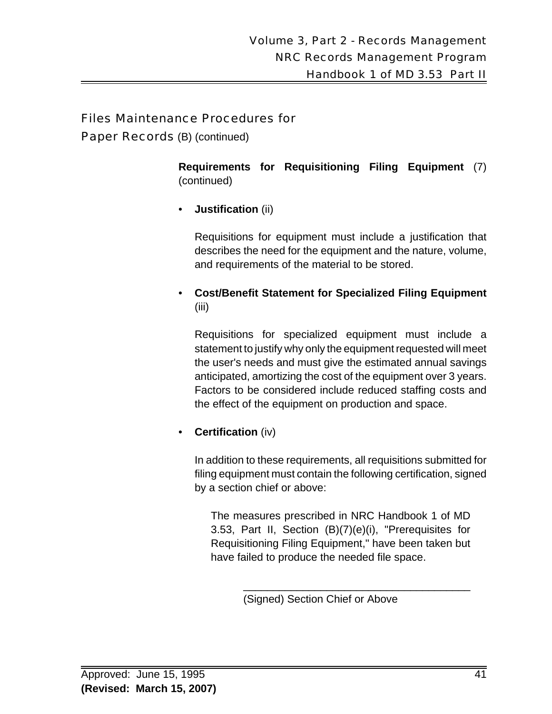Paper Records (B) (continued)

**Requirements for Requisitioning Filing Equipment** (7) (continued)

• **Justification** (ii)

Requisitions for equipment must include a justification that describes the need for the equipment and the nature, volume, and requirements of the material to be stored.

• **Cost/Benefit Statement for Specialized Filing Equipment** (iii)

Requisitions for specialized equipment must include a statement to justify why only the equipment requested will meet the user's needs and must give the estimated annual savings anticipated, amortizing the cost of the equipment over 3 years. Factors to be considered include reduced staffing costs and the effect of the equipment on production and space.

• **Certification** (iv)

In addition to these requirements, all requisitions submitted for filing equipment must contain the following certification, signed by a section chief or above:

The measures prescribed in NRC Handbook 1 of MD 3.53, Part II, Section (B)(7)(e)(i), "Prerequisites for Requisitioning Filing Equipment," have been taken but have failed to produce the needed file space.

\_\_\_\_\_\_\_\_\_\_\_\_\_\_\_\_\_\_\_\_\_\_\_\_\_\_\_\_\_\_\_\_\_\_\_\_\_\_

(Signed) Section Chief or Above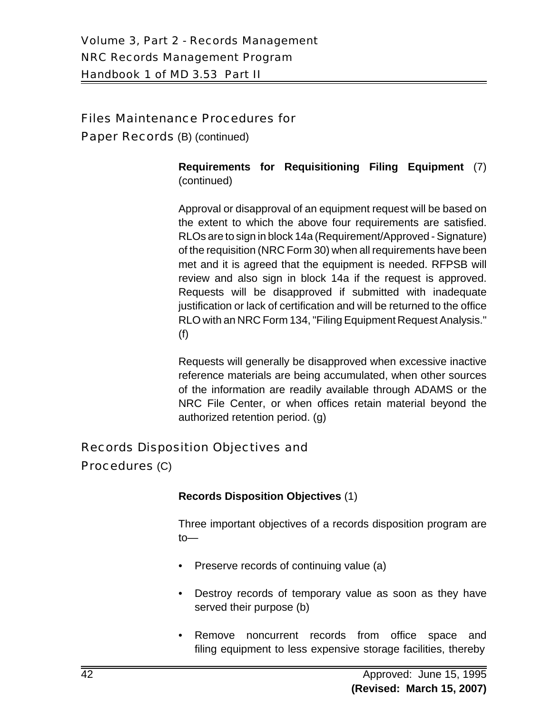Paper Records (B) (continued)

**Requirements for Requisitioning Filing Equipment** (7) (continued)

Approval or disapproval of an equipment request will be based on the extent to which the above four requirements are satisfied. RLOs are to sign in block 14a (Requirement/Approved - Signature) of the requisition (NRC Form 30) when all requirements have been met and it is agreed that the equipment is needed. RFPSB will review and also sign in block 14a if the request is approved. Requests will be disapproved if submitted with inadequate justification or lack of certification and will be returned to the office RLO with an NRC Form 134, "Filing Equipment Request Analysis." (f)

Requests will generally be disapproved when excessive inactive reference materials are being accumulated, when other sources of the information are readily available through ADAMS or the NRC File Center, or when offices retain material beyond the authorized retention period. (g)

## Records Disposition Objectives and

Procedures (C)

## **Records Disposition Objectives** (1)

Three important objectives of a records disposition program are to—

- Preserve records of continuing value (a)
- Destroy records of temporary value as soon as they have served their purpose (b)
- Remove noncurrent records from office space and filing equipment to less expensive storage facilities, thereby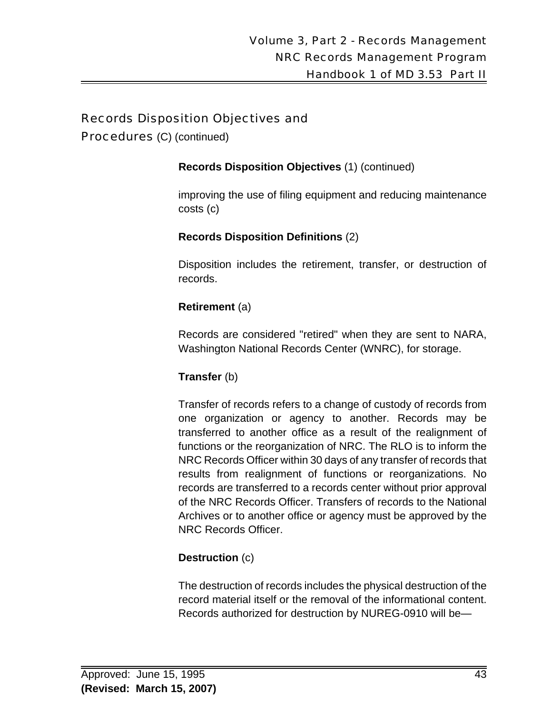Procedures (C) (continued)

**Records Disposition Objectives** (1) (continued)

improving the use of filing equipment and reducing maintenance costs (c)

**Records Disposition Definitions** (2)

Disposition includes the retirement, transfer, or destruction of records.

## **Retirement** (a)

Records are considered "retired" when they are sent to NARA, Washington National Records Center (WNRC), for storage.

## **Transfer** (b)

Transfer of records refers to a change of custody of records from one organization or agency to another. Records may be transferred to another office as a result of the realignment of functions or the reorganization of NRC. The RLO is to inform the NRC Records Officer within 30 days of any transfer of records that results from realignment of functions or reorganizations. No records are transferred to a records center without prior approval of the NRC Records Officer. Transfers of records to the National Archives or to another office or agency must be approved by the NRC Records Officer.

## **Destruction** (c)

The destruction of records includes the physical destruction of the record material itself or the removal of the informational content. Records authorized for destruction by NUREG-0910 will be—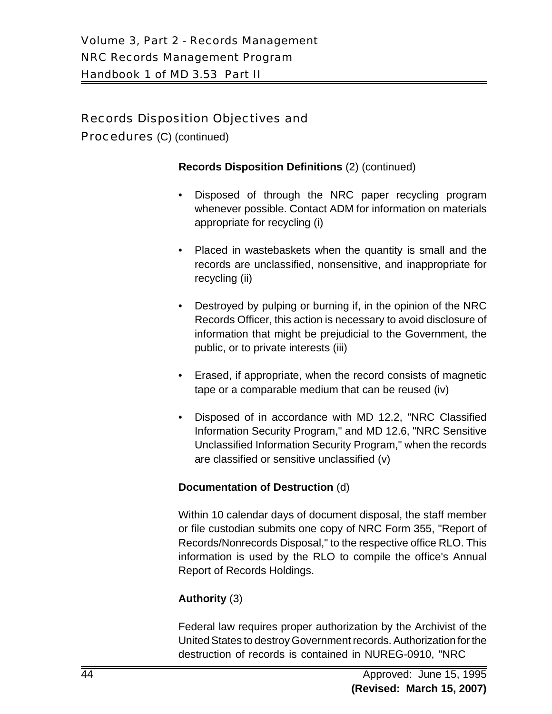Procedures (C) (continued)

#### **Records Disposition Definitions** (2) (continued)

- Disposed of through the NRC paper recycling program whenever possible. Contact ADM for information on materials appropriate for recycling (i)
- Placed in wastebaskets when the quantity is small and the records are unclassified, nonsensitive, and inappropriate for recycling (ii)
- Destroyed by pulping or burning if, in the opinion of the NRC Records Officer, this action is necessary to avoid disclosure of information that might be prejudicial to the Government, the public, or to private interests (iii)
- Erased, if appropriate, when the record consists of magnetic tape or a comparable medium that can be reused (iv)
- Disposed of in accordance with MD 12.2, "NRC Classified Information Security Program," and MD 12.6, "NRC Sensitive Unclassified Information Security Program," when the records are classified or sensitive unclassified (v)

#### **Documentation of Destruction** (d)

Within 10 calendar days of document disposal, the staff member or file custodian submits one copy of NRC Form 355, "Report of Records/Nonrecords Disposal," to the respective office RLO. This information is used by the RLO to compile the office's Annual Report of Records Holdings.

## **Authority** (3)

Federal law requires proper authorization by the Archivist of the United States to destroy Government records. Authorization for the destruction of records is contained in NUREG-0910, "NRC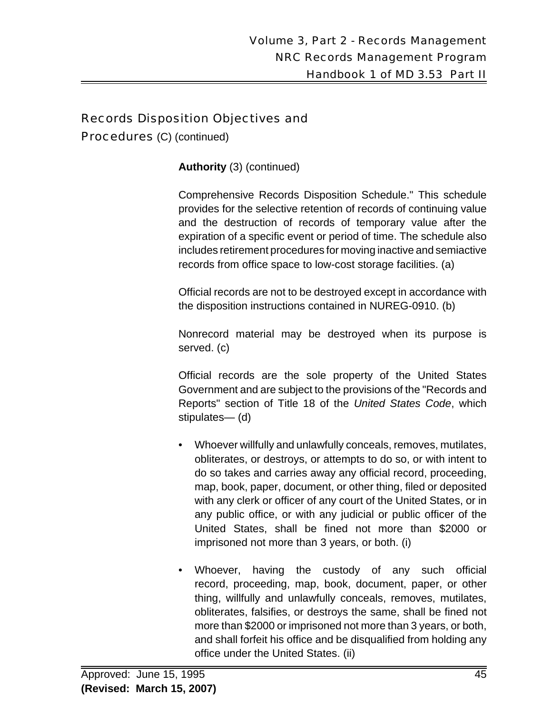Procedures (C) (continued)

**Authority** (3) (continued)

Comprehensive Records Disposition Schedule." This schedule provides for the selective retention of records of continuing value and the destruction of records of temporary value after the expiration of a specific event or period of time. The schedule also includes retirement procedures for moving inactive and semiactive records from office space to low-cost storage facilities. (a)

Official records are not to be destroyed except in accordance with the disposition instructions contained in NUREG-0910. (b)

Nonrecord material may be destroyed when its purpose is served. (c)

Official records are the sole property of the United States Government and are subject to the provisions of the "Records and Reports" section of Title 18 of the *United States Code*, which stipulates— (d)

- Whoever willfully and unlawfully conceals, removes, mutilates, obliterates, or destroys, or attempts to do so, or with intent to do so takes and carries away any official record, proceeding, map, book, paper, document, or other thing, filed or deposited with any clerk or officer of any court of the United States, or in any public office, or with any judicial or public officer of the United States, shall be fined not more than \$2000 or imprisoned not more than 3 years, or both. (i)
- Whoever, having the custody of any such official record, proceeding, map, book, document, paper, or other thing, willfully and unlawfully conceals, removes, mutilates, obliterates, falsifies, or destroys the same, shall be fined not more than \$2000 or imprisoned not more than 3 years, or both, and shall forfeit his office and be disqualified from holding any office under the United States. (ii)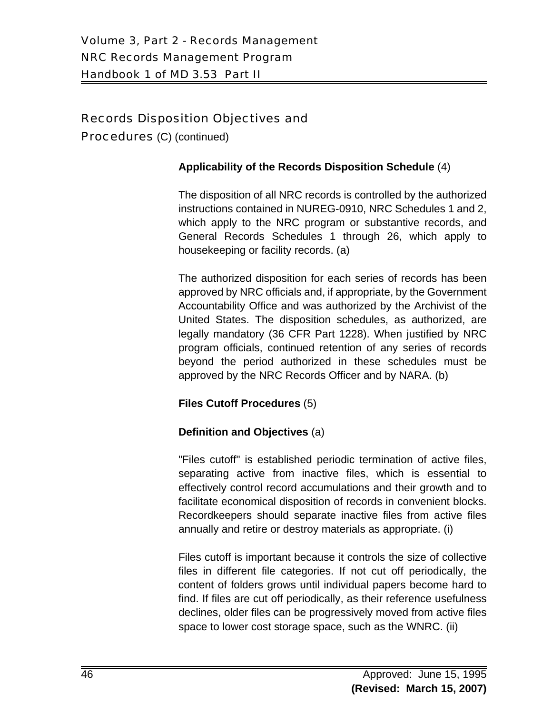Procedures (C) (continued)

#### **Applicability of the Records Disposition Schedule** (4)

The disposition of all NRC records is controlled by the authorized instructions contained in NUREG-0910, NRC Schedules 1 and 2, which apply to the NRC program or substantive records, and General Records Schedules 1 through 26, which apply to housekeeping or facility records. (a)

The authorized disposition for each series of records has been approved by NRC officials and, if appropriate, by the Government Accountability Office and was authorized by the Archivist of the United States. The disposition schedules, as authorized, are legally mandatory (36 CFR Part 1228). When justified by NRC program officials, continued retention of any series of records beyond the period authorized in these schedules must be approved by the NRC Records Officer and by NARA. (b)

#### **Files Cutoff Procedures** (5)

## **Definition and Objectives** (a)

"Files cutoff" is established periodic termination of active files, separating active from inactive files, which is essential to effectively control record accumulations and their growth and to facilitate economical disposition of records in convenient blocks. Recordkeepers should separate inactive files from active files annually and retire or destroy materials as appropriate. (i)

Files cutoff is important because it controls the size of collective files in different file categories. If not cut off periodically, the content of folders grows until individual papers become hard to find. If files are cut off periodically, as their reference usefulness declines, older files can be progressively moved from active files space to lower cost storage space, such as the WNRC. (ii)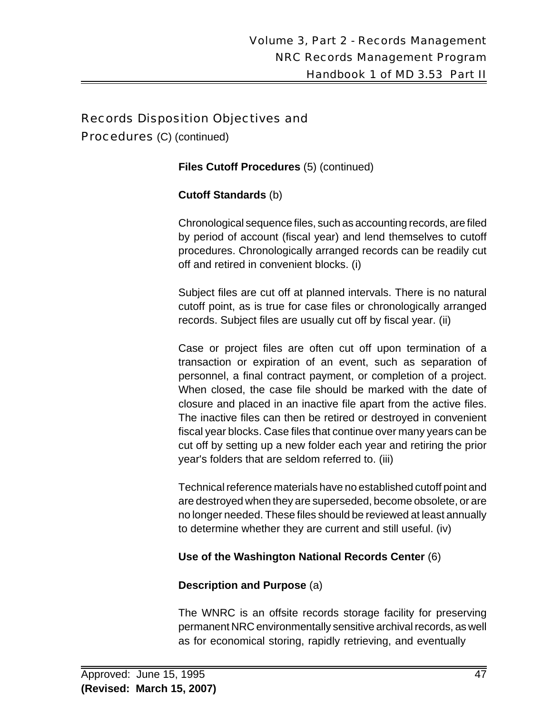Procedures (C) (continued)

**Files Cutoff Procedures** (5) (continued)

#### **Cutoff Standards** (b)

Chronological sequence files, such as accounting records, are filed by period of account (fiscal year) and lend themselves to cutoff procedures. Chronologically arranged records can be readily cut off and retired in convenient blocks. (i)

Subject files are cut off at planned intervals. There is no natural cutoff point, as is true for case files or chronologically arranged records. Subject files are usually cut off by fiscal year. (ii)

Case or project files are often cut off upon termination of a transaction or expiration of an event, such as separation of personnel, a final contract payment, or completion of a project. When closed, the case file should be marked with the date of closure and placed in an inactive file apart from the active files. The inactive files can then be retired or destroyed in convenient fiscal year blocks. Case files that continue over many years can be cut off by setting up a new folder each year and retiring the prior year's folders that are seldom referred to. (iii)

Technical reference materials have no established cutoff point and are destroyed when they are superseded, become obsolete, or are no longer needed. These files should be reviewed at least annually to determine whether they are current and still useful. (iv)

#### **Use of the Washington National Records Center** (6)

#### **Description and Purpose** (a)

The WNRC is an offsite records storage facility for preserving permanent NRC environmentally sensitive archival records, as well as for economical storing, rapidly retrieving, and eventually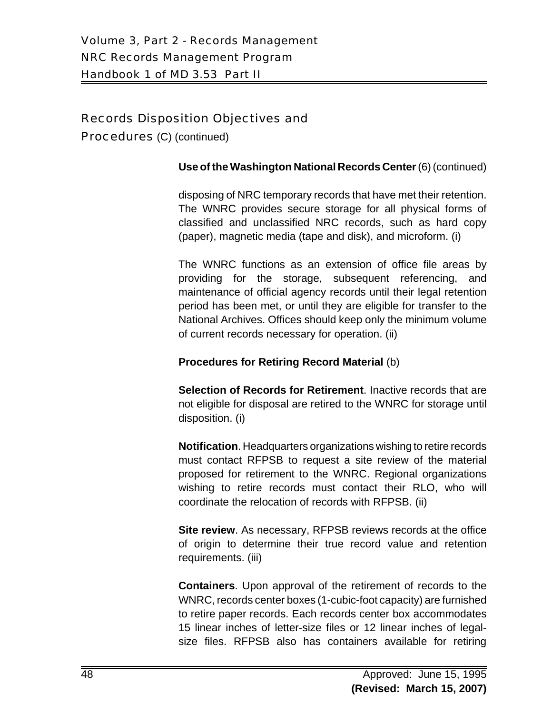Procedures (C) (continued)

#### **Use of the Washington National Records Center** (6) (continued)

disposing of NRC temporary records that have met their retention. The WNRC provides secure storage for all physical forms of classified and unclassified NRC records, such as hard copy (paper), magnetic media (tape and disk), and microform. (i)

The WNRC functions as an extension of office file areas by providing for the storage, subsequent referencing, and maintenance of official agency records until their legal retention period has been met, or until they are eligible for transfer to the National Archives. Offices should keep only the minimum volume of current records necessary for operation. (ii)

#### **Procedures for Retiring Record Material** (b)

**Selection of Records for Retirement**. Inactive records that are not eligible for disposal are retired to the WNRC for storage until disposition. (i)

**Notification**. Headquarters organizations wishing to retire records must contact RFPSB to request a site review of the material proposed for retirement to the WNRC. Regional organizations wishing to retire records must contact their RLO, who will coordinate the relocation of records with RFPSB. (ii)

**Site review**. As necessary, RFPSB reviews records at the office of origin to determine their true record value and retention requirements. (iii)

**Containers**. Upon approval of the retirement of records to the WNRC, records center boxes (1-cubic-foot capacity) are furnished to retire paper records. Each records center box accommodates 15 linear inches of letter-size files or 12 linear inches of legalsize files. RFPSB also has containers available for retiring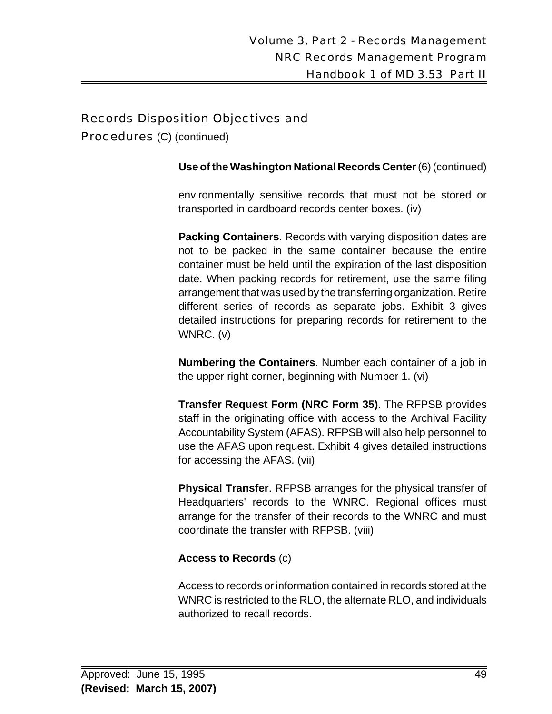Procedures (C) (continued)

**Use of the Washington National Records Center** (6) (continued)

environmentally sensitive records that must not be stored or transported in cardboard records center boxes. (iv)

**Packing Containers**. Records with varying disposition dates are not to be packed in the same container because the entire container must be held until the expiration of the last disposition date. When packing records for retirement, use the same filing arrangement that was used by the transferring organization. Retire different series of records as separate jobs. Exhibit 3 gives detailed instructions for preparing records for retirement to the WNRC. (v)

**Numbering the Containers**. Number each container of a job in the upper right corner, beginning with Number 1. (vi)

**Transfer Request Form (NRC Form 35)**. The RFPSB provides staff in the originating office with access to the Archival Facility Accountability System (AFAS). RFPSB will also help personnel to use the AFAS upon request. Exhibit 4 gives detailed instructions for accessing the AFAS. (vii)

**Physical Transfer**. RFPSB arranges for the physical transfer of Headquarters' records to the WNRC. Regional offices must arrange for the transfer of their records to the WNRC and must coordinate the transfer with RFPSB. (viii)

#### **Access to Records** (c)

Access to records or information contained in records stored at the WNRC is restricted to the RLO, the alternate RLO, and individuals authorized to recall records.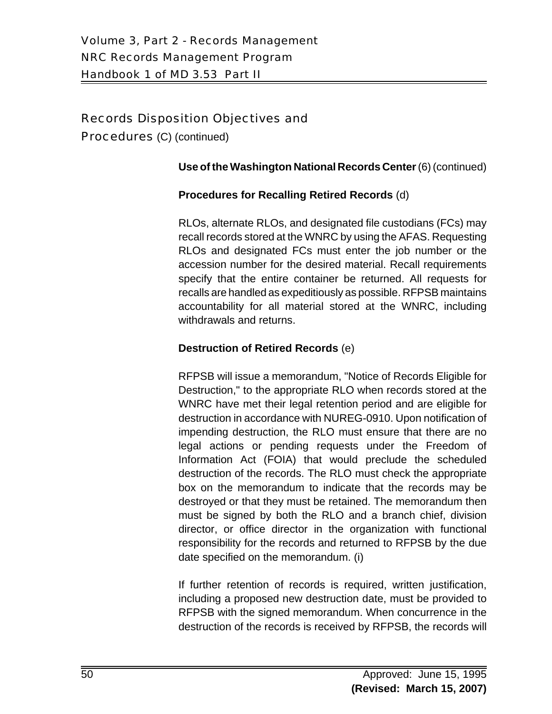Procedures (C) (continued)

#### **Use of the Washington National Records Center** (6) (continued)

#### **Procedures for Recalling Retired Records** (d)

RLOs, alternate RLOs, and designated file custodians (FCs) may recall records stored at the WNRC by using the AFAS. Requesting RLOs and designated FCs must enter the job number or the accession number for the desired material. Recall requirements specify that the entire container be returned. All requests for recalls are handled as expeditiously as possible. RFPSB maintains accountability for all material stored at the WNRC, including withdrawals and returns.

#### **Destruction of Retired Records** (e)

RFPSB will issue a memorandum, "Notice of Records Eligible for Destruction," to the appropriate RLO when records stored at the WNRC have met their legal retention period and are eligible for destruction in accordance with NUREG-0910. Upon notification of impending destruction, the RLO must ensure that there are no legal actions or pending requests under the Freedom of Information Act (FOIA) that would preclude the scheduled destruction of the records. The RLO must check the appropriate box on the memorandum to indicate that the records may be destroyed or that they must be retained. The memorandum then must be signed by both the RLO and a branch chief, division director, or office director in the organization with functional responsibility for the records and returned to RFPSB by the due date specified on the memorandum. (i)

If further retention of records is required, written justification, including a proposed new destruction date, must be provided to RFPSB with the signed memorandum. When concurrence in the destruction of the records is received by RFPSB, the records will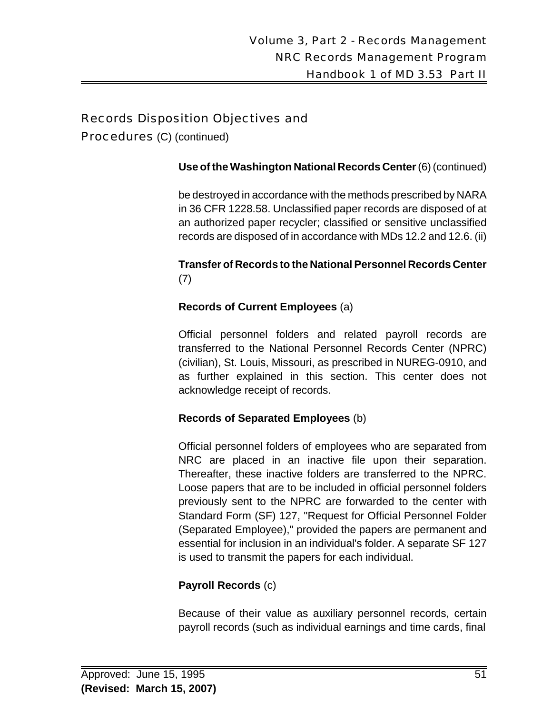Procedures (C) (continued)

#### **Use of the Washington National Records Center** (6) (continued)

be destroyed in accordance with the methods prescribed by NARA in 36 CFR 1228.58. Unclassified paper records are disposed of at an authorized paper recycler; classified or sensitive unclassified records are disposed of in accordance with MDs 12.2 and 12.6. (ii)

#### **Transfer of Records to the National Personnel Records Center** (7)

#### **Records of Current Employees** (a)

Official personnel folders and related payroll records are transferred to the National Personnel Records Center (NPRC) (civilian), St. Louis, Missouri, as prescribed in NUREG-0910, and as further explained in this section. This center does not acknowledge receipt of records.

#### **Records of Separated Employees** (b)

Official personnel folders of employees who are separated from NRC are placed in an inactive file upon their separation. Thereafter, these inactive folders are transferred to the NPRC. Loose papers that are to be included in official personnel folders previously sent to the NPRC are forwarded to the center with Standard Form (SF) 127, "Request for Official Personnel Folder (Separated Employee)," provided the papers are permanent and essential for inclusion in an individual's folder. A separate SF 127 is used to transmit the papers for each individual.

#### **Payroll Records** (c)

Because of their value as auxiliary personnel records, certain payroll records (such as individual earnings and time cards, final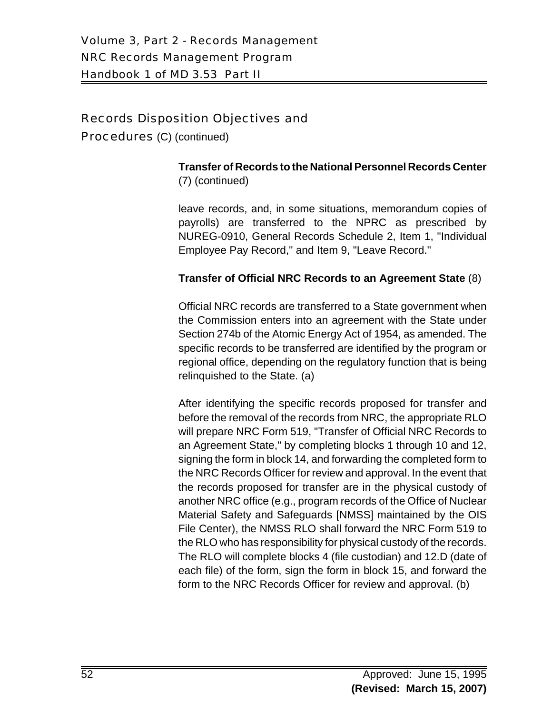Procedures (C) (continued)

#### **Transfer of Records to the National Personnel Records Center** (7) (continued)

leave records, and, in some situations, memorandum copies of payrolls) are transferred to the NPRC as prescribed by NUREG-0910, General Records Schedule 2, Item 1, "Individual Employee Pay Record," and Item 9, "Leave Record."

#### **Transfer of Official NRC Records to an Agreement State** (8)

Official NRC records are transferred to a State government when the Commission enters into an agreement with the State under Section 274b of the Atomic Energy Act of 1954, as amended. The specific records to be transferred are identified by the program or regional office, depending on the regulatory function that is being relinquished to the State. (a)

After identifying the specific records proposed for transfer and before the removal of the records from NRC, the appropriate RLO will prepare NRC Form 519, "Transfer of Official NRC Records to an Agreement State," by completing blocks 1 through 10 and 12, signing the form in block 14, and forwarding the completed form to the NRC Records Officer for review and approval. In the event that the records proposed for transfer are in the physical custody of another NRC office (e.g., program records of the Office of Nuclear Material Safety and Safeguards [NMSS] maintained by the OIS File Center), the NMSS RLO shall forward the NRC Form 519 to the RLO who has responsibility for physical custody of the records. The RLO will complete blocks 4 (file custodian) and 12.D (date of each file) of the form, sign the form in block 15, and forward the form to the NRC Records Officer for review and approval. (b)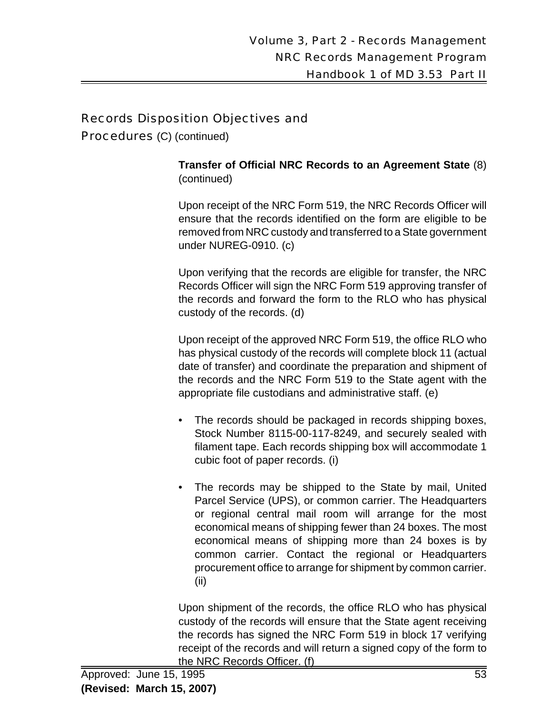Procedures (C) (continued)

**Transfer of Official NRC Records to an Agreement State** (8) (continued)

Upon receipt of the NRC Form 519, the NRC Records Officer will ensure that the records identified on the form are eligible to be removed from NRC custody and transferred to a State government under NUREG-0910. (c)

Upon verifying that the records are eligible for transfer, the NRC Records Officer will sign the NRC Form 519 approving transfer of the records and forward the form to the RLO who has physical custody of the records. (d)

Upon receipt of the approved NRC Form 519, the office RLO who has physical custody of the records will complete block 11 (actual date of transfer) and coordinate the preparation and shipment of the records and the NRC Form 519 to the State agent with the appropriate file custodians and administrative staff. (e)

- The records should be packaged in records shipping boxes, Stock Number 8115-00-117-8249, and securely sealed with filament tape. Each records shipping box will accommodate 1 cubic foot of paper records. (i)
- The records may be shipped to the State by mail, United Parcel Service (UPS), or common carrier. The Headquarters or regional central mail room will arrange for the most economical means of shipping fewer than 24 boxes. The most economical means of shipping more than 24 boxes is by common carrier. Contact the regional or Headquarters procurement office to arrange for shipment by common carrier. (ii)

Upon shipment of the records, the office RLO who has physical custody of the records will ensure that the State agent receiving the records has signed the NRC Form 519 in block 17 verifying receipt of the records and will return a signed copy of the form to the NRC Records Officer. (f)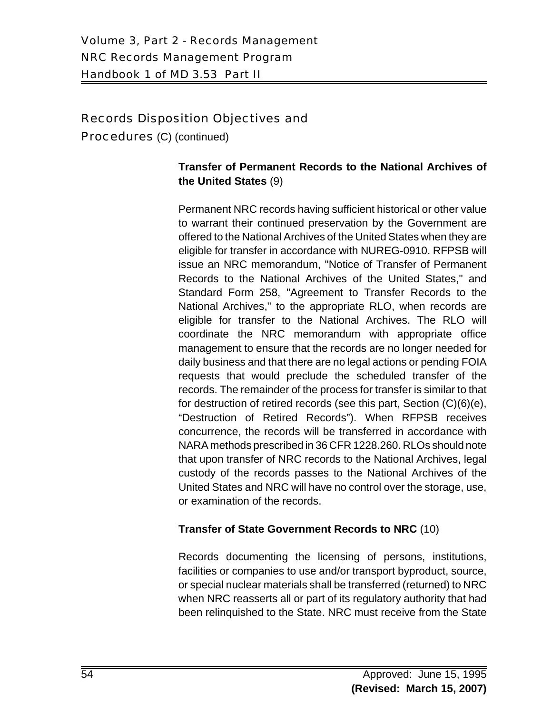Procedures (C) (continued)

## **Transfer of Permanent Records to the National Archives of the United States** (9)

Permanent NRC records having sufficient historical or other value to warrant their continued preservation by the Government are offered to the National Archives of the United States when they are eligible for transfer in accordance with NUREG-0910. RFPSB will issue an NRC memorandum, "Notice of Transfer of Permanent Records to the National Archives of the United States," and Standard Form 258, "Agreement to Transfer Records to the National Archives," to the appropriate RLO, when records are eligible for transfer to the National Archives. The RLO will coordinate the NRC memorandum with appropriate office management to ensure that the records are no longer needed for daily business and that there are no legal actions or pending FOIA requests that would preclude the scheduled transfer of the records. The remainder of the process for transfer is similar to that for destruction of retired records (see this part, Section (C)(6)(e), "Destruction of Retired Records"). When RFPSB receives concurrence, the records will be transferred in accordance with NARA methods prescribed in 36 CFR 1228.260. RLOs should note that upon transfer of NRC records to the National Archives, legal custody of the records passes to the National Archives of the United States and NRC will have no control over the storage, use, or examination of the records.

#### **Transfer of State Government Records to NRC** (10)

Records documenting the licensing of persons, institutions, facilities or companies to use and/or transport byproduct, source, or special nuclear materials shall be transferred (returned) to NRC when NRC reasserts all or part of its regulatory authority that had been relinquished to the State. NRC must receive from the State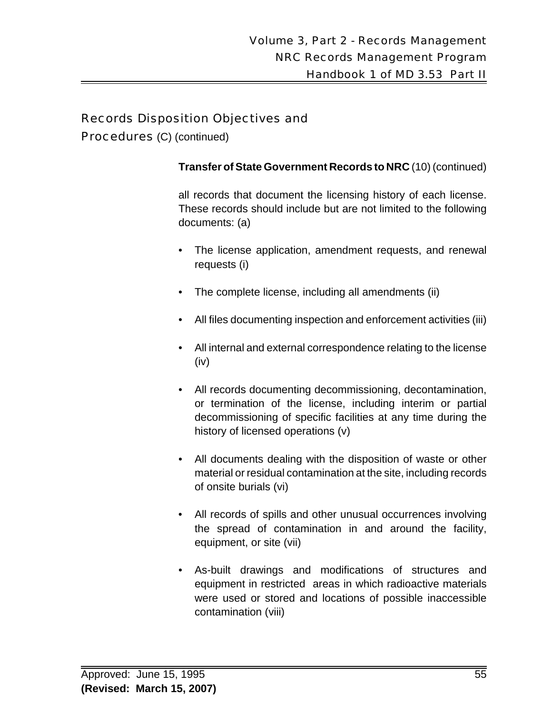Procedures (C) (continued)

#### **Transfer of State Government Records to NRC** (10) (continued)

all records that document the licensing history of each license. These records should include but are not limited to the following documents: (a)

- The license application, amendment requests, and renewal requests (i)
- The complete license, including all amendments (ii)
- All files documenting inspection and enforcement activities (iii)
- All internal and external correspondence relating to the license (iv)
- All records documenting decommissioning, decontamination, or termination of the license, including interim or partial decommissioning of specific facilities at any time during the history of licensed operations (v)
- All documents dealing with the disposition of waste or other material or residual contamination at the site, including records of onsite burials (vi)
- All records of spills and other unusual occurrences involving the spread of contamination in and around the facility, equipment, or site (vii)
- As-built drawings and modifications of structures and equipment in restricted areas in which radioactive materials were used or stored and locations of possible inaccessible contamination (viii)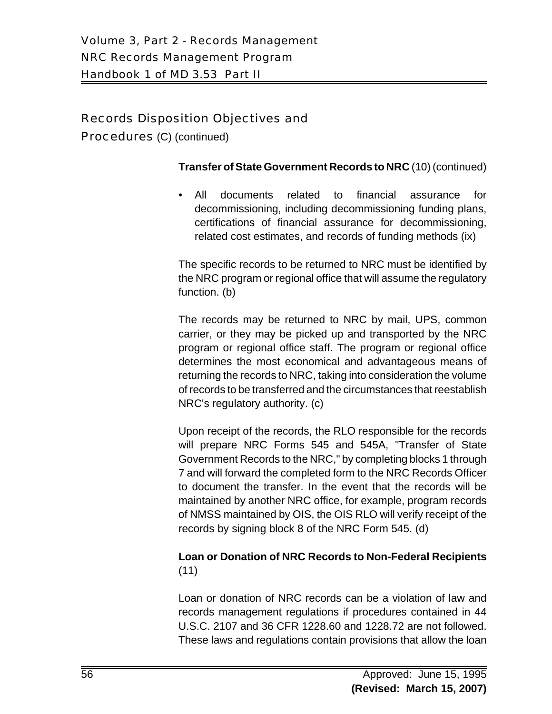Procedures (C) (continued)

#### **Transfer of State Government Records to NRC** (10) (continued)

• All documents related to financial assurance for decommissioning, including decommissioning funding plans, certifications of financial assurance for decommissioning, related cost estimates, and records of funding methods (ix)

The specific records to be returned to NRC must be identified by the NRC program or regional office that will assume the regulatory function. (b)

The records may be returned to NRC by mail, UPS, common carrier, or they may be picked up and transported by the NRC program or regional office staff. The program or regional office determines the most economical and advantageous means of returning the records to NRC, taking into consideration the volume of records to be transferred and the circumstances that reestablish NRC's regulatory authority. (c)

Upon receipt of the records, the RLO responsible for the records will prepare NRC Forms 545 and 545A, "Transfer of State Government Records to the NRC," by completing blocks 1 through 7 and will forward the completed form to the NRC Records Officer to document the transfer. In the event that the records will be maintained by another NRC office, for example, program records of NMSS maintained by OIS, the OIS RLO will verify receipt of the records by signing block 8 of the NRC Form 545. (d)

#### **Loan or Donation of NRC Records to Non-Federal Recipients** (11)

Loan or donation of NRC records can be a violation of law and records management regulations if procedures contained in 44 U.S.C. 2107 and 36 CFR 1228.60 and 1228.72 are not followed. These laws and regulations contain provisions that allow the loan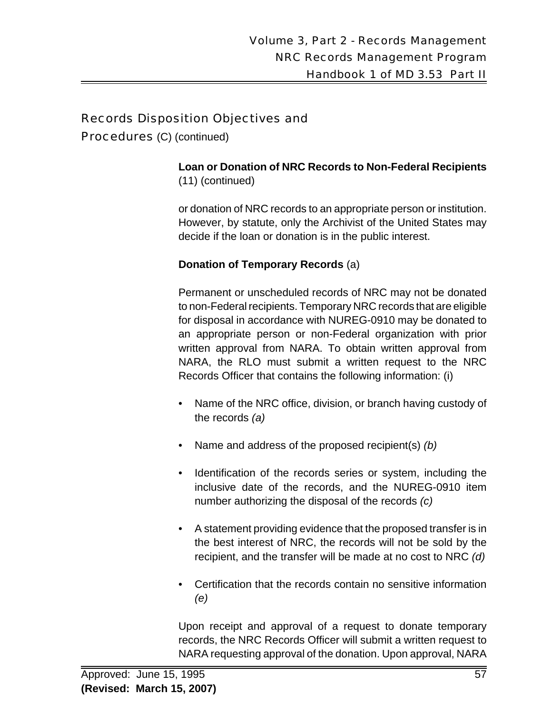Procedures (C) (continued)

#### **Loan or Donation of NRC Records to Non-Federal Recipients** (11) (continued)

or donation of NRC records to an appropriate person or institution. However, by statute, only the Archivist of the United States may decide if the loan or donation is in the public interest.

# **Donation of Temporary Records** (a)

Permanent or unscheduled records of NRC may not be donated to non-Federal recipients. Temporary NRC records that are eligible for disposal in accordance with NUREG-0910 may be donated to an appropriate person or non-Federal organization with prior written approval from NARA. To obtain written approval from NARA, the RLO must submit a written request to the NRC Records Officer that contains the following information: (i)

- Name of the NRC office, division, or branch having custody of the records *(a)*
- Name and address of the proposed recipient(s) *(b)*
- Identification of the records series or system, including the inclusive date of the records, and the NUREG-0910 item number authorizing the disposal of the records *(c)*
- A statement providing evidence that the proposed transfer is in the best interest of NRC, the records will not be sold by the recipient, and the transfer will be made at no cost to NRC *(d)*
- Certification that the records contain no sensitive information *(e)*

Upon receipt and approval of a request to donate temporary records, the NRC Records Officer will submit a written request to NARA requesting approval of the donation. Upon approval, NARA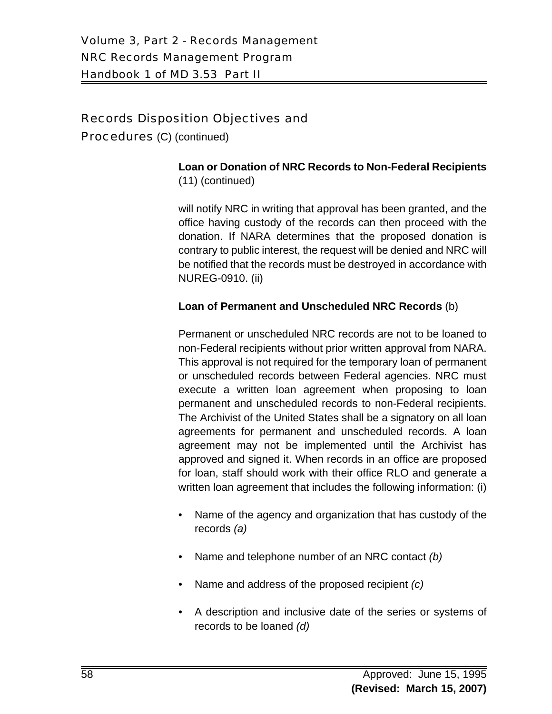Procedures (C) (continued)

#### **Loan or Donation of NRC Records to Non-Federal Recipients** (11) (continued)

will notify NRC in writing that approval has been granted, and the office having custody of the records can then proceed with the donation. If NARA determines that the proposed donation is contrary to public interest, the request will be denied and NRC will be notified that the records must be destroyed in accordance with NUREG-0910. (ii)

#### **Loan of Permanent and Unscheduled NRC Records** (b)

Permanent or unscheduled NRC records are not to be loaned to non-Federal recipients without prior written approval from NARA. This approval is not required for the temporary loan of permanent or unscheduled records between Federal agencies. NRC must execute a written loan agreement when proposing to loan permanent and unscheduled records to non-Federal recipients. The Archivist of the United States shall be a signatory on all loan agreements for permanent and unscheduled records. A loan agreement may not be implemented until the Archivist has approved and signed it. When records in an office are proposed for loan, staff should work with their office RLO and generate a written loan agreement that includes the following information: (i)

- Name of the agency and organization that has custody of the records *(a)*
- Name and telephone number of an NRC contact *(b)*
- Name and address of the proposed recipient *(c)*
- A description and inclusive date of the series or systems of records to be loaned *(d)*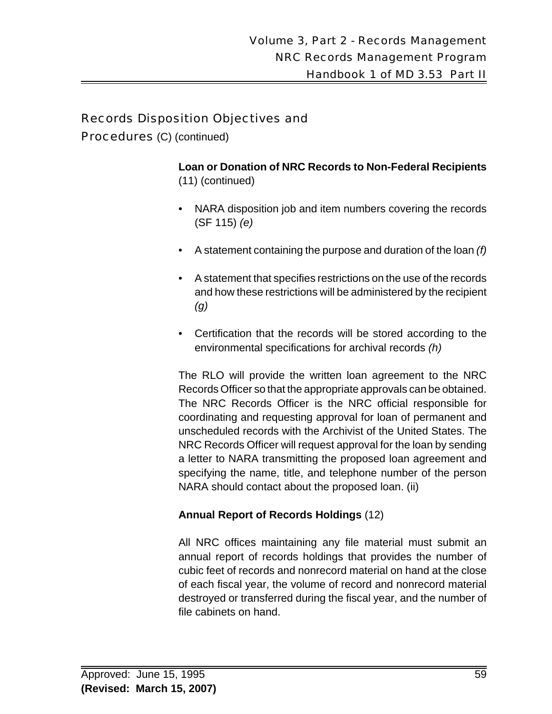Procedures (C) (continued)

**Loan or Donation of NRC Records to Non-Federal Recipients** (11) (continued)

- NARA disposition job and item numbers covering the records (SF 115) *(e)*
- A statement containing the purpose and duration of the loan *(f)*
- A statement that specifies restrictions on the use of the records and how these restrictions will be administered by the recipient *(g)*
- Certification that the records will be stored according to the environmental specifications for archival records *(h)*

The RLO will provide the written loan agreement to the NRC Records Officer so that the appropriate approvals can be obtained. The NRC Records Officer is the NRC official responsible for coordinating and requesting approval for loan of permanent and unscheduled records with the Archivist of the United States. The NRC Records Officer will request approval for the loan by sending a letter to NARA transmitting the proposed loan agreement and specifying the name, title, and telephone number of the person NARA should contact about the proposed loan. (ii)

#### **Annual Report of Records Holdings** (12)

All NRC offices maintaining any file material must submit an annual report of records holdings that provides the number of cubic feet of records and nonrecord material on hand at the close of each fiscal year, the volume of record and nonrecord material destroyed or transferred during the fiscal year, and the number of file cabinets on hand.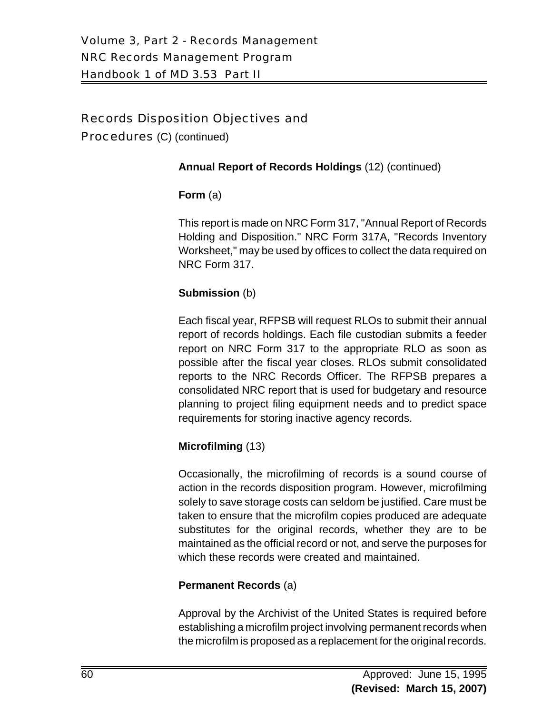Procedures (C) (continued)

#### **Annual Report of Records Holdings** (12) (continued)

#### **Form** (a)

This report is made on NRC Form 317, "Annual Report of Records Holding and Disposition." NRC Form 317A, "Records Inventory Worksheet," may be used by offices to collect the data required on NRC Form 317.

#### **Submission** (b)

Each fiscal year, RFPSB will request RLOs to submit their annual report of records holdings. Each file custodian submits a feeder report on NRC Form 317 to the appropriate RLO as soon as possible after the fiscal year closes. RLOs submit consolidated reports to the NRC Records Officer. The RFPSB prepares a consolidated NRC report that is used for budgetary and resource planning to project filing equipment needs and to predict space requirements for storing inactive agency records.

#### **Microfilming** (13)

Occasionally, the microfilming of records is a sound course of action in the records disposition program. However, microfilming solely to save storage costs can seldom be justified. Care must be taken to ensure that the microfilm copies produced are adequate substitutes for the original records, whether they are to be maintained as the official record or not, and serve the purposes for which these records were created and maintained.

#### **Permanent Records** (a)

Approval by the Archivist of the United States is required before establishing a microfilm project involving permanent records when the microfilm is proposed as a replacement for the original records.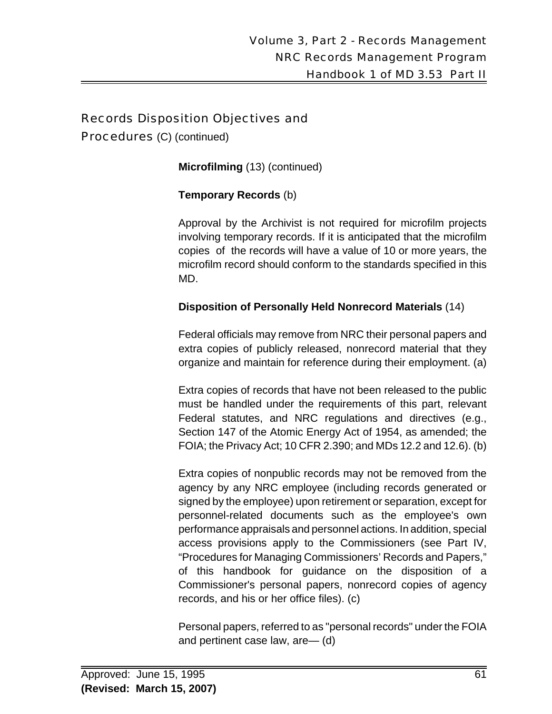Procedures (C) (continued)

**Microfilming** (13) (continued)

#### **Temporary Records** (b)

Approval by the Archivist is not required for microfilm projects involving temporary records. If it is anticipated that the microfilm copies of the records will have a value of 10 or more years, the microfilm record should conform to the standards specified in this MD.

#### **Disposition of Personally Held Nonrecord Materials** (14)

Federal officials may remove from NRC their personal papers and extra copies of publicly released, nonrecord material that they organize and maintain for reference during their employment. (a)

Extra copies of records that have not been released to the public must be handled under the requirements of this part, relevant Federal statutes, and NRC regulations and directives (e.g., Section 147 of the Atomic Energy Act of 1954, as amended; the FOIA; the Privacy Act; 10 CFR 2.390; and MDs 12.2 and 12.6). (b)

Extra copies of nonpublic records may not be removed from the agency by any NRC employee (including records generated or signed by the employee) upon retirement or separation, except for personnel-related documents such as the employee's own performance appraisals and personnel actions. In addition, special access provisions apply to the Commissioners (see Part IV, "Procedures for Managing Commissioners' Records and Papers," of this handbook for guidance on the disposition of a Commissioner's personal papers, nonrecord copies of agency records, and his or her office files). (c)

Personal papers, referred to as "personal records" under the FOIA and pertinent case law, are— (d)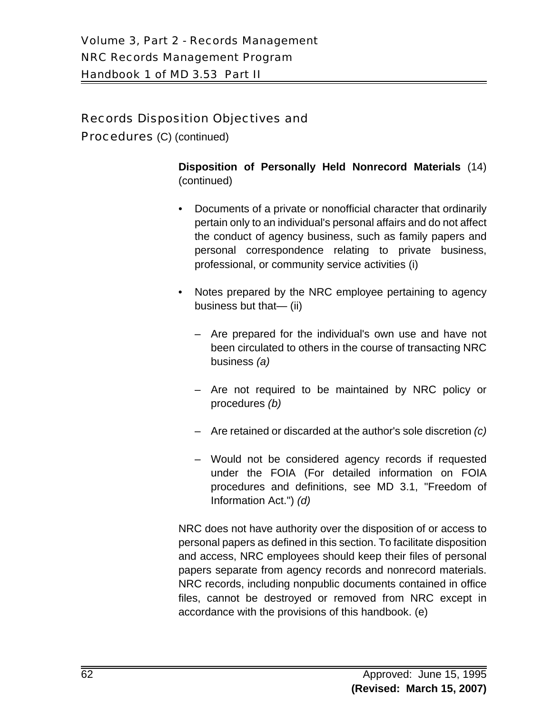Procedures (C) (continued)

**Disposition of Personally Held Nonrecord Materials** (14) (continued)

- Documents of a private or nonofficial character that ordinarily pertain only to an individual's personal affairs and do not affect the conduct of agency business, such as family papers and personal correspondence relating to private business, professional, or community service activities (i)
- Notes prepared by the NRC employee pertaining to agency business but that— (ii)
	- Are prepared for the individual's own use and have not been circulated to others in the course of transacting NRC business *(a)*
	- Are not required to be maintained by NRC policy or procedures *(b)*
	- Are retained or discarded at the author's sole discretion *(c)*
	- Would not be considered agency records if requested under the FOIA (For detailed information on FOIA procedures and definitions, see MD 3.1, "Freedom of Information Act.") *(d)*

NRC does not have authority over the disposition of or access to personal papers as defined in this section. To facilitate disposition and access, NRC employees should keep their files of personal papers separate from agency records and nonrecord materials. NRC records, including nonpublic documents contained in office files, cannot be destroyed or removed from NRC except in accordance with the provisions of this handbook. (e)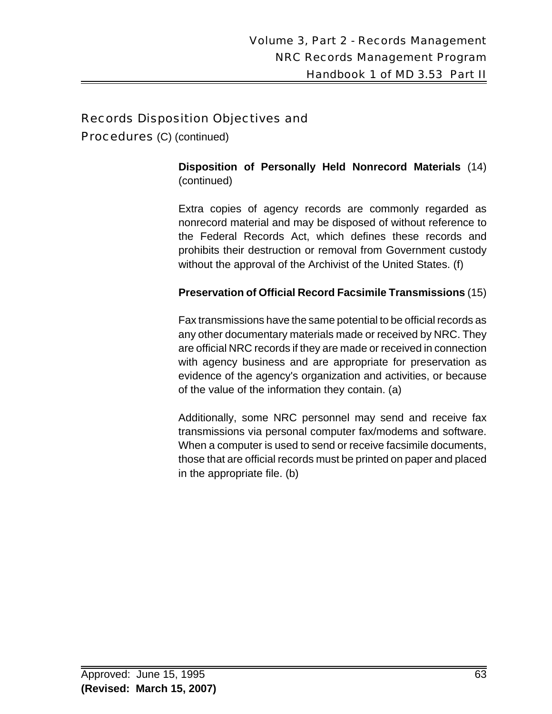Procedures (C) (continued)

**Disposition of Personally Held Nonrecord Materials** (14) (continued)

Extra copies of agency records are commonly regarded as nonrecord material and may be disposed of without reference to the Federal Records Act, which defines these records and prohibits their destruction or removal from Government custody without the approval of the Archivist of the United States. (f)

#### **Preservation of Official Record Facsimile Transmissions** (15)

Fax transmissions have the same potential to be official records as any other documentary materials made or received by NRC. They are official NRC records if they are made or received in connection with agency business and are appropriate for preservation as evidence of the agency's organization and activities, or because of the value of the information they contain. (a)

Additionally, some NRC personnel may send and receive fax transmissions via personal computer fax/modems and software. When a computer is used to send or receive facsimile documents, those that are official records must be printed on paper and placed in the appropriate file. (b)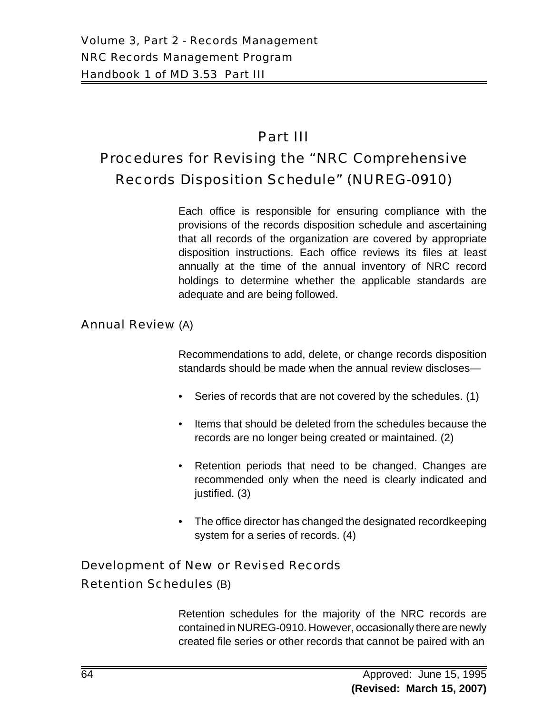# Part III

# Procedures for Revising the "NRC Comprehensive Records Disposition Schedule" (NUREG-0910)

Each office is responsible for ensuring compliance with the provisions of the records disposition schedule and ascertaining that all records of the organization are covered by appropriate disposition instructions. Each office reviews its files at least annually at the time of the annual inventory of NRC record holdings to determine whether the applicable standards are adequate and are being followed.

#### Annual Review (A)

Recommendations to add, delete, or change records disposition standards should be made when the annual review discloses—

- Series of records that are not covered by the schedules. (1)
- Items that should be deleted from the schedules because the records are no longer being created or maintained. (2)
- Retention periods that need to be changed. Changes are recommended only when the need is clearly indicated and justified. (3)
- The office director has changed the designated recordkeeping system for a series of records. (4)

# Development of New or Revised Records

#### Retention Schedules (B)

Retention schedules for the majority of the NRC records are contained in NUREG-0910. However, occasionally there are newly created file series or other records that cannot be paired with an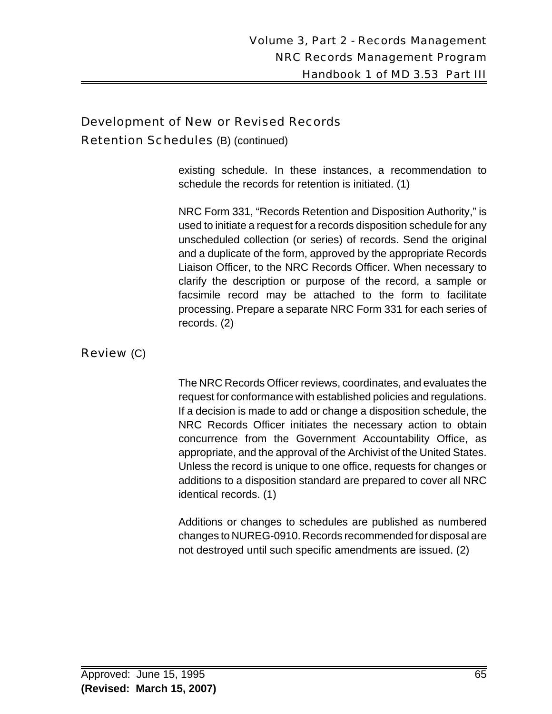#### Development of New or Revised Records

Retention Schedules (B) (continued)

existing schedule. In these instances, a recommendation to schedule the records for retention is initiated. (1)

NRC Form 331, "Records Retention and Disposition Authority," is used to initiate a request for a records disposition schedule for any unscheduled collection (or series) of records. Send the original and a duplicate of the form, approved by the appropriate Records Liaison Officer, to the NRC Records Officer. When necessary to clarify the description or purpose of the record, a sample or facsimile record may be attached to the form to facilitate processing. Prepare a separate NRC Form 331 for each series of records. (2)

Review (C)

The NRC Records Officer reviews, coordinates, and evaluates the request for conformance with established policies and regulations. If a decision is made to add or change a disposition schedule, the NRC Records Officer initiates the necessary action to obtain concurrence from the Government Accountability Office, as appropriate, and the approval of the Archivist of the United States. Unless the record is unique to one office, requests for changes or additions to a disposition standard are prepared to cover all NRC identical records. (1)

Additions or changes to schedules are published as numbered changes to NUREG-0910. Records recommended for disposal are not destroyed until such specific amendments are issued. (2)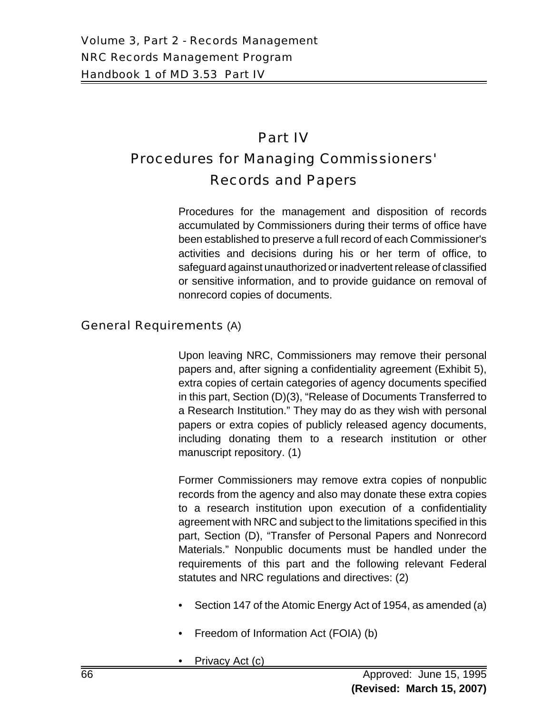# Part IV Procedures for Managing Commissioners' Records and Papers

Procedures for the management and disposition of records accumulated by Commissioners during their terms of office have been established to preserve a full record of each Commissioner's activities and decisions during his or her term of office, to safeguard against unauthorized or inadvertent release of classified or sensitive information, and to provide guidance on removal of nonrecord copies of documents.

#### General Requirements (A)

Upon leaving NRC, Commissioners may remove their personal papers and, after signing a confidentiality agreement (Exhibit 5), extra copies of certain categories of agency documents specified in this part, Section (D)(3), "Release of Documents Transferred to a Research Institution." They may do as they wish with personal papers or extra copies of publicly released agency documents, including donating them to a research institution or other manuscript repository. (1)

Former Commissioners may remove extra copies of nonpublic records from the agency and also may donate these extra copies to a research institution upon execution of a confidentiality agreement with NRC and subject to the limitations specified in this part, Section (D), "Transfer of Personal Papers and Nonrecord Materials." Nonpublic documents must be handled under the requirements of this part and the following relevant Federal statutes and NRC regulations and directives: (2)

- Section 147 of the Atomic Energy Act of 1954, as amended (a)
- Freedom of Information Act (FOIA) (b)
- Privacy Act (c)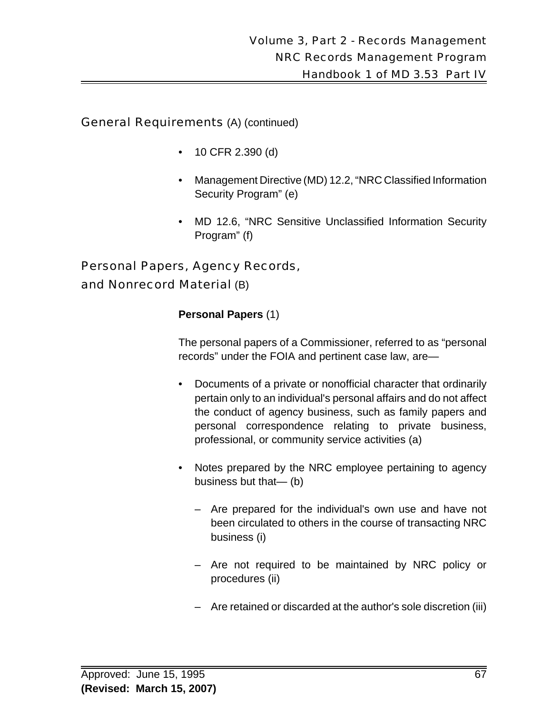General Requirements (A) (continued)

- 10 CFR 2.390 (d)
- Management Directive (MD) 12.2, "NRC Classified Information Security Program" (e)
- MD 12.6, "NRC Sensitive Unclassified Information Security Program" (f)

# Personal Papers, Agency Records, and Nonrecord Material (B)

# **Personal Papers** (1)

The personal papers of a Commissioner, referred to as "personal records" under the FOIA and pertinent case law, are—

- Documents of a private or nonofficial character that ordinarily pertain only to an individual's personal affairs and do not affect the conduct of agency business, such as family papers and personal correspondence relating to private business, professional, or community service activities (a)
- Notes prepared by the NRC employee pertaining to agency business but that— (b)
	- Are prepared for the individual's own use and have not been circulated to others in the course of transacting NRC business (i)
	- Are not required to be maintained by NRC policy or procedures (ii)
	- Are retained or discarded at the author's sole discretion (iii)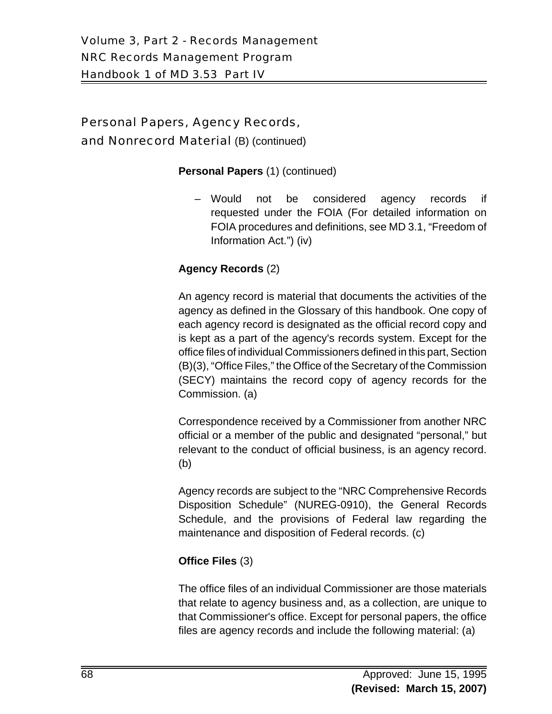# Personal Papers, Agency Records, and Nonrecord Material (B) (continued)

#### **Personal Papers** (1) (continued)

– Would not be considered agency records if requested under the FOIA (For detailed information on FOIA procedures and definitions, see MD 3.1, "Freedom of Information Act.") (iv)

#### **Agency Records** (2)

An agency record is material that documents the activities of the agency as defined in the Glossary of this handbook. One copy of each agency record is designated as the official record copy and is kept as a part of the agency's records system. Except for the office files of individual Commissioners defined in this part, Section (B)(3), "Office Files," the Office of the Secretary of the Commission (SECY) maintains the record copy of agency records for the Commission. (a)

Correspondence received by a Commissioner from another NRC official or a member of the public and designated "personal," but relevant to the conduct of official business, is an agency record. (b)

Agency records are subject to the "NRC Comprehensive Records Disposition Schedule" (NUREG-0910), the General Records Schedule, and the provisions of Federal law regarding the maintenance and disposition of Federal records. (c)

#### **Office Files** (3)

The office files of an individual Commissioner are those materials that relate to agency business and, as a collection, are unique to that Commissioner's office. Except for personal papers, the office files are agency records and include the following material: (a)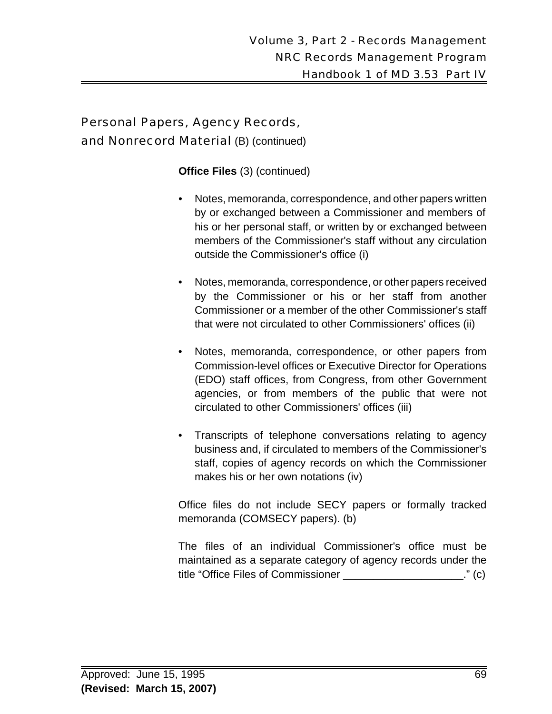# Personal Papers, Agency Records, and Nonrecord Material (B) (continued)

**Office Files** (3) (continued)

- Notes, memoranda, correspondence, and other papers written by or exchanged between a Commissioner and members of his or her personal staff, or written by or exchanged between members of the Commissioner's staff without any circulation outside the Commissioner's office (i)
- Notes, memoranda, correspondence, or other papers received by the Commissioner or his or her staff from another Commissioner or a member of the other Commissioner's staff that were not circulated to other Commissioners' offices (ii)
- Notes, memoranda, correspondence, or other papers from Commission-level offices or Executive Director for Operations (EDO) staff offices, from Congress, from other Government agencies, or from members of the public that were not circulated to other Commissioners' offices (iii)
- Transcripts of telephone conversations relating to agency business and, if circulated to members of the Commissioner's staff, copies of agency records on which the Commissioner makes his or her own notations (iv)

Office files do not include SECY papers or formally tracked memoranda (COMSECY papers). (b)

The files of an individual Commissioner's office must be maintained as a separate category of agency records under the title "Office Files of Commissioner \_\_\_\_\_\_\_\_\_\_\_\_\_\_\_\_\_\_\_\_." (c)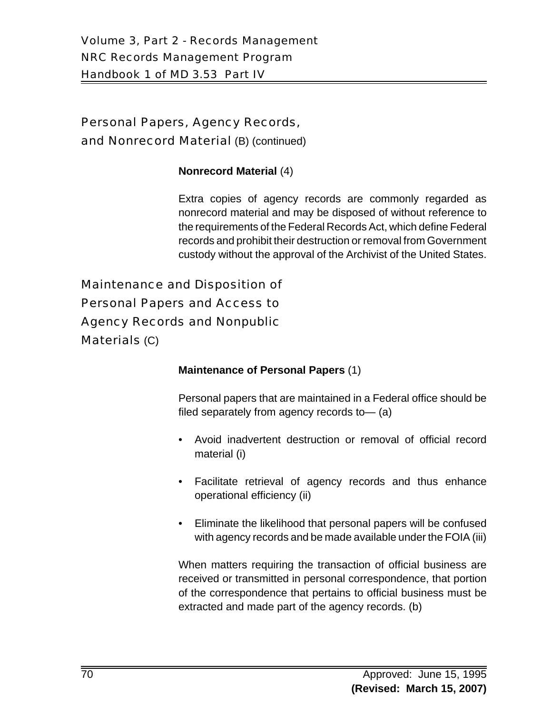Personal Papers, Agency Records, and Nonrecord Material (B) (continued)

#### **Nonrecord Material** (4)

Extra copies of agency records are commonly regarded as nonrecord material and may be disposed of without reference to the requirements of the Federal Records Act, which define Federal records and prohibit their destruction or removal from Government custody without the approval of the Archivist of the United States.

Maintenance and Disposition of Personal Papers and Access to Agency Records and Nonpublic Materials (C)

#### **Maintenance of Personal Papers** (1)

Personal papers that are maintained in a Federal office should be filed separately from agency records to— (a)

- Avoid inadvertent destruction or removal of official record material (i)
- Facilitate retrieval of agency records and thus enhance operational efficiency (ii)
- Eliminate the likelihood that personal papers will be confused with agency records and be made available under the FOIA (iii)

When matters requiring the transaction of official business are received or transmitted in personal correspondence, that portion of the correspondence that pertains to official business must be extracted and made part of the agency records. (b)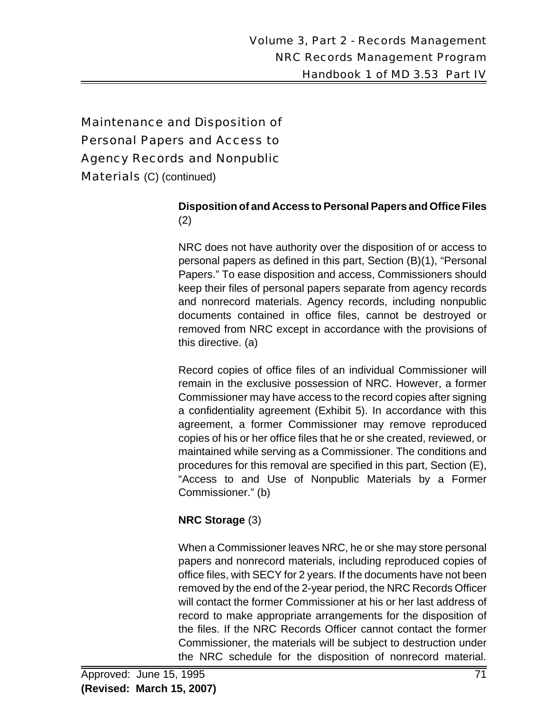# Maintenance and Disposition of Personal Papers and Access to Agency Records and Nonpublic Materials (C) (continued)

#### **Disposition of and Access to Personal Papers and Office Files** (2)

NRC does not have authority over the disposition of or access to personal papers as defined in this part, Section (B)(1), "Personal Papers." To ease disposition and access, Commissioners should keep their files of personal papers separate from agency records and nonrecord materials. Agency records, including nonpublic documents contained in office files, cannot be destroyed or removed from NRC except in accordance with the provisions of this directive. (a)

Record copies of office files of an individual Commissioner will remain in the exclusive possession of NRC. However, a former Commissioner may have access to the record copies after signing a confidentiality agreement (Exhibit 5). In accordance with this agreement, a former Commissioner may remove reproduced copies of his or her office files that he or she created, reviewed, or maintained while serving as a Commissioner. The conditions and procedures for this removal are specified in this part, Section (E), "Access to and Use of Nonpublic Materials by a Former Commissioner." (b)

# **NRC Storage** (3)

When a Commissioner leaves NRC, he or she may store personal papers and nonrecord materials, including reproduced copies of office files, with SECY for 2 years. If the documents have not been removed by the end of the 2-year period, the NRC Records Officer will contact the former Commissioner at his or her last address of record to make appropriate arrangements for the disposition of the files. If the NRC Records Officer cannot contact the former Commissioner, the materials will be subject to destruction under the NRC schedule for the disposition of nonrecord material.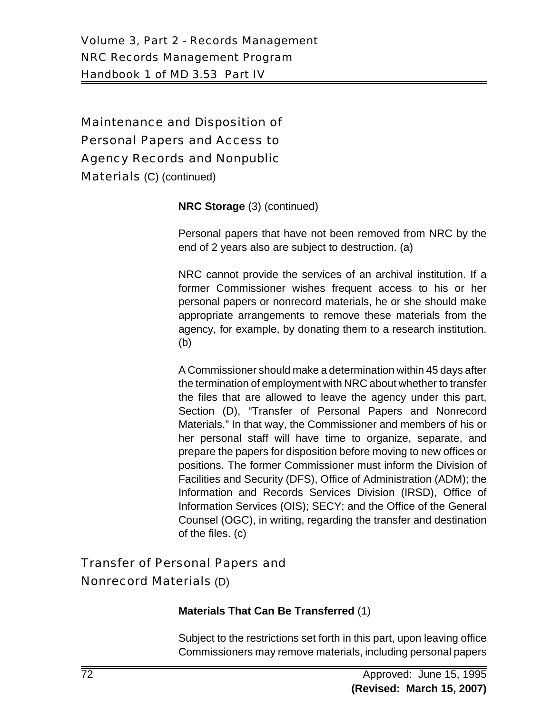# Maintenance and Disposition of Personal Papers and Access to Agency Records and Nonpublic Materials (C) (continued)

**NRC Storage** (3) (continued)

Personal papers that have not been removed from NRC by the end of 2 years also are subject to destruction. (a)

NRC cannot provide the services of an archival institution. If a former Commissioner wishes frequent access to his or her personal papers or nonrecord materials, he or she should make appropriate arrangements to remove these materials from the agency, for example, by donating them to a research institution. (b)

A Commissioner should make a determination within 45 days after the termination of employment with NRC about whether to transfer the files that are allowed to leave the agency under this part, Section (D), "Transfer of Personal Papers and Nonrecord Materials." In that way, the Commissioner and members of his or her personal staff will have time to organize, separate, and prepare the papers for disposition before moving to new offices or positions. The former Commissioner must inform the Division of Facilities and Security (DFS), Office of Administration (ADM); the Information and Records Services Division (IRSD), Office of Information Services (OIS); SECY; and the Office of the General Counsel (OGC), in writing, regarding the transfer and destination of the files. (c)

# Transfer of Personal Papers and

# Nonrecord Materials (D)

# **Materials That Can Be Transferred** (1)

Subject to the restrictions set forth in this part, upon leaving office Commissioners may remove materials, including personal papers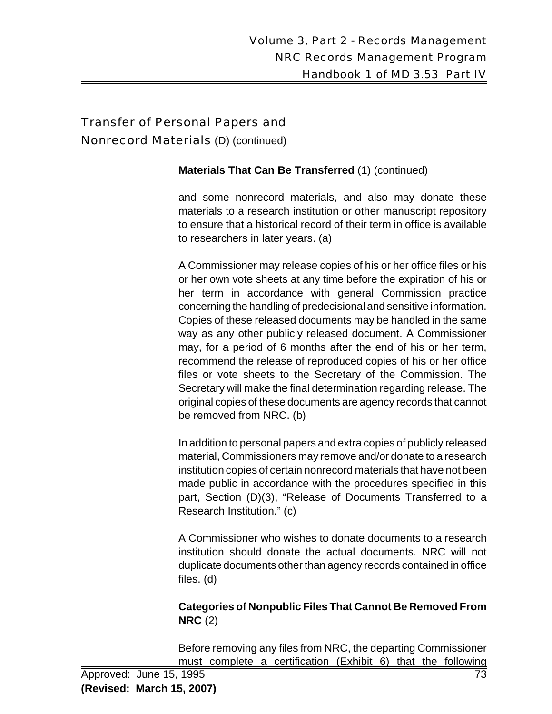#### Nonrecord Materials (D) (continued)

#### **Materials That Can Be Transferred** (1) (continued)

and some nonrecord materials, and also may donate these materials to a research institution or other manuscript repository to ensure that a historical record of their term in office is available to researchers in later years. (a)

A Commissioner may release copies of his or her office files or his or her own vote sheets at any time before the expiration of his or her term in accordance with general Commission practice concerning the handling of predecisional and sensitive information. Copies of these released documents may be handled in the same way as any other publicly released document. A Commissioner may, for a period of 6 months after the end of his or her term, recommend the release of reproduced copies of his or her office files or vote sheets to the Secretary of the Commission. The Secretary will make the final determination regarding release. The original copies of these documents are agency records that cannot be removed from NRC. (b)

In addition to personal papers and extra copies of publicly released material, Commissioners may remove and/or donate to a research institution copies of certain nonrecord materials that have not been made public in accordance with the procedures specified in this part, Section (D)(3), "Release of Documents Transferred to a Research Institution." (c)

A Commissioner who wishes to donate documents to a research institution should donate the actual documents. NRC will not duplicate documents other than agency records contained in office files. (d)

#### **Categories of Nonpublic Files That Cannot Be Removed From NRC** (2)

Before removing any files from NRC, the departing Commissioner must complete a certification (Exhibit 6) that the following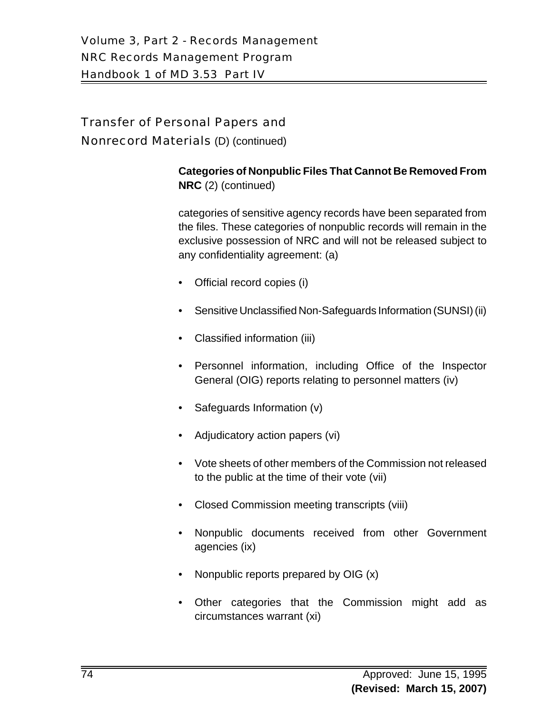Nonrecord Materials (D) (continued)

#### **Categories of Nonpublic Files That Cannot Be Removed From NRC** (2) (continued)

categories of sensitive agency records have been separated from the files. These categories of nonpublic records will remain in the exclusive possession of NRC and will not be released subject to any confidentiality agreement: (a)

- Official record copies (i)
- Sensitive Unclassified Non-Safeguards Information (SUNSI) (ii)
- Classified information (iii)
- Personnel information, including Office of the Inspector General (OIG) reports relating to personnel matters (iv)
- Safeguards Information (v)
- Adjudicatory action papers (vi)
- Vote sheets of other members of the Commission not released to the public at the time of their vote (vii)
- Closed Commission meeting transcripts (viii)
- Nonpublic documents received from other Government agencies (ix)
- Nonpublic reports prepared by OIG (x)
- Other categories that the Commission might add as circumstances warrant (xi)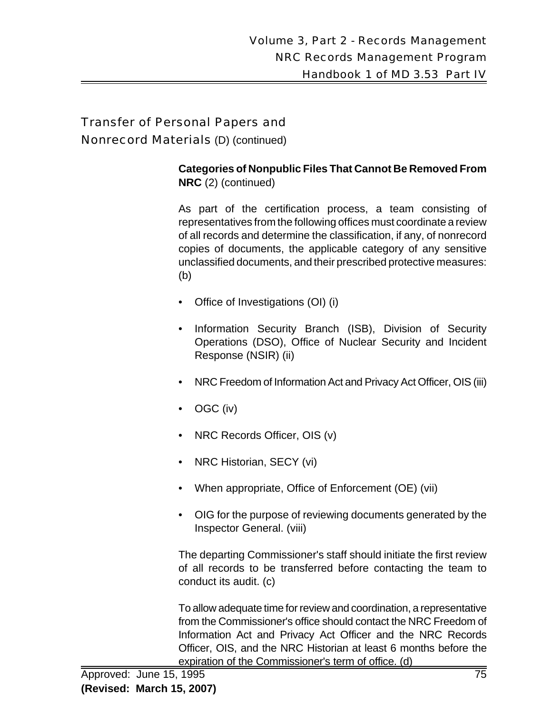Nonrecord Materials (D) (continued)

#### **Categories of Nonpublic Files That Cannot Be Removed From NRC** (2) (continued)

As part of the certification process, a team consisting of representatives from the following offices must coordinate a review of all records and determine the classification, if any, of nonrecord copies of documents, the applicable category of any sensitive unclassified documents, and their prescribed protective measures: (b)

- Office of Investigations (OI) (i)
- Information Security Branch (ISB), Division of Security Operations (DSO), Office of Nuclear Security and Incident Response (NSIR) (ii)
- NRC Freedom of Information Act and Privacy Act Officer, OIS (iii)
- OGC (iv)
- NRC Records Officer, OIS (v)
- NRC Historian, SECY (vi)
- When appropriate, Office of Enforcement (OE) (vii)
- OIG for the purpose of reviewing documents generated by the Inspector General. (viii)

The departing Commissioner's staff should initiate the first review of all records to be transferred before contacting the team to conduct its audit. (c)

To allow adequate time for review and coordination, a representative from the Commissioner's office should contact the NRC Freedom of Information Act and Privacy Act Officer and the NRC Records Officer, OIS, and the NRC Historian at least 6 months before the expiration of the Commissioner's term of office. (d)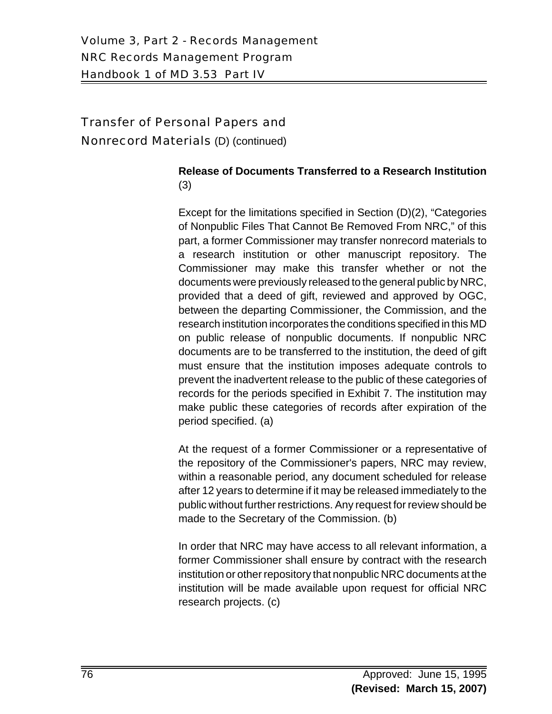Nonrecord Materials (D) (continued)

## **Release of Documents Transferred to a Research Institution** (3)

Except for the limitations specified in Section (D)(2), "Categories of Nonpublic Files That Cannot Be Removed From NRC," of this part, a former Commissioner may transfer nonrecord materials to a research institution or other manuscript repository. The Commissioner may make this transfer whether or not the documents were previously released to the general public by NRC, provided that a deed of gift, reviewed and approved by OGC, between the departing Commissioner, the Commission, and the research institution incorporates the conditions specified in this MD on public release of nonpublic documents. If nonpublic NRC documents are to be transferred to the institution, the deed of gift must ensure that the institution imposes adequate controls to prevent the inadvertent release to the public of these categories of records for the periods specified in Exhibit 7. The institution may make public these categories of records after expiration of the period specified. (a)

At the request of a former Commissioner or a representative of the repository of the Commissioner's papers, NRC may review, within a reasonable period, any document scheduled for release after 12 years to determine if it may be released immediately to the public without further restrictions. Any request for review should be made to the Secretary of the Commission. (b)

In order that NRC may have access to all relevant information, a former Commissioner shall ensure by contract with the research institution or other repository that nonpublic NRC documents at the institution will be made available upon request for official NRC research projects. (c)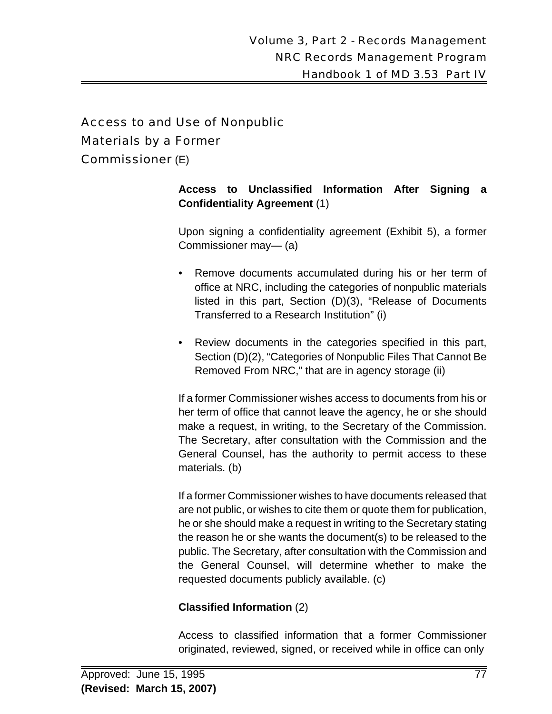# Access to and Use of Nonpublic

#### Materials by a Former

Commissioner (E)

#### **Access to Unclassified Information After Signing a Confidentiality Agreement** (1)

Upon signing a confidentiality agreement (Exhibit 5), a former Commissioner may— (a)

- Remove documents accumulated during his or her term of office at NRC, including the categories of nonpublic materials listed in this part, Section (D)(3), "Release of Documents Transferred to a Research Institution" (i)
- Review documents in the categories specified in this part, Section (D)(2), "Categories of Nonpublic Files That Cannot Be Removed From NRC," that are in agency storage (ii)

If a former Commissioner wishes access to documents from his or her term of office that cannot leave the agency, he or she should make a request, in writing, to the Secretary of the Commission. The Secretary, after consultation with the Commission and the General Counsel, has the authority to permit access to these materials. (b)

If a former Commissioner wishes to have documents released that are not public, or wishes to cite them or quote them for publication, he or she should make a request in writing to the Secretary stating the reason he or she wants the document(s) to be released to the public. The Secretary, after consultation with the Commission and the General Counsel, will determine whether to make the requested documents publicly available. (c)

#### **Classified Information** (2)

Access to classified information that a former Commissioner originated, reviewed, signed, or received while in office can only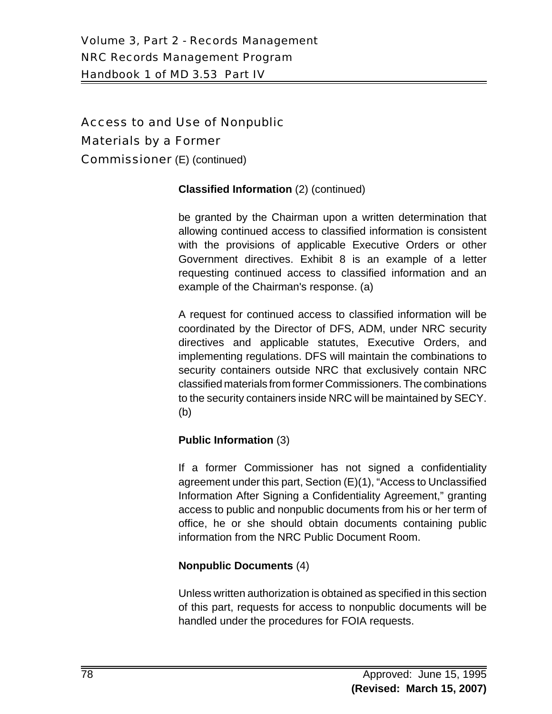Access to and Use of Nonpublic Materials by a Former Commissioner (E) (continued)

#### **Classified Information** (2) (continued)

be granted by the Chairman upon a written determination that allowing continued access to classified information is consistent with the provisions of applicable Executive Orders or other Government directives. Exhibit 8 is an example of a letter requesting continued access to classified information and an example of the Chairman's response. (a)

A request for continued access to classified information will be coordinated by the Director of DFS, ADM, under NRC security directives and applicable statutes, Executive Orders, and implementing regulations. DFS will maintain the combinations to security containers outside NRC that exclusively contain NRC classified materials from former Commissioners. The combinations to the security containers inside NRC will be maintained by SECY. (b)

#### **Public Information** (3)

If a former Commissioner has not signed a confidentiality agreement under this part, Section (E)(1), "Access to Unclassified Information After Signing a Confidentiality Agreement," granting access to public and nonpublic documents from his or her term of office, he or she should obtain documents containing public information from the NRC Public Document Room.

#### **Nonpublic Documents** (4)

Unless written authorization is obtained as specified in this section of this part, requests for access to nonpublic documents will be handled under the procedures for FOIA requests.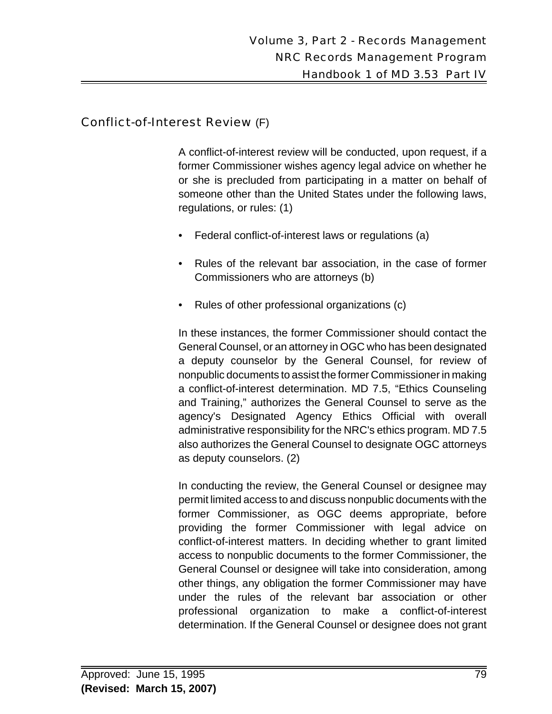# Conflict-of-Interest Review (F)

A conflict-of-interest review will be conducted, upon request, if a former Commissioner wishes agency legal advice on whether he or she is precluded from participating in a matter on behalf of someone other than the United States under the following laws, regulations, or rules: (1)

- Federal conflict-of-interest laws or regulations (a)
- Rules of the relevant bar association, in the case of former Commissioners who are attorneys (b)
- Rules of other professional organizations (c)

In these instances, the former Commissioner should contact the General Counsel, or an attorney in OGC who has been designated a deputy counselor by the General Counsel, for review of nonpublic documents to assist the former Commissioner in making a conflict-of-interest determination. MD 7.5, "Ethics Counseling and Training," authorizes the General Counsel to serve as the agency's Designated Agency Ethics Official with overall administrative responsibility for the NRC's ethics program. MD 7.5 also authorizes the General Counsel to designate OGC attorneys as deputy counselors. (2)

In conducting the review, the General Counsel or designee may permit limited access to and discuss nonpublic documents with the former Commissioner, as OGC deems appropriate, before providing the former Commissioner with legal advice on conflict-of-interest matters. In deciding whether to grant limited access to nonpublic documents to the former Commissioner, the General Counsel or designee will take into consideration, among other things, any obligation the former Commissioner may have under the rules of the relevant bar association or other professional organization to make a conflict-of-interest determination. If the General Counsel or designee does not grant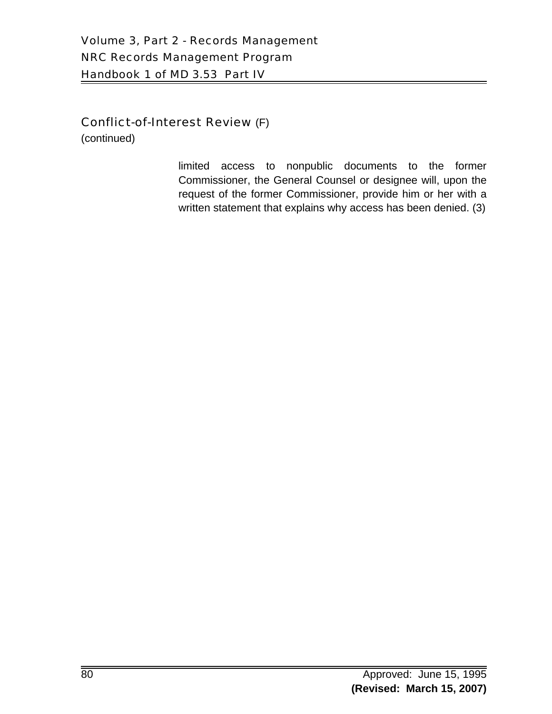# Conflict-of-Interest Review (F)

(continued)

limited access to nonpublic documents to the former Commissioner, the General Counsel or designee will, upon the request of the former Commissioner, provide him or her with a written statement that explains why access has been denied. (3)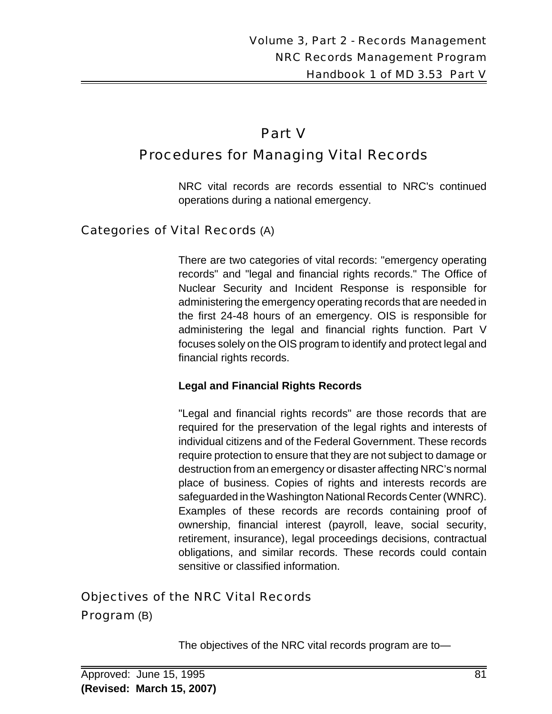# Part V Procedures for Managing Vital Records

NRC vital records are records essential to NRC's continued operations during a national emergency.

# Categories of Vital Records (A)

There are two categories of vital records: "emergency operating records" and "legal and financial rights records." The Office of Nuclear Security and Incident Response is responsible for administering the emergency operating records that are needed in the first 24-48 hours of an emergency. OIS is responsible for administering the legal and financial rights function. Part V focuses solely on the OIS program to identify and protect legal and financial rights records.

#### **Legal and Financial Rights Records**

"Legal and financial rights records" are those records that are required for the preservation of the legal rights and interests of individual citizens and of the Federal Government. These records require protection to ensure that they are not subject to damage or destruction from an emergency or disaster affecting NRC's normal place of business. Copies of rights and interests records are safeguarded in the Washington National Records Center (WNRC). Examples of these records are records containing proof of ownership, financial interest (payroll, leave, social security, retirement, insurance), legal proceedings decisions, contractual obligations, and similar records. These records could contain sensitive or classified information.

#### Objectives of the NRC Vital Records

Program (B)

The objectives of the NRC vital records program are to—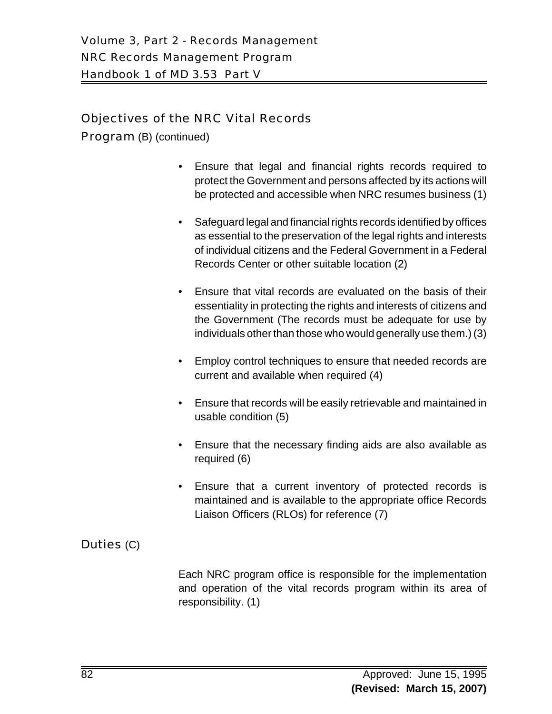# Objectives of the NRC Vital Records

Program (B) (continued)

- Ensure that legal and financial rights records required to protect the Government and persons affected by its actions will be protected and accessible when NRC resumes business (1)
- Safeguard legal and financial rights records identified by offices as essential to the preservation of the legal rights and interests of individual citizens and the Federal Government in a Federal Records Center or other suitable location (2)
- Ensure that vital records are evaluated on the basis of their essentiality in protecting the rights and interests of citizens and the Government (The records must be adequate for use by individuals other than those who would generally use them.) (3)
- Employ control techniques to ensure that needed records are current and available when required (4)
- Ensure that records will be easily retrievable and maintained in usable condition (5)
- Ensure that the necessary finding aids are also available as required (6)
- Ensure that a current inventory of protected records is maintained and is available to the appropriate office Records Liaison Officers (RLOs) for reference (7)

# Duties (C)

Each NRC program office is responsible for the implementation and operation of the vital records program within its area of responsibility. (1)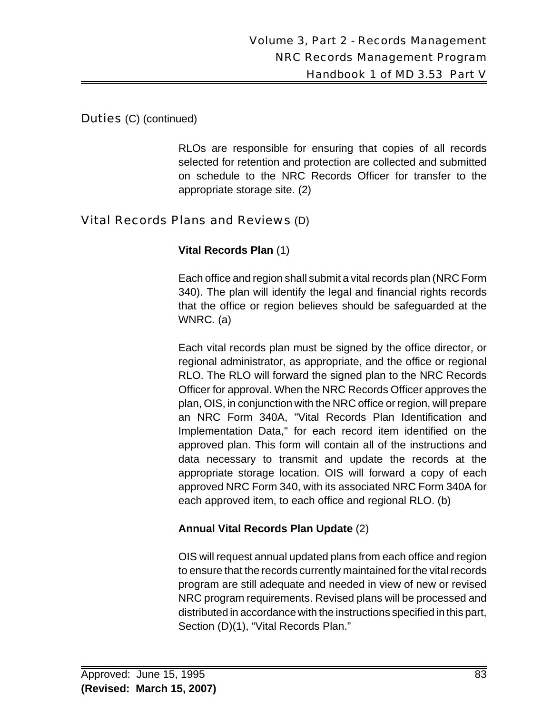#### Duties (C) (continued)

RLOs are responsible for ensuring that copies of all records selected for retention and protection are collected and submitted on schedule to the NRC Records Officer for transfer to the appropriate storage site. (2)

# Vital Records Plans and Reviews (D)

#### **Vital Records Plan** (1)

Each office and region shall submit a vital records plan (NRC Form 340). The plan will identify the legal and financial rights records that the office or region believes should be safeguarded at the WNRC. (a)

Each vital records plan must be signed by the office director, or regional administrator, as appropriate, and the office or regional RLO. The RLO will forward the signed plan to the NRC Records Officer for approval. When the NRC Records Officer approves the plan, OIS, in conjunction with the NRC office or region, will prepare an NRC Form 340A, "Vital Records Plan Identification and Implementation Data," for each record item identified on the approved plan. This form will contain all of the instructions and data necessary to transmit and update the records at the appropriate storage location. OIS will forward a copy of each approved NRC Form 340, with its associated NRC Form 340A for each approved item, to each office and regional RLO. (b)

#### **Annual Vital Records Plan Update** (2)

OIS will request annual updated plans from each office and region to ensure that the records currently maintained for the vital records program are still adequate and needed in view of new or revised NRC program requirements. Revised plans will be processed and distributed in accordance with the instructions specified in this part, Section (D)(1), "Vital Records Plan."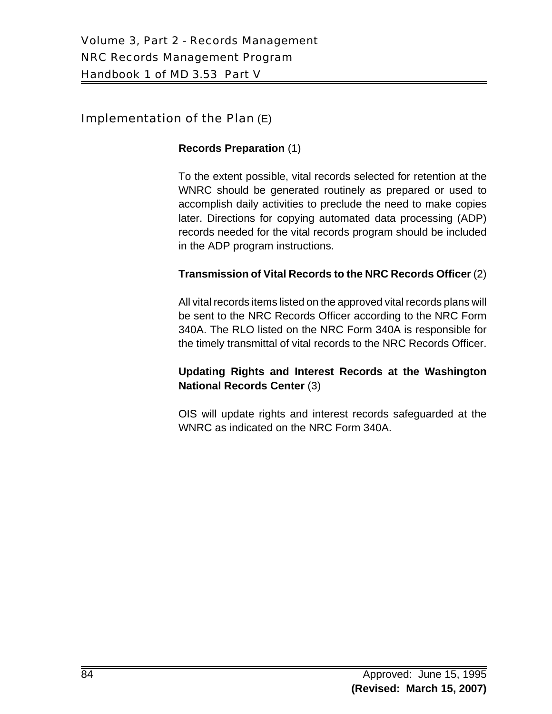## Implementation of the Plan (E)

#### **Records Preparation** (1)

To the extent possible, vital records selected for retention at the WNRC should be generated routinely as prepared or used to accomplish daily activities to preclude the need to make copies later. Directions for copying automated data processing (ADP) records needed for the vital records program should be included in the ADP program instructions.

#### **Transmission of Vital Records to the NRC Records Officer** (2)

All vital records items listed on the approved vital records plans will be sent to the NRC Records Officer according to the NRC Form 340A. The RLO listed on the NRC Form 340A is responsible for the timely transmittal of vital records to the NRC Records Officer.

#### **Updating Rights and Interest Records at the Washington National Records Center** (3)

OIS will update rights and interest records safeguarded at the WNRC as indicated on the NRC Form 340A.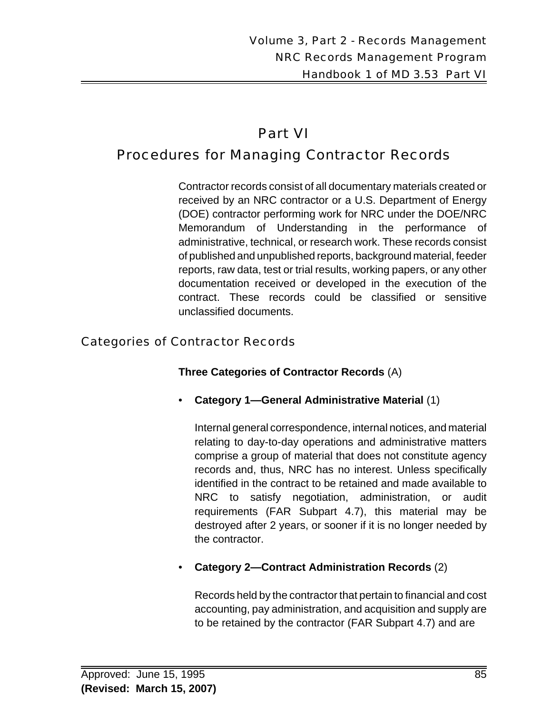# Part VI

# Procedures for Managing Contractor Records

Contractor records consist of all documentary materials created or received by an NRC contractor or a U.S. Department of Energy (DOE) contractor performing work for NRC under the DOE/NRC Memorandum of Understanding in the performance of administrative, technical, or research work. These records consist of published and unpublished reports, background material, feeder reports, raw data, test or trial results, working papers, or any other documentation received or developed in the execution of the contract. These records could be classified or sensitive unclassified documents.

# Categories of Contractor Records

**Three Categories of Contractor Records** (A)

• **Category 1—General Administrative Material** (1)

Internal general correspondence, internal notices, and material relating to day-to-day operations and administrative matters comprise a group of material that does not constitute agency records and, thus, NRC has no interest. Unless specifically identified in the contract to be retained and made available to NRC to satisfy negotiation, administration, or audit requirements (FAR Subpart 4.7), this material may be destroyed after 2 years, or sooner if it is no longer needed by the contractor.

• **Category 2—Contract Administration Records** (2)

Records held by the contractor that pertain to financial and cost accounting, pay administration, and acquisition and supply are to be retained by the contractor (FAR Subpart 4.7) and are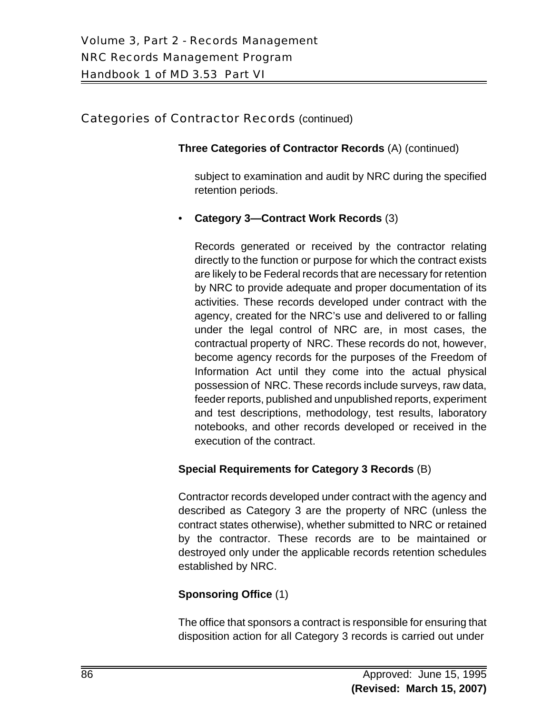#### Categories of Contractor Records (continued)

#### **Three Categories of Contractor Records** (A) (continued)

subject to examination and audit by NRC during the specified retention periods.

• **Category 3—Contract Work Records** (3)

Records generated or received by the contractor relating directly to the function or purpose for which the contract exists are likely to be Federal records that are necessary for retention by NRC to provide adequate and proper documentation of its activities. These records developed under contract with the agency, created for the NRC's use and delivered to or falling under the legal control of NRC are, in most cases, the contractual property of NRC. These records do not, however, become agency records for the purposes of the Freedom of Information Act until they come into the actual physical possession of NRC. These records include surveys, raw data, feeder reports, published and unpublished reports, experiment and test descriptions, methodology, test results, laboratory notebooks, and other records developed or received in the execution of the contract.

# **Special Requirements for Category 3 Records** (B)

Contractor records developed under contract with the agency and described as Category 3 are the property of NRC (unless the contract states otherwise), whether submitted to NRC or retained by the contractor. These records are to be maintained or destroyed only under the applicable records retention schedules established by NRC.

# **Sponsoring Office** (1)

The office that sponsors a contract is responsible for ensuring that disposition action for all Category 3 records is carried out under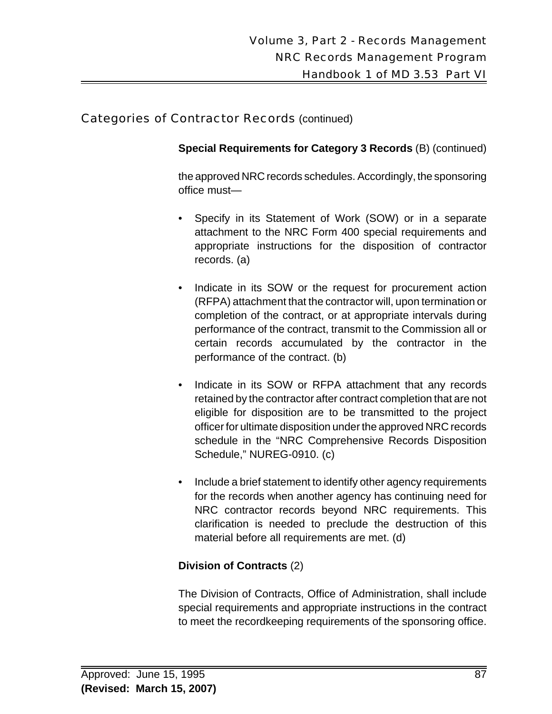#### Categories of Contractor Records (continued)

**Special Requirements for Category 3 Records** (B) (continued)

the approved NRC records schedules. Accordingly, the sponsoring office must—

- Specify in its Statement of Work (SOW) or in a separate attachment to the NRC Form 400 special requirements and appropriate instructions for the disposition of contractor records. (a)
- Indicate in its SOW or the request for procurement action (RFPA) attachment that the contractor will, upon termination or completion of the contract, or at appropriate intervals during performance of the contract, transmit to the Commission all or certain records accumulated by the contractor in the performance of the contract. (b)
- Indicate in its SOW or RFPA attachment that any records retained by the contractor after contract completion that are not eligible for disposition are to be transmitted to the project officer for ultimate disposition under the approved NRC records schedule in the "NRC Comprehensive Records Disposition Schedule," NUREG-0910. (c)
- Include a brief statement to identify other agency requirements for the records when another agency has continuing need for NRC contractor records beyond NRC requirements. This clarification is needed to preclude the destruction of this material before all requirements are met. (d)

#### **Division of Contracts** (2)

The Division of Contracts, Office of Administration, shall include special requirements and appropriate instructions in the contract to meet the recordkeeping requirements of the sponsoring office.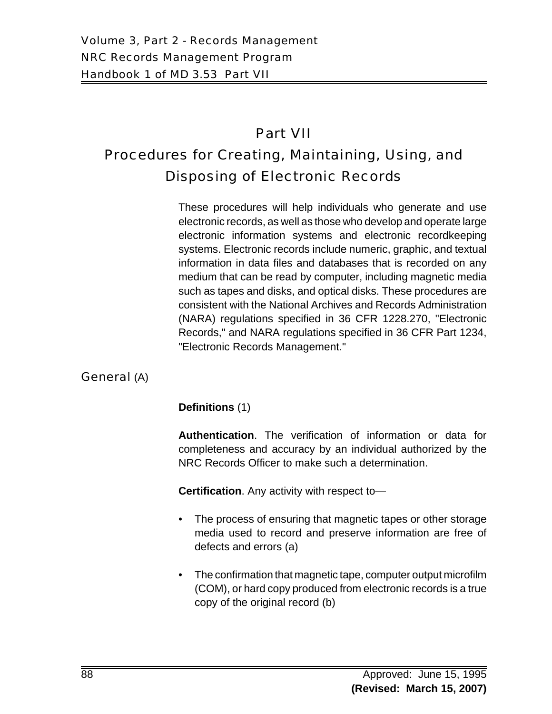# Part VII

# Procedures for Creating, Maintaining, Using, and Disposing of Electronic Records

These procedures will help individuals who generate and use electronic records, as well as those who develop and operate large electronic information systems and electronic recordkeeping systems. Electronic records include numeric, graphic, and textual information in data files and databases that is recorded on any medium that can be read by computer, including magnetic media such as tapes and disks, and optical disks. These procedures are consistent with the National Archives and Records Administration (NARA) regulations specified in 36 CFR 1228.270, "Electronic Records," and NARA regulations specified in 36 CFR Part 1234, "Electronic Records Management."

# General (A)

# **Definitions** (1)

**Authentication**. The verification of information or data for completeness and accuracy by an individual authorized by the NRC Records Officer to make such a determination.

**Certification**. Any activity with respect to—

- The process of ensuring that magnetic tapes or other storage media used to record and preserve information are free of defects and errors (a)
- The confirmation that magnetic tape, computer output microfilm (COM), or hard copy produced from electronic records is a true copy of the original record (b)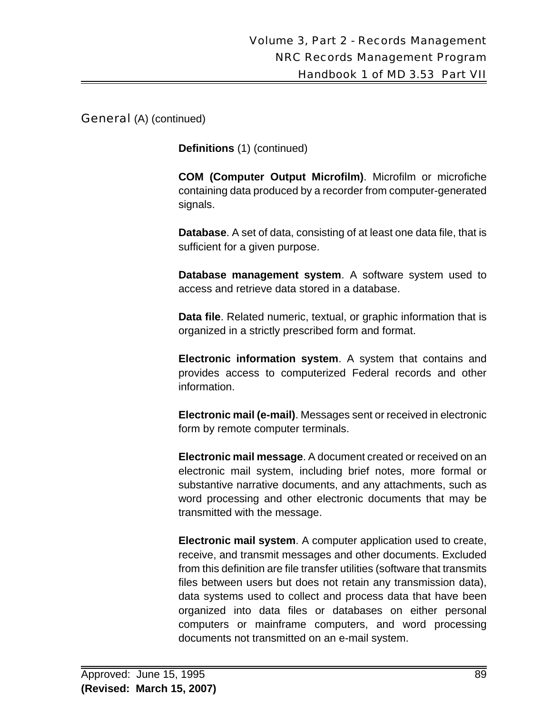General (A) (continued)

**Definitions** (1) (continued)

**COM (Computer Output Microfilm)**. Microfilm or microfiche containing data produced by a recorder from computer-generated signals.

**Database**. A set of data, consisting of at least one data file, that is sufficient for a given purpose.

**Database management system**. A software system used to access and retrieve data stored in a database.

**Data file**. Related numeric, textual, or graphic information that is organized in a strictly prescribed form and format.

**Electronic information system**. A system that contains and provides access to computerized Federal records and other information.

**Electronic mail (e-mail)**. Messages sent or received in electronic form by remote computer terminals.

**Electronic mail message**. A document created or received on an electronic mail system, including brief notes, more formal or substantive narrative documents, and any attachments, such as word processing and other electronic documents that may be transmitted with the message.

**Electronic mail system**. A computer application used to create, receive, and transmit messages and other documents. Excluded from this definition are file transfer utilities (software that transmits files between users but does not retain any transmission data), data systems used to collect and process data that have been organized into data files or databases on either personal computers or mainframe computers, and word processing documents not transmitted on an e-mail system.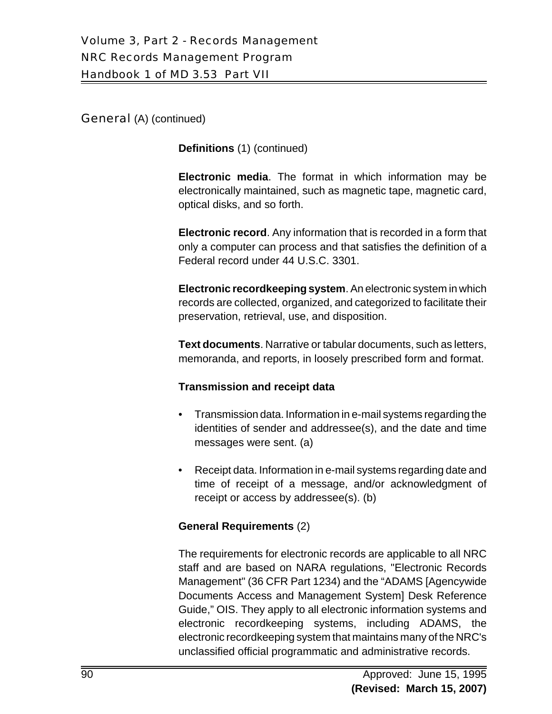General (A) (continued)

**Definitions** (1) (continued)

**Electronic media**. The format in which information may be electronically maintained, such as magnetic tape, magnetic card, optical disks, and so forth.

**Electronic record**. Any information that is recorded in a form that only a computer can process and that satisfies the definition of a Federal record under 44 U.S.C. 3301.

**Electronic recordkeeping system**. An electronic system in which records are collected, organized, and categorized to facilitate their preservation, retrieval, use, and disposition.

**Text documents**. Narrative or tabular documents, such as letters, memoranda, and reports, in loosely prescribed form and format.

#### **Transmission and receipt data**

- Transmission data. Information in e-mail systems regarding the identities of sender and addressee(s), and the date and time messages were sent. (a)
- Receipt data. Information in e-mail systems regarding date and time of receipt of a message, and/or acknowledgment of receipt or access by addressee(s). (b)

#### **General Requirements** (2)

The requirements for electronic records are applicable to all NRC staff and are based on NARA regulations, "Electronic Records Management" (36 CFR Part 1234) and the "ADAMS [Agencywide Documents Access and Management System] Desk Reference Guide," OIS. They apply to all electronic information systems and electronic recordkeeping systems, including ADAMS, the electronic recordkeeping system that maintains many of the NRC's unclassified official programmatic and administrative records.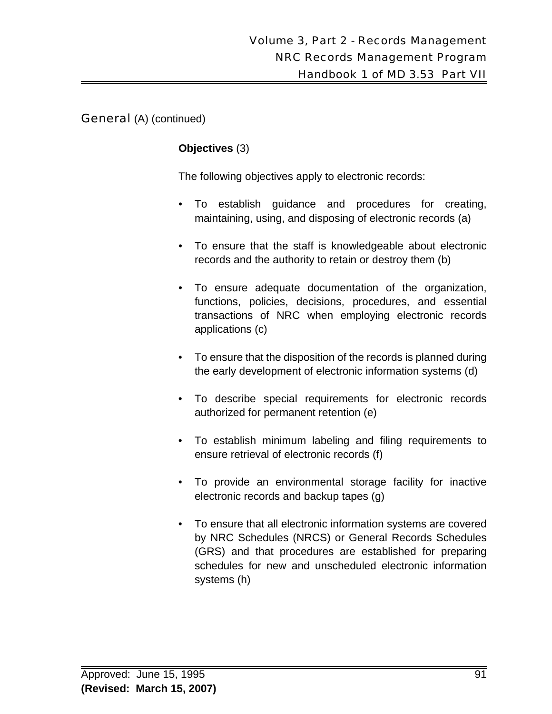General (A) (continued)

#### **Objectives** (3)

The following objectives apply to electronic records:

- To establish guidance and procedures for creating, maintaining, using, and disposing of electronic records (a)
- To ensure that the staff is knowledgeable about electronic records and the authority to retain or destroy them (b)
- To ensure adequate documentation of the organization, functions, policies, decisions, procedures, and essential transactions of NRC when employing electronic records applications (c)
- To ensure that the disposition of the records is planned during the early development of electronic information systems (d)
- To describe special requirements for electronic records authorized for permanent retention (e)
- To establish minimum labeling and filing requirements to ensure retrieval of electronic records (f)
- To provide an environmental storage facility for inactive electronic records and backup tapes (g)
- To ensure that all electronic information systems are covered by NRC Schedules (NRCS) or General Records Schedules (GRS) and that procedures are established for preparing schedules for new and unscheduled electronic information systems (h)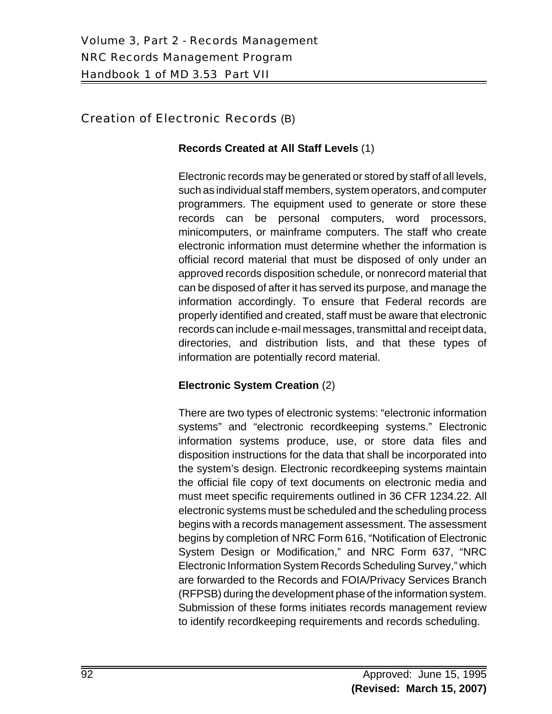# Creation of Electronic Records (B)

#### **Records Created at All Staff Levels** (1)

Electronic records may be generated or stored by staff of all levels, such as individual staff members, system operators, and computer programmers. The equipment used to generate or store these records can be personal computers, word processors, minicomputers, or mainframe computers. The staff who create electronic information must determine whether the information is official record material that must be disposed of only under an approved records disposition schedule, or nonrecord material that can be disposed of after it has served its purpose, and manage the information accordingly. To ensure that Federal records are properly identified and created, staff must be aware that electronic records can include e-mail messages, transmittal and receipt data, directories, and distribution lists, and that these types of information are potentially record material.

# **Electronic System Creation** (2)

There are two types of electronic systems: "electronic information systems" and "electronic recordkeeping systems." Electronic information systems produce, use, or store data files and disposition instructions for the data that shall be incorporated into the system's design. Electronic recordkeeping systems maintain the official file copy of text documents on electronic media and must meet specific requirements outlined in 36 CFR 1234.22. All electronic systems must be scheduled and the scheduling process begins with a records management assessment. The assessment begins by completion of NRC Form 616, "Notification of Electronic System Design or Modification," and NRC Form 637, "NRC Electronic Information System Records Scheduling Survey," which are forwarded to the Records and FOIA/Privacy Services Branch (RFPSB) during the development phase of the information system. Submission of these forms initiates records management review to identify recordkeeping requirements and records scheduling.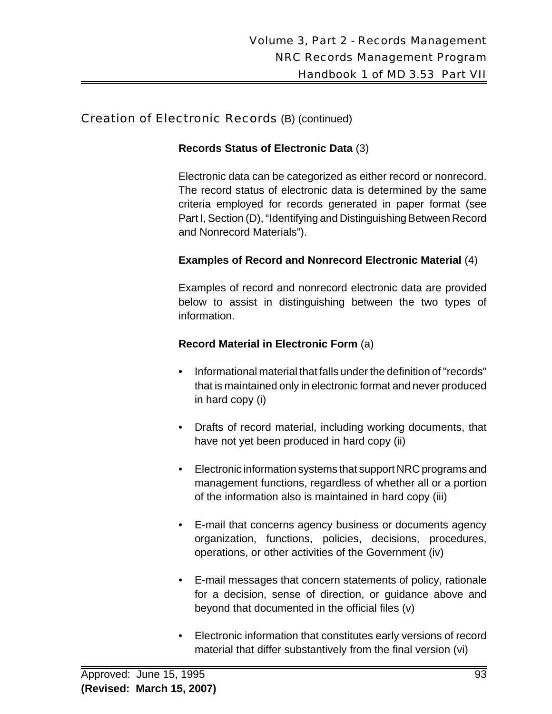#### **Records Status of Electronic Data** (3)

Electronic data can be categorized as either record or nonrecord. The record status of electronic data is determined by the same criteria employed for records generated in paper format (see Part I, Section (D), "Identifying and Distinguishing Between Record and Nonrecord Materials").

# **Examples of Record and Nonrecord Electronic Material** (4)

Examples of record and nonrecord electronic data are provided below to assist in distinguishing between the two types of information.

#### **Record Material in Electronic Form** (a)

- Informational material that falls under the definition of "records" that is maintained only in electronic format and never produced in hard copy (i)
- Drafts of record material, including working documents, that have not yet been produced in hard copy (ii)
- Electronic information systems that support NRC programs and management functions, regardless of whether all or a portion of the information also is maintained in hard copy (iii)
- E-mail that concerns agency business or documents agency organization, functions, policies, decisions, procedures, operations, or other activities of the Government (iv)
- E-mail messages that concern statements of policy, rationale for a decision, sense of direction, or guidance above and beyond that documented in the official files (v)
- Electronic information that constitutes early versions of record material that differ substantively from the final version (vi)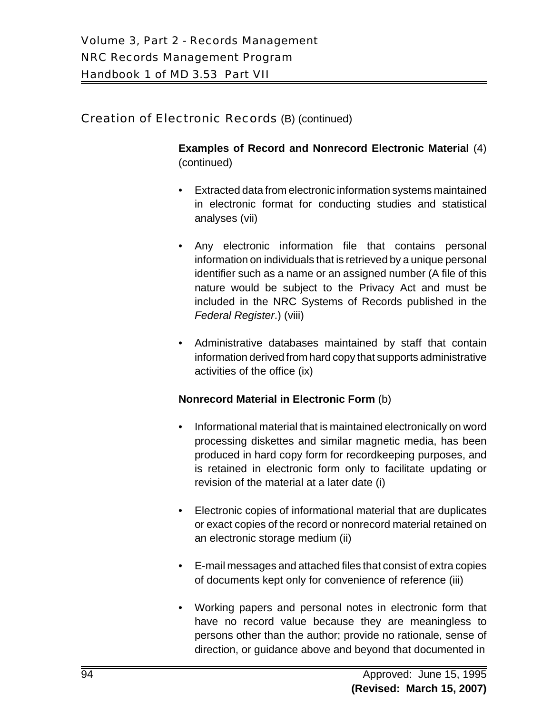**Examples of Record and Nonrecord Electronic Material** (4) (continued)

- Extracted data from electronic information systems maintained in electronic format for conducting studies and statistical analyses (vii)
- Any electronic information file that contains personal information on individuals that is retrieved by a unique personal identifier such as a name or an assigned number (A file of this nature would be subject to the Privacy Act and must be included in the NRC Systems of Records published in the *Federal Register*.) (viii)
- Administrative databases maintained by staff that contain information derived from hard copy that supports administrative activities of the office (ix)

#### **Nonrecord Material in Electronic Form** (b)

- Informational material that is maintained electronically on word processing diskettes and similar magnetic media, has been produced in hard copy form for recordkeeping purposes, and is retained in electronic form only to facilitate updating or revision of the material at a later date (i)
- Electronic copies of informational material that are duplicates or exact copies of the record or nonrecord material retained on an electronic storage medium (ii)
- E-mail messages and attached files that consist of extra copies of documents kept only for convenience of reference (iii)
- Working papers and personal notes in electronic form that have no record value because they are meaningless to persons other than the author; provide no rationale, sense of direction, or guidance above and beyond that documented in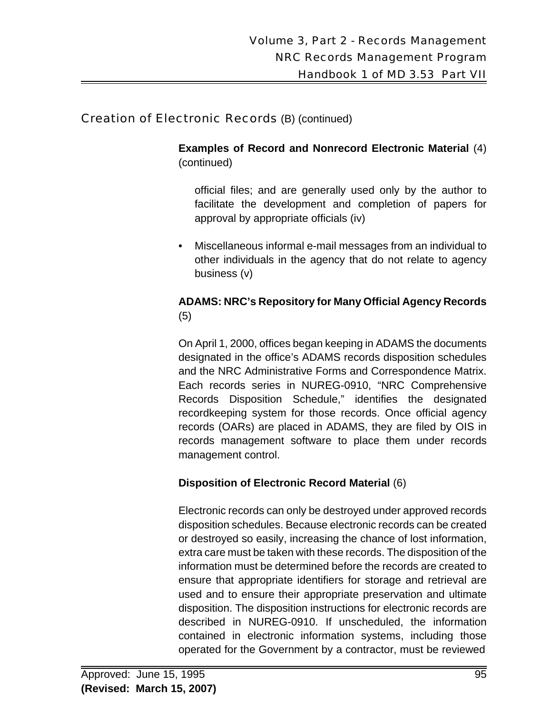**Examples of Record and Nonrecord Electronic Material** (4) (continued)

official files; and are generally used only by the author to facilitate the development and completion of papers for approval by appropriate officials (iv)

• Miscellaneous informal e-mail messages from an individual to other individuals in the agency that do not relate to agency business (v)

#### **ADAMS: NRC's Repository for Many Official Agency Records** (5)

On April 1, 2000, offices began keeping in ADAMS the documents designated in the office's ADAMS records disposition schedules and the NRC Administrative Forms and Correspondence Matrix. Each records series in NUREG-0910, "NRC Comprehensive Records Disposition Schedule," identifies the designated recordkeeping system for those records. Once official agency records (OARs) are placed in ADAMS, they are filed by OIS in records management software to place them under records management control.

# **Disposition of Electronic Record Material** (6)

Electronic records can only be destroyed under approved records disposition schedules. Because electronic records can be created or destroyed so easily, increasing the chance of lost information, extra care must be taken with these records. The disposition of the information must be determined before the records are created to ensure that appropriate identifiers for storage and retrieval are used and to ensure their appropriate preservation and ultimate disposition. The disposition instructions for electronic records are described in NUREG-0910. If unscheduled, the information contained in electronic information systems, including those operated for the Government by a contractor, must be reviewed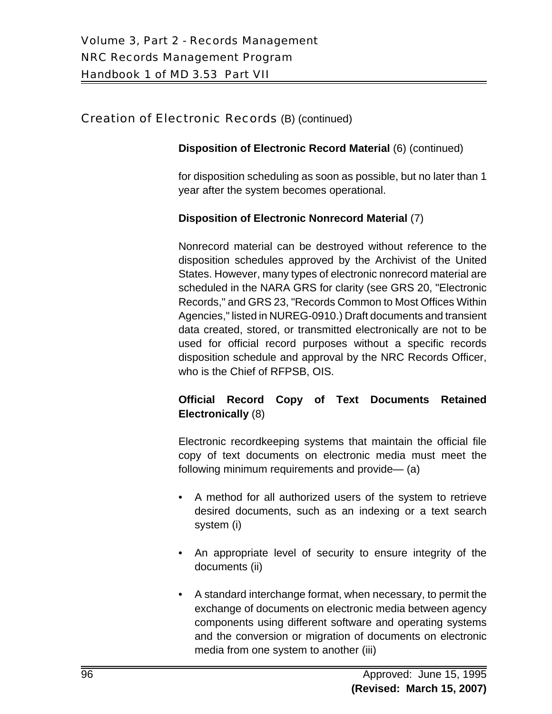#### **Disposition of Electronic Record Material** (6) (continued)

for disposition scheduling as soon as possible, but no later than 1 year after the system becomes operational.

#### **Disposition of Electronic Nonrecord Material** (7)

Nonrecord material can be destroyed without reference to the disposition schedules approved by the Archivist of the United States. However, many types of electronic nonrecord material are scheduled in the NARA GRS for clarity (see GRS 20, "Electronic Records," and GRS 23, "Records Common to Most Offices Within Agencies," listed in NUREG-0910.) Draft documents and transient data created, stored, or transmitted electronically are not to be used for official record purposes without a specific records disposition schedule and approval by the NRC Records Officer, who is the Chief of RFPSB, OIS.

# **Official Record Copy of Text Documents Retained Electronically** (8)

Electronic recordkeeping systems that maintain the official file copy of text documents on electronic media must meet the following minimum requirements and provide— (a)

- A method for all authorized users of the system to retrieve desired documents, such as an indexing or a text search system (i)
- An appropriate level of security to ensure integrity of the documents (ii)
- A standard interchange format, when necessary, to permit the exchange of documents on electronic media between agency components using different software and operating systems and the conversion or migration of documents on electronic media from one system to another (iii)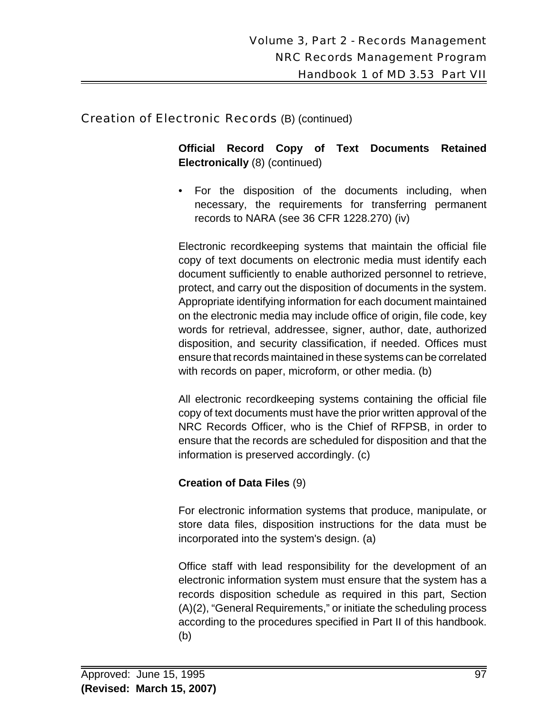**Official Record Copy of Text Documents Retained Electronically** (8) (continued)

• For the disposition of the documents including, when necessary, the requirements for transferring permanent records to NARA (see 36 CFR 1228.270) (iv)

Electronic recordkeeping systems that maintain the official file copy of text documents on electronic media must identify each document sufficiently to enable authorized personnel to retrieve, protect, and carry out the disposition of documents in the system. Appropriate identifying information for each document maintained on the electronic media may include office of origin, file code, key words for retrieval, addressee, signer, author, date, authorized disposition, and security classification, if needed. Offices must ensure that records maintained in these systems can be correlated with records on paper, microform, or other media. (b)

All electronic recordkeeping systems containing the official file copy of text documents must have the prior written approval of the NRC Records Officer, who is the Chief of RFPSB, in order to ensure that the records are scheduled for disposition and that the information is preserved accordingly. (c)

# **Creation of Data Files** (9)

For electronic information systems that produce, manipulate, or store data files, disposition instructions for the data must be incorporated into the system's design. (a)

Office staff with lead responsibility for the development of an electronic information system must ensure that the system has a records disposition schedule as required in this part, Section (A)(2), "General Requirements," or initiate the scheduling process according to the procedures specified in Part II of this handbook. (b)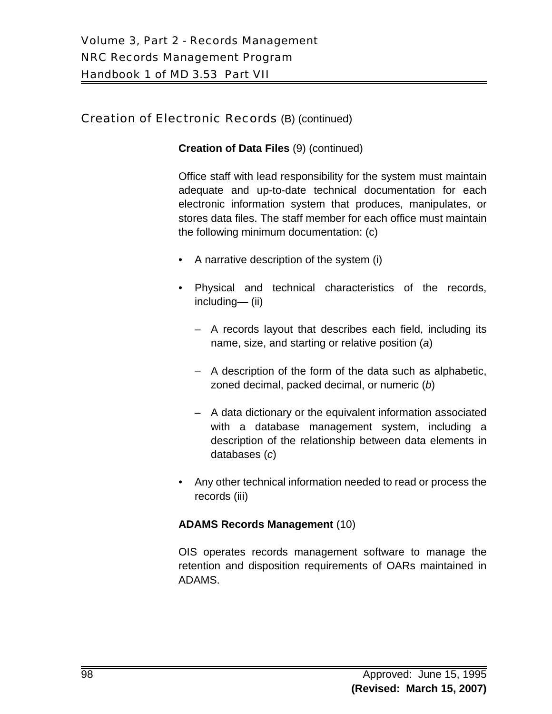#### **Creation of Data Files** (9) (continued)

Office staff with lead responsibility for the system must maintain adequate and up-to-date technical documentation for each electronic information system that produces, manipulates, or stores data files. The staff member for each office must maintain the following minimum documentation: (c)

- A narrative description of the system (i)
- Physical and technical characteristics of the records, including— (ii)
	- A records layout that describes each field, including its name, size, and starting or relative position (*a*)
	- A description of the form of the data such as alphabetic, zoned decimal, packed decimal, or numeric (*b*)
	- A data dictionary or the equivalent information associated with a database management system, including a description of the relationship between data elements in databases (*c*)
- Any other technical information needed to read or process the records (iii)

#### **ADAMS Records Management** (10)

OIS operates records management software to manage the retention and disposition requirements of OARs maintained in ADAMS.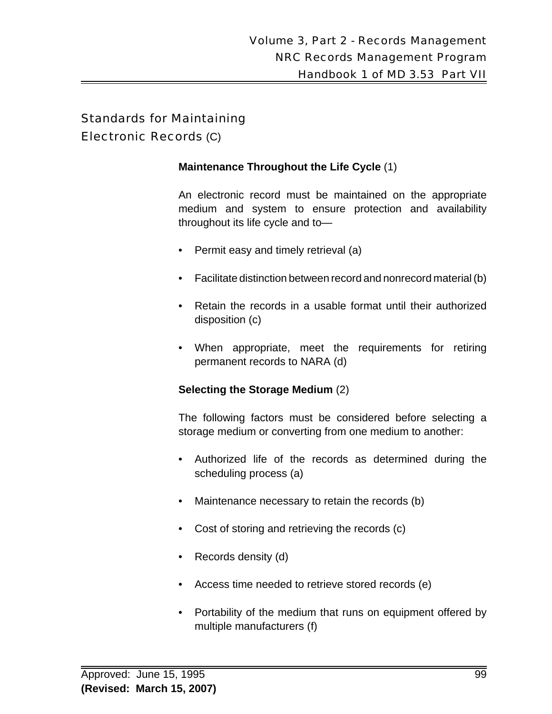#### Electronic Records (C)

#### **Maintenance Throughout the Life Cycle** (1)

An electronic record must be maintained on the appropriate medium and system to ensure protection and availability throughout its life cycle and to—

- Permit easy and timely retrieval (a)
- Facilitate distinction between record and nonrecord material (b)
- Retain the records in a usable format until their authorized disposition (c)
- When appropriate, meet the requirements for retiring permanent records to NARA (d)

#### **Selecting the Storage Medium** (2)

The following factors must be considered before selecting a storage medium or converting from one medium to another:

- Authorized life of the records as determined during the scheduling process (a)
- Maintenance necessary to retain the records (b)
- Cost of storing and retrieving the records (c)
- Records density (d)
- Access time needed to retrieve stored records (e)
- Portability of the medium that runs on equipment offered by multiple manufacturers (f)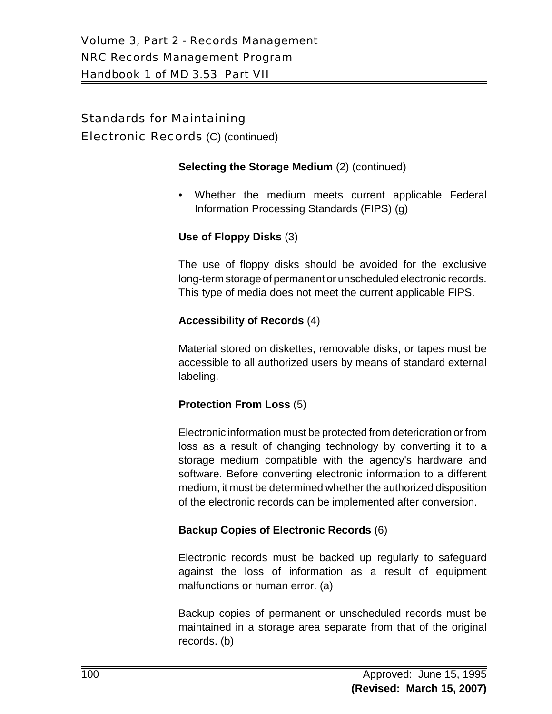Electronic Records (C) (continued)

#### **Selecting the Storage Medium** (2) (continued)

• Whether the medium meets current applicable Federal Information Processing Standards (FIPS) (g)

#### **Use of Floppy Disks** (3)

The use of floppy disks should be avoided for the exclusive long-term storage of permanent or unscheduled electronic records. This type of media does not meet the current applicable FIPS.

#### **Accessibility of Records** (4)

Material stored on diskettes, removable disks, or tapes must be accessible to all authorized users by means of standard external labeling.

#### **Protection From Loss** (5)

Electronic information must be protected from deterioration or from loss as a result of changing technology by converting it to a storage medium compatible with the agency's hardware and software. Before converting electronic information to a different medium, it must be determined whether the authorized disposition of the electronic records can be implemented after conversion.

# **Backup Copies of Electronic Records** (6)

Electronic records must be backed up regularly to safeguard against the loss of information as a result of equipment malfunctions or human error. (a)

Backup copies of permanent or unscheduled records must be maintained in a storage area separate from that of the original records. (b)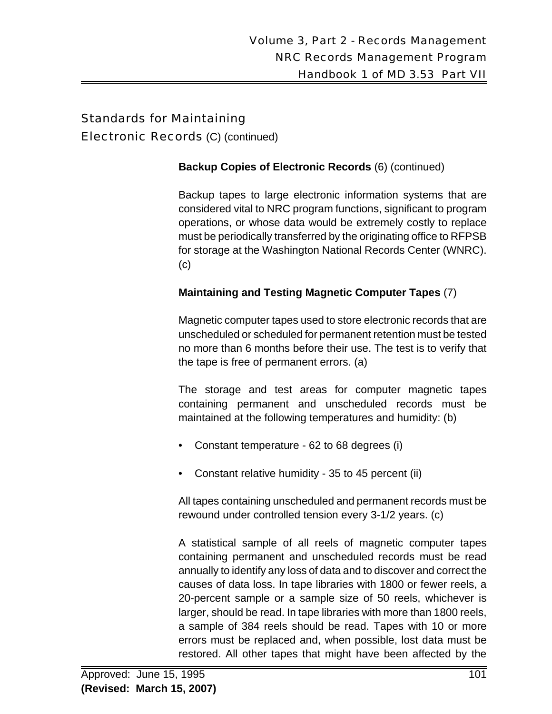Electronic Records (C) (continued)

#### **Backup Copies of Electronic Records** (6) (continued)

Backup tapes to large electronic information systems that are considered vital to NRC program functions, significant to program operations, or whose data would be extremely costly to replace must be periodically transferred by the originating office to RFPSB for storage at the Washington National Records Center (WNRC). (c)

# **Maintaining and Testing Magnetic Computer Tapes** (7)

Magnetic computer tapes used to store electronic records that are unscheduled or scheduled for permanent retention must be tested no more than 6 months before their use. The test is to verify that the tape is free of permanent errors. (a)

The storage and test areas for computer magnetic tapes containing permanent and unscheduled records must be maintained at the following temperatures and humidity: (b)

- Constant temperature 62 to 68 degrees (i)
- Constant relative humidity 35 to 45 percent (ii)

All tapes containing unscheduled and permanent records must be rewound under controlled tension every 3-1/2 years. (c)

A statistical sample of all reels of magnetic computer tapes containing permanent and unscheduled records must be read annually to identify any loss of data and to discover and correct the causes of data loss. In tape libraries with 1800 or fewer reels, a 20-percent sample or a sample size of 50 reels, whichever is larger, should be read. In tape libraries with more than 1800 reels, a sample of 384 reels should be read. Tapes with 10 or more errors must be replaced and, when possible, lost data must be restored. All other tapes that might have been affected by the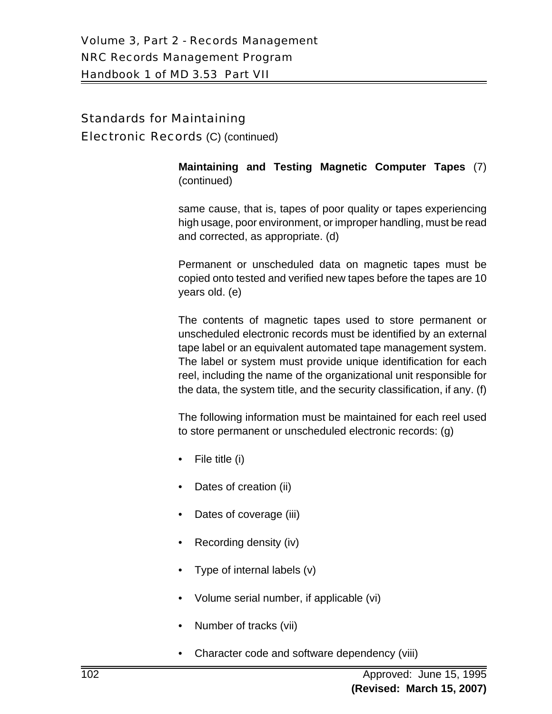Electronic Records (C) (continued)

**Maintaining and Testing Magnetic Computer Tapes** (7) (continued)

 same cause, that is, tapes of poor quality or tapes experiencing high usage, poor environment, or improper handling, must be read and corrected, as appropriate. (d)

Permanent or unscheduled data on magnetic tapes must be copied onto tested and verified new tapes before the tapes are 10 years old. (e)

The contents of magnetic tapes used to store permanent or unscheduled electronic records must be identified by an external tape label or an equivalent automated tape management system. The label or system must provide unique identification for each reel, including the name of the organizational unit responsible for the data, the system title, and the security classification, if any. (f)

The following information must be maintained for each reel used to store permanent or unscheduled electronic records: (g)

- File title (i)
- Dates of creation (ii)
- Dates of coverage (iii)
- Recording density (iv)
- Type of internal labels (v)
- Volume serial number, if applicable (vi)
- Number of tracks (vii)
- Character code and software dependency (viii)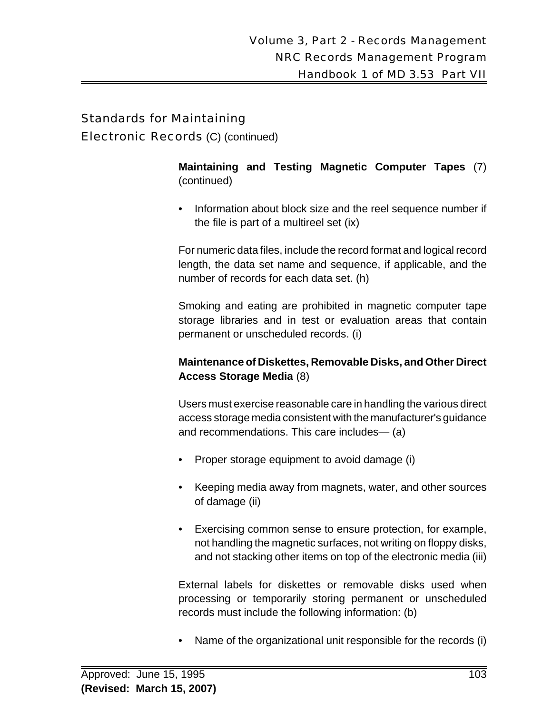Electronic Records (C) (continued)

**Maintaining and Testing Magnetic Computer Tapes** (7) (continued)

• Information about block size and the reel sequence number if the file is part of a multireel set (ix)

For numeric data files, include the record format and logical record length, the data set name and sequence, if applicable, and the number of records for each data set. (h)

Smoking and eating are prohibited in magnetic computer tape storage libraries and in test or evaluation areas that contain permanent or unscheduled records. (i)

#### **Maintenance of Diskettes, Removable Disks, and Other Direct Access Storage Media** (8)

Users must exercise reasonable care in handling the various direct access storage media consistent with the manufacturer's guidance and recommendations. This care includes— (a)

- Proper storage equipment to avoid damage (i)
- Keeping media away from magnets, water, and other sources of damage (ii)
- Exercising common sense to ensure protection, for example, not handling the magnetic surfaces, not writing on floppy disks, and not stacking other items on top of the electronic media (iii)

External labels for diskettes or removable disks used when processing or temporarily storing permanent or unscheduled records must include the following information: (b)

• Name of the organizational unit responsible for the records (i)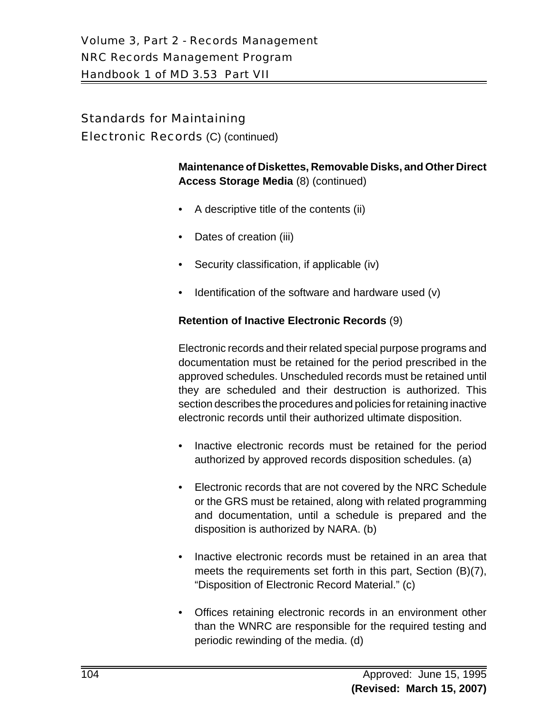Electronic Records (C) (continued)

**Maintenance of Diskettes, Removable Disks, and Other Direct Access Storage Media** (8) (continued)

- A descriptive title of the contents (ii)
- Dates of creation (iii)
- Security classification, if applicable (iv)
- Identification of the software and hardware used (v)

#### **Retention of Inactive Electronic Records** (9)

Electronic records and their related special purpose programs and documentation must be retained for the period prescribed in the approved schedules. Unscheduled records must be retained until they are scheduled and their destruction is authorized. This section describes the procedures and policies for retaining inactive electronic records until their authorized ultimate disposition.

- Inactive electronic records must be retained for the period authorized by approved records disposition schedules. (a)
- Electronic records that are not covered by the NRC Schedule or the GRS must be retained, along with related programming and documentation, until a schedule is prepared and the disposition is authorized by NARA. (b)
- Inactive electronic records must be retained in an area that meets the requirements set forth in this part, Section (B)(7), "Disposition of Electronic Record Material." (c)
- Offices retaining electronic records in an environment other than the WNRC are responsible for the required testing and periodic rewinding of the media. (d)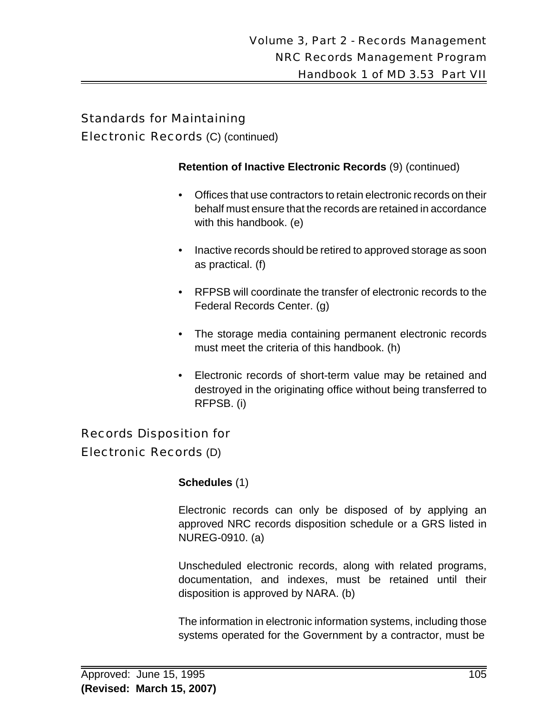Electronic Records (C) (continued)

#### **Retention of Inactive Electronic Records** (9) (continued)

- Offices that use contractors to retain electronic records on their behalf must ensure that the records are retained in accordance with this handbook. (e)
- Inactive records should be retired to approved storage as soon as practical. (f)
- RFPSB will coordinate the transfer of electronic records to the Federal Records Center. (g)
- The storage media containing permanent electronic records must meet the criteria of this handbook. (h)
- Electronic records of short-term value may be retained and destroyed in the originating office without being transferred to RFPSB. (i)

# Records Disposition for

# Electronic Records (D)

#### **Schedules** (1)

Electronic records can only be disposed of by applying an approved NRC records disposition schedule or a GRS listed in NUREG-0910. (a)

Unscheduled electronic records, along with related programs, documentation, and indexes, must be retained until their disposition is approved by NARA. (b)

The information in electronic information systems, including those systems operated for the Government by a contractor, must be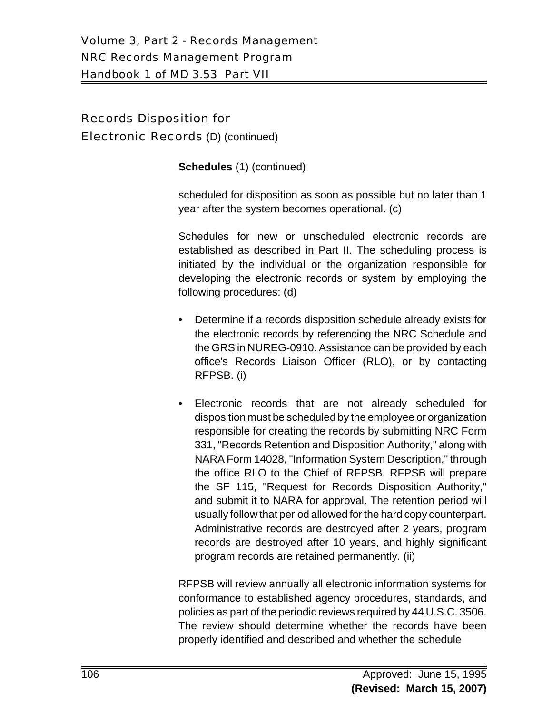# Records Disposition for

Electronic Records (D) (continued)

**Schedules** (1) (continued)

scheduled for disposition as soon as possible but no later than 1 year after the system becomes operational. (c)

Schedules for new or unscheduled electronic records are established as described in Part II. The scheduling process is initiated by the individual or the organization responsible for developing the electronic records or system by employing the following procedures: (d)

- Determine if a records disposition schedule already exists for the electronic records by referencing the NRC Schedule and the GRS in NUREG-0910. Assistance can be provided by each office's Records Liaison Officer (RLO), or by contacting RFPSB. (i)
- Electronic records that are not already scheduled for disposition must be scheduled by the employee or organization responsible for creating the records by submitting NRC Form 331, "Records Retention and Disposition Authority," along with NARA Form 14028, "Information System Description," through the office RLO to the Chief of RFPSB. RFPSB will prepare the SF 115, "Request for Records Disposition Authority," and submit it to NARA for approval. The retention period will usually follow that period allowed for the hard copy counterpart. Administrative records are destroyed after 2 years, program records are destroyed after 10 years, and highly significant program records are retained permanently. (ii)

RFPSB will review annually all electronic information systems for conformance to established agency procedures, standards, and policies as part of the periodic reviews required by 44 U.S.C. 3506. The review should determine whether the records have been properly identified and described and whether the schedule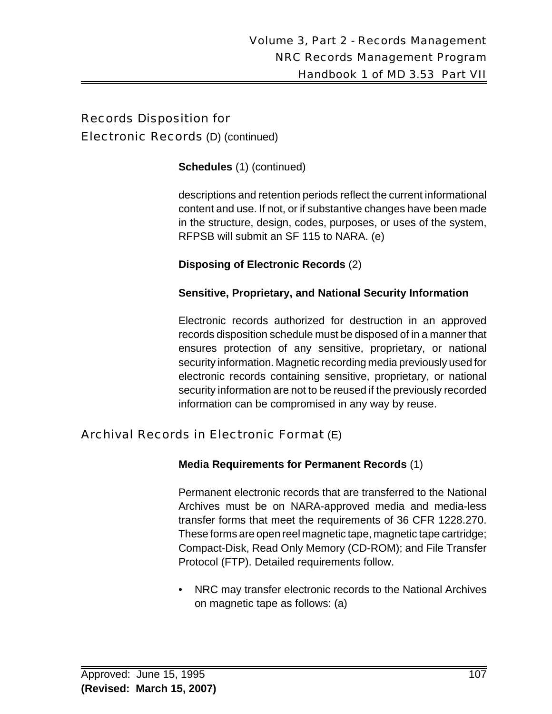# Records Disposition for

Electronic Records (D) (continued)

**Schedules** (1) (continued)

descriptions and retention periods reflect the current informational content and use. If not, or if substantive changes have been made in the structure, design, codes, purposes, or uses of the system, RFPSB will submit an SF 115 to NARA. (e)

**Disposing of Electronic Records** (2)

#### **Sensitive, Proprietary, and National Security Information**

Electronic records authorized for destruction in an approved records disposition schedule must be disposed of in a manner that ensures protection of any sensitive, proprietary, or national security information. Magnetic recording media previously used for electronic records containing sensitive, proprietary, or national security information are not to be reused if the previously recorded information can be compromised in any way by reuse.

# Archival Records in Electronic Format (E)

# **Media Requirements for Permanent Records** (1)

Permanent electronic records that are transferred to the National Archives must be on NARA-approved media and media-less transfer forms that meet the requirements of 36 CFR 1228.270. These forms are open reel magnetic tape, magnetic tape cartridge; Compact-Disk, Read Only Memory (CD-ROM); and File Transfer Protocol (FTP). Detailed requirements follow.

• NRC may transfer electronic records to the National Archives on magnetic tape as follows: (a)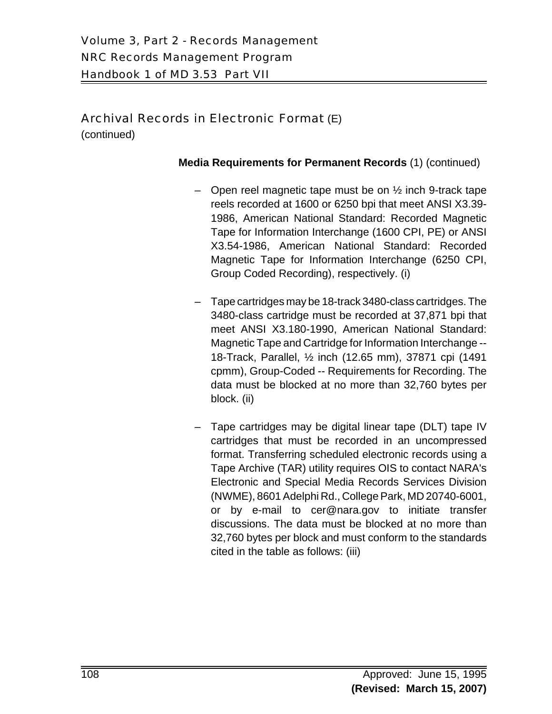(continued)

- Open reel magnetic tape must be on  $\frac{1}{2}$  inch 9-track tape reels recorded at 1600 or 6250 bpi that meet ANSI X3.39- 1986, American National Standard: Recorded Magnetic Tape for Information Interchange (1600 CPI, PE) or ANSI X3.54-1986, American National Standard: Recorded Magnetic Tape for Information Interchange (6250 CPI, Group Coded Recording), respectively. (i)
- Tape cartridges may be 18-track 3480-class cartridges. The 3480-class cartridge must be recorded at 37,871 bpi that meet ANSI X3.180-1990, American National Standard: Magnetic Tape and Cartridge for Information Interchange -- 18-Track, Parallel, ½ inch (12.65 mm), 37871 cpi (1491 cpmm), Group-Coded -- Requirements for Recording. The data must be blocked at no more than 32,760 bytes per block. (ii)
- Tape cartridges may be digital linear tape (DLT) tape IV cartridges that must be recorded in an uncompressed format. Transferring scheduled electronic records using a Tape Archive (TAR) utility requires OIS to contact NARA's Electronic and Special Media Records Services Division (NWME), 8601 Adelphi Rd., College Park, MD 20740-6001, or by e-mail to cer@nara.gov to initiate transfer discussions. The data must be blocked at no more than 32,760 bytes per block and must conform to the standards cited in the table as follows: (iii)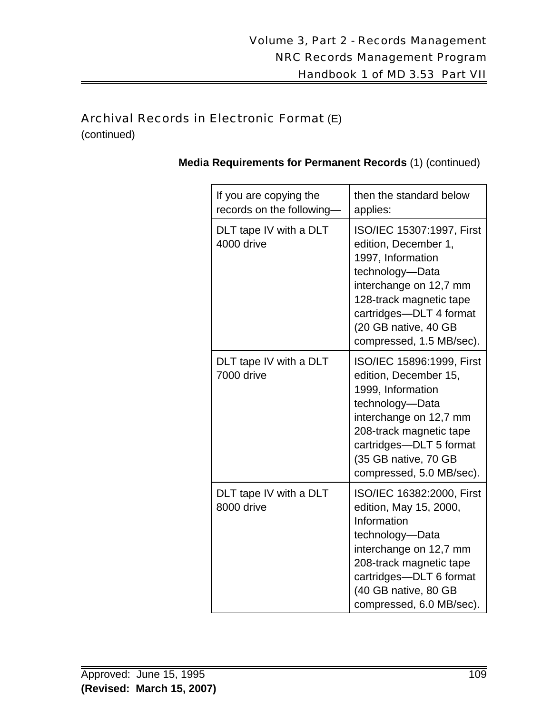(continued)

| If you are copying the<br>records on the following | then the standard below<br>applies:                                                                                                                                                                                            |
|----------------------------------------------------|--------------------------------------------------------------------------------------------------------------------------------------------------------------------------------------------------------------------------------|
| DLT tape IV with a DLT<br>4000 drive               | ISO/IEC 15307:1997, First<br>edition, December 1,<br>1997, Information<br>technology-Data<br>interchange on 12,7 mm<br>128-track magnetic tape<br>cartridges-DLT 4 format<br>(20 GB native, 40 GB<br>compressed, 1.5 MB/sec).  |
| DLT tape IV with a DLT<br>7000 drive               | ISO/IEC 15896:1999, First<br>edition, December 15,<br>1999, Information<br>technology-Data<br>interchange on 12,7 mm<br>208-track magnetic tape<br>cartridges-DLT 5 format<br>(35 GB native, 70 GB<br>compressed, 5.0 MB/sec). |
| DLT tape IV with a DLT<br>8000 drive               | ISO/IEC 16382:2000, First<br>edition, May 15, 2000,<br>Information<br>technology-Data<br>interchange on 12,7 mm<br>208-track magnetic tape<br>cartridges-DLT 6 format<br>(40 GB native, 80 GB<br>compressed, 6.0 MB/sec).      |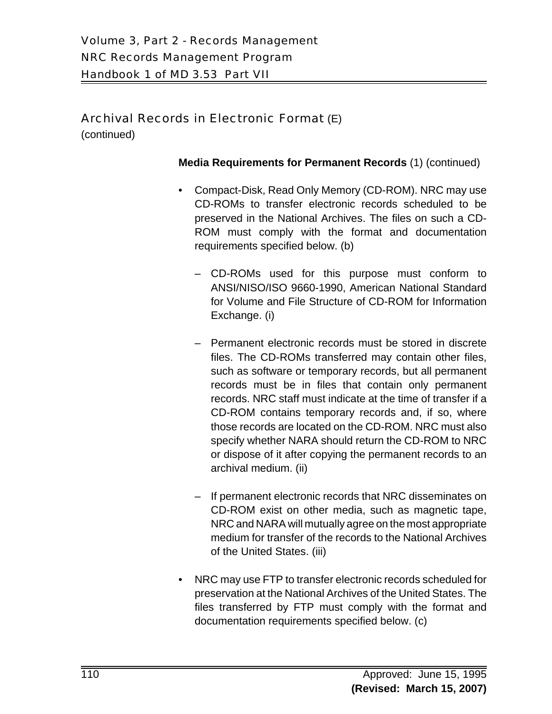(continued)

- Compact-Disk, Read Only Memory (CD-ROM). NRC may use CD-ROMs to transfer electronic records scheduled to be preserved in the National Archives. The files on such a CD-ROM must comply with the format and documentation requirements specified below. (b)
	- CD-ROMs used for this purpose must conform to ANSI/NISO/ISO 9660-1990, American National Standard for Volume and File Structure of CD-ROM for Information Exchange. (i)
	- Permanent electronic records must be stored in discrete files. The CD-ROMs transferred may contain other files, such as software or temporary records, but all permanent records must be in files that contain only permanent records. NRC staff must indicate at the time of transfer if a CD-ROM contains temporary records and, if so, where those records are located on the CD-ROM. NRC must also specify whether NARA should return the CD-ROM to NRC or dispose of it after copying the permanent records to an archival medium. (ii)
	- If permanent electronic records that NRC disseminates on CD-ROM exist on other media, such as magnetic tape, NRC and NARA will mutually agree on the most appropriate medium for transfer of the records to the National Archives of the United States. (iii)
- NRC may use FTP to transfer electronic records scheduled for preservation at the National Archives of the United States. The files transferred by FTP must comply with the format and documentation requirements specified below. (c)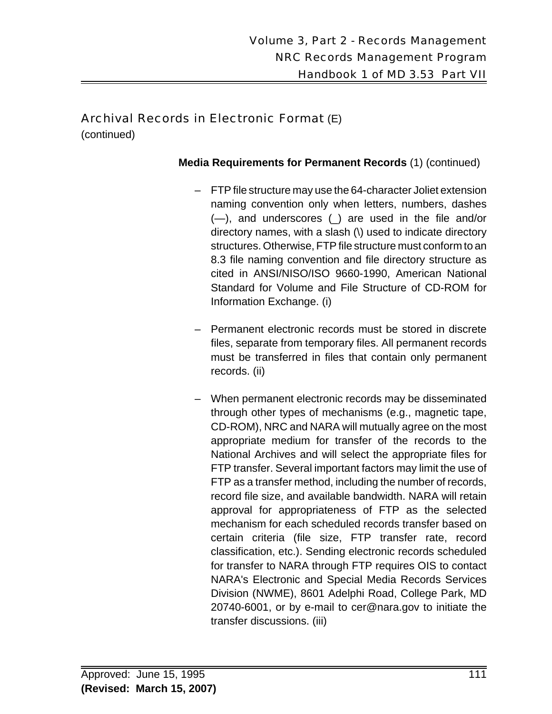(continued)

- FTP file structure may use the 64-character Joliet extension naming convention only when letters, numbers, dashes (—), and underscores (\_) are used in the file and/or directory names, with a slash (\) used to indicate directory structures. Otherwise, FTP file structure must conform to an 8.3 file naming convention and file directory structure as cited in ANSI/NISO/ISO 9660-1990, American National Standard for Volume and File Structure of CD-ROM for Information Exchange. (i)
- Permanent electronic records must be stored in discrete files, separate from temporary files. All permanent records must be transferred in files that contain only permanent records. (ii)
- When permanent electronic records may be disseminated through other types of mechanisms (e.g., magnetic tape, CD-ROM), NRC and NARA will mutually agree on the most appropriate medium for transfer of the records to the National Archives and will select the appropriate files for FTP transfer. Several important factors may limit the use of FTP as a transfer method, including the number of records, record file size, and available bandwidth. NARA will retain approval for appropriateness of FTP as the selected mechanism for each scheduled records transfer based on certain criteria (file size, FTP transfer rate, record classification, etc.). Sending electronic records scheduled for transfer to NARA through FTP requires OIS to contact NARA's Electronic and Special Media Records Services Division (NWME), 8601 Adelphi Road, College Park, MD 20740-6001, or by e-mail to cer@nara.gov to initiate the transfer discussions. (iii)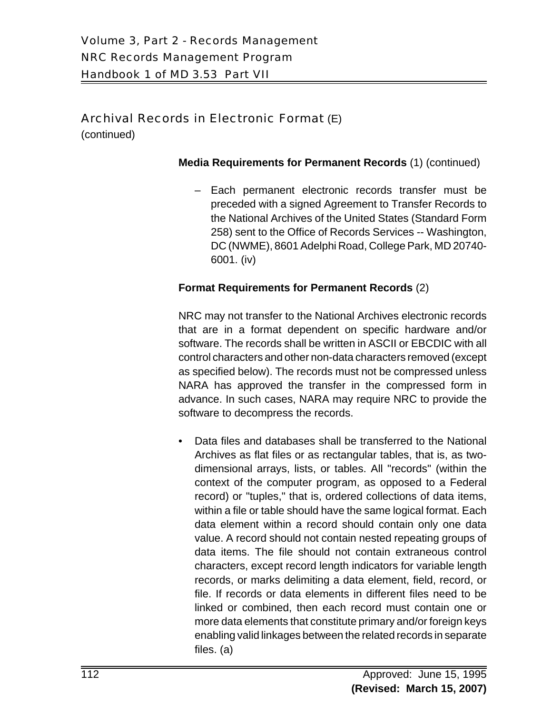(continued)

#### **Media Requirements for Permanent Records** (1) (continued)

– Each permanent electronic records transfer must be preceded with a signed Agreement to Transfer Records to the National Archives of the United States (Standard Form 258) sent to the Office of Records Services -- Washington, DC (NWME), 8601 Adelphi Road, College Park, MD 20740- 6001. (iv)

#### **Format Requirements for Permanent Records** (2)

NRC may not transfer to the National Archives electronic records that are in a format dependent on specific hardware and/or software. The records shall be written in ASCII or EBCDIC with all control characters and other non-data characters removed (except as specified below). The records must not be compressed unless NARA has approved the transfer in the compressed form in advance. In such cases, NARA may require NRC to provide the software to decompress the records.

• Data files and databases shall be transferred to the National Archives as flat files or as rectangular tables, that is, as twodimensional arrays, lists, or tables. All "records" (within the context of the computer program, as opposed to a Federal record) or "tuples," that is, ordered collections of data items, within a file or table should have the same logical format. Each data element within a record should contain only one data value. A record should not contain nested repeating groups of data items. The file should not contain extraneous control characters, except record length indicators for variable length records, or marks delimiting a data element, field, record, or file. If records or data elements in different files need to be linked or combined, then each record must contain one or more data elements that constitute primary and/or foreign keys enabling valid linkages between the related records in separate files. (a)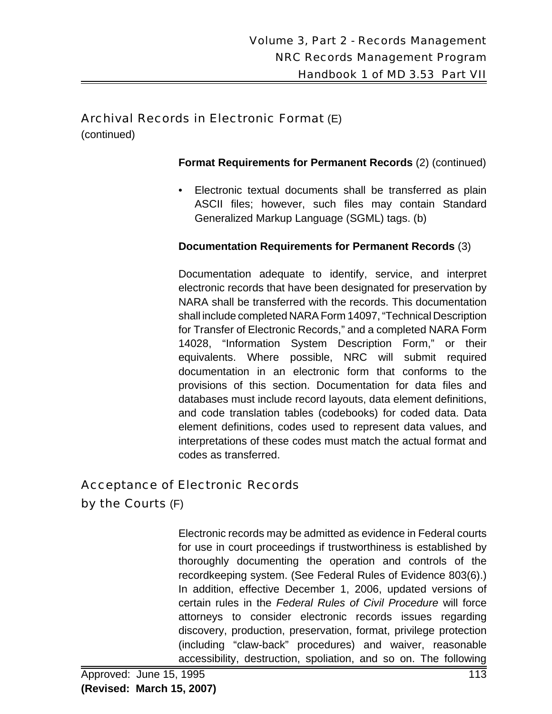(continued)

#### **Format Requirements for Permanent Records** (2) (continued)

• Electronic textual documents shall be transferred as plain ASCII files; however, such files may contain Standard Generalized Markup Language (SGML) tags. (b)

#### **Documentation Requirements for Permanent Records** (3)

Documentation adequate to identify, service, and interpret electronic records that have been designated for preservation by NARA shall be transferred with the records. This documentation shall include completed NARA Form 14097, "Technical Description for Transfer of Electronic Records," and a completed NARA Form 14028, "Information System Description Form," or their equivalents. Where possible, NRC will submit required documentation in an electronic form that conforms to the provisions of this section. Documentation for data files and databases must include record layouts, data element definitions, and code translation tables (codebooks) for coded data. Data element definitions, codes used to represent data values, and interpretations of these codes must match the actual format and codes as transferred.

# Acceptance of Electronic Records

by the Courts (F)

Electronic records may be admitted as evidence in Federal courts for use in court proceedings if trustworthiness is established by thoroughly documenting the operation and controls of the recordkeeping system. (See Federal Rules of Evidence 803(6).) In addition, effective December 1, 2006, updated versions of certain rules in the *Federal Rules of Civil Procedure* will force attorneys to consider electronic records issues regarding discovery, production, preservation, format, privilege protection (including "claw-back" procedures) and waiver, reasonable accessibility, destruction, spoliation, and so on. The following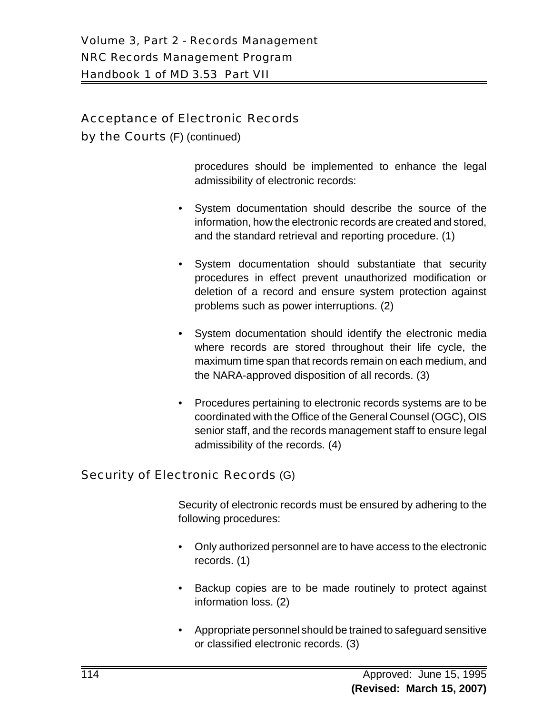# Acceptance of Electronic Records

by the Courts (F) (continued)

procedures should be implemented to enhance the legal admissibility of electronic records:

- System documentation should describe the source of the information, how the electronic records are created and stored, and the standard retrieval and reporting procedure. (1)
- System documentation should substantiate that security procedures in effect prevent unauthorized modification or deletion of a record and ensure system protection against problems such as power interruptions. (2)
- System documentation should identify the electronic media where records are stored throughout their life cycle, the maximum time span that records remain on each medium, and the NARA-approved disposition of all records. (3)
- Procedures pertaining to electronic records systems are to be coordinated with the Office of the General Counsel (OGC), OIS senior staff, and the records management staff to ensure legal admissibility of the records. (4)

# Security of Electronic Records (G)

Security of electronic records must be ensured by adhering to the following procedures:

- Only authorized personnel are to have access to the electronic records. (1)
- Backup copies are to be made routinely to protect against information loss. (2)
- Appropriate personnel should be trained to safeguard sensitive or classified electronic records. (3)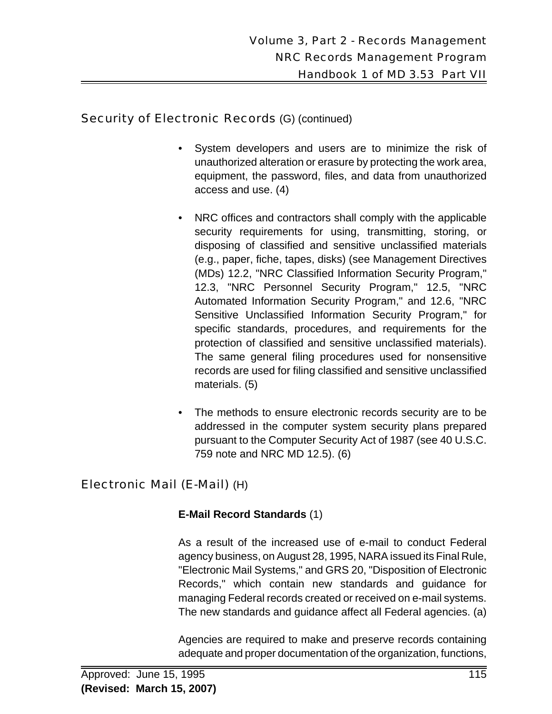# Security of Electronic Records (G) (continued)

- System developers and users are to minimize the risk of unauthorized alteration or erasure by protecting the work area, equipment, the password, files, and data from unauthorized access and use. (4)
- NRC offices and contractors shall comply with the applicable security requirements for using, transmitting, storing, or disposing of classified and sensitive unclassified materials (e.g., paper, fiche, tapes, disks) (see Management Directives (MDs) 12.2, "NRC Classified Information Security Program," 12.3, "NRC Personnel Security Program," 12.5, "NRC Automated Information Security Program," and 12.6, "NRC Sensitive Unclassified Information Security Program," for specific standards, procedures, and requirements for the protection of classified and sensitive unclassified materials). The same general filing procedures used for nonsensitive records are used for filing classified and sensitive unclassified materials. (5)
- The methods to ensure electronic records security are to be addressed in the computer system security plans prepared pursuant to the Computer Security Act of 1987 (see 40 U.S.C. 759 note and NRC MD 12.5). (6)

# Electronic Mail (E-Mail) (H)

# **E-Mail Record Standards** (1)

As a result of the increased use of e-mail to conduct Federal agency business, on August 28, 1995, NARA issued its Final Rule, "Electronic Mail Systems," and GRS 20, "Disposition of Electronic Records," which contain new standards and guidance for managing Federal records created or received on e-mail systems. The new standards and guidance affect all Federal agencies. (a)

Agencies are required to make and preserve records containing adequate and proper documentation of the organization, functions,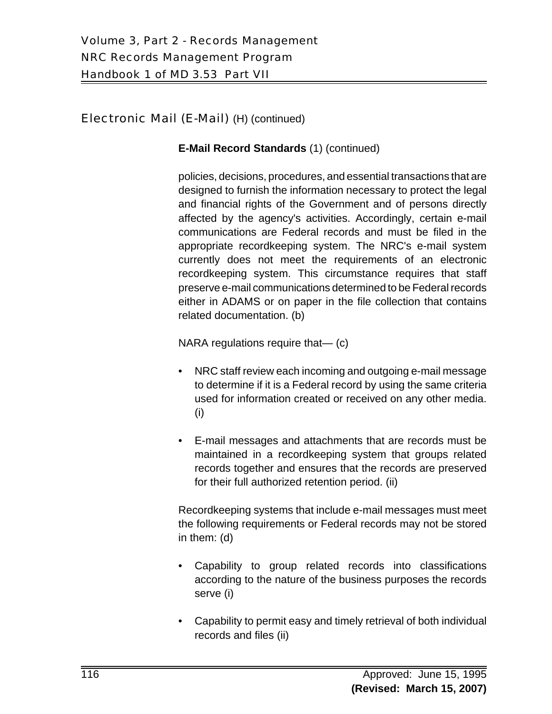#### **E-Mail Record Standards** (1) (continued)

policies, decisions, procedures, and essential transactions that are designed to furnish the information necessary to protect the legal and financial rights of the Government and of persons directly affected by the agency's activities. Accordingly, certain e-mail communications are Federal records and must be filed in the appropriate recordkeeping system. The NRC's e-mail system currently does not meet the requirements of an electronic recordkeeping system. This circumstance requires that staff preserve e-mail communications determined to be Federal records either in ADAMS or on paper in the file collection that contains related documentation. (b)

NARA regulations require that— (c)

- NRC staff review each incoming and outgoing e-mail message to determine if it is a Federal record by using the same criteria used for information created or received on any other media. (i)
- E-mail messages and attachments that are records must be maintained in a recordkeeping system that groups related records together and ensures that the records are preserved for their full authorized retention period. (ii)

Recordkeeping systems that include e-mail messages must meet the following requirements or Federal records may not be stored in them: (d)

- Capability to group related records into classifications according to the nature of the business purposes the records serve (i)
- Capability to permit easy and timely retrieval of both individual records and files (ii)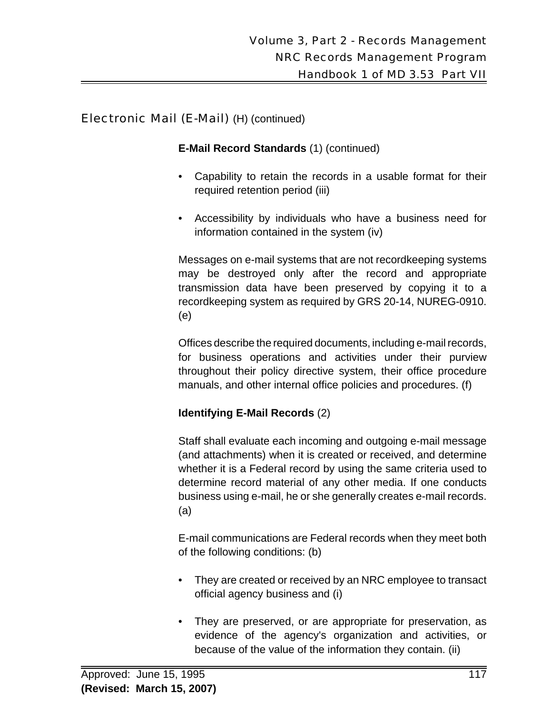#### **E-Mail Record Standards** (1) (continued)

- Capability to retain the records in a usable format for their required retention period (iii)
- Accessibility by individuals who have a business need for information contained in the system (iv)

Messages on e-mail systems that are not recordkeeping systems may be destroyed only after the record and appropriate transmission data have been preserved by copying it to a recordkeeping system as required by GRS 20-14, NUREG-0910. (e)

Offices describe the required documents, including e-mail records, for business operations and activities under their purview throughout their policy directive system, their office procedure manuals, and other internal office policies and procedures. (f)

# **Identifying E-Mail Records** (2)

Staff shall evaluate each incoming and outgoing e-mail message (and attachments) when it is created or received, and determine whether it is a Federal record by using the same criteria used to determine record material of any other media. If one conducts business using e-mail, he or she generally creates e-mail records. (a)

E-mail communications are Federal records when they meet both of the following conditions: (b)

- They are created or received by an NRC employee to transact official agency business and (i)
- They are preserved, or are appropriate for preservation, as evidence of the agency's organization and activities, or because of the value of the information they contain. (ii)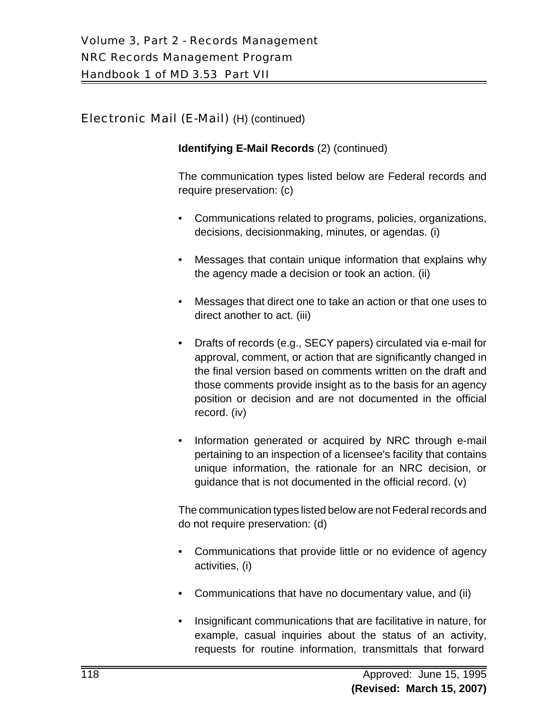#### **Identifying E-Mail Records** (2) (continued)

The communication types listed below are Federal records and require preservation: (c)

- Communications related to programs, policies, organizations, decisions, decisionmaking, minutes, or agendas. (i)
- Messages that contain unique information that explains why the agency made a decision or took an action. (ii)
- Messages that direct one to take an action or that one uses to direct another to act. (iii)
- Drafts of records (e.g., SECY papers) circulated via e-mail for approval, comment, or action that are significantly changed in the final version based on comments written on the draft and those comments provide insight as to the basis for an agency position or decision and are not documented in the official record. (iv)
- Information generated or acquired by NRC through e-mail pertaining to an inspection of a licensee's facility that contains unique information, the rationale for an NRC decision, or guidance that is not documented in the official record. (v)

The communication types listed below are not Federal records and do not require preservation: (d)

- Communications that provide little or no evidence of agency activities, (i)
- Communications that have no documentary value, and (ii)
- Insignificant communications that are facilitative in nature, for example, casual inquiries about the status of an activity, requests for routine information, transmittals that forward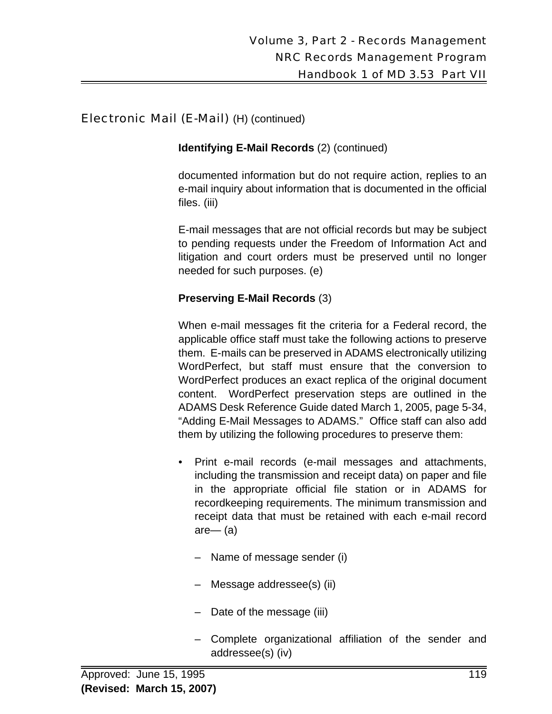**Identifying E-Mail Records** (2) (continued)

documented information but do not require action, replies to an e-mail inquiry about information that is documented in the official files. (iii)

E-mail messages that are not official records but may be subject to pending requests under the Freedom of Information Act and litigation and court orders must be preserved until no longer needed for such purposes. (e)

#### **Preserving E-Mail Records** (3)

When e-mail messages fit the criteria for a Federal record, the applicable office staff must take the following actions to preserve them. E-mails can be preserved in ADAMS electronically utilizing WordPerfect, but staff must ensure that the conversion to WordPerfect produces an exact replica of the original document content. WordPerfect preservation steps are outlined in the ADAMS Desk Reference Guide dated March 1, 2005, page 5-34, "Adding E-Mail Messages to ADAMS." Office staff can also add them by utilizing the following procedures to preserve them:

- Print e-mail records (e-mail messages and attachments, including the transmission and receipt data) on paper and file in the appropriate official file station or in ADAMS for recordkeeping requirements. The minimum transmission and receipt data that must be retained with each e-mail record are— (a)
	- Name of message sender (i)
	- Message addressee(s) (ii)
	- Date of the message (iii)
	- Complete organizational affiliation of the sender and addressee(s) (iv)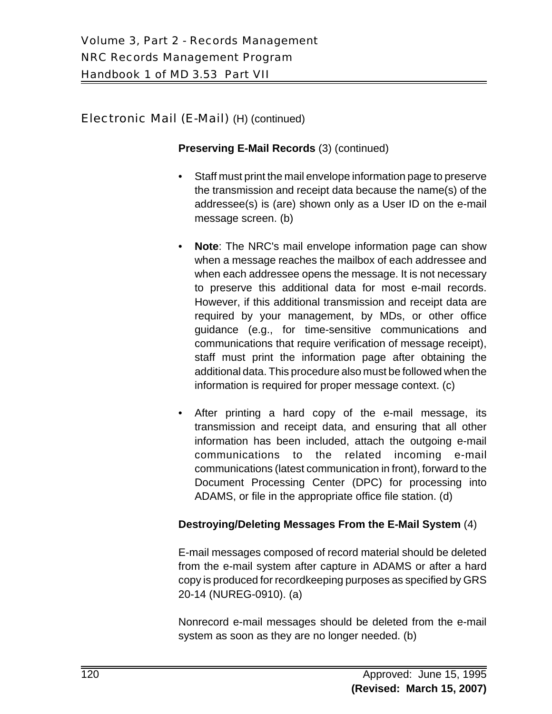#### **Preserving E-Mail Records** (3) (continued)

- Staff must print the mail envelope information page to preserve the transmission and receipt data because the name(s) of the addressee(s) is (are) shown only as a User ID on the e-mail message screen. (b)
- **Note**: The NRC's mail envelope information page can show when a message reaches the mailbox of each addressee and when each addressee opens the message. It is not necessary to preserve this additional data for most e-mail records. However, if this additional transmission and receipt data are required by your management, by MDs, or other office guidance (e.g., for time-sensitive communications and communications that require verification of message receipt), staff must print the information page after obtaining the additional data. This procedure also must be followed when the information is required for proper message context. (c)
- After printing a hard copy of the e-mail message, its transmission and receipt data, and ensuring that all other information has been included, attach the outgoing e-mail communications to the related incoming e-mail communications (latest communication in front), forward to the Document Processing Center (DPC) for processing into ADAMS, or file in the appropriate office file station. (d)

#### **Destroying/Deleting Messages From the E-Mail System** (4)

E-mail messages composed of record material should be deleted from the e-mail system after capture in ADAMS or after a hard copy is produced for recordkeeping purposes as specified by GRS 20-14 (NUREG-0910). (a)

Nonrecord e-mail messages should be deleted from the e-mail system as soon as they are no longer needed. (b)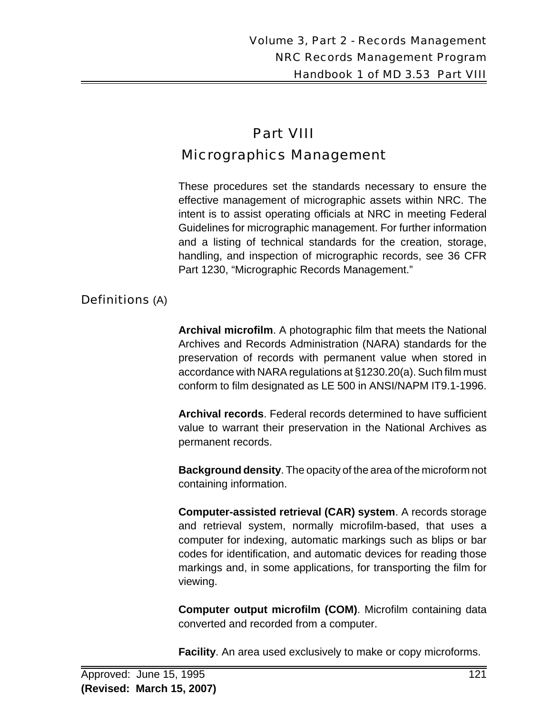# Part VIII Micrographics Management

These procedures set the standards necessary to ensure the effective management of micrographic assets within NRC. The intent is to assist operating officials at NRC in meeting Federal Guidelines for micrographic management. For further information and a listing of technical standards for the creation, storage, handling, and inspection of micrographic records, see 36 CFR Part 1230, "Micrographic Records Management."

#### Definitions (A)

**Archival microfilm**. A photographic film that meets the National Archives and Records Administration (NARA) standards for the preservation of records with permanent value when stored in accordance with NARA regulations at §1230.20(a). Such film must conform to film designated as LE 500 in ANSI/NAPM IT9.1-1996.

**Archival records**. Federal records determined to have sufficient value to warrant their preservation in the National Archives as permanent records.

**Background density**. The opacity of the area of the microform not containing information.

**Computer-assisted retrieval (CAR) system**. A records storage and retrieval system, normally microfilm-based, that uses a computer for indexing, automatic markings such as blips or bar codes for identification, and automatic devices for reading those markings and, in some applications, for transporting the film for viewing.

**Computer output microfilm (COM)**. Microfilm containing data converted and recorded from a computer.

**Facility**. An area used exclusively to make or copy microforms.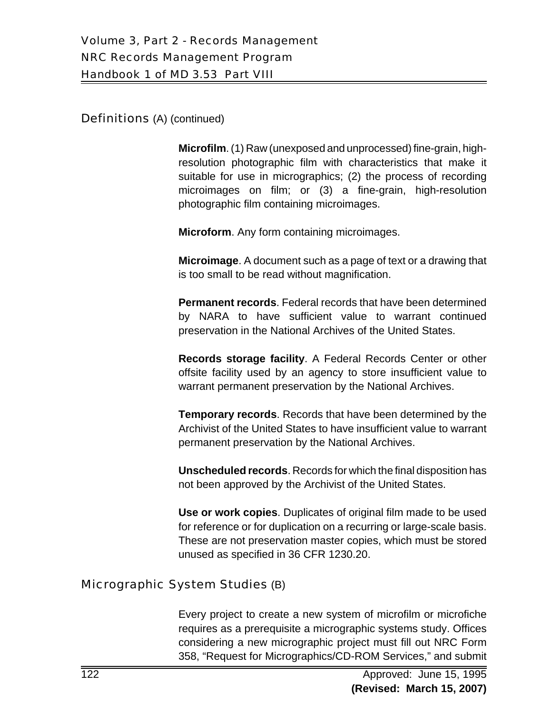Definitions (A) (continued)

**Microfilm**. (1) Raw (unexposed and unprocessed) fine-grain, highresolution photographic film with characteristics that make it suitable for use in micrographics; (2) the process of recording microimages on film; or (3) a fine-grain, high-resolution photographic film containing microimages.

**Microform**. Any form containing microimages.

**Microimage**. A document such as a page of text or a drawing that is too small to be read without magnification.

**Permanent records**. Federal records that have been determined by NARA to have sufficient value to warrant continued preservation in the National Archives of the United States.

**Records storage facility**. A Federal Records Center or other offsite facility used by an agency to store insufficient value to warrant permanent preservation by the National Archives.

**Temporary records**. Records that have been determined by the Archivist of the United States to have insufficient value to warrant permanent preservation by the National Archives.

**Unscheduled records**. Records for which the final disposition has not been approved by the Archivist of the United States.

**Use or work copies**. Duplicates of original film made to be used for reference or for duplication on a recurring or large-scale basis. These are not preservation master copies, which must be stored unused as specified in 36 CFR 1230.20.

#### Micrographic System Studies (B)

Every project to create a new system of microfilm or microfiche requires as a prerequisite a micrographic systems study. Offices considering a new micrographic project must fill out NRC Form 358, "Request for Micrographics/CD-ROM Services," and submit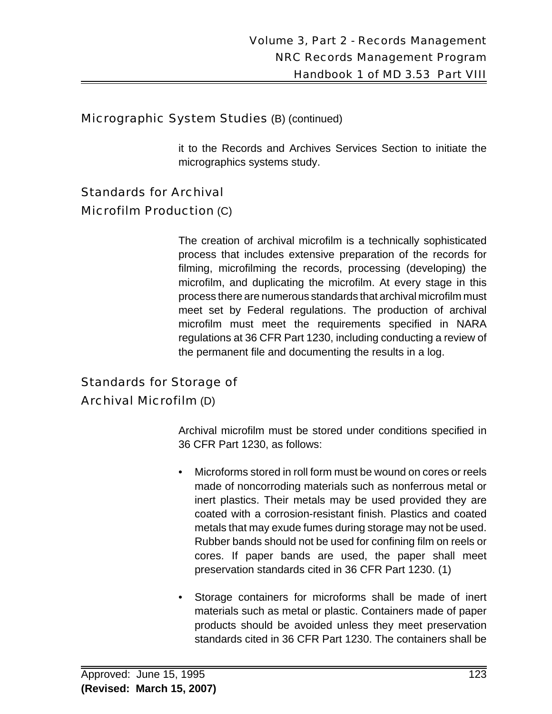#### Micrographic System Studies (B) (continued)

it to the Records and Archives Services Section to initiate the micrographics systems study.

## Standards for Archival

#### Microfilm Production (C)

The creation of archival microfilm is a technically sophisticated process that includes extensive preparation of the records for filming, microfilming the records, processing (developing) the microfilm, and duplicating the microfilm. At every stage in this process there are numerous standards that archival microfilm must meet set by Federal regulations. The production of archival microfilm must meet the requirements specified in NARA regulations at 36 CFR Part 1230, including conducting a review of the permanent file and documenting the results in a log.

## Standards for Storage of

#### Archival Microfilm (D)

Archival microfilm must be stored under conditions specified in 36 CFR Part 1230, as follows:

- Microforms stored in roll form must be wound on cores or reels made of noncorroding materials such as nonferrous metal or inert plastics. Their metals may be used provided they are coated with a corrosion-resistant finish. Plastics and coated metals that may exude fumes during storage may not be used. Rubber bands should not be used for confining film on reels or cores. If paper bands are used, the paper shall meet preservation standards cited in 36 CFR Part 1230. (1)
- Storage containers for microforms shall be made of inert materials such as metal or plastic. Containers made of paper products should be avoided unless they meet preservation standards cited in 36 CFR Part 1230. The containers shall be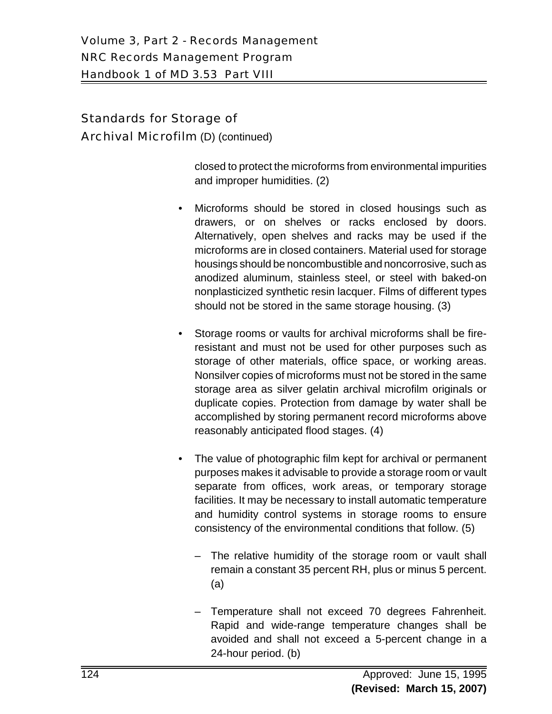#### Standards for Storage of

Archival Microfilm (D) (continued)

closed to protect the microforms from environmental impurities and improper humidities. (2)

- Microforms should be stored in closed housings such as drawers, or on shelves or racks enclosed by doors. Alternatively, open shelves and racks may be used if the microforms are in closed containers. Material used for storage housings should be noncombustible and noncorrosive, such as anodized aluminum, stainless steel, or steel with baked-on nonplasticized synthetic resin lacquer. Films of different types should not be stored in the same storage housing. (3)
- Storage rooms or vaults for archival microforms shall be fireresistant and must not be used for other purposes such as storage of other materials, office space, or working areas. Nonsilver copies of microforms must not be stored in the same storage area as silver gelatin archival microfilm originals or duplicate copies. Protection from damage by water shall be accomplished by storing permanent record microforms above reasonably anticipated flood stages. (4)
- The value of photographic film kept for archival or permanent purposes makes it advisable to provide a storage room or vault separate from offices, work areas, or temporary storage facilities. It may be necessary to install automatic temperature and humidity control systems in storage rooms to ensure consistency of the environmental conditions that follow. (5)
	- The relative humidity of the storage room or vault shall remain a constant 35 percent RH, plus or minus 5 percent. (a)
	- Temperature shall not exceed 70 degrees Fahrenheit. Rapid and wide-range temperature changes shall be avoided and shall not exceed a 5-percent change in a 24-hour period. (b)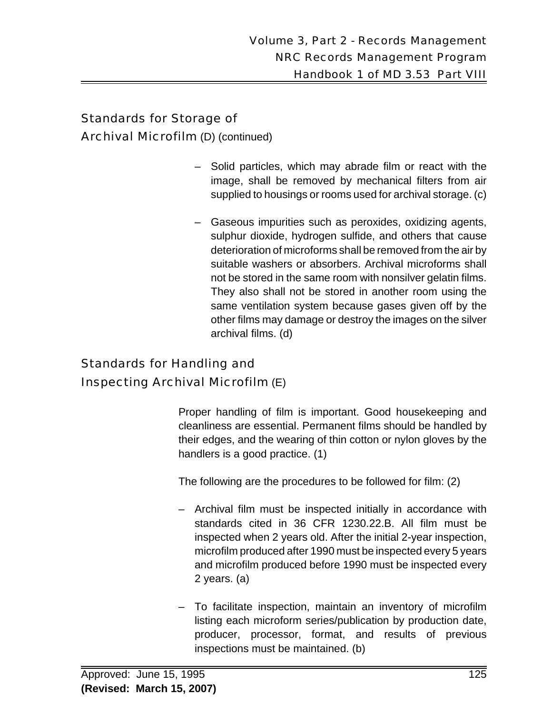#### Standards for Storage of

Archival Microfilm (D) (continued)

- Solid particles, which may abrade film or react with the image, shall be removed by mechanical filters from air supplied to housings or rooms used for archival storage. (c)
- Gaseous impurities such as peroxides, oxidizing agents, sulphur dioxide, hydrogen sulfide, and others that cause deterioration of microforms shall be removed from the air by suitable washers or absorbers. Archival microforms shall not be stored in the same room with nonsilver gelatin films. They also shall not be stored in another room using the same ventilation system because gases given off by the other films may damage or destroy the images on the silver archival films. (d)

# Standards for Handling and Inspecting Archival Microfilm (E)

Proper handling of film is important. Good housekeeping and cleanliness are essential. Permanent films should be handled by their edges, and the wearing of thin cotton or nylon gloves by the handlers is a good practice. (1)

The following are the procedures to be followed for film: (2)

- Archival film must be inspected initially in accordance with standards cited in 36 CFR 1230.22.B. All film must be inspected when 2 years old. After the initial 2-year inspection, microfilm produced after 1990 must be inspected every 5 years and microfilm produced before 1990 must be inspected every 2 years. (a)
- To facilitate inspection, maintain an inventory of microfilm listing each microform series/publication by production date, producer, processor, format, and results of previous inspections must be maintained. (b)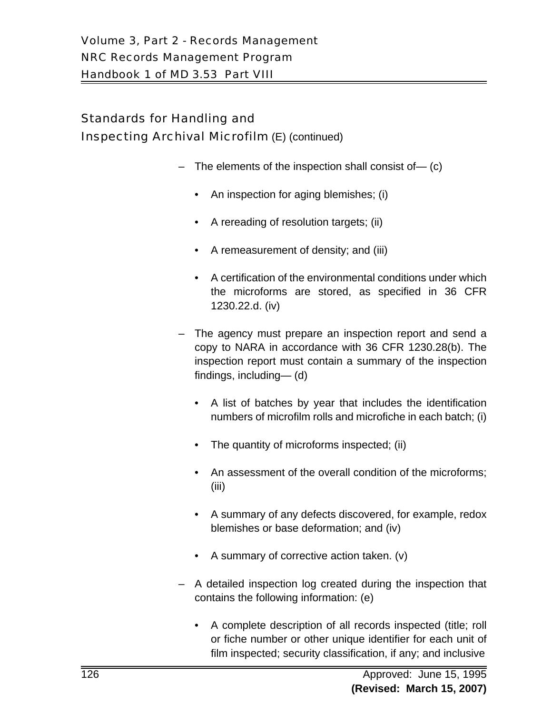# Standards for Handling and Inspecting Archival Microfilm (E) (continued)

- The elements of the inspection shall consist of— (c)
	- An inspection for aging blemishes; (i)
	- A rereading of resolution targets; (ii)
	- A remeasurement of density; and (iii)
	- A certification of the environmental conditions under which the microforms are stored, as specified in 36 CFR 1230.22.d. (iv)
- The agency must prepare an inspection report and send a copy to NARA in accordance with 36 CFR 1230.28(b). The inspection report must contain a summary of the inspection findings, including— (d)
	- A list of batches by year that includes the identification numbers of microfilm rolls and microfiche in each batch; (i)
	- The quantity of microforms inspected; (ii)
	- An assessment of the overall condition of the microforms; (iii)
	- A summary of any defects discovered, for example, redox blemishes or base deformation; and (iv)
	- A summary of corrective action taken. (v)
- A detailed inspection log created during the inspection that contains the following information: (e)
	- A complete description of all records inspected (title; roll or fiche number or other unique identifier for each unit of film inspected; security classification, if any; and inclusive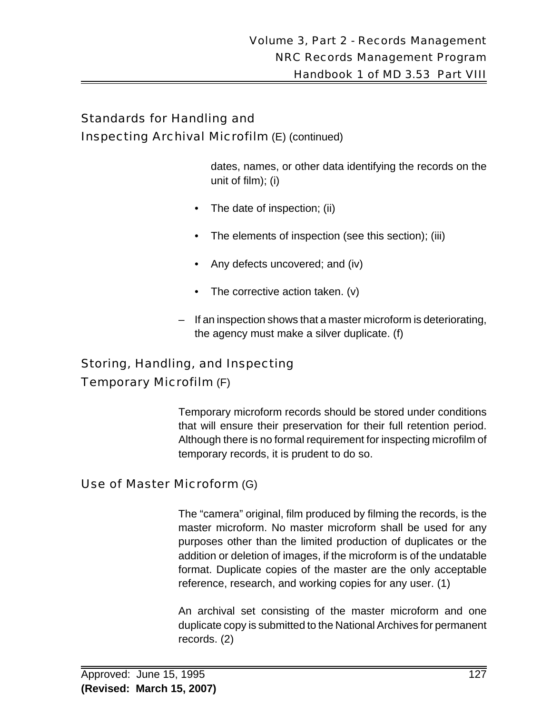# Standards for Handling and Inspecting Archival Microfilm (E) (continued)

dates, names, or other data identifying the records on the unit of film); (i)

- The date of inspection; (ii)
- The elements of inspection (see this section); (iii)
- Any defects uncovered; and (iv)
- The corrective action taken. (v)
- If an inspection shows that a master microform is deteriorating, the agency must make a silver duplicate. (f)

# Storing, Handling, and Inspecting Temporary Microfilm (F)

Temporary microform records should be stored under conditions that will ensure their preservation for their full retention period. Although there is no formal requirement for inspecting microfilm of temporary records, it is prudent to do so.

#### Use of Master Microform (G)

The "camera" original, film produced by filming the records, is the master microform. No master microform shall be used for any purposes other than the limited production of duplicates or the addition or deletion of images, if the microform is of the undatable format. Duplicate copies of the master are the only acceptable reference, research, and working copies for any user. (1)

An archival set consisting of the master microform and one duplicate copy is submitted to the National Archives for permanent records. (2)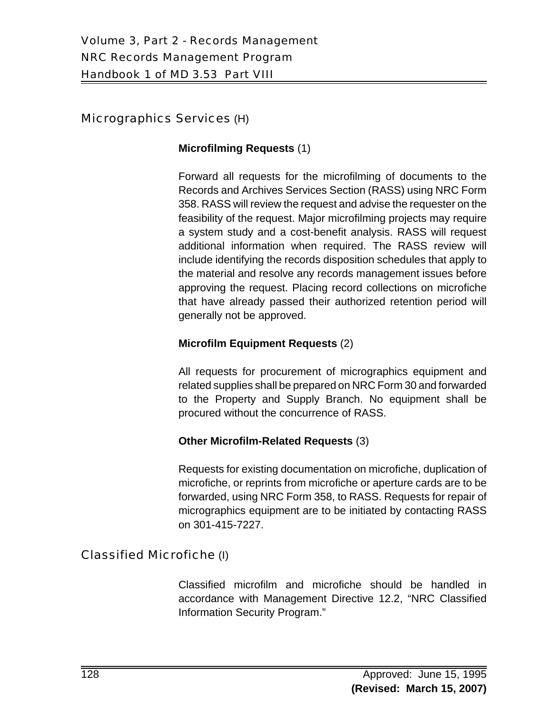#### Micrographics Services (H)

#### **Microfilming Requests** (1)

Forward all requests for the microfilming of documents to the Records and Archives Services Section (RASS) using NRC Form 358. RASS will review the request and advise the requester on the feasibility of the request. Major microfilming projects may require a system study and a cost-benefit analysis. RASS will request additional information when required. The RASS review will include identifying the records disposition schedules that apply to the material and resolve any records management issues before approving the request. Placing record collections on microfiche that have already passed their authorized retention period will generally not be approved.

#### **Microfilm Equipment Requests** (2)

All requests for procurement of micrographics equipment and related supplies shall be prepared on NRC Form 30 and forwarded to the Property and Supply Branch. No equipment shall be procured without the concurrence of RASS.

#### **Other Microfilm-Related Requests** (3)

Requests for existing documentation on microfiche, duplication of microfiche, or reprints from microfiche or aperture cards are to be forwarded, using NRC Form 358, to RASS. Requests for repair of micrographics equipment are to be initiated by contacting RASS on 301-415-7227.

#### Classified Microfiche (I)

Classified microfilm and microfiche should be handled in accordance with Management Directive 12.2, "NRC Classified Information Security Program."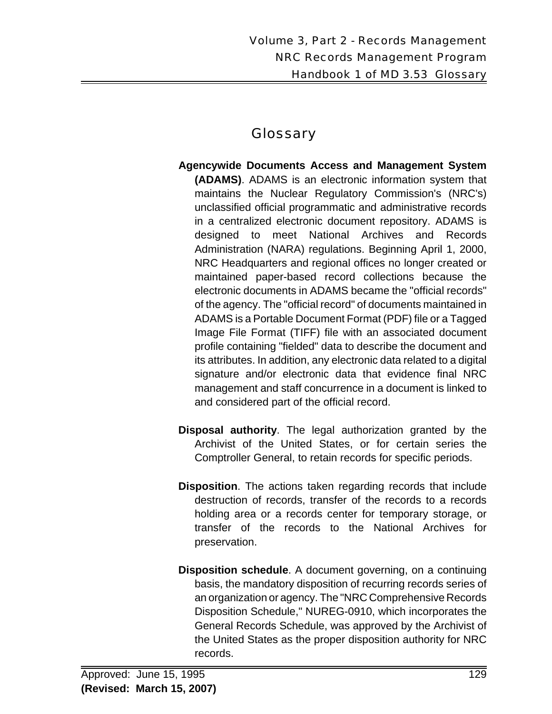# Glossary

- **Agencywide Documents Access and Management System (ADAMS)**. ADAMS is an electronic information system that maintains the Nuclear Regulatory Commission's (NRC's) unclassified official programmatic and administrative records in a centralized electronic document repository. ADAMS is designed to meet National Archives and Records Administration (NARA) regulations. Beginning April 1, 2000, NRC Headquarters and regional offices no longer created or maintained paper-based record collections because the electronic documents in ADAMS became the "official records" of the agency. The "official record" of documents maintained in ADAMS is a Portable Document Format (PDF) file or a Tagged Image File Format (TIFF) file with an associated document profile containing "fielded" data to describe the document and its attributes. In addition, any electronic data related to a digital signature and/or electronic data that evidence final NRC management and staff concurrence in a document is linked to and considered part of the official record.
- **Disposal authority**. The legal authorization granted by the Archivist of the United States, or for certain series the Comptroller General, to retain records for specific periods.
- **Disposition**. The actions taken regarding records that include destruction of records, transfer of the records to a records holding area or a records center for temporary storage, or transfer of the records to the National Archives for preservation.
- **Disposition schedule**. A document governing, on a continuing basis, the mandatory disposition of recurring records series of an organization or agency. The "NRC Comprehensive Records Disposition Schedule," NUREG-0910, which incorporates the General Records Schedule, was approved by the Archivist of the United States as the proper disposition authority for NRC records.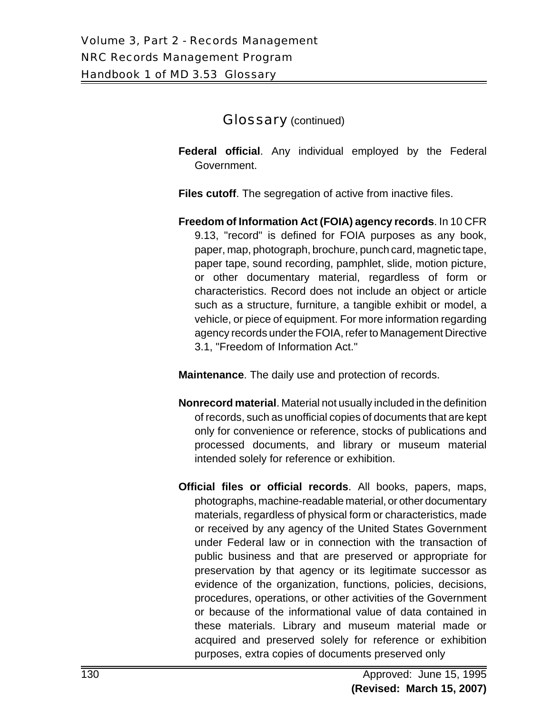#### Glossary (continued)

**Federal official**. Any individual employed by the Federal Government.

**Files cutoff.** The segregation of active from inactive files.

**Freedom of Information Act (FOIA) agency records**. In 10 CFR 9.13, "record" is defined for FOIA purposes as any book, paper, map, photograph, brochure, punch card, magnetic tape, paper tape, sound recording, pamphlet, slide, motion picture, or other documentary material, regardless of form or characteristics. Record does not include an object or article such as a structure, furniture, a tangible exhibit or model, a vehicle, or piece of equipment. For more information regarding agency records under the FOIA, refer to Management Directive 3.1, "Freedom of Information Act."

**Maintenance**. The daily use and protection of records.

- **Nonrecord material**. Material not usually included in the definition of records, such as unofficial copies of documents that are kept only for convenience or reference, stocks of publications and processed documents, and library or museum material intended solely for reference or exhibition.
- **Official files or official records**. All books, papers, maps, photographs, machine-readable material, or other documentary materials, regardless of physical form or characteristics, made or received by any agency of the United States Government under Federal law or in connection with the transaction of public business and that are preserved or appropriate for preservation by that agency or its legitimate successor as evidence of the organization, functions, policies, decisions, procedures, operations, or other activities of the Government or because of the informational value of data contained in these materials. Library and museum material made or acquired and preserved solely for reference or exhibition purposes, extra copies of documents preserved only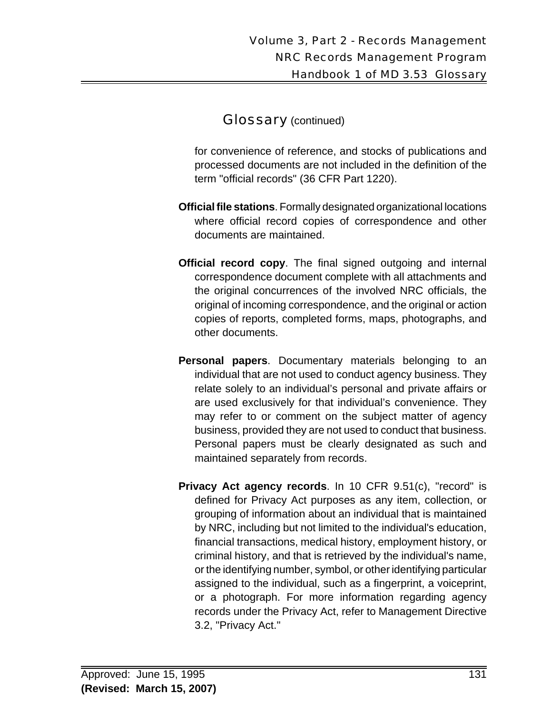### Glossary (continued)

for convenience of reference, and stocks of publications and processed documents are not included in the definition of the term "official records" (36 CFR Part 1220).

- **Official file stations**. Formally designated organizational locations where official record copies of correspondence and other documents are maintained.
- **Official record copy**. The final signed outgoing and internal correspondence document complete with all attachments and the original concurrences of the involved NRC officials, the original of incoming correspondence, and the original or action copies of reports, completed forms, maps, photographs, and other documents.
- **Personal papers**. Documentary materials belonging to an individual that are not used to conduct agency business. They relate solely to an individual's personal and private affairs or are used exclusively for that individual's convenience. They may refer to or comment on the subject matter of agency business, provided they are not used to conduct that business. Personal papers must be clearly designated as such and maintained separately from records.
- **Privacy Act agency records**. In 10 CFR 9.51(c), "record" is defined for Privacy Act purposes as any item, collection, or grouping of information about an individual that is maintained by NRC, including but not limited to the individual's education, financial transactions, medical history, employment history, or criminal history, and that is retrieved by the individual's name, or the identifying number, symbol, or other identifying particular assigned to the individual, such as a fingerprint, a voiceprint, or a photograph. For more information regarding agency records under the Privacy Act, refer to Management Directive 3.2, "Privacy Act."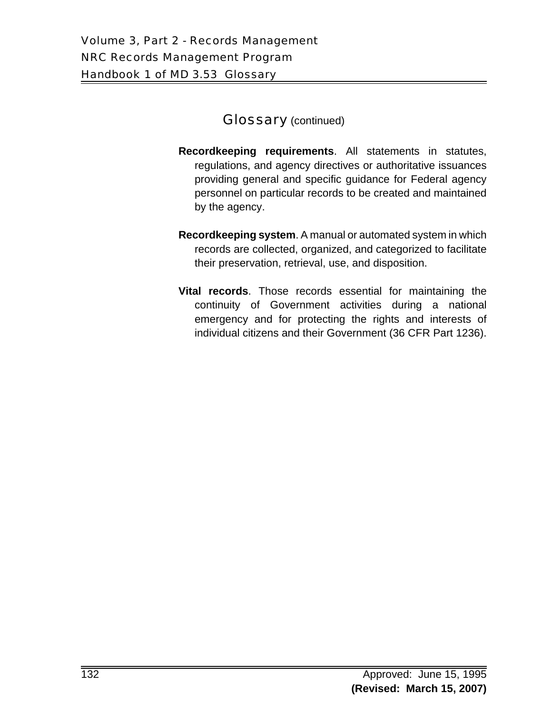#### **Glossary** (continued)

- **Recordkeeping requirements**. All statements in statutes, regulations, and agency directives or authoritative issuances providing general and specific guidance for Federal agency personnel on particular records to be created and maintained by the agency.
- **Recordkeeping system**. A manual or automated system in which records are collected, organized, and categorized to facilitate their preservation, retrieval, use, and disposition.
- **Vital records**. Those records essential for maintaining the continuity of Government activities during a national emergency and for protecting the rights and interests of individual citizens and their Government (36 CFR Part 1236).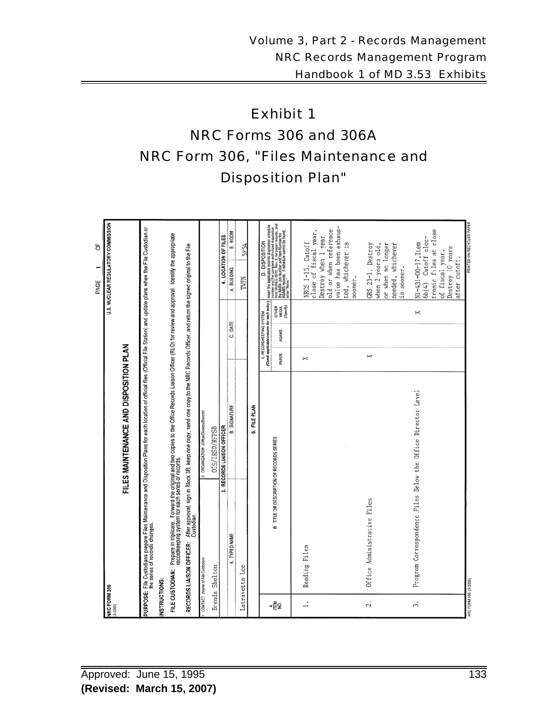# Exhibit 1 NRC Forms 306 and 306A NRC Form 306, "Files Maintenance and Disposition Plan"

|                          |                                                                                                                                                                                                                                   |                                          |       |                                                                      | U.S. NUCLEAR REGULATORY COMMISSION<br>Ξ<br>PAGE | p                                                                                                                                                                                                                                          |
|--------------------------|-----------------------------------------------------------------------------------------------------------------------------------------------------------------------------------------------------------------------------------|------------------------------------------|-------|----------------------------------------------------------------------|-------------------------------------------------|--------------------------------------------------------------------------------------------------------------------------------------------------------------------------------------------------------------------------------------------|
| NRC FORM 306<br>(3-2005) |                                                                                                                                                                                                                                   |                                          |       |                                                                      |                                                 |                                                                                                                                                                                                                                            |
|                          |                                                                                                                                                                                                                                   | FILES MAINTENANCE AND DISPOSITION PLAN   |       |                                                                      |                                                 |                                                                                                                                                                                                                                            |
|                          | PURPOSE: File Custodians prepare Files Maintenance and Disposition Plans for each location of official files (Official File Station) and update plans when the File Custodian or<br>PURPOSE: The series of records changes.       |                                          |       |                                                                      |                                                 |                                                                                                                                                                                                                                            |
| INSTRUCTIONS:            |                                                                                                                                                                                                                                   |                                          |       |                                                                      |                                                 |                                                                                                                                                                                                                                            |
|                          | FILE CUSTODIAN: Prepare in triplicate. Forward the original and two copies to the Office Records Liaison Officer (RLO) for review and approval. Identify the appropriate<br>FILE CUSTODIAKeeping system for each series of record |                                          |       |                                                                      |                                                 |                                                                                                                                                                                                                                            |
|                          | RECORDS LIAISON OFFICER: After approval, sign in Block 3B, keep one copy, send one copy to the NRC Records Officer, and return the signed original to the File<br>Custodian                                                       |                                          |       |                                                                      |                                                 |                                                                                                                                                                                                                                            |
|                          | CONTACT (Name of File Custodian)                                                                                                                                                                                                  | 2. ORGANIZATION (Office/Division/Branch) |       |                                                                      |                                                 |                                                                                                                                                                                                                                            |
|                          | Brenda Shelton                                                                                                                                                                                                                    | OIS/IRSD/RFPSB                           |       |                                                                      |                                                 |                                                                                                                                                                                                                                            |
|                          | ಣಿ                                                                                                                                                                                                                                | RECORDS LIAISON OFFICER                  |       |                                                                      |                                                 | 4. LOCATION OF FILES                                                                                                                                                                                                                       |
|                          | TYPED NAME<br>∢                                                                                                                                                                                                                   | <b>B. SIGNATURE</b>                      |       | DATE<br>ن                                                            | A. BUILDING                                     | B. ROOM                                                                                                                                                                                                                                    |
|                          | Latravetta Lee                                                                                                                                                                                                                    |                                          |       |                                                                      | TWFN                                            | <b>SF54</b>                                                                                                                                                                                                                                |
|                          |                                                                                                                                                                                                                                   | FILE PLAN<br>ق                           |       |                                                                      |                                                 |                                                                                                                                                                                                                                            |
|                          |                                                                                                                                                                                                                                   |                                          |       | C. RECORDKEEPING SYSTEM<br>(Check applicable column for each entry.) |                                                 | D. DISPOSITION                                                                                                                                                                                                                             |
| ⋖ЁѮ                      | B. TITLE OR DESCRIPTION OF RECORDS SERIES                                                                                                                                                                                         |                                          | PAPER | OTHER<br>MEDIA<br>(Specity)<br><b>ADAMS</b>                          |                                                 | ) Insert the applicable necosts disposition schedule<br>Irom NH RECO the COTRAME authorized disposition<br>Irom NH RECO the COTRAME authorized disposition<br>Itan NGRA Lob Nurther and Itam Number for and<br>enter No necosts. If advert |
|                          |                                                                                                                                                                                                                                   |                                          |       |                                                                      |                                                 |                                                                                                                                                                                                                                            |
| ≓                        | Reading Files                                                                                                                                                                                                                     |                                          | ż     |                                                                      | NRCS 1-15. Cutoff                               |                                                                                                                                                                                                                                            |
|                          |                                                                                                                                                                                                                                   |                                          |       |                                                                      | close of fiscal year.                           |                                                                                                                                                                                                                                            |
|                          |                                                                                                                                                                                                                                   |                                          |       |                                                                      | old or when reference<br>Destroy when 1 year    |                                                                                                                                                                                                                                            |
|                          |                                                                                                                                                                                                                                   |                                          |       |                                                                      | value has been exhaus-                          |                                                                                                                                                                                                                                            |
|                          |                                                                                                                                                                                                                                   |                                          |       |                                                                      | ted, whichever is<br>sooner.                    |                                                                                                                                                                                                                                            |
| 2.                       | Office Administrative Files                                                                                                                                                                                                       |                                          | x     |                                                                      | GRS 23-1. Destroy                               |                                                                                                                                                                                                                                            |
|                          |                                                                                                                                                                                                                                   |                                          |       |                                                                      | or when no longer<br>when 2 years old,          |                                                                                                                                                                                                                                            |
|                          |                                                                                                                                                                                                                                   |                                          |       |                                                                      | needed, whichever<br>is sooner.                 |                                                                                                                                                                                                                                            |
| 3.                       | Program Correspondence Files Below the Office Director Level                                                                                                                                                                      |                                          |       | ×                                                                    | N1-431-00-17, Item                              |                                                                                                                                                                                                                                            |
|                          |                                                                                                                                                                                                                                   |                                          |       |                                                                      | tronic files at close<br>6b(4) Cutoff elec-     |                                                                                                                                                                                                                                            |
|                          |                                                                                                                                                                                                                                   |                                          |       |                                                                      | of fiscal year.                                 |                                                                                                                                                                                                                                            |
|                          |                                                                                                                                                                                                                                   |                                          |       |                                                                      | Destroy 10 years<br>after cutoff.               |                                                                                                                                                                                                                                            |
| NRC FORM 306 (3-2005)    |                                                                                                                                                                                                                                   |                                          |       |                                                                      |                                                 | PRINTED ON RECYCLED PAPER                                                                                                                                                                                                                  |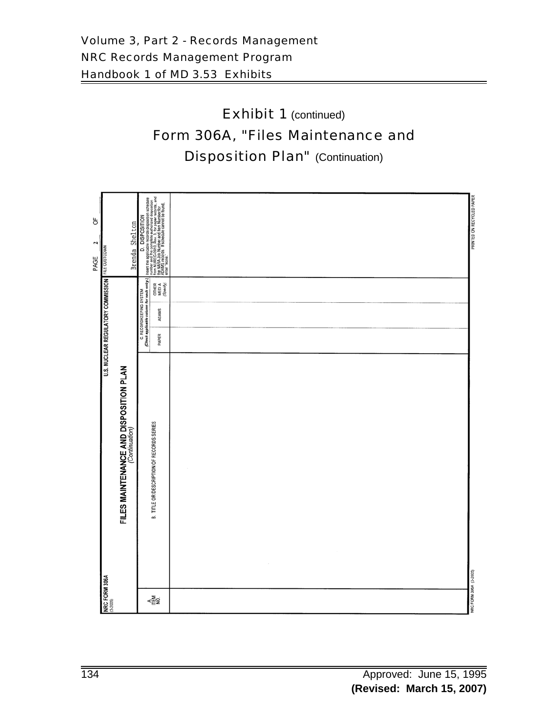# Exhibit 1 (continued) Form 306A, "Files Maintenance and **Disposition Plan"** (Continuation)

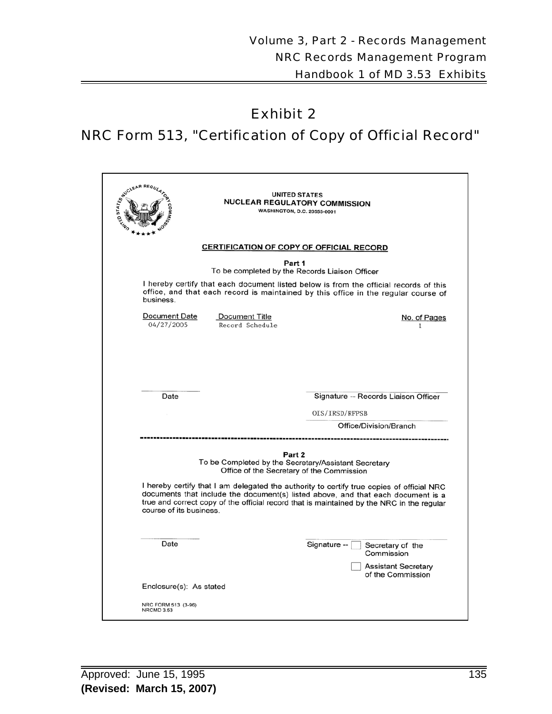## Exhibit 2

# NRC Form 513, "Certification of Copy of Official Record"

| STATE AR REGULA                                                                                                                                                                                                                                                                                                                                                                                                      | <b>UNITED STATES</b><br>NUCLEAR REGULATORY COMMISSION<br><b>WASHINGTON, D.C. 20555-0001</b>                                                                                 |
|----------------------------------------------------------------------------------------------------------------------------------------------------------------------------------------------------------------------------------------------------------------------------------------------------------------------------------------------------------------------------------------------------------------------|-----------------------------------------------------------------------------------------------------------------------------------------------------------------------------|
|                                                                                                                                                                                                                                                                                                                                                                                                                      | <b>CERTIFICATION OF COPY OF OFFICIAL RECORD</b>                                                                                                                             |
|                                                                                                                                                                                                                                                                                                                                                                                                                      | Part 1<br>To be completed by the Records Liaison Officer                                                                                                                    |
| business.                                                                                                                                                                                                                                                                                                                                                                                                            | I hereby certify that each document listed below is from the official records of this<br>office, and that each record is maintained by this office in the regular course of |
| <b>Document Date</b><br><b>Document Title</b><br>04/27/2005<br>Record Schedule                                                                                                                                                                                                                                                                                                                                       | No. of Pages<br>1                                                                                                                                                           |
| Date                                                                                                                                                                                                                                                                                                                                                                                                                 | Signature -- Records Liaison Officer                                                                                                                                        |
|                                                                                                                                                                                                                                                                                                                                                                                                                      | OIS/IRSD/RFPSB<br>Office/Division/Branch                                                                                                                                    |
| Part 2<br>To be Completed by the Secretary/Assistant Secretary<br>Office of the Secretary of the Commission<br>I hereby certify that I am delegated the authority to certify true copies of official NRC<br>documents that include the document(s) listed above, and that each document is a<br>true and correct copy of the official record that is maintained by the NRC in the regular<br>course of its business. |                                                                                                                                                                             |
| Date                                                                                                                                                                                                                                                                                                                                                                                                                 | Signature --<br>Secretary of the<br>Commission<br><b>Assistant Secretary</b><br>of the Commission                                                                           |
| Enclosure(s): As stated                                                                                                                                                                                                                                                                                                                                                                                              |                                                                                                                                                                             |
| NRC FORM 513 (3-96)<br>NRCMD 3.53                                                                                                                                                                                                                                                                                                                                                                                    |                                                                                                                                                                             |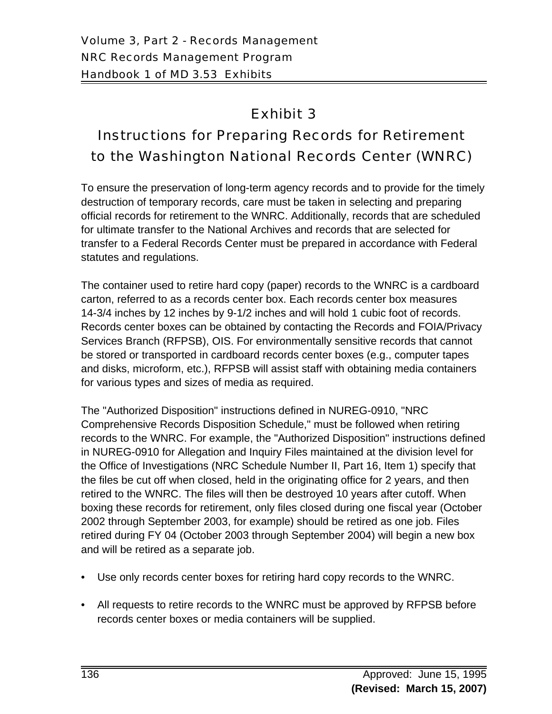# Exhibit 3

# Instructions for Preparing Records for Retirement to the Washington National Records Center (WNRC)

To ensure the preservation of long-term agency records and to provide for the timely destruction of temporary records, care must be taken in selecting and preparing official records for retirement to the WNRC. Additionally, records that are scheduled for ultimate transfer to the National Archives and records that are selected for transfer to a Federal Records Center must be prepared in accordance with Federal statutes and regulations.

The container used to retire hard copy (paper) records to the WNRC is a cardboard carton, referred to as a records center box. Each records center box measures 14-3/4 inches by 12 inches by 9-1/2 inches and will hold 1 cubic foot of records. Records center boxes can be obtained by contacting the Records and FOIA/Privacy Services Branch (RFPSB), OIS. For environmentally sensitive records that cannot be stored or transported in cardboard records center boxes (e.g., computer tapes and disks, microform, etc.), RFPSB will assist staff with obtaining media containers for various types and sizes of media as required.

The "Authorized Disposition" instructions defined in NUREG-0910, "NRC Comprehensive Records Disposition Schedule," must be followed when retiring records to the WNRC. For example, the "Authorized Disposition" instructions defined in NUREG-0910 for Allegation and Inquiry Files maintained at the division level for the Office of Investigations (NRC Schedule Number II, Part 16, Item 1) specify that the files be cut off when closed, held in the originating office for 2 years, and then retired to the WNRC. The files will then be destroyed 10 years after cutoff. When boxing these records for retirement, only files closed during one fiscal year (October 2002 through September 2003, for example) should be retired as one job. Files retired during FY 04 (October 2003 through September 2004) will begin a new box and will be retired as a separate job.

- Use only records center boxes for retiring hard copy records to the WNRC.
- All requests to retire records to the WNRC must be approved by RFPSB before records center boxes or media containers will be supplied.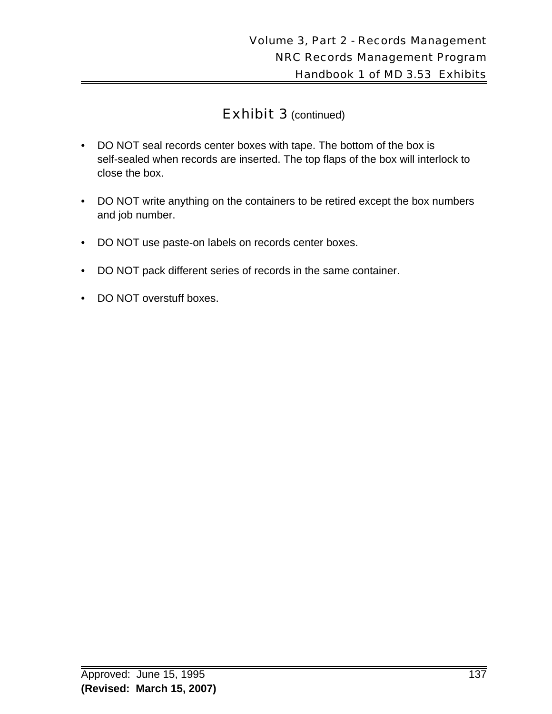- DO NOT seal records center boxes with tape. The bottom of the box is self-sealed when records are inserted. The top flaps of the box will interlock to close the box.
- DO NOT write anything on the containers to be retired except the box numbers and job number.
- DO NOT use paste-on labels on records center boxes.
- DO NOT pack different series of records in the same container.
- DO NOT overstuff boxes.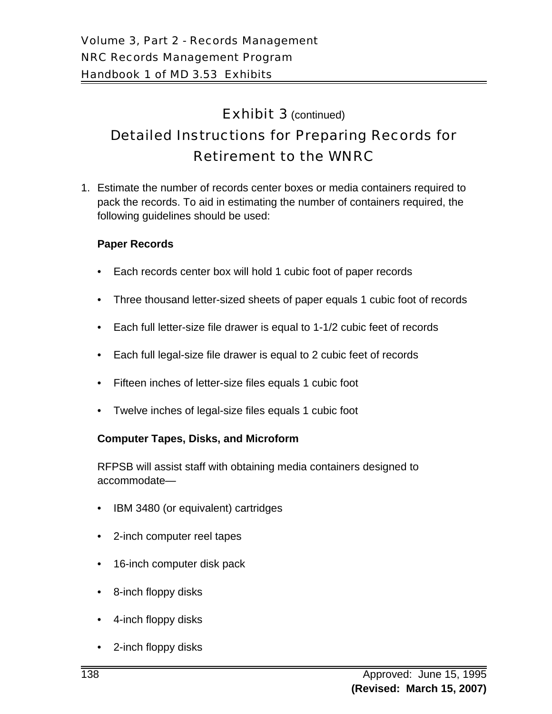# Detailed Instructions for Preparing Records for Retirement to the WNRC

1. Estimate the number of records center boxes or media containers required to pack the records. To aid in estimating the number of containers required, the following guidelines should be used:

#### **Paper Records**

- Each records center box will hold 1 cubic foot of paper records
- Three thousand letter-sized sheets of paper equals 1 cubic foot of records
- Each full letter-size file drawer is equal to 1-1/2 cubic feet of records
- Each full legal-size file drawer is equal to 2 cubic feet of records
- Fifteen inches of letter-size files equals 1 cubic foot
- Twelve inches of legal-size files equals 1 cubic foot

#### **Computer Tapes, Disks, and Microform**

RFPSB will assist staff with obtaining media containers designed to accommodate—

- IBM 3480 (or equivalent) cartridges
- 2-inch computer reel tapes
- 16-inch computer disk pack
- 8-inch floppy disks
- 4-inch floppy disks
- 2-inch floppy disks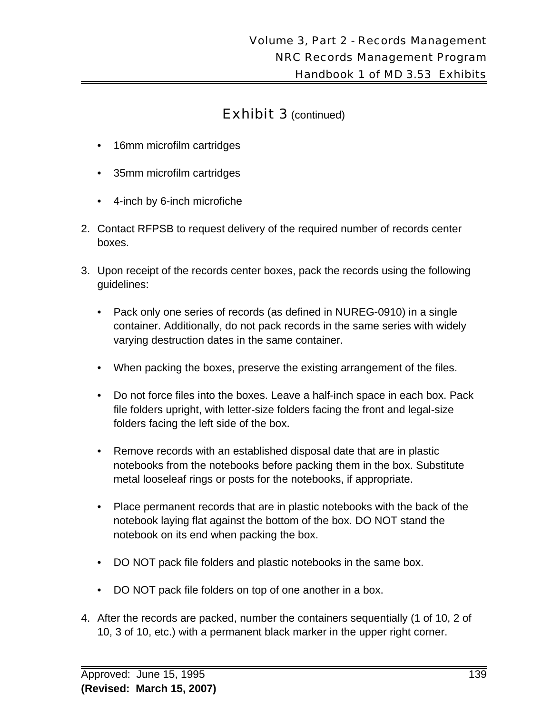- 16mm microfilm cartridges
- 35mm microfilm cartridges
- 4-inch by 6-inch microfiche
- 2. Contact RFPSB to request delivery of the required number of records center boxes.
- 3. Upon receipt of the records center boxes, pack the records using the following guidelines:
	- Pack only one series of records (as defined in NUREG-0910) in a single container. Additionally, do not pack records in the same series with widely varying destruction dates in the same container.
	- When packing the boxes, preserve the existing arrangement of the files.
	- Do not force files into the boxes. Leave a half-inch space in each box. Pack file folders upright, with letter-size folders facing the front and legal-size folders facing the left side of the box.
	- Remove records with an established disposal date that are in plastic notebooks from the notebooks before packing them in the box. Substitute metal looseleaf rings or posts for the notebooks, if appropriate.
	- Place permanent records that are in plastic notebooks with the back of the notebook laying flat against the bottom of the box. DO NOT stand the notebook on its end when packing the box.
	- DO NOT pack file folders and plastic notebooks in the same box.
	- DO NOT pack file folders on top of one another in a box.
- 4. After the records are packed, number the containers sequentially (1 of 10, 2 of 10, 3 of 10, etc.) with a permanent black marker in the upper right corner.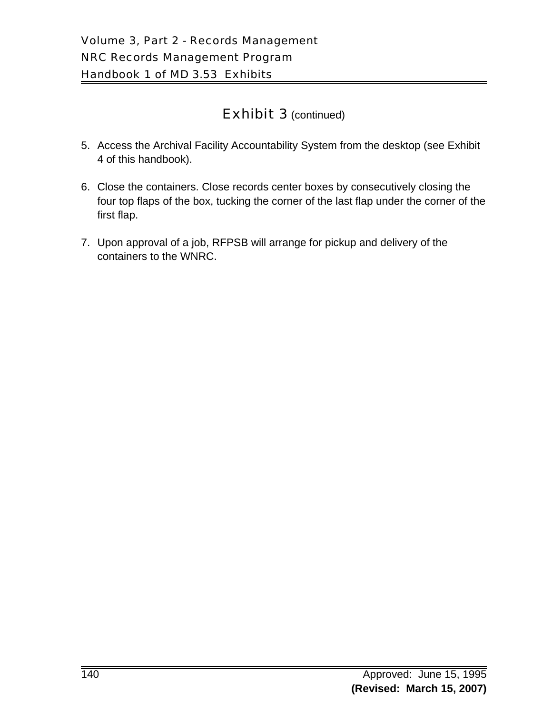- 5. Access the Archival Facility Accountability System from the desktop (see Exhibit 4 of this handbook).
- 6. Close the containers. Close records center boxes by consecutively closing the four top flaps of the box, tucking the corner of the last flap under the corner of the first flap.
- 7. Upon approval of a job, RFPSB will arrange for pickup and delivery of the containers to the WNRC.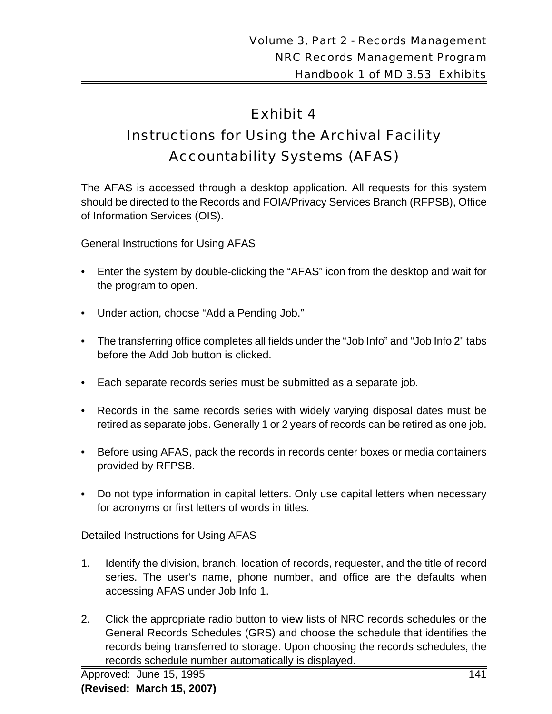# Exhibit 4

# Instructions for Using the Archival Facility Accountability Systems (AFAS)

The AFAS is accessed through a desktop application. All requests for this system should be directed to the Records and FOIA/Privacy Services Branch (RFPSB), Office of Information Services (OIS).

General Instructions for Using AFAS

- Enter the system by double-clicking the "AFAS" icon from the desktop and wait for the program to open.
- Under action, choose "Add a Pending Job."
- The transferring office completes all fields under the "Job Info" and "Job Info 2" tabs before the Add Job button is clicked.
- Each separate records series must be submitted as a separate job.
- Records in the same records series with widely varying disposal dates must be retired as separate jobs. Generally 1 or 2 years of records can be retired as one job.
- Before using AFAS, pack the records in records center boxes or media containers provided by RFPSB.
- Do not type information in capital letters. Only use capital letters when necessary for acronyms or first letters of words in titles.

Detailed Instructions for Using AFAS

- 1. Identify the division, branch, location of records, requester, and the title of record series. The user's name, phone number, and office are the defaults when accessing AFAS under Job Info 1.
- 2. Click the appropriate radio button to view lists of NRC records schedules or the General Records Schedules (GRS) and choose the schedule that identifies the records being transferred to storage. Upon choosing the records schedules, the records schedule number automatically is displayed.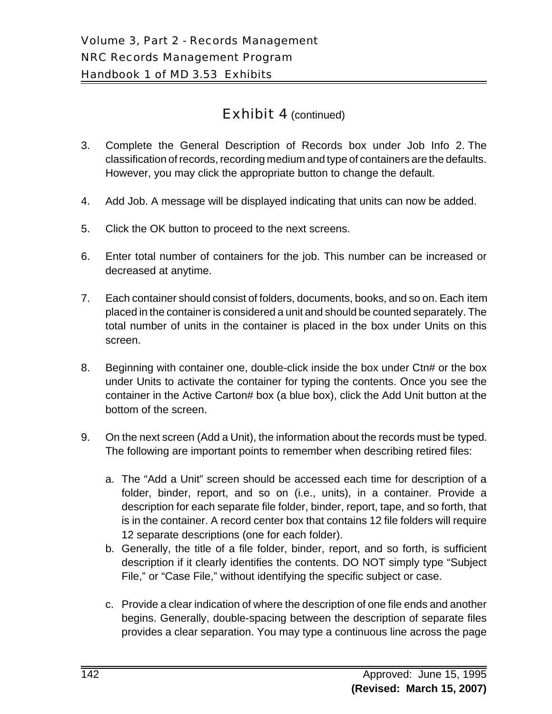- 3. Complete the General Description of Records box under Job Info 2. The classification of records, recording medium and type of containers are the defaults. However, you may click the appropriate button to change the default.
- 4. Add Job. A message will be displayed indicating that units can now be added.
- 5. Click the OK button to proceed to the next screens.
- 6. Enter total number of containers for the job. This number can be increased or decreased at anytime.
- 7. Each container should consist of folders, documents, books, and so on. Each item placed in the container is considered a unit and should be counted separately. The total number of units in the container is placed in the box under Units on this screen.
- 8. Beginning with container one, double-click inside the box under Ctn# or the box under Units to activate the container for typing the contents. Once you see the container in the Active Carton# box (a blue box), click the Add Unit button at the bottom of the screen.
- 9. On the next screen (Add a Unit), the information about the records must be typed. The following are important points to remember when describing retired files:
	- a. The "Add a Unit" screen should be accessed each time for description of a folder, binder, report, and so on (i.e., units), in a container. Provide a description for each separate file folder, binder, report, tape, and so forth, that is in the container. A record center box that contains 12 file folders will require 12 separate descriptions (one for each folder).
	- b. Generally, the title of a file folder, binder, report, and so forth, is sufficient description if it clearly identifies the contents. DO NOT simply type "Subject File," or "Case File," without identifying the specific subject or case.
	- c. Provide a clear indication of where the description of one file ends and another begins. Generally, double-spacing between the description of separate files provides a clear separation. You may type a continuous line across the page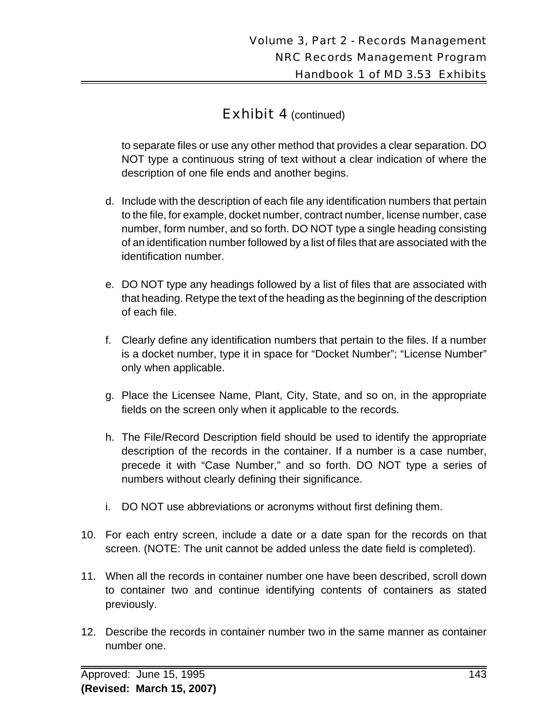to separate files or use any other method that provides a clear separation. DO NOT type a continuous string of text without a clear indication of where the description of one file ends and another begins.

- d. Include with the description of each file any identification numbers that pertain to the file, for example, docket number, contract number, license number, case number, form number, and so forth. DO NOT type a single heading consisting of an identification number followed by a list of files that are associated with the identification number.
- e. DO NOT type any headings followed by a list of files that are associated with that heading. Retype the text of the heading as the beginning of the description of each file.
- f. Clearly define any identification numbers that pertain to the files. If a number is a docket number, type it in space for "Docket Number"; "License Number" only when applicable.
- g. Place the Licensee Name, Plant, City, State, and so on, in the appropriate fields on the screen only when it applicable to the records.
- h. The File/Record Description field should be used to identify the appropriate description of the records in the container. If a number is a case number, precede it with "Case Number," and so forth. DO NOT type a series of numbers without clearly defining their significance.
- i. DO NOT use abbreviations or acronyms without first defining them.
- 10. For each entry screen, include a date or a date span for the records on that screen. (NOTE: The unit cannot be added unless the date field is completed).
- 11. When all the records in container number one have been described, scroll down to container two and continue identifying contents of containers as stated previously.
- 12. Describe the records in container number two in the same manner as container number one.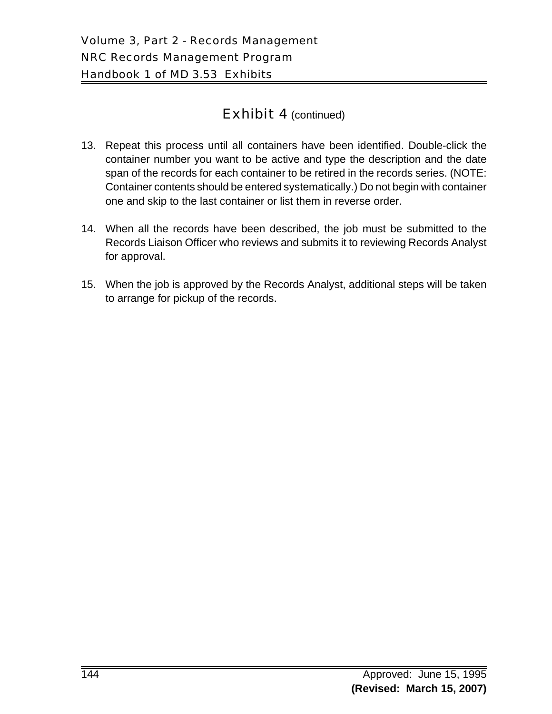- 13. Repeat this process until all containers have been identified. Double-click the container number you want to be active and type the description and the date span of the records for each container to be retired in the records series. (NOTE: Container contents should be entered systematically.) Do not begin with container one and skip to the last container or list them in reverse order.
- 14. When all the records have been described, the job must be submitted to the Records Liaison Officer who reviews and submits it to reviewing Records Analyst for approval.
- 15. When the job is approved by the Records Analyst, additional steps will be taken to arrange for pickup of the records.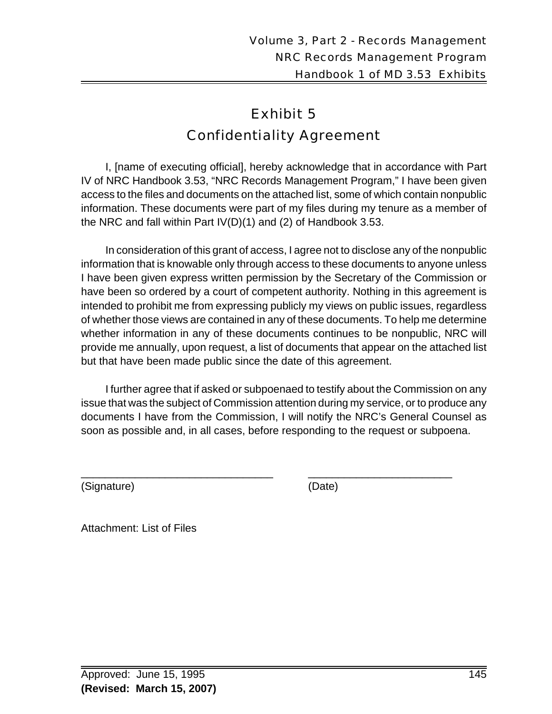# Exhibit 5 Confidentiality Agreement

I, [name of executing official], hereby acknowledge that in accordance with Part IV of NRC Handbook 3.53, "NRC Records Management Program," I have been given access to the files and documents on the attached list, some of which contain nonpublic information. These documents were part of my files during my tenure as a member of the NRC and fall within Part IV(D)(1) and (2) of Handbook 3.53.

In consideration of this grant of access, I agree not to disclose any of the nonpublic information that is knowable only through access to these documents to anyone unless I have been given express written permission by the Secretary of the Commission or have been so ordered by a court of competent authority. Nothing in this agreement is intended to prohibit me from expressing publicly my views on public issues, regardless of whether those views are contained in any of these documents. To help me determine whether information in any of these documents continues to be nonpublic, NRC will provide me annually, upon request, a list of documents that appear on the attached list but that have been made public since the date of this agreement.

I further agree that if asked or subpoenaed to testify about the Commission on any issue that was the subject of Commission attention during my service, or to produce any documents I have from the Commission, I will notify the NRC's General Counsel as soon as possible and, in all cases, before responding to the request or subpoena.

\_\_\_\_\_\_\_\_\_\_\_\_\_\_\_\_\_\_\_\_\_\_\_\_\_\_\_\_\_\_\_\_ \_\_\_\_\_\_\_\_\_\_\_\_\_\_\_\_\_\_\_\_\_\_\_\_

(Signature) (Date)

Attachment: List of Files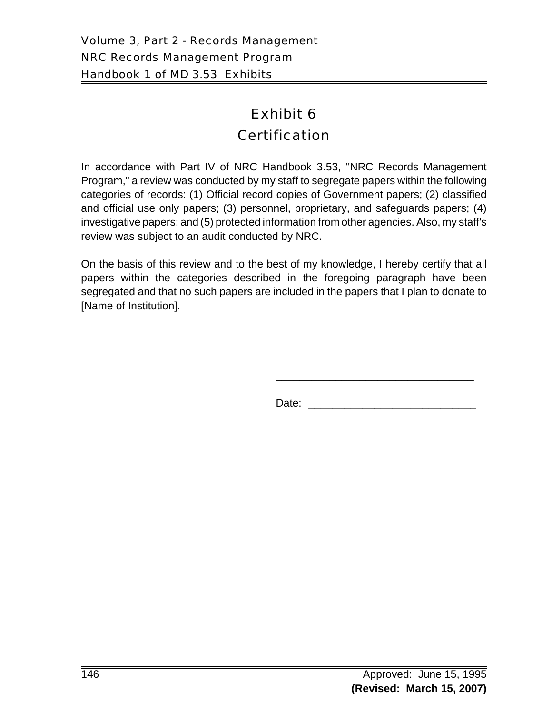# Exhibit 6 **Certification**

In accordance with Part IV of NRC Handbook 3.53, "NRC Records Management Program," a review was conducted by my staff to segregate papers within the following categories of records: (1) Official record copies of Government papers; (2) classified and official use only papers; (3) personnel, proprietary, and safeguards papers; (4) investigative papers; and (5) protected information from other agencies. Also, my staff's review was subject to an audit conducted by NRC.

On the basis of this review and to the best of my knowledge, I hereby certify that all papers within the categories described in the foregoing paragraph have been segregated and that no such papers are included in the papers that I plan to donate to [Name of Institution].

Date: \_\_\_\_\_\_\_\_\_\_\_\_\_\_\_\_\_\_\_\_\_\_\_\_\_\_\_\_

\_\_\_\_\_\_\_\_\_\_\_\_\_\_\_\_\_\_\_\_\_\_\_\_\_\_\_\_\_\_\_\_\_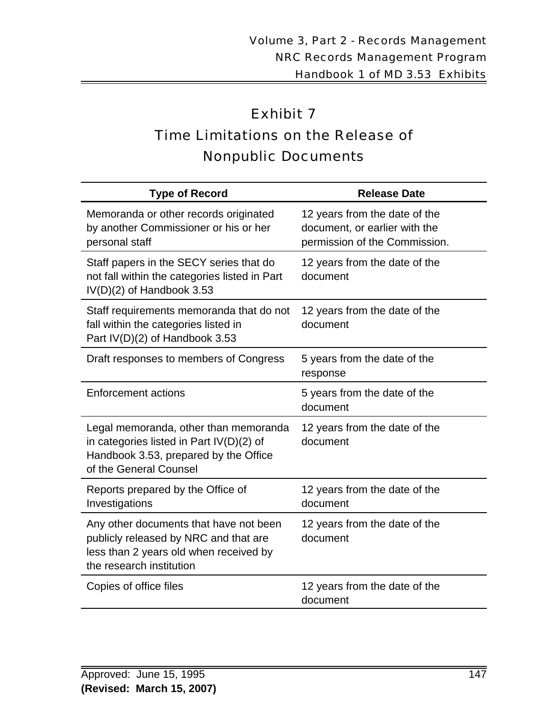# Exhibit 7 Time Limitations on the Release of Nonpublic Documents

| <b>Type of Record</b>                                                                                                                                  | <b>Release Date</b>                                                                             |
|--------------------------------------------------------------------------------------------------------------------------------------------------------|-------------------------------------------------------------------------------------------------|
| Memoranda or other records originated<br>by another Commissioner or his or her<br>personal staff                                                       | 12 years from the date of the<br>document, or earlier with the<br>permission of the Commission. |
| Staff papers in the SECY series that do<br>not fall within the categories listed in Part<br>IV(D)(2) of Handbook 3.53                                  | 12 years from the date of the<br>document                                                       |
| Staff requirements memoranda that do not<br>fall within the categories listed in<br>Part IV(D)(2) of Handbook 3.53                                     | 12 years from the date of the<br>document                                                       |
| Draft responses to members of Congress                                                                                                                 | 5 years from the date of the<br>response                                                        |
| <b>Enforcement actions</b>                                                                                                                             | 5 years from the date of the<br>document                                                        |
| Legal memoranda, other than memoranda<br>in categories listed in Part $IV(D)(2)$ of<br>Handbook 3.53, prepared by the Office<br>of the General Counsel | 12 years from the date of the<br>document                                                       |
| Reports prepared by the Office of<br>Investigations                                                                                                    | 12 years from the date of the<br>document                                                       |
| Any other documents that have not been<br>publicly released by NRC and that are<br>less than 2 years old when received by<br>the research institution  | 12 years from the date of the<br>document                                                       |
| Copies of office files                                                                                                                                 | 12 years from the date of the<br>document                                                       |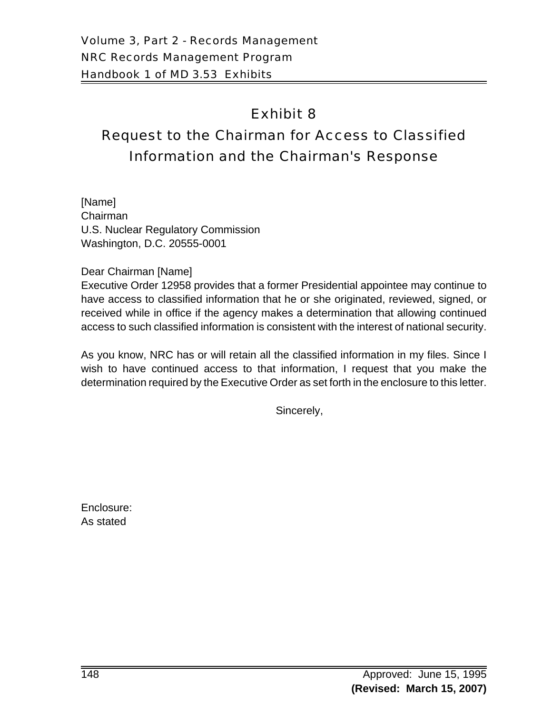# Exhibit 8

# Request to the Chairman for Access to Classified Information and the Chairman's Response

[Name] Chairman U.S. Nuclear Regulatory Commission Washington, D.C. 20555-0001

Dear Chairman [Name]

Executive Order 12958 provides that a former Presidential appointee may continue to have access to classified information that he or she originated, reviewed, signed, or received while in office if the agency makes a determination that allowing continued access to such classified information is consistent with the interest of national security.

As you know, NRC has or will retain all the classified information in my files. Since I wish to have continued access to that information, I request that you make the determination required by the Executive Order as set forth in the enclosure to this letter.

Sincerely,

Enclosure: As stated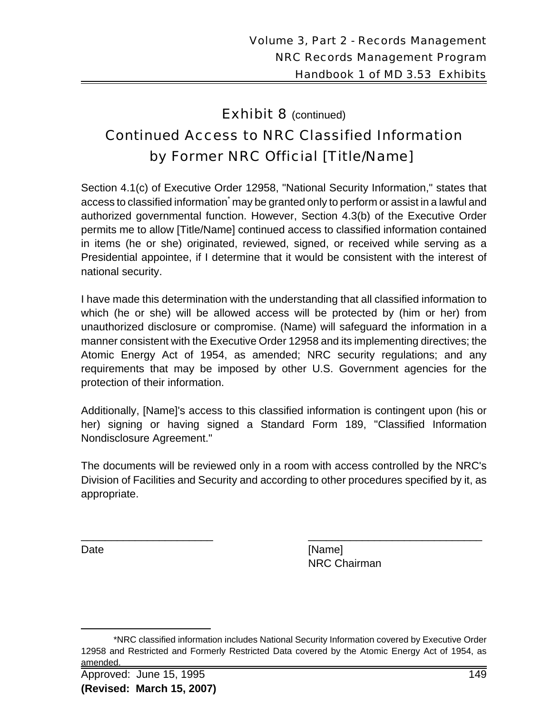# **Exhibit 8** (continued) Continued Access to NRC Classified Information by Former NRC Official [Title/Name]

Section 4.1(c) of Executive Order 12958, "National Security Information," states that access to classified information $\dot{\,}$  may be granted only to perform or assist in a lawful and authorized governmental function. However, Section 4.3(b) of the Executive Order permits me to allow [Title/Name] continued access to classified information contained in items (he or she) originated, reviewed, signed, or received while serving as a Presidential appointee, if I determine that it would be consistent with the interest of national security.

I have made this determination with the understanding that all classified information to which (he or she) will be allowed access will be protected by (him or her) from unauthorized disclosure or compromise. (Name) will safeguard the information in a manner consistent with the Executive Order 12958 and its implementing directives; the Atomic Energy Act of 1954, as amended; NRC security regulations; and any requirements that may be imposed by other U.S. Government agencies for the protection of their information.

Additionally, [Name]'s access to this classified information is contingent upon (his or her) signing or having signed a Standard Form 189, "Classified Information Nondisclosure Agreement."

The documents will be reviewed only in a room with access controlled by the NRC's Division of Facilities and Security and according to other procedures specified by it, as appropriate.

\_\_\_\_\_\_\_\_\_\_\_\_\_\_\_\_\_\_\_\_\_\_ \_\_\_\_\_\_\_\_\_\_\_\_\_\_\_\_\_\_\_\_\_\_\_\_\_\_\_\_\_

Date [Name] NRC Chairman

<sup>\*</sup>NRC classified information includes National Security Information covered by Executive Order 12958 and Restricted and Formerly Restricted Data covered by the Atomic Energy Act of 1954, as amended.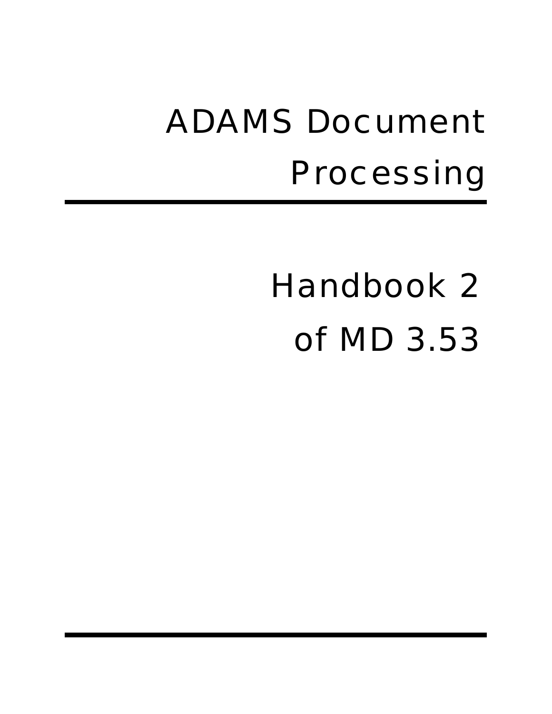# ADAMS Document Processing

# Handbook 2 of MD 3.53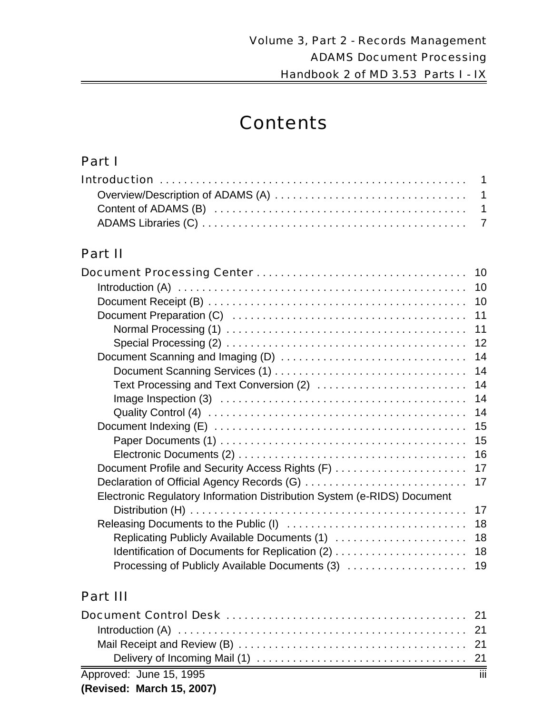# **Contents**

## Part I

# Part II

|                                                                         | 10 |
|-------------------------------------------------------------------------|----|
|                                                                         | 10 |
|                                                                         | 10 |
|                                                                         | 11 |
|                                                                         | 11 |
|                                                                         | 12 |
|                                                                         | 14 |
|                                                                         | 14 |
| Text Processing and Text Conversion (2)                                 | 14 |
|                                                                         | 14 |
|                                                                         | 14 |
|                                                                         | 15 |
|                                                                         | 15 |
|                                                                         | 16 |
| Document Profile and Security Access Rights (F)                         | 17 |
| Declaration of Official Agency Records (G)                              | 17 |
| Electronic Regulatory Information Distribution System (e-RIDS) Document |    |
|                                                                         | 17 |
|                                                                         | 18 |
| Replicating Publicly Available Documents (1)                            | 18 |
| Identification of Documents for Replication (2)                         | 18 |
| Processing of Publicly Available Documents (3)                          | 19 |

# Part III

| Approved: June 15, 1995 |  |
|-------------------------|--|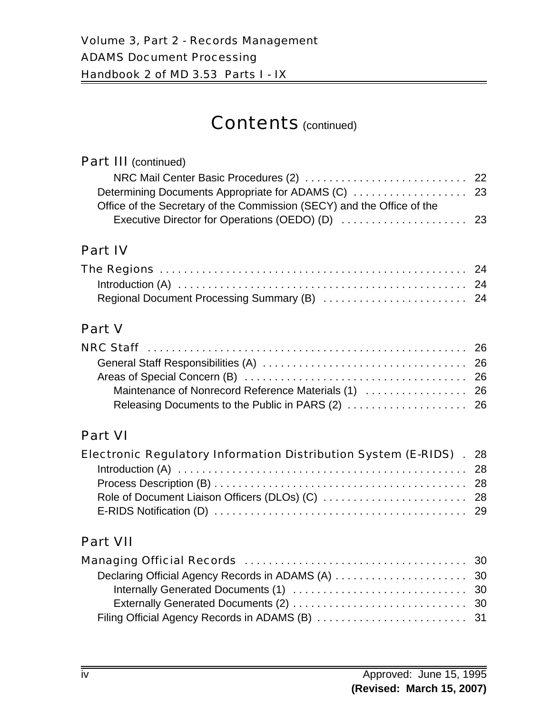# Contents (continued)

#### Part III (continued) NRC Mail Center Basic Procedures (2) . . . . . . . . . . . . . . . . . . . . . . . . . . . 22 Determining Documents Appropriate for ADAMS (C) . . . . . . . . . . . . . . . . . . . 23 Office of the Secretary of the Commission (SECY) and the Office of the Executive Director for Operations (OEDO) (D) . . . . . . . . . . . . . . . . . . . . . 23

# Part IV

# Part V

## Part VI

| <b>Electronic Regulatory Information Distribution System (E-RIDS)</b> . 28 |  |
|----------------------------------------------------------------------------|--|
|                                                                            |  |
|                                                                            |  |
|                                                                            |  |
|                                                                            |  |

# Part VII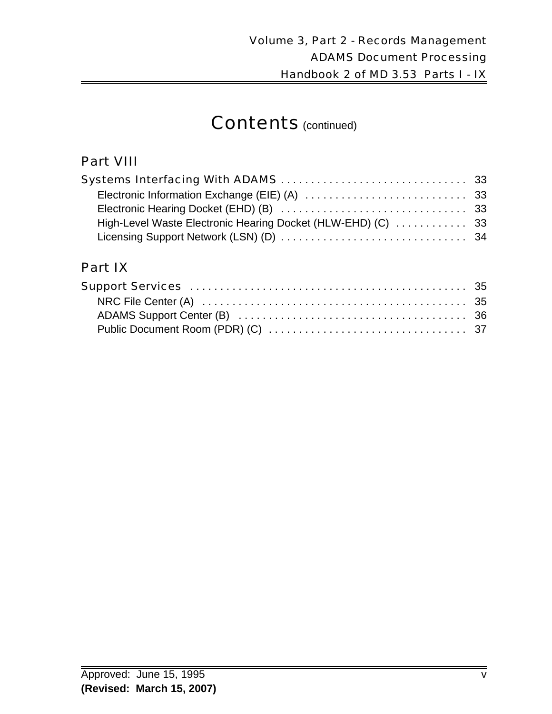# Contents (continued)

## Part VIII

# Part IX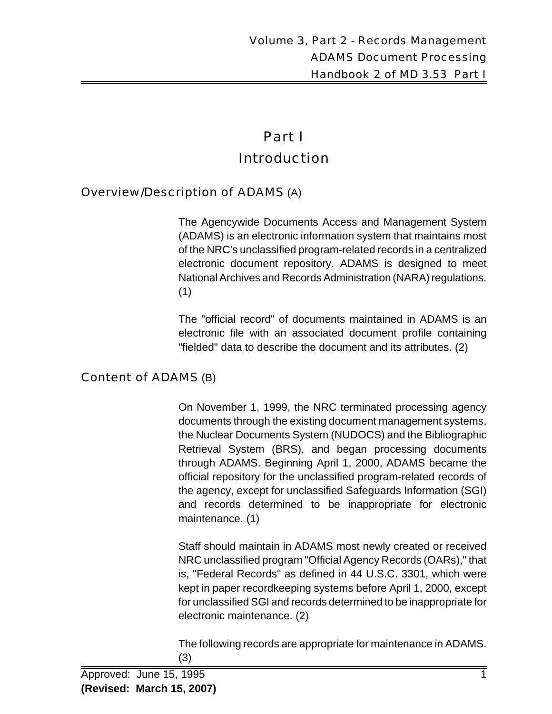# Part I Introduction

#### Overview/Description of ADAMS (A)

The Agencywide Documents Access and Management System (ADAMS) is an electronic information system that maintains most of the NRC's unclassified program-related records in a centralized electronic document repository. ADAMS is designed to meet National Archives and Records Administration (NARA) regulations. (1)

The "official record" of documents maintained in ADAMS is an electronic file with an associated document profile containing "fielded" data to describe the document and its attributes. (2)

#### Content of ADAMS (B)

On November 1, 1999, the NRC terminated processing agency documents through the existing document management systems, the Nuclear Documents System (NUDOCS) and the Bibliographic Retrieval System (BRS), and began processing documents through ADAMS. Beginning April 1, 2000, ADAMS became the official repository for the unclassified program-related records of the agency, except for unclassified Safeguards Information (SGI) and records determined to be inappropriate for electronic maintenance. (1)

Staff should maintain in ADAMS most newly created or received NRC unclassified program "Official Agency Records (OARs)," that is, "Federal Records" as defined in 44 U.S.C. 3301, which were kept in paper recordkeeping systems before April 1, 2000, except for unclassified SGI and records determined to be inappropriate for electronic maintenance. (2)

The following records are appropriate for maintenance in ADAMS. (3)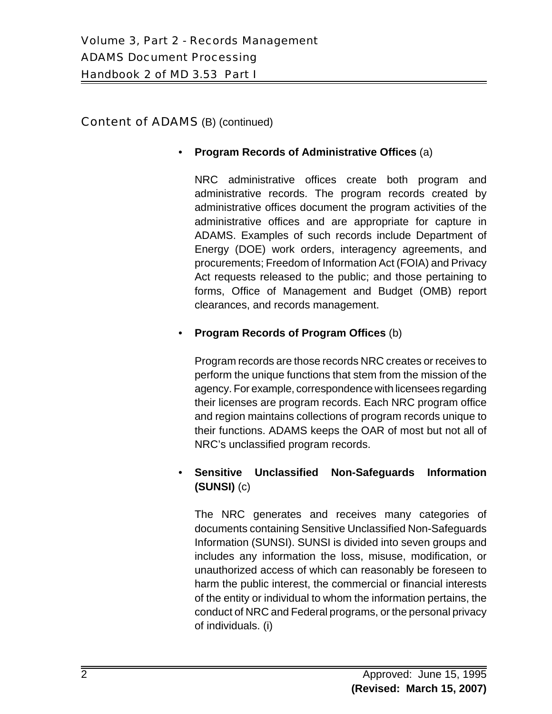#### Content of ADAMS (B) (continued)

#### • **Program Records of Administrative Offices** (a)

NRC administrative offices create both program and administrative records. The program records created by administrative offices document the program activities of the administrative offices and are appropriate for capture in ADAMS. Examples of such records include Department of Energy (DOE) work orders, interagency agreements, and procurements; Freedom of Information Act (FOIA) and Privacy Act requests released to the public; and those pertaining to forms, Office of Management and Budget (OMB) report clearances, and records management.

#### • **Program Records of Program Offices** (b)

Program records are those records NRC creates or receives to perform the unique functions that stem from the mission of the agency. For example, correspondence with licensees regarding their licenses are program records. Each NRC program office and region maintains collections of program records unique to their functions. ADAMS keeps the OAR of most but not all of NRC's unclassified program records.

#### • **Sensitive Unclassified Non-Safeguards Information (SUNSI)** (c)

The NRC generates and receives many categories of documents containing Sensitive Unclassified Non-Safeguards Information (SUNSI). SUNSI is divided into seven groups and includes any information the loss, misuse, modification, or unauthorized access of which can reasonably be foreseen to harm the public interest, the commercial or financial interests of the entity or individual to whom the information pertains, the conduct of NRC and Federal programs, or the personal privacy of individuals. (i)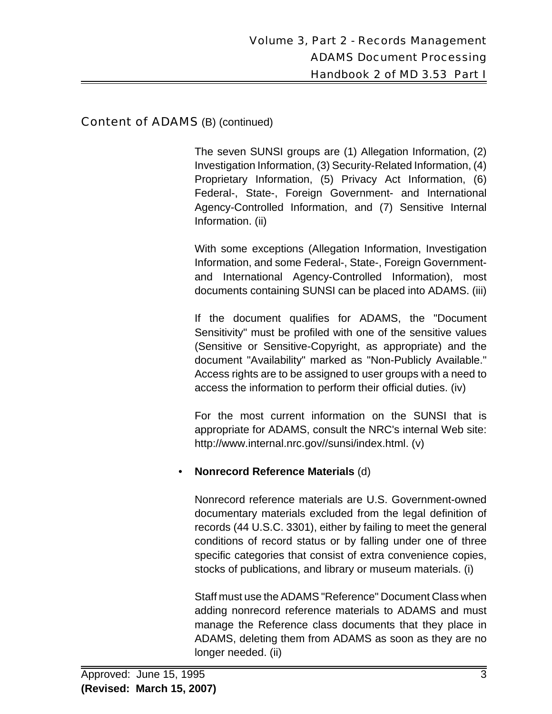#### Content of ADAMS (B) (continued)

The seven SUNSI groups are (1) Allegation Information, (2) Investigation Information, (3) Security-Related Information, (4) Proprietary Information, (5) Privacy Act Information, (6) Federal-, State-, Foreign Government- and International Agency-Controlled Information, and (7) Sensitive Internal Information. (ii)

With some exceptions (Allegation Information, Investigation Information, and some Federal-, State-, Foreign Governmentand International Agency-Controlled Information), most documents containing SUNSI can be placed into ADAMS. (iii)

If the document qualifies for ADAMS, the "Document Sensitivity" must be profiled with one of the sensitive values (Sensitive or Sensitive-Copyright, as appropriate) and the document "Availability" marked as "Non-Publicly Available." Access rights are to be assigned to user groups with a need to access the information to perform their official duties. (iv)

For the most current information on the SUNSI that is appropriate for ADAMS, consult the NRC's internal Web site: http://www.internal.nrc.gov//sunsi/index.html. (v)

#### • **Nonrecord Reference Materials** (d)

Nonrecord reference materials are U.S. Government-owned documentary materials excluded from the legal definition of records (44 U.S.C. 3301), either by failing to meet the general conditions of record status or by falling under one of three specific categories that consist of extra convenience copies, stocks of publications, and library or museum materials. (i)

Staff must use the ADAMS "Reference" Document Class when adding nonrecord reference materials to ADAMS and must manage the Reference class documents that they place in ADAMS, deleting them from ADAMS as soon as they are no longer needed. (ii)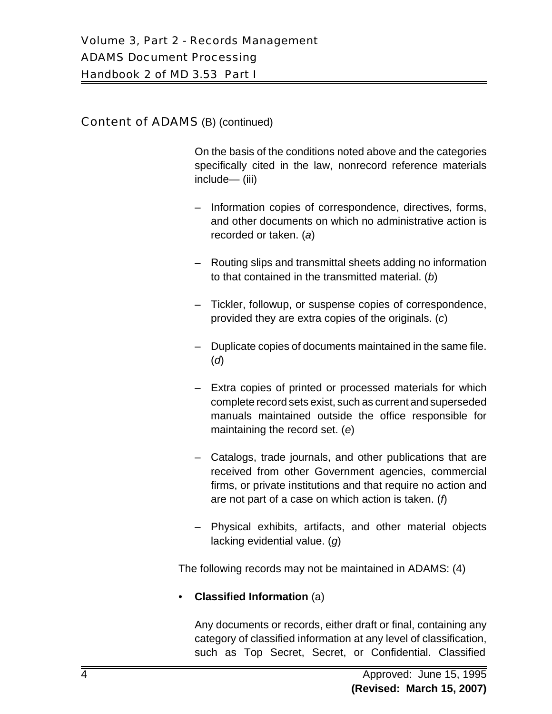On the basis of the conditions noted above and the categories specifically cited in the law, nonrecord reference materials include— (iii)

- Information copies of correspondence, directives, forms, and other documents on which no administrative action is recorded or taken. (*a*)
- Routing slips and transmittal sheets adding no information to that contained in the transmitted material. (*b*)
- Tickler, followup, or suspense copies of correspondence, provided they are extra copies of the originals. (*c*)
- Duplicate copies of documents maintained in the same file. (*d*)
- Extra copies of printed or processed materials for which complete record sets exist, such as current and superseded manuals maintained outside the office responsible for maintaining the record set. (*e*)
- Catalogs, trade journals, and other publications that are received from other Government agencies, commercial firms, or private institutions and that require no action and are not part of a case on which action is taken. (*f*)
- Physical exhibits, artifacts, and other material objects lacking evidential value. (*g*)

The following records may not be maintained in ADAMS: (4)

## • **Classified Information** (a)

Any documents or records, either draft or final, containing any category of classified information at any level of classification, such as Top Secret, Secret, or Confidential. Classified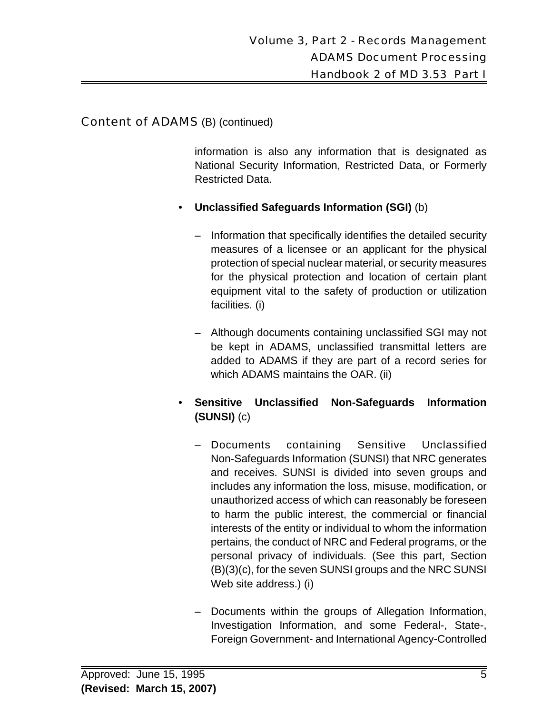information is also any information that is designated as National Security Information, Restricted Data, or Formerly Restricted Data.

- **Unclassified Safeguards Information (SGI)** (b)
	- Information that specifically identifies the detailed security measures of a licensee or an applicant for the physical protection of special nuclear material, or security measures for the physical protection and location of certain plant equipment vital to the safety of production or utilization facilities. (i)
	- Although documents containing unclassified SGI may not be kept in ADAMS, unclassified transmittal letters are added to ADAMS if they are part of a record series for which ADAMS maintains the OAR. (ii)
- **Sensitive Unclassified Non-Safeguards Information (SUNSI)** (c)
	- Documents containing Sensitive Unclassified Non-Safeguards Information (SUNSI) that NRC generates and receives. SUNSI is divided into seven groups and includes any information the loss, misuse, modification, or unauthorized access of which can reasonably be foreseen to harm the public interest, the commercial or financial interests of the entity or individual to whom the information pertains, the conduct of NRC and Federal programs, or the personal privacy of individuals. (See this part, Section (B)(3)(c), for the seven SUNSI groups and the NRC SUNSI Web site address.) (i)
	- Documents within the groups of Allegation Information, Investigation Information, and some Federal-, State-, Foreign Government- and International Agency-Controlled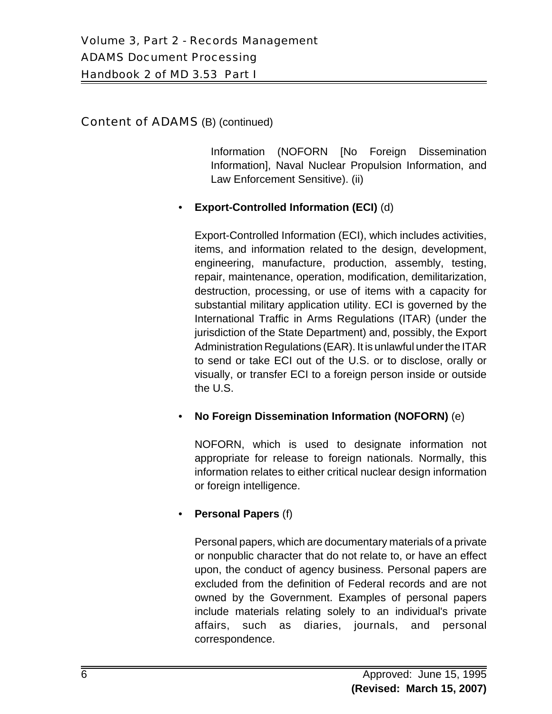Information (NOFORN [No Foreign Dissemination Information], Naval Nuclear Propulsion Information, and Law Enforcement Sensitive). (ii)

#### • **Export-Controlled Information (ECI)** (d)

Export-Controlled Information (ECI), which includes activities, items, and information related to the design, development, engineering, manufacture, production, assembly, testing, repair, maintenance, operation, modification, demilitarization, destruction, processing, or use of items with a capacity for substantial military application utility. ECI is governed by the International Traffic in Arms Regulations (ITAR) (under the jurisdiction of the State Department) and, possibly, the Export Administration Regulations (EAR). It is unlawful under the ITAR to send or take ECI out of the U.S. or to disclose, orally or visually, or transfer ECI to a foreign person inside or outside the U.S.

#### • **No Foreign Dissemination Information (NOFORN)** (e)

NOFORN, which is used to designate information not appropriate for release to foreign nationals. Normally, this information relates to either critical nuclear design information or foreign intelligence.

#### • **Personal Papers** (f)

Personal papers, which are documentary materials of a private or nonpublic character that do not relate to, or have an effect upon, the conduct of agency business. Personal papers are excluded from the definition of Federal records and are not owned by the Government. Examples of personal papers include materials relating solely to an individual's private affairs, such as diaries, journals, and personal correspondence.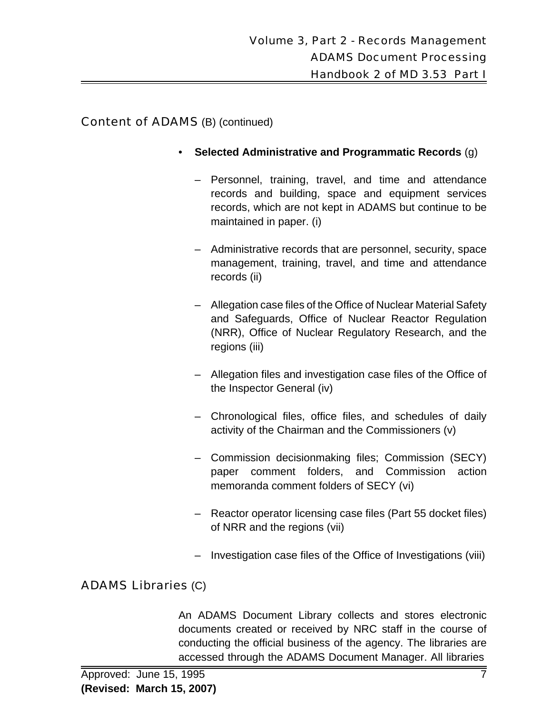- **Selected Administrative and Programmatic Records** (g)
	- Personnel, training, travel, and time and attendance records and building, space and equipment services records, which are not kept in ADAMS but continue to be maintained in paper. (i)
	- Administrative records that are personnel, security, space management, training, travel, and time and attendance records (ii)
	- Allegation case files of the Office of Nuclear Material Safety and Safeguards, Office of Nuclear Reactor Regulation (NRR), Office of Nuclear Regulatory Research, and the regions (iii)
	- Allegation files and investigation case files of the Office of the Inspector General (iv)
	- Chronological files, office files, and schedules of daily activity of the Chairman and the Commissioners (v)
	- Commission decisionmaking files; Commission (SECY) paper comment folders, and Commission action memoranda comment folders of SECY (vi)
	- Reactor operator licensing case files (Part 55 docket files) of NRR and the regions (vii)
	- Investigation case files of the Office of Investigations (viii)

# ADAMS Libraries (C)

An ADAMS Document Library collects and stores electronic documents created or received by NRC staff in the course of conducting the official business of the agency. The libraries are accessed through the ADAMS Document Manager. All libraries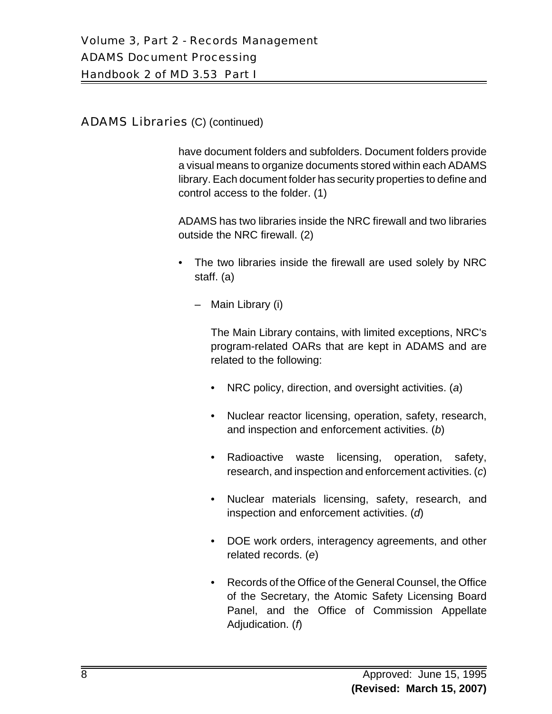# ADAMS Libraries (C) (continued)

have document folders and subfolders. Document folders provide a visual means to organize documents stored within each ADAMS library. Each document folder has security properties to define and control access to the folder. (1)

ADAMS has two libraries inside the NRC firewall and two libraries outside the NRC firewall. (2)

- The two libraries inside the firewall are used solely by NRC staff. (a)
	- Main Library (i)

The Main Library contains, with limited exceptions, NRC's program-related OARs that are kept in ADAMS and are related to the following:

- NRC policy, direction, and oversight activities. (*a*)
- Nuclear reactor licensing, operation, safety, research, and inspection and enforcement activities. (*b*)
- Radioactive waste licensing, operation, safety, research, and inspection and enforcement activities. (*c*)
- Nuclear materials licensing, safety, research, and inspection and enforcement activities. (*d*)
- DOE work orders, interagency agreements, and other related records. (*e*)
- Records of the Office of the General Counsel, the Office of the Secretary, the Atomic Safety Licensing Board Panel, and the Office of Commission Appellate Adjudication. (*f*)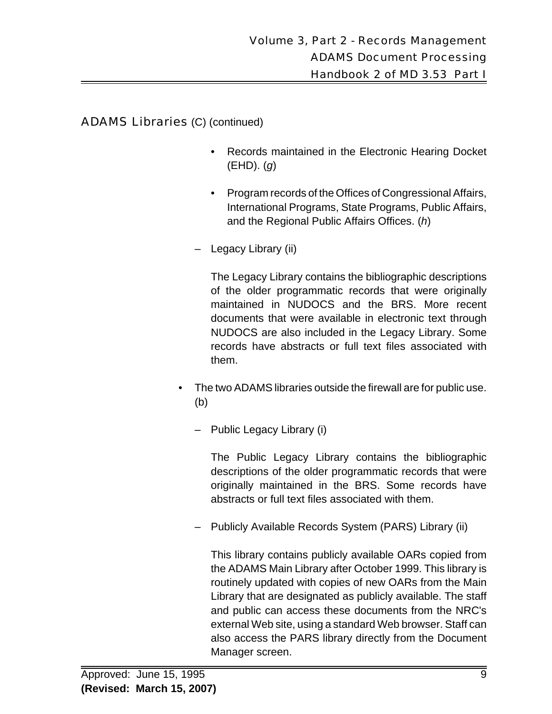ADAMS Libraries (C) (continued)

- Records maintained in the Electronic Hearing Docket (EHD). (*g*)
- Program records of the Offices of Congressional Affairs, International Programs, State Programs, Public Affairs, and the Regional Public Affairs Offices. (*h*)
- Legacy Library (ii)

The Legacy Library contains the bibliographic descriptions of the older programmatic records that were originally maintained in NUDOCS and the BRS. More recent documents that were available in electronic text through NUDOCS are also included in the Legacy Library. Some records have abstracts or full text files associated with them.

- The two ADAMS libraries outside the firewall are for public use. (b)
	- Public Legacy Library (i)

The Public Legacy Library contains the bibliographic descriptions of the older programmatic records that were originally maintained in the BRS. Some records have abstracts or full text files associated with them.

– Publicly Available Records System (PARS) Library (ii)

This library contains publicly available OARs copied from the ADAMS Main Library after October 1999. This library is routinely updated with copies of new OARs from the Main Library that are designated as publicly available. The staff and public can access these documents from the NRC's external Web site, using a standard Web browser. Staff can also access the PARS library directly from the Document Manager screen.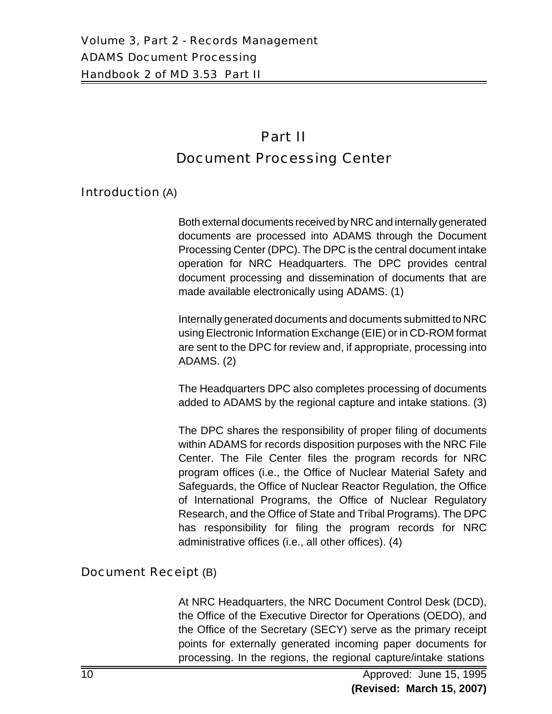# Part II Document Processing Center

## Introduction (A)

Both external documents received by NRC and internally generated documents are processed into ADAMS through the Document Processing Center (DPC). The DPC is the central document intake operation for NRC Headquarters. The DPC provides central document processing and dissemination of documents that are made available electronically using ADAMS. (1)

Internally generated documents and documents submitted to NRC using Electronic Information Exchange (EIE) or in CD-ROM format are sent to the DPC for review and, if appropriate, processing into ADAMS. (2)

The Headquarters DPC also completes processing of documents added to ADAMS by the regional capture and intake stations. (3)

The DPC shares the responsibility of proper filing of documents within ADAMS for records disposition purposes with the NRC File Center. The File Center files the program records for NRC program offices (i.e., the Office of Nuclear Material Safety and Safeguards, the Office of Nuclear Reactor Regulation, the Office of International Programs, the Office of Nuclear Regulatory Research, and the Office of State and Tribal Programs). The DPC has responsibility for filing the program records for NRC administrative offices (i.e., all other offices). (4)

## Document Receipt (B)

At NRC Headquarters, the NRC Document Control Desk (DCD), the Office of the Executive Director for Operations (OEDO), and the Office of the Secretary (SECY) serve as the primary receipt points for externally generated incoming paper documents for processing. In the regions, the regional capture/intake stations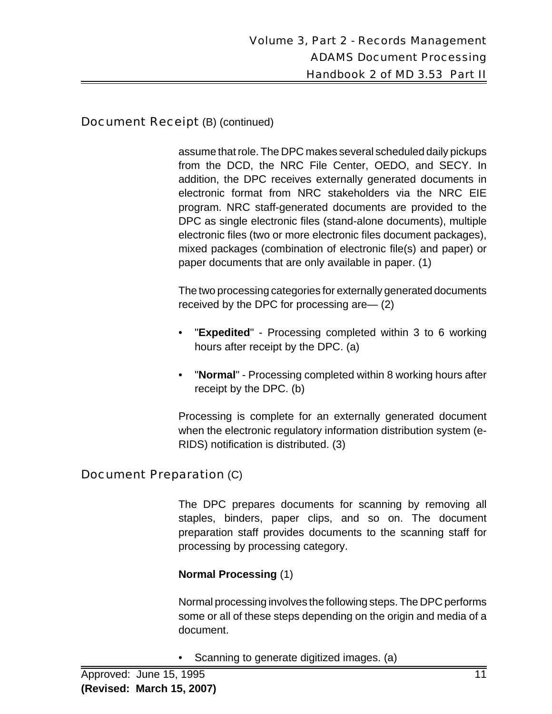## Document Receipt (B) (continued)

assume that role. The DPC makes several scheduled daily pickups from the DCD, the NRC File Center, OEDO, and SECY. In addition, the DPC receives externally generated documents in electronic format from NRC stakeholders via the NRC EIE program. NRC staff-generated documents are provided to the DPC as single electronic files (stand-alone documents), multiple electronic files (two or more electronic files document packages), mixed packages (combination of electronic file(s) and paper) or paper documents that are only available in paper. (1)

The two processing categories for externally generated documents received by the DPC for processing are— (2)

- "**Expedited**" Processing completed within 3 to 6 working hours after receipt by the DPC. (a)
- "**Normal**" Processing completed within 8 working hours after receipt by the DPC. (b)

Processing is complete for an externally generated document when the electronic regulatory information distribution system (e-RIDS) notification is distributed. (3)

## Document Preparation (C)

The DPC prepares documents for scanning by removing all staples, binders, paper clips, and so on. The document preparation staff provides documents to the scanning staff for processing by processing category.

#### **Normal Processing** (1)

Normal processing involves the following steps. The DPC performs some or all of these steps depending on the origin and media of a document.

• Scanning to generate digitized images. (a)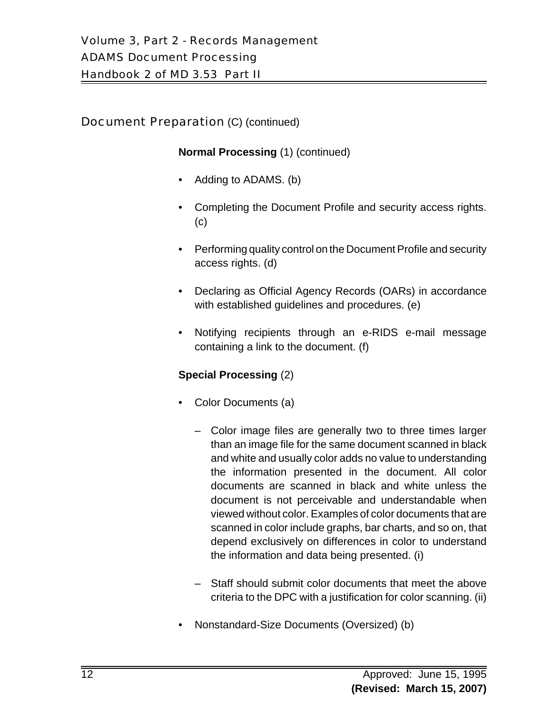## **Document Preparation (C) (continued)**

#### **Normal Processing** (1) (continued)

- Adding to ADAMS. (b)
- Completing the Document Profile and security access rights. (c)
- Performing quality control on the Document Profile and security access rights. (d)
- Declaring as Official Agency Records (OARs) in accordance with established guidelines and procedures. (e)
- Notifying recipients through an e-RIDS e-mail message containing a link to the document. (f)

#### **Special Processing** (2)

- Color Documents (a)
	- Color image files are generally two to three times larger than an image file for the same document scanned in black and white and usually color adds no value to understanding the information presented in the document. All color documents are scanned in black and white unless the document is not perceivable and understandable when viewed without color. Examples of color documents that are scanned in color include graphs, bar charts, and so on, that depend exclusively on differences in color to understand the information and data being presented. (i)
	- Staff should submit color documents that meet the above criteria to the DPC with a justification for color scanning. (ii)
- Nonstandard-Size Documents (Oversized) (b)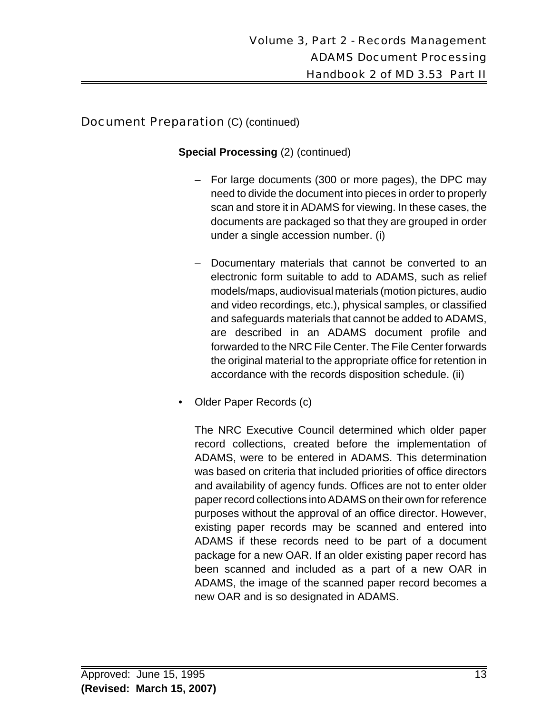# **Document Preparation (C) (continued)**

#### **Special Processing** (2) (continued)

- For large documents (300 or more pages), the DPC may need to divide the document into pieces in order to properly scan and store it in ADAMS for viewing. In these cases, the documents are packaged so that they are grouped in order under a single accession number. (i)
- Documentary materials that cannot be converted to an electronic form suitable to add to ADAMS, such as relief models/maps, audiovisual materials (motion pictures, audio and video recordings, etc.), physical samples, or classified and safeguards materials that cannot be added to ADAMS, are described in an ADAMS document profile and forwarded to the NRC File Center. The File Center forwards the original material to the appropriate office for retention in accordance with the records disposition schedule. (ii)
- Older Paper Records (c)

The NRC Executive Council determined which older paper record collections, created before the implementation of ADAMS, were to be entered in ADAMS. This determination was based on criteria that included priorities of office directors and availability of agency funds. Offices are not to enter older paper record collections into ADAMS on their own for reference purposes without the approval of an office director. However, existing paper records may be scanned and entered into ADAMS if these records need to be part of a document package for a new OAR. If an older existing paper record has been scanned and included as a part of a new OAR in ADAMS, the image of the scanned paper record becomes a new OAR and is so designated in ADAMS.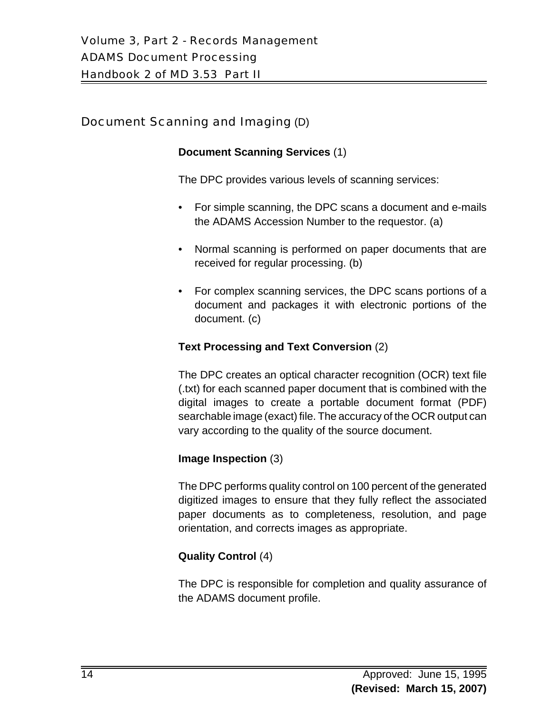# Document Scanning and Imaging (D)

#### **Document Scanning Services** (1)

The DPC provides various levels of scanning services:

- For simple scanning, the DPC scans a document and e-mails the ADAMS Accession Number to the requestor. (a)
- Normal scanning is performed on paper documents that are received for regular processing. (b)
- For complex scanning services, the DPC scans portions of a document and packages it with electronic portions of the document. (c)

#### **Text Processing and Text Conversion** (2)

The DPC creates an optical character recognition (OCR) text file (.txt) for each scanned paper document that is combined with the digital images to create a portable document format (PDF) searchable image (exact) file. The accuracy of the OCR output can vary according to the quality of the source document.

#### **Image Inspection** (3)

The DPC performs quality control on 100 percent of the generated digitized images to ensure that they fully reflect the associated paper documents as to completeness, resolution, and page orientation, and corrects images as appropriate.

## **Quality Control** (4)

The DPC is responsible for completion and quality assurance of the ADAMS document profile.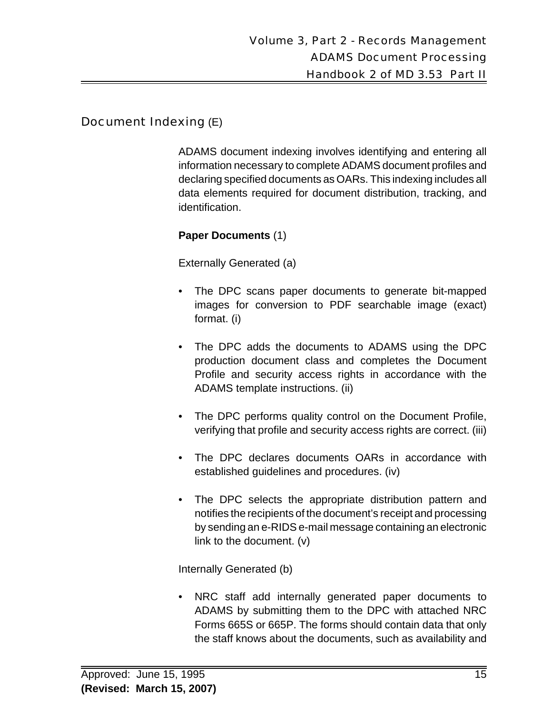#### Document Indexing (E)

ADAMS document indexing involves identifying and entering all information necessary to complete ADAMS document profiles and declaring specified documents as OARs. This indexing includes all data elements required for document distribution, tracking, and identification.

#### **Paper Documents** (1)

Externally Generated (a)

- The DPC scans paper documents to generate bit-mapped images for conversion to PDF searchable image (exact) format. (i)
- The DPC adds the documents to ADAMS using the DPC production document class and completes the Document Profile and security access rights in accordance with the ADAMS template instructions. (ii)
- The DPC performs quality control on the Document Profile, verifying that profile and security access rights are correct. (iii)
- The DPC declares documents OARs in accordance with established guidelines and procedures. (iv)
- The DPC selects the appropriate distribution pattern and notifies the recipients of the document's receipt and processing by sending an e-RIDS e-mail message containing an electronic link to the document. (v)

Internally Generated (b)

• NRC staff add internally generated paper documents to ADAMS by submitting them to the DPC with attached NRC Forms 665S or 665P. The forms should contain data that only the staff knows about the documents, such as availability and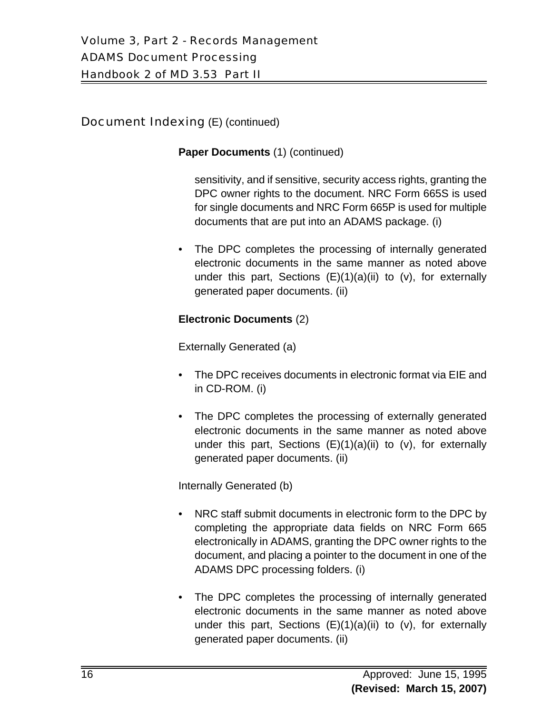# Document Indexing (E) (continued)

#### **Paper Documents** (1) (continued)

sensitivity, and if sensitive, security access rights, granting the DPC owner rights to the document. NRC Form 665S is used for single documents and NRC Form 665P is used for multiple documents that are put into an ADAMS package. (i)

• The DPC completes the processing of internally generated electronic documents in the same manner as noted above under this part, Sections  $(E)(1)(a)(ii)$  to  $(v)$ , for externally generated paper documents. (ii)

#### **Electronic Documents** (2)

Externally Generated (a)

- The DPC receives documents in electronic format via EIE and in CD-ROM. (i)
- The DPC completes the processing of externally generated electronic documents in the same manner as noted above under this part, Sections (E)(1)(a)(ii) to (v), for externally generated paper documents. (ii)

Internally Generated (b)

- NRC staff submit documents in electronic form to the DPC by completing the appropriate data fields on NRC Form 665 electronically in ADAMS, granting the DPC owner rights to the document, and placing a pointer to the document in one of the ADAMS DPC processing folders. (i)
- The DPC completes the processing of internally generated electronic documents in the same manner as noted above under this part, Sections  $(E)(1)(a)(ii)$  to  $(v)$ , for externally generated paper documents. (ii)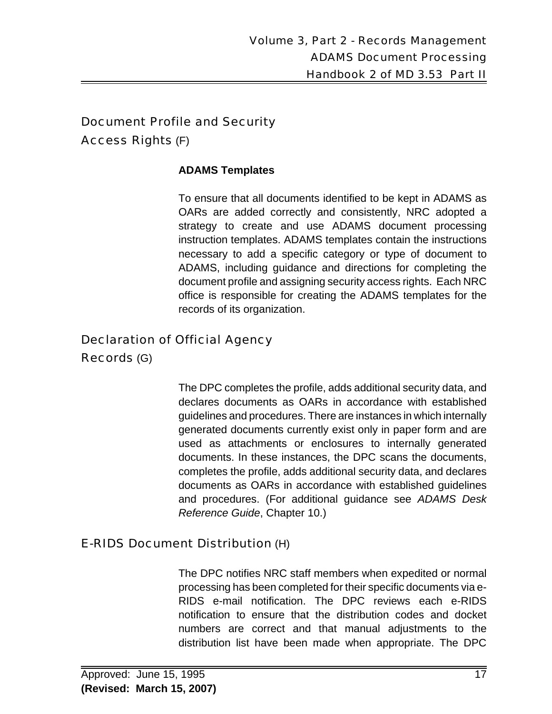# Document Profile and Security Access Rights (F)

#### **ADAMS Templates**

To ensure that all documents identified to be kept in ADAMS as OARs are added correctly and consistently, NRC adopted a strategy to create and use ADAMS document processing instruction templates. ADAMS templates contain the instructions necessary to add a specific category or type of document to ADAMS, including guidance and directions for completing the document profile and assigning security access rights. Each NRC office is responsible for creating the ADAMS templates for the records of its organization.

# Declaration of Official Agency

Records (G)

The DPC completes the profile, adds additional security data, and declares documents as OARs in accordance with established guidelines and procedures. There are instances in which internally generated documents currently exist only in paper form and are used as attachments or enclosures to internally generated documents. In these instances, the DPC scans the documents, completes the profile, adds additional security data, and declares documents as OARs in accordance with established guidelines and procedures. (For additional guidance see *ADAMS Desk Reference Guide*, Chapter 10.)

## E-RIDS Document Distribution (H)

The DPC notifies NRC staff members when expedited or normal processing has been completed for their specific documents via e-RIDS e-mail notification. The DPC reviews each e-RIDS notification to ensure that the distribution codes and docket numbers are correct and that manual adjustments to the distribution list have been made when appropriate. The DPC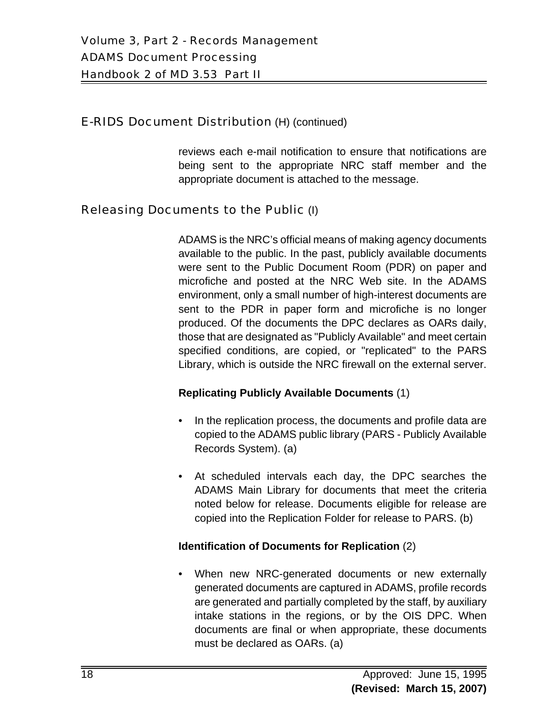#### E-RIDS Document Distribution (H) (continued)

reviews each e-mail notification to ensure that notifications are being sent to the appropriate NRC staff member and the appropriate document is attached to the message.

# Releasing Documents to the Public (I)

ADAMS is the NRC's official means of making agency documents available to the public. In the past, publicly available documents were sent to the Public Document Room (PDR) on paper and microfiche and posted at the NRC Web site. In the ADAMS environment, only a small number of high-interest documents are sent to the PDR in paper form and microfiche is no longer produced. Of the documents the DPC declares as OARs daily, those that are designated as "Publicly Available" and meet certain specified conditions, are copied, or "replicated" to the PARS Library, which is outside the NRC firewall on the external server.

#### **Replicating Publicly Available Documents** (1)

- In the replication process, the documents and profile data are copied to the ADAMS public library (PARS - Publicly Available Records System). (a)
- At scheduled intervals each day, the DPC searches the ADAMS Main Library for documents that meet the criteria noted below for release. Documents eligible for release are copied into the Replication Folder for release to PARS. (b)

#### **Identification of Documents for Replication** (2)

• When new NRC-generated documents or new externally generated documents are captured in ADAMS, profile records are generated and partially completed by the staff, by auxiliary intake stations in the regions, or by the OIS DPC. When documents are final or when appropriate, these documents must be declared as OARs. (a)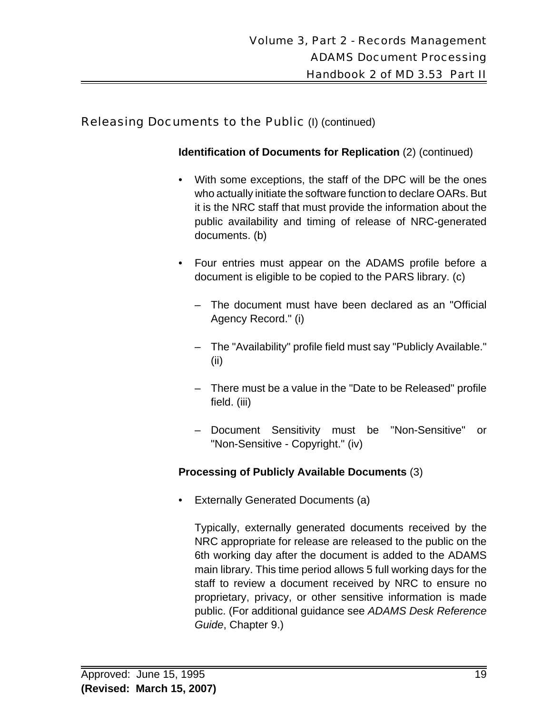## Releasing Documents to the Public (I) (continued)

**Identification of Documents for Replication** (2) (continued)

- With some exceptions, the staff of the DPC will be the ones who actually initiate the software function to declare OARs. But it is the NRC staff that must provide the information about the public availability and timing of release of NRC-generated documents. (b)
- Four entries must appear on the ADAMS profile before a document is eligible to be copied to the PARS library. (c)
	- The document must have been declared as an "Official Agency Record." (i)
	- The "Availability" profile field must say "Publicly Available." (ii)
	- There must be a value in the "Date to be Released" profile field. (iii)
	- Document Sensitivity must be "Non-Sensitive" or "Non-Sensitive - Copyright." (iv)

## **Processing of Publicly Available Documents** (3)

• Externally Generated Documents (a)

Typically, externally generated documents received by the NRC appropriate for release are released to the public on the 6th working day after the document is added to the ADAMS main library. This time period allows 5 full working days for the staff to review a document received by NRC to ensure no proprietary, privacy, or other sensitive information is made public. (For additional guidance see *ADAMS Desk Reference Guide*, Chapter 9.)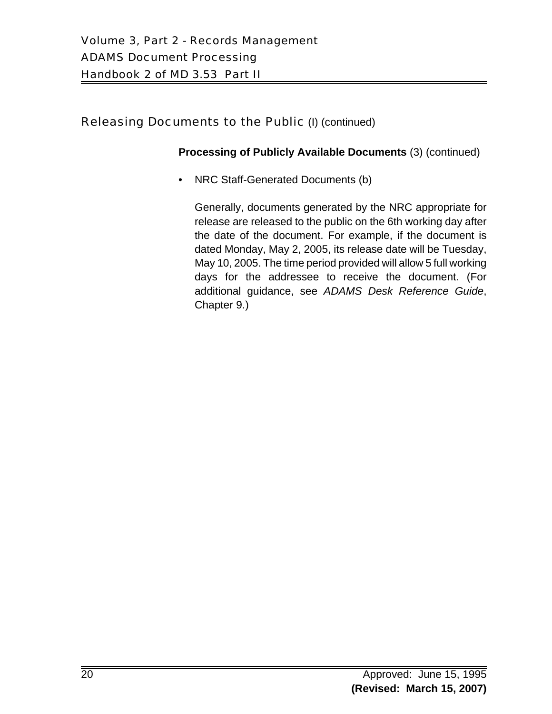# Releasing Documents to the Public (I) (continued)

#### **Processing of Publicly Available Documents** (3) (continued)

• NRC Staff-Generated Documents (b)

Generally, documents generated by the NRC appropriate for release are released to the public on the 6th working day after the date of the document. For example, if the document is dated Monday, May 2, 2005, its release date will be Tuesday, May 10, 2005. The time period provided will allow 5 full working days for the addressee to receive the document. (For additional guidance, see *ADAMS Desk Reference Guide*, Chapter 9.)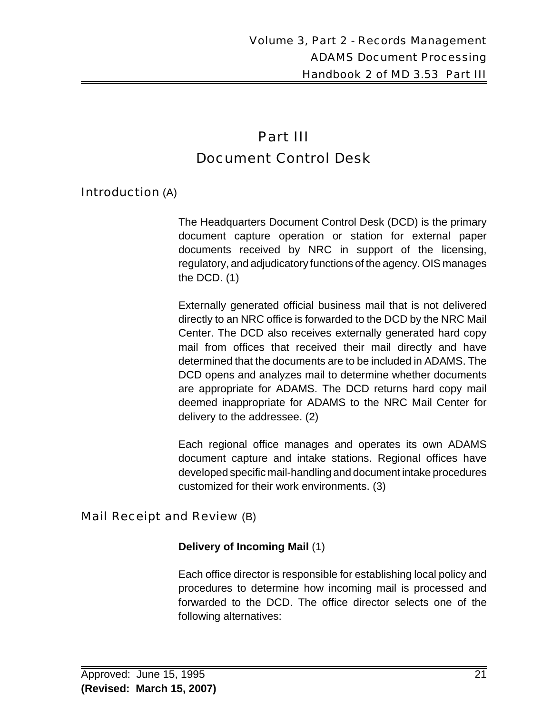# Part III Document Control Desk

## Introduction (A)

The Headquarters Document Control Desk (DCD) is the primary document capture operation or station for external paper documents received by NRC in support of the licensing, regulatory, and adjudicatory functions of the agency. OIS manages the DCD. (1)

Externally generated official business mail that is not delivered directly to an NRC office is forwarded to the DCD by the NRC Mail Center. The DCD also receives externally generated hard copy mail from offices that received their mail directly and have determined that the documents are to be included in ADAMS. The DCD opens and analyzes mail to determine whether documents are appropriate for ADAMS. The DCD returns hard copy mail deemed inappropriate for ADAMS to the NRC Mail Center for delivery to the addressee. (2)

Each regional office manages and operates its own ADAMS document capture and intake stations. Regional offices have developed specific mail-handling and document intake procedures customized for their work environments. (3)

## Mail Receipt and Review (B)

## **Delivery of Incoming Mail** (1)

Each office director is responsible for establishing local policy and procedures to determine how incoming mail is processed and forwarded to the DCD. The office director selects one of the following alternatives: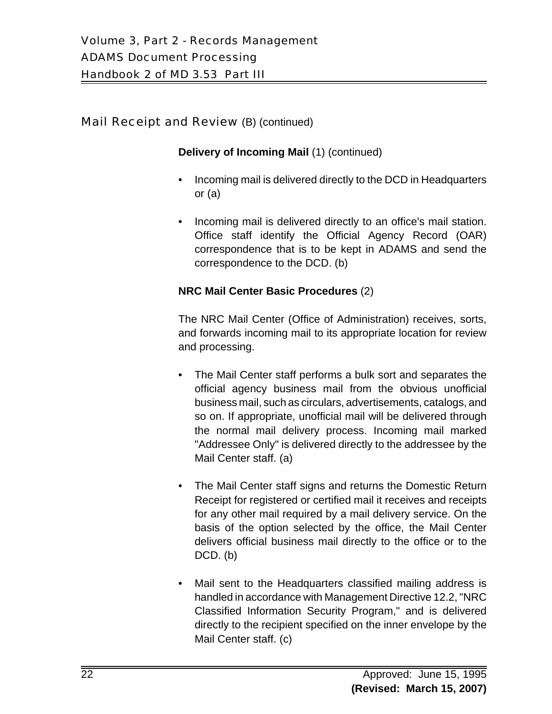# Mail Receipt and Review (B) (continued)

#### **Delivery of Incoming Mail** (1) (continued)

- Incoming mail is delivered directly to the DCD in Headquarters or (a)
- Incoming mail is delivered directly to an office's mail station. Office staff identify the Official Agency Record (OAR) correspondence that is to be kept in ADAMS and send the correspondence to the DCD. (b)

#### **NRC Mail Center Basic Procedures** (2)

The NRC Mail Center (Office of Administration) receives, sorts, and forwards incoming mail to its appropriate location for review and processing.

- The Mail Center staff performs a bulk sort and separates the official agency business mail from the obvious unofficial business mail, such as circulars, advertisements, catalogs, and so on. If appropriate, unofficial mail will be delivered through the normal mail delivery process. Incoming mail marked "Addressee Only" is delivered directly to the addressee by the Mail Center staff. (a)
- The Mail Center staff signs and returns the Domestic Return Receipt for registered or certified mail it receives and receipts for any other mail required by a mail delivery service. On the basis of the option selected by the office, the Mail Center delivers official business mail directly to the office or to the  $DCD.$  (b)
- Mail sent to the Headquarters classified mailing address is handled in accordance with Management Directive 12.2, "NRC Classified Information Security Program," and is delivered directly to the recipient specified on the inner envelope by the Mail Center staff. (c)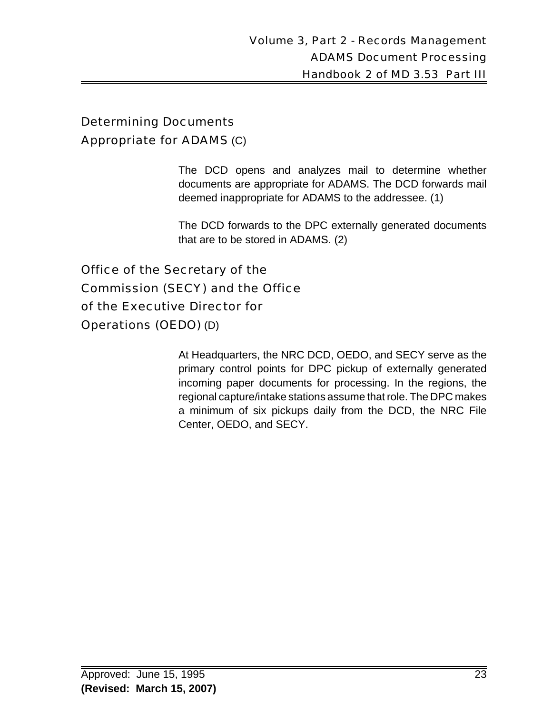# Determining Documents Appropriate for ADAMS (C)

The DCD opens and analyzes mail to determine whether documents are appropriate for ADAMS. The DCD forwards mail deemed inappropriate for ADAMS to the addressee. (1)

The DCD forwards to the DPC externally generated documents that are to be stored in ADAMS. (2)

Office of the Secretary of the Commission (SECY) and the Office of the Executive Director for Operations (OEDO) (D)

> At Headquarters, the NRC DCD, OEDO, and SECY serve as the primary control points for DPC pickup of externally generated incoming paper documents for processing. In the regions, the regional capture/intake stations assume that role. The DPC makes a minimum of six pickups daily from the DCD, the NRC File Center, OEDO, and SECY.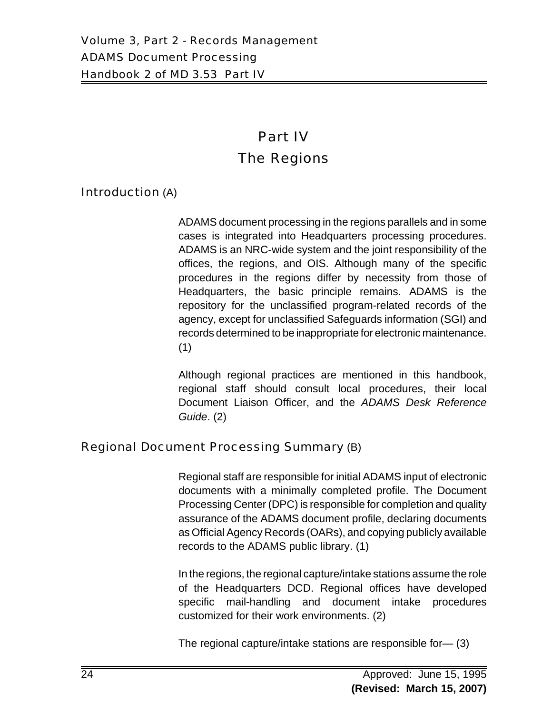# Part IV The Regions

## Introduction (A)

ADAMS document processing in the regions parallels and in some cases is integrated into Headquarters processing procedures. ADAMS is an NRC-wide system and the joint responsibility of the offices, the regions, and OIS. Although many of the specific procedures in the regions differ by necessity from those of Headquarters, the basic principle remains. ADAMS is the repository for the unclassified program-related records of the agency, except for unclassified Safeguards information (SGI) and records determined to be inappropriate for electronic maintenance. (1)

Although regional practices are mentioned in this handbook, regional staff should consult local procedures, their local Document Liaison Officer, and the *ADAMS Desk Reference Guide*. (2)

## Regional Document Processing Summary (B)

Regional staff are responsible for initial ADAMS input of electronic documents with a minimally completed profile. The Document Processing Center (DPC) is responsible for completion and quality assurance of the ADAMS document profile, declaring documents as Official Agency Records (OARs), and copying publicly available records to the ADAMS public library. (1)

In the regions, the regional capture/intake stations assume the role of the Headquarters DCD. Regional offices have developed specific mail-handling and document intake procedures customized for their work environments. (2)

The regional capture/intake stations are responsible for— (3)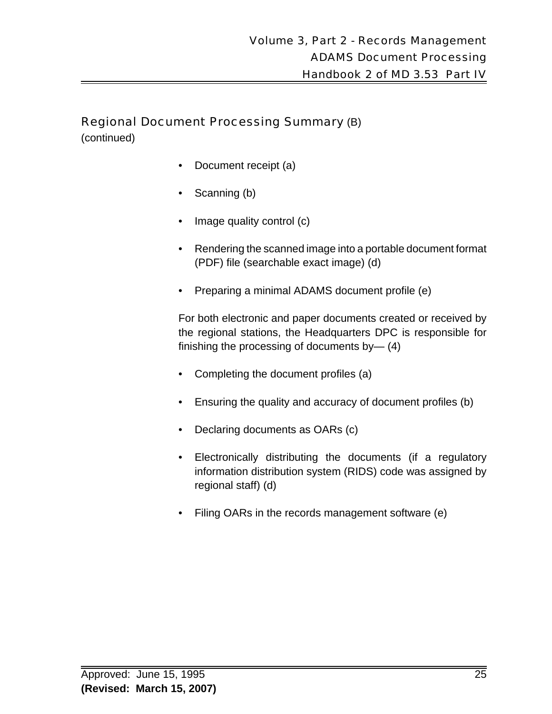# Regional Document Processing Summary (B)

(continued)

- Document receipt (a)
- Scanning (b)
- Image quality control (c)
- Rendering the scanned image into a portable document format (PDF) file (searchable exact image) (d)
- Preparing a minimal ADAMS document profile (e)

For both electronic and paper documents created or received by the regional stations, the Headquarters DPC is responsible for finishing the processing of documents by— (4)

- Completing the document profiles (a)
- Ensuring the quality and accuracy of document profiles (b)
- Declaring documents as OARs (c)
- Electronically distributing the documents (if a regulatory information distribution system (RIDS) code was assigned by regional staff) (d)
- Filing OARs in the records management software (e)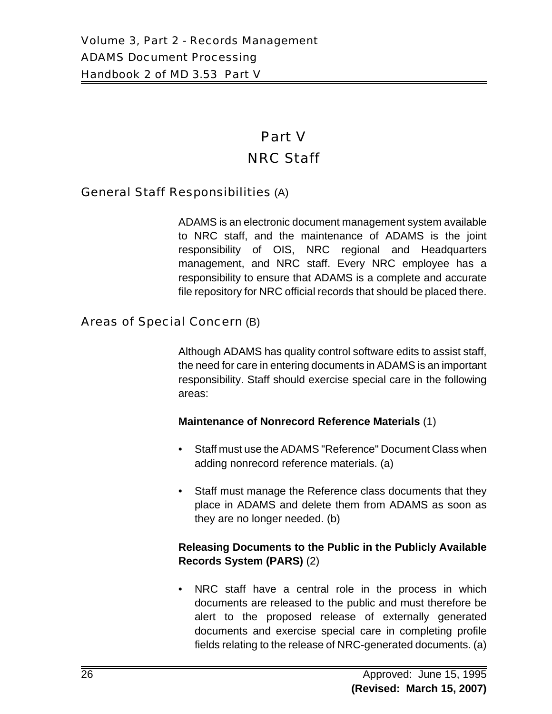# Part V NRC Staff

#### General Staff Responsibilities (A)

ADAMS is an electronic document management system available to NRC staff, and the maintenance of ADAMS is the joint responsibility of OIS, NRC regional and Headquarters management, and NRC staff. Every NRC employee has a responsibility to ensure that ADAMS is a complete and accurate file repository for NRC official records that should be placed there.

#### Areas of Special Concern (B)

Although ADAMS has quality control software edits to assist staff, the need for care in entering documents in ADAMS is an important responsibility. Staff should exercise special care in the following areas:

#### **Maintenance of Nonrecord Reference Materials** (1)

- Staff must use the ADAMS "Reference" Document Class when adding nonrecord reference materials. (a)
- Staff must manage the Reference class documents that they place in ADAMS and delete them from ADAMS as soon as they are no longer needed. (b)

#### **Releasing Documents to the Public in the Publicly Available Records System (PARS)** (2)

• NRC staff have a central role in the process in which documents are released to the public and must therefore be alert to the proposed release of externally generated documents and exercise special care in completing profile fields relating to the release of NRC-generated documents. (a)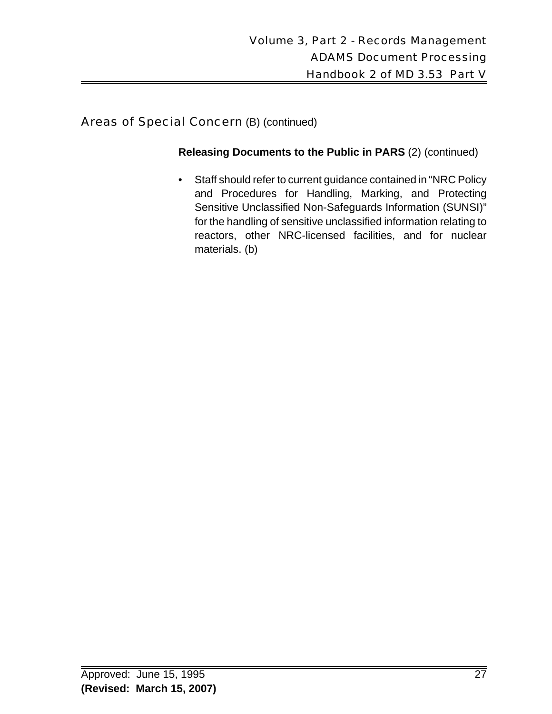# Areas of Special Concern (B) (continued)

#### **Releasing Documents to the Public in PARS** (2) (continued)

• Staff should refer to current guidance contained in "NRC Policy and Procedures for Handling, Marking, and Protecting Sensitive Unclassified Non-Safeguards Information (SUNSI)" for the handling of sensitive unclassified information relating to reactors, other NRC-licensed facilities, and for nuclear materials. (b)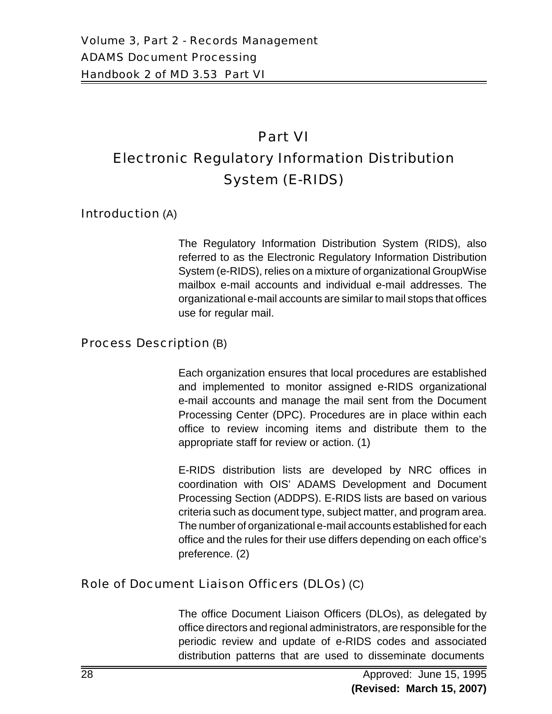# Part VI Electronic Regulatory Information Distribution System (E-RIDS)

Introduction (A)

The Regulatory Information Distribution System (RIDS), also referred to as the Electronic Regulatory Information Distribution System (e-RIDS), relies on a mixture of organizational GroupWise mailbox e-mail accounts and individual e-mail addresses. The organizational e-mail accounts are similar to mail stops that offices use for regular mail.

## Process Description (B)

Each organization ensures that local procedures are established and implemented to monitor assigned e-RIDS organizational e-mail accounts and manage the mail sent from the Document Processing Center (DPC). Procedures are in place within each office to review incoming items and distribute them to the appropriate staff for review or action. (1)

E-RIDS distribution lists are developed by NRC offices in coordination with OIS' ADAMS Development and Document Processing Section (ADDPS). E-RIDS lists are based on various criteria such as document type, subject matter, and program area. The number of organizational e-mail accounts established for each office and the rules for their use differs depending on each office's preference. (2)

# Role of Document Liaison Officers (DLOs) (C)

The office Document Liaison Officers (DLOs), as delegated by office directors and regional administrators, are responsible for the periodic review and update of e-RIDS codes and associated distribution patterns that are used to disseminate documents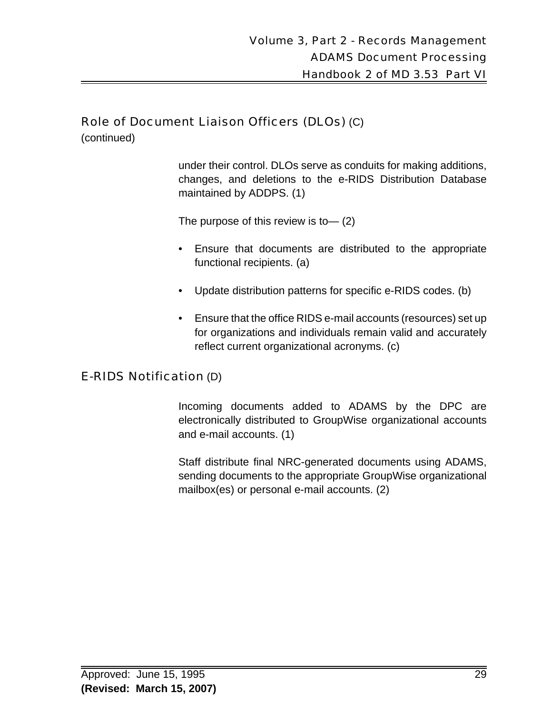## Role of Document Liaison Officers (DLOs) (C)

(continued)

under their control. DLOs serve as conduits for making additions, changes, and deletions to the e-RIDS Distribution Database maintained by ADDPS. (1)

The purpose of this review is to— (2)

- Ensure that documents are distributed to the appropriate functional recipients. (a)
- Update distribution patterns for specific e-RIDS codes. (b)
- Ensure that the office RIDS e-mail accounts (resources) set up for organizations and individuals remain valid and accurately reflect current organizational acronyms. (c)

## E-RIDS Notification (D)

Incoming documents added to ADAMS by the DPC are electronically distributed to GroupWise organizational accounts and e-mail accounts. (1)

Staff distribute final NRC-generated documents using ADAMS, sending documents to the appropriate GroupWise organizational mailbox(es) or personal e-mail accounts. (2)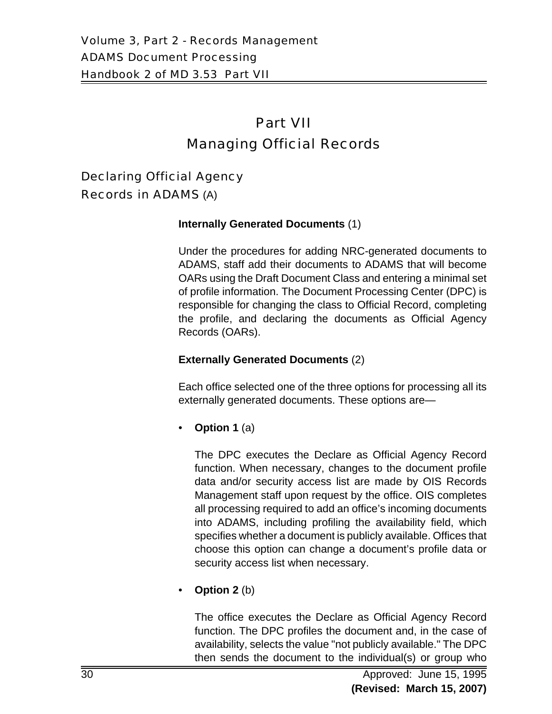# Part VII Managing Official Records

Declaring Official Agency Records in ADAMS (A)

#### **Internally Generated Documents** (1)

Under the procedures for adding NRC-generated documents to ADAMS, staff add their documents to ADAMS that will become OARs using the Draft Document Class and entering a minimal set of profile information. The Document Processing Center (DPC) is responsible for changing the class to Official Record, completing the profile, and declaring the documents as Official Agency Records (OARs).

#### **Externally Generated Documents** (2)

Each office selected one of the three options for processing all its externally generated documents. These options are—

• **Option 1** (a)

The DPC executes the Declare as Official Agency Record function. When necessary, changes to the document profile data and/or security access list are made by OIS Records Management staff upon request by the office. OIS completes all processing required to add an office's incoming documents into ADAMS, including profiling the availability field, which specifies whether a document is publicly available. Offices that choose this option can change a document's profile data or security access list when necessary.

• **Option 2** (b)

The office executes the Declare as Official Agency Record function. The DPC profiles the document and, in the case of availability, selects the value "not publicly available." The DPC then sends the document to the individual(s) or group who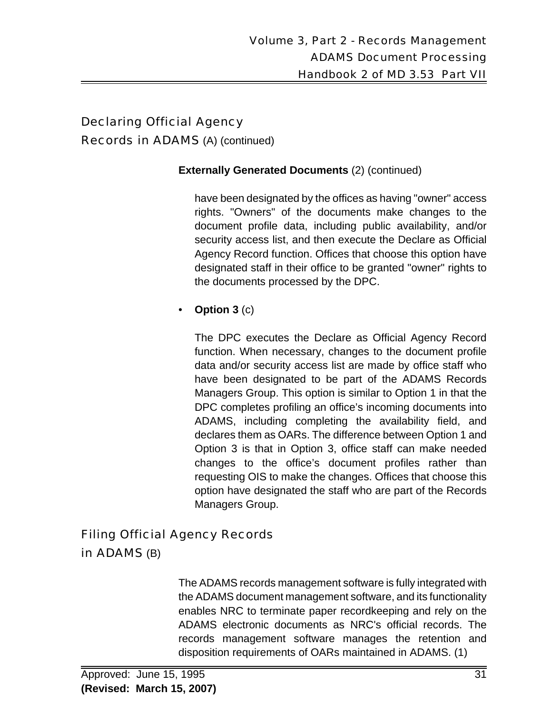# Declaring Official Agency Records in ADAMS (A) (continued)

#### **Externally Generated Documents** (2) (continued)

have been designated by the offices as having "owner" access rights. "Owners" of the documents make changes to the document profile data, including public availability, and/or security access list, and then execute the Declare as Official Agency Record function. Offices that choose this option have designated staff in their office to be granted "owner" rights to the documents processed by the DPC.

## • **Option 3** (c)

The DPC executes the Declare as Official Agency Record function. When necessary, changes to the document profile data and/or security access list are made by office staff who have been designated to be part of the ADAMS Records Managers Group. This option is similar to Option 1 in that the DPC completes profiling an office's incoming documents into ADAMS, including completing the availability field, and declares them as OARs. The difference between Option 1 and Option 3 is that in Option 3, office staff can make needed changes to the office's document profiles rather than requesting OIS to make the changes. Offices that choose this option have designated the staff who are part of the Records Managers Group.

# Filing Official Agency Records in ADAMS (B)

The ADAMS records management software is fully integrated with the ADAMS document management software, and its functionality enables NRC to terminate paper recordkeeping and rely on the ADAMS electronic documents as NRC's official records. The records management software manages the retention and disposition requirements of OARs maintained in ADAMS. (1)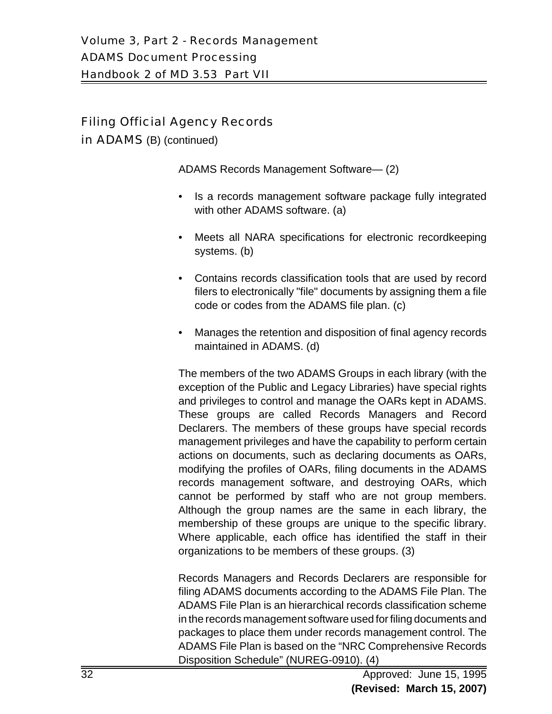# Filing Official Agency Records

in **ADAMS** (B) (continued)

ADAMS Records Management Software— (2)

- Is a records management software package fully integrated with other ADAMS software. (a)
- Meets all NARA specifications for electronic recordkeeping systems. (b)
- Contains records classification tools that are used by record filers to electronically "file" documents by assigning them a file code or codes from the ADAMS file plan. (c)
- Manages the retention and disposition of final agency records maintained in ADAMS. (d)

The members of the two ADAMS Groups in each library (with the exception of the Public and Legacy Libraries) have special rights and privileges to control and manage the OARs kept in ADAMS. These groups are called Records Managers and Record Declarers. The members of these groups have special records management privileges and have the capability to perform certain actions on documents, such as declaring documents as OARs, modifying the profiles of OARs, filing documents in the ADAMS records management software, and destroying OARs, which cannot be performed by staff who are not group members. Although the group names are the same in each library, the membership of these groups are unique to the specific library. Where applicable, each office has identified the staff in their organizations to be members of these groups. (3)

Records Managers and Records Declarers are responsible for filing ADAMS documents according to the ADAMS File Plan. The ADAMS File Plan is an hierarchical records classification scheme in the records management software used for filing documents and packages to place them under records management control. The ADAMS File Plan is based on the "NRC Comprehensive Records Disposition Schedule" (NUREG-0910). (4)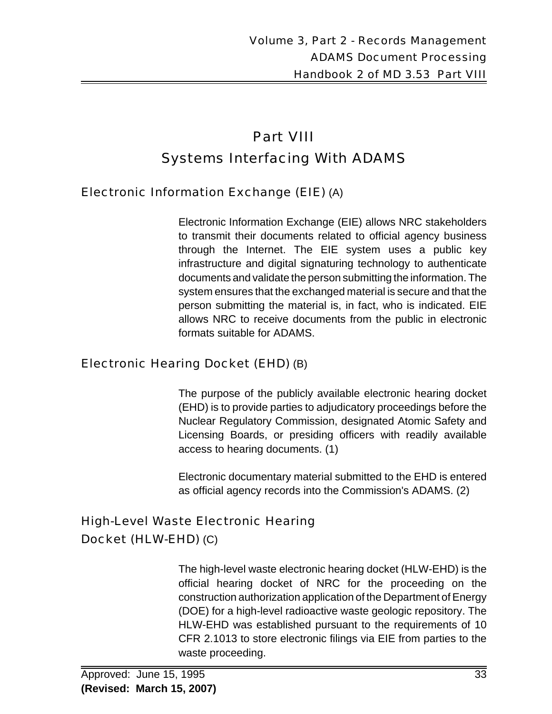# Part VIII Systems Interfacing With ADAMS

# Electronic Information Exchange (EIE) (A)

Electronic Information Exchange (EIE) allows NRC stakeholders to transmit their documents related to official agency business through the Internet. The EIE system uses a public key infrastructure and digital signaturing technology to authenticate documents and validate the person submitting the information. The system ensures that the exchanged material is secure and that the person submitting the material is, in fact, who is indicated. EIE allows NRC to receive documents from the public in electronic formats suitable for ADAMS.

# Electronic Hearing Docket (EHD) (B)

The purpose of the publicly available electronic hearing docket (EHD) is to provide parties to adjudicatory proceedings before the Nuclear Regulatory Commission, designated Atomic Safety and Licensing Boards, or presiding officers with readily available access to hearing documents. (1)

Electronic documentary material submitted to the EHD is entered as official agency records into the Commission's ADAMS. (2)

# High-Level Waste Electronic Hearing Docket (HLW-EHD) (C)

The high-level waste electronic hearing docket (HLW-EHD) is the official hearing docket of NRC for the proceeding on the construction authorization application of the Department of Energy (DOE) for a high-level radioactive waste geologic repository. The HLW-EHD was established pursuant to the requirements of 10 CFR 2.1013 to store electronic filings via EIE from parties to the waste proceeding.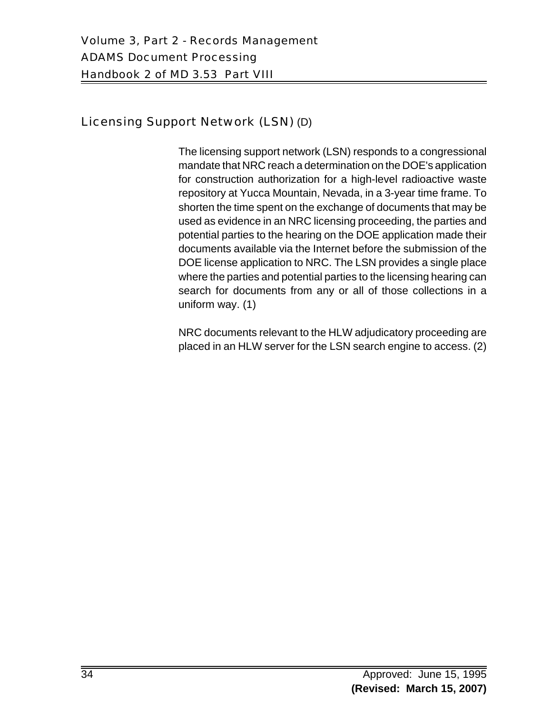# Licensing Support Network (LSN) (D)

The licensing support network (LSN) responds to a congressional mandate that NRC reach a determination on the DOE's application for construction authorization for a high-level radioactive waste repository at Yucca Mountain, Nevada, in a 3-year time frame. To shorten the time spent on the exchange of documents that may be used as evidence in an NRC licensing proceeding, the parties and potential parties to the hearing on the DOE application made their documents available via the Internet before the submission of the DOE license application to NRC. The LSN provides a single place where the parties and potential parties to the licensing hearing can search for documents from any or all of those collections in a uniform way. (1)

NRC documents relevant to the HLW adjudicatory proceeding are placed in an HLW server for the LSN search engine to access. (2)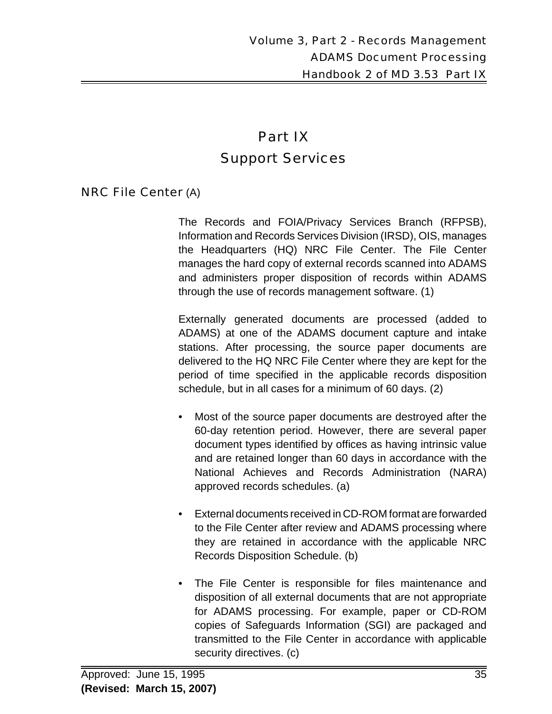# Part IX Support Services

#### NRC File Center (A)

The Records and FOIA/Privacy Services Branch (RFPSB), Information and Records Services Division (IRSD), OIS, manages the Headquarters (HQ) NRC File Center. The File Center manages the hard copy of external records scanned into ADAMS and administers proper disposition of records within ADAMS through the use of records management software. (1)

Externally generated documents are processed (added to ADAMS) at one of the ADAMS document capture and intake stations. After processing, the source paper documents are delivered to the HQ NRC File Center where they are kept for the period of time specified in the applicable records disposition schedule, but in all cases for a minimum of 60 days. (2)

- Most of the source paper documents are destroyed after the 60-day retention period. However, there are several paper document types identified by offices as having intrinsic value and are retained longer than 60 days in accordance with the National Achieves and Records Administration (NARA) approved records schedules. (a)
- External documents received in CD-ROM format are forwarded to the File Center after review and ADAMS processing where they are retained in accordance with the applicable NRC Records Disposition Schedule. (b)
- The File Center is responsible for files maintenance and disposition of all external documents that are not appropriate for ADAMS processing. For example, paper or CD-ROM copies of Safeguards Information (SGI) are packaged and transmitted to the File Center in accordance with applicable security directives. (c)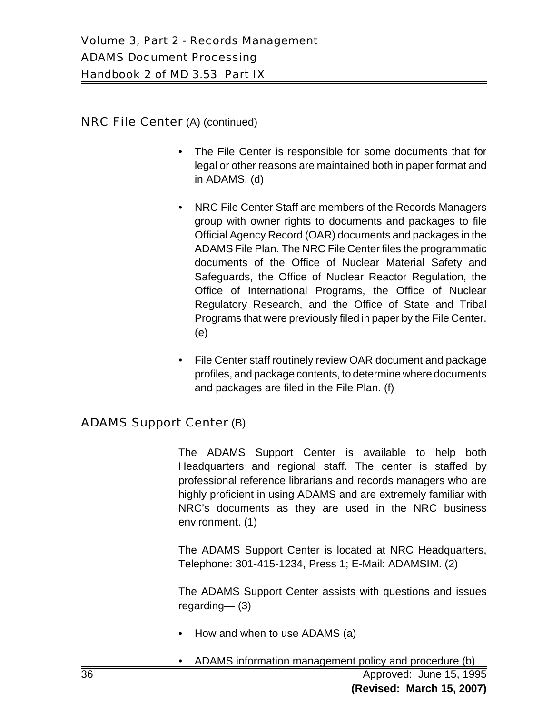#### NRC File Center (A) (continued)

- The File Center is responsible for some documents that for legal or other reasons are maintained both in paper format and in ADAMS. (d)
- NRC File Center Staff are members of the Records Managers group with owner rights to documents and packages to file Official Agency Record (OAR) documents and packages in the ADAMS File Plan. The NRC File Center files the programmatic documents of the Office of Nuclear Material Safety and Safeguards, the Office of Nuclear Reactor Regulation, the Office of International Programs, the Office of Nuclear Regulatory Research, and the Office of State and Tribal Programs that were previously filed in paper by the File Center. (e)
- File Center staff routinely review OAR document and package profiles, and package contents, to determine where documents and packages are filed in the File Plan. (f)

# ADAMS Support Center (B)

The ADAMS Support Center is available to help both Headquarters and regional staff. The center is staffed by professional reference librarians and records managers who are highly proficient in using ADAMS and are extremely familiar with NRC's documents as they are used in the NRC business environment. (1)

The ADAMS Support Center is located at NRC Headquarters, Telephone: 301-415-1234, Press 1; E-Mail: ADAMSIM. (2)

The ADAMS Support Center assists with questions and issues regarding— (3)

- How and when to use ADAMS (a)
- 36 Approved: June 15, 1995 **(Revised: March 15, 2007)** • ADAMS information management policy and procedure (b)